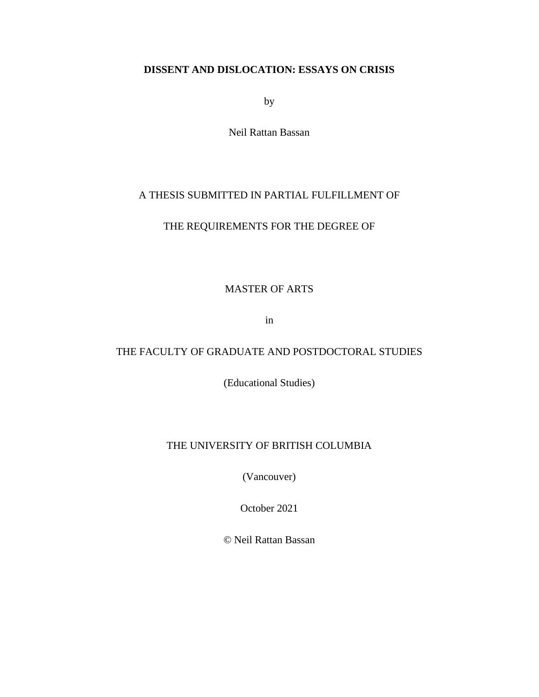### **DISSENT AND DISLOCATION: ESSAYS ON CRISIS**

by

Neil Rattan Bassan

## A THESIS SUBMITTED IN PARTIAL FULFILLMENT OF

### THE REQUIREMENTS FOR THE DEGREE OF

### MASTER OF ARTS

in

## THE FACULTY OF GRADUATE AND POSTDOCTORAL STUDIES

(Educational Studies)

### THE UNIVERSITY OF BRITISH COLUMBIA

(Vancouver)

October 2021

© Neil Rattan Bassan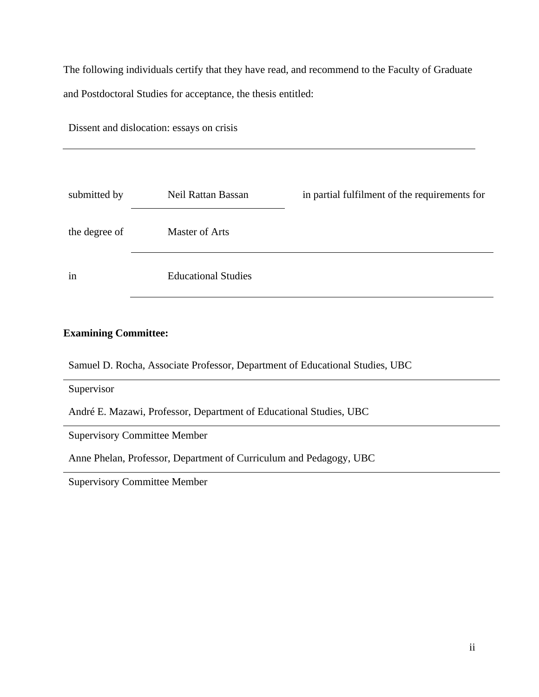The following individuals certify that they have read, and recommend to the Faculty of Graduate and Postdoctoral Studies for acceptance, the thesis entitled:

Dissent and dislocation: essays on crisis

| submitted by  | Neil Rattan Bassan         | in partial fulfilment of the requirements for |
|---------------|----------------------------|-----------------------------------------------|
| the degree of | <b>Master of Arts</b>      |                                               |
| in            | <b>Educational Studies</b> |                                               |

### **Examining Committee:**

Samuel D. Rocha, Associate Professor, Department of Educational Studies, UBC

Supervisor

André E. Mazawi, Professor, Department of Educational Studies, UBC

Supervisory Committee Member

Anne Phelan, Professor, Department of Curriculum and Pedagogy, UBC

Supervisory Committee Member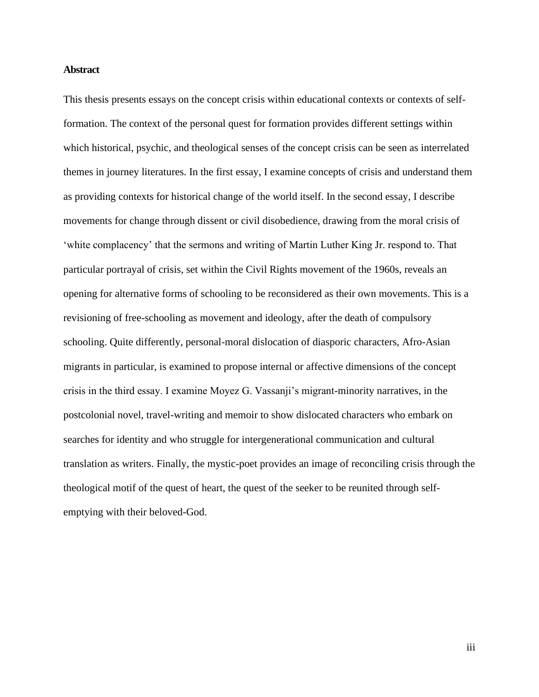#### <span id="page-2-0"></span>**Abstract**

This thesis presents essays on the concept crisis within educational contexts or contexts of selfformation. The context of the personal quest for formation provides different settings within which historical, psychic, and theological senses of the concept crisis can be seen as interrelated themes in journey literatures. In the first essay, I examine concepts of crisis and understand them as providing contexts for historical change of the world itself. In the second essay, I describe movements for change through dissent or civil disobedience, drawing from the moral crisis of 'white complacency' that the sermons and writing of Martin Luther King Jr. respond to. That particular portrayal of crisis, set within the Civil Rights movement of the 1960s, reveals an opening for alternative forms of schooling to be reconsidered as their own movements. This is a revisioning of free-schooling as movement and ideology, after the death of compulsory schooling. Quite differently, personal-moral dislocation of diasporic characters, Afro-Asian migrants in particular, is examined to propose internal or affective dimensions of the concept crisis in the third essay. I examine Moyez G. Vassanji's migrant-minority narratives, in the postcolonial novel, travel-writing and memoir to show dislocated characters who embark on searches for identity and who struggle for intergenerational communication and cultural translation as writers. Finally, the mystic-poet provides an image of reconciling crisis through the theological motif of the quest of heart, the quest of the seeker to be reunited through selfemptying with their beloved-God.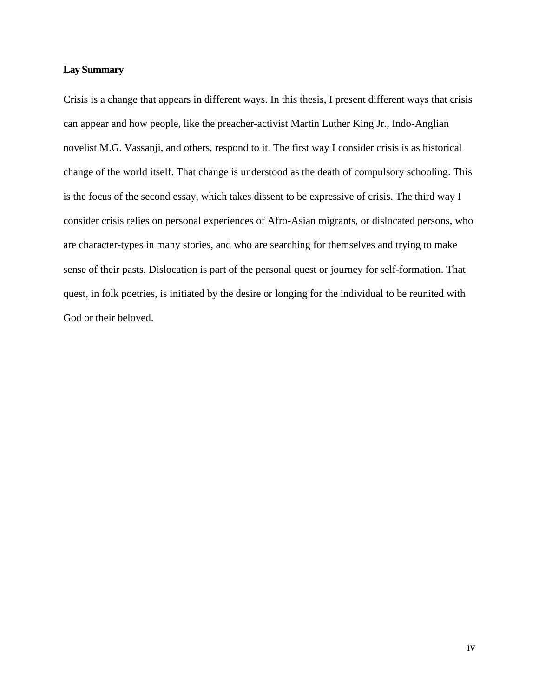#### <span id="page-3-0"></span>**Lay Summary**

Crisis is a change that appears in different ways. In this thesis, I present different ways that crisis can appear and how people, like the preacher-activist Martin Luther King Jr., Indo-Anglian novelist M.G. Vassanji, and others, respond to it. The first way I consider crisis is as historical change of the world itself. That change is understood as the death of compulsory schooling. This is the focus of the second essay, which takes dissent to be expressive of crisis. The third way I consider crisis relies on personal experiences of Afro-Asian migrants, or dislocated persons, who are character-types in many stories, and who are searching for themselves and trying to make sense of their pasts. Dislocation is part of the personal quest or journey for self-formation. That quest, in folk poetries, is initiated by the desire or longing for the individual to be reunited with God or their beloved.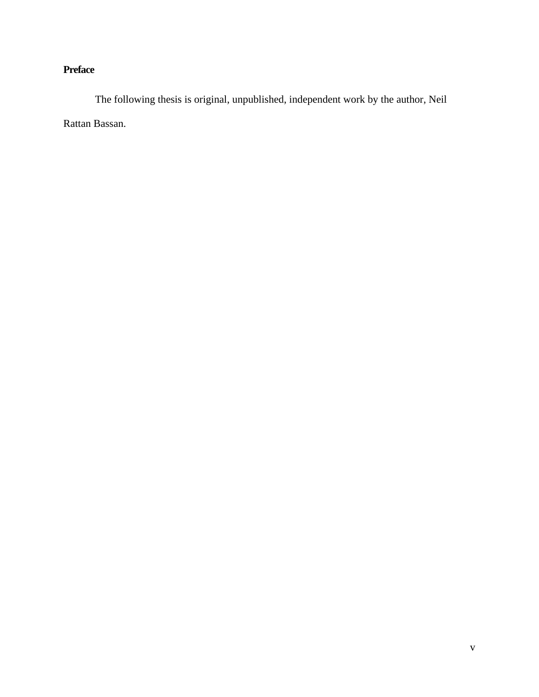# <span id="page-4-0"></span>**Preface**

The following thesis is original, unpublished, independent work by the author, Neil Rattan Bassan.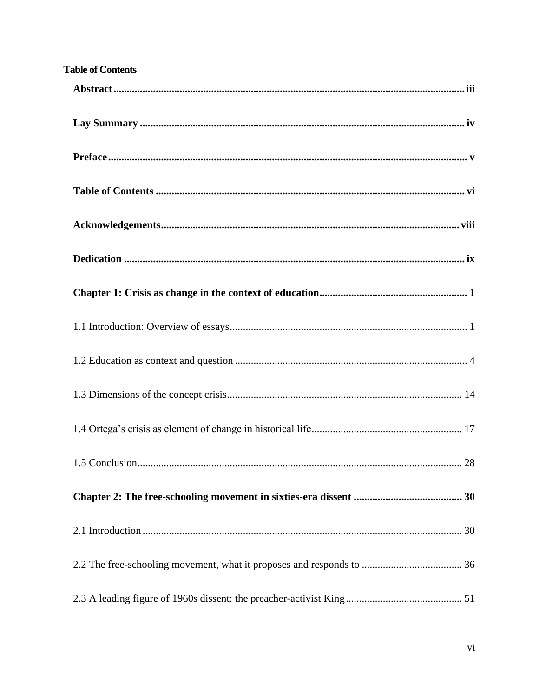<span id="page-5-0"></span>

| <b>Table of Contents</b> |
|--------------------------|
|                          |
|                          |
|                          |
|                          |
|                          |
|                          |
|                          |
|                          |
|                          |
|                          |
|                          |
|                          |
|                          |
|                          |
|                          |
|                          |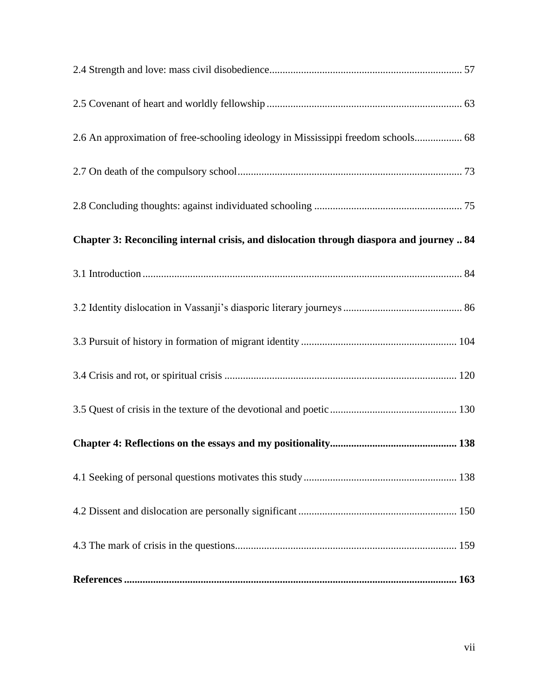| 2.6 An approximation of free-schooling ideology in Mississippi freedom schools 68        |  |  |  |
|------------------------------------------------------------------------------------------|--|--|--|
|                                                                                          |  |  |  |
|                                                                                          |  |  |  |
| Chapter 3: Reconciling internal crisis, and dislocation through diaspora and journey  84 |  |  |  |
|                                                                                          |  |  |  |
|                                                                                          |  |  |  |
|                                                                                          |  |  |  |
|                                                                                          |  |  |  |
|                                                                                          |  |  |  |
|                                                                                          |  |  |  |
|                                                                                          |  |  |  |
|                                                                                          |  |  |  |
|                                                                                          |  |  |  |
|                                                                                          |  |  |  |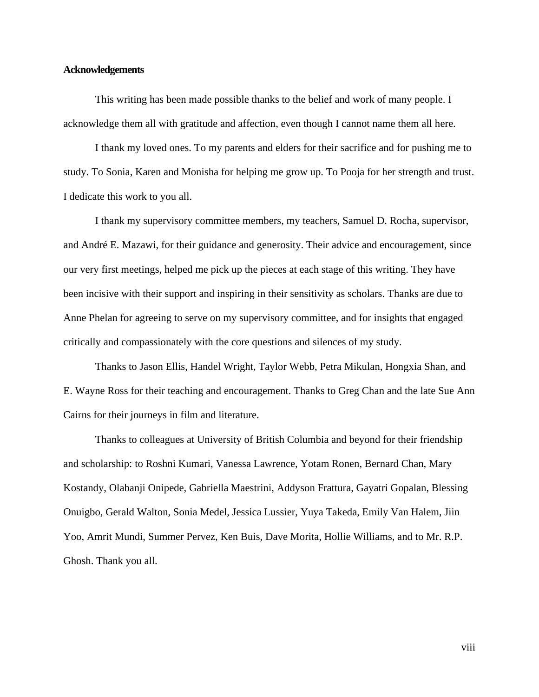#### <span id="page-7-0"></span>**Acknowledgements**

This writing has been made possible thanks to the belief and work of many people. I acknowledge them all with gratitude and affection, even though I cannot name them all here.

I thank my loved ones. To my parents and elders for their sacrifice and for pushing me to study. To Sonia, Karen and Monisha for helping me grow up. To Pooja for her strength and trust. I dedicate this work to you all.

I thank my supervisory committee members, my teachers, Samuel D. Rocha, supervisor, and André E. Mazawi, for their guidance and generosity. Their advice and encouragement, since our very first meetings, helped me pick up the pieces at each stage of this writing. They have been incisive with their support and inspiring in their sensitivity as scholars. Thanks are due to Anne Phelan for agreeing to serve on my supervisory committee, and for insights that engaged critically and compassionately with the core questions and silences of my study.

Thanks to Jason Ellis, Handel Wright, Taylor Webb, Petra Mikulan, Hongxia Shan, and E. Wayne Ross for their teaching and encouragement. Thanks to Greg Chan and the late Sue Ann Cairns for their journeys in film and literature.

Thanks to colleagues at University of British Columbia and beyond for their friendship and scholarship: to Roshni Kumari, Vanessa Lawrence, Yotam Ronen, Bernard Chan, Mary Kostandy, Olabanji Onipede, Gabriella Maestrini, Addyson Frattura, Gayatri Gopalan, Blessing Onuigbo, Gerald Walton, Sonia Medel, Jessica Lussier, Yuya Takeda, Emily Van Halem, Jiin Yoo, Amrit Mundi, Summer Pervez, Ken Buis, Dave Morita, Hollie Williams, and to Mr. R.P. Ghosh. Thank you all.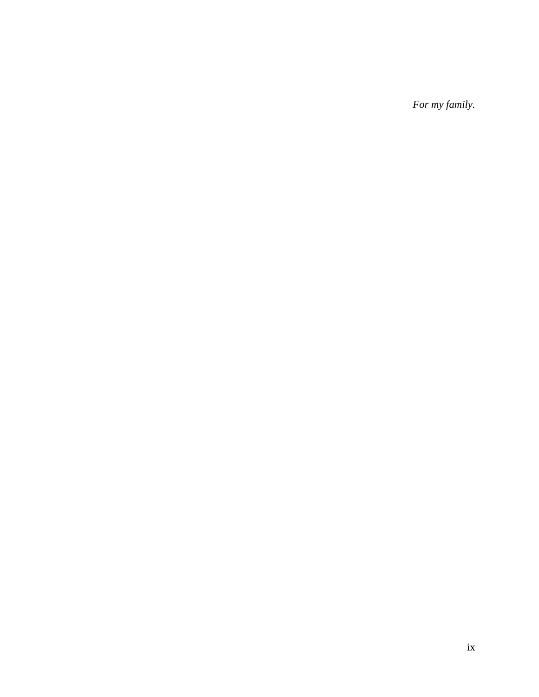<span id="page-8-0"></span>*For my family.*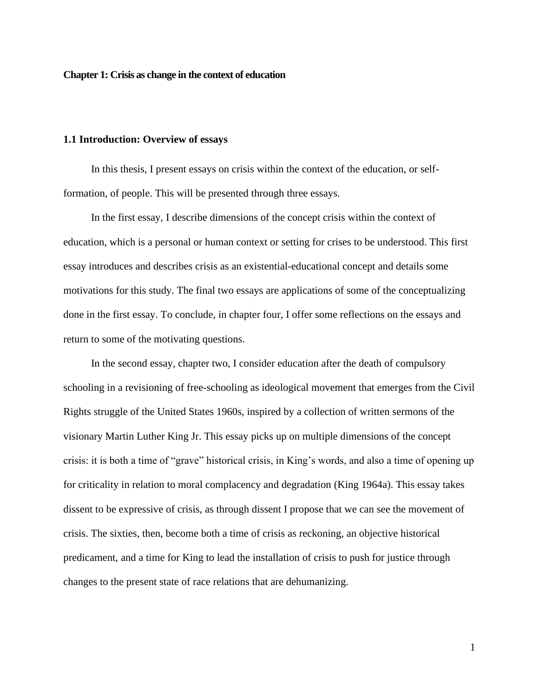<span id="page-9-0"></span>**Chapter 1: Crisis as change in the context of education**

#### <span id="page-9-1"></span>**1.1 Introduction: Overview of essays**

In this thesis, I present essays on crisis within the context of the education, or selfformation, of people. This will be presented through three essays.

In the first essay, I describe dimensions of the concept crisis within the context of education, which is a personal or human context or setting for crises to be understood. This first essay introduces and describes crisis as an existential-educational concept and details some motivations for this study. The final two essays are applications of some of the conceptualizing done in the first essay. To conclude, in chapter four, I offer some reflections on the essays and return to some of the motivating questions.

In the second essay, chapter two, I consider education after the death of compulsory schooling in a revisioning of free-schooling as ideological movement that emerges from the Civil Rights struggle of the United States 1960s, inspired by a collection of written sermons of the visionary Martin Luther King Jr. This essay picks up on multiple dimensions of the concept crisis: it is both a time of "grave" historical crisis, in King's words, and also a time of opening up for criticality in relation to moral complacency and degradation (King 1964a). This essay takes dissent to be expressive of crisis, as through dissent I propose that we can see the movement of crisis. The sixties, then, become both a time of crisis as reckoning, an objective historical predicament, and a time for King to lead the installation of crisis to push for justice through changes to the present state of race relations that are dehumanizing.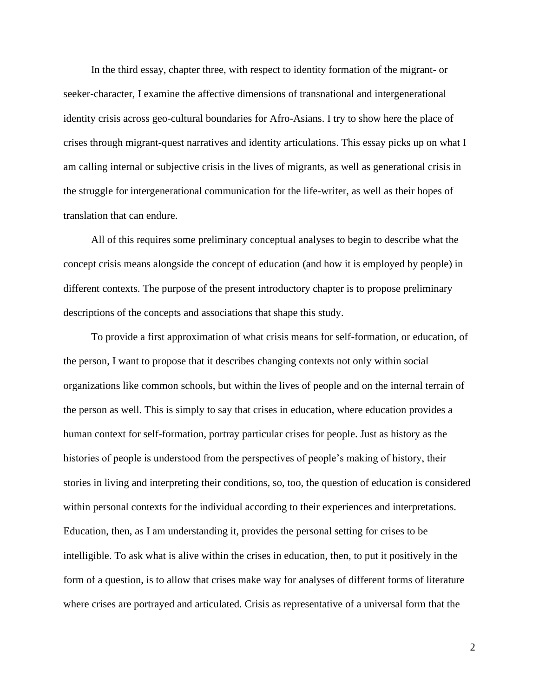In the third essay, chapter three, with respect to identity formation of the migrant- or seeker-character, I examine the affective dimensions of transnational and intergenerational identity crisis across geo-cultural boundaries for Afro-Asians. I try to show here the place of crises through migrant-quest narratives and identity articulations. This essay picks up on what I am calling internal or subjective crisis in the lives of migrants, as well as generational crisis in the struggle for intergenerational communication for the life-writer, as well as their hopes of translation that can endure.

All of this requires some preliminary conceptual analyses to begin to describe what the concept crisis means alongside the concept of education (and how it is employed by people) in different contexts. The purpose of the present introductory chapter is to propose preliminary descriptions of the concepts and associations that shape this study.

To provide a first approximation of what crisis means for self-formation, or education, of the person, I want to propose that it describes changing contexts not only within social organizations like common schools, but within the lives of people and on the internal terrain of the person as well. This is simply to say that crises in education, where education provides a human context for self-formation, portray particular crises for people. Just as history as the histories of people is understood from the perspectives of people's making of history, their stories in living and interpreting their conditions, so, too, the question of education is considered within personal contexts for the individual according to their experiences and interpretations. Education, then, as I am understanding it, provides the personal setting for crises to be intelligible. To ask what is alive within the crises in education, then, to put it positively in the form of a question, is to allow that crises make way for analyses of different forms of literature where crises are portrayed and articulated. Crisis as representative of a universal form that the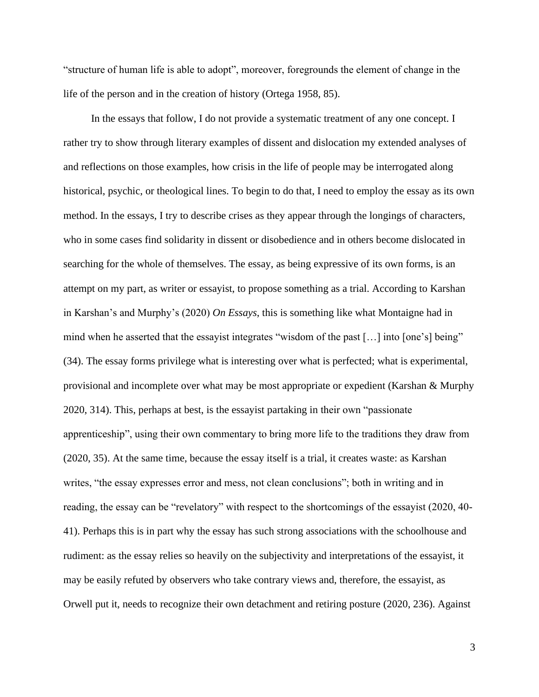"structure of human life is able to adopt", moreover, foregrounds the element of change in the life of the person and in the creation of history (Ortega 1958, 85).

In the essays that follow, I do not provide a systematic treatment of any one concept. I rather try to show through literary examples of dissent and dislocation my extended analyses of and reflections on those examples, how crisis in the life of people may be interrogated along historical, psychic, or theological lines. To begin to do that, I need to employ the essay as its own method. In the essays, I try to describe crises as they appear through the longings of characters, who in some cases find solidarity in dissent or disobedience and in others become dislocated in searching for the whole of themselves. The essay, as being expressive of its own forms, is an attempt on my part, as writer or essayist, to propose something as a trial. According to Karshan in Karshan's and Murphy's (2020) *On Essays*, this is something like what Montaigne had in mind when he asserted that the essayist integrates "wisdom of the past […] into [one's] being" (34). The essay forms privilege what is interesting over what is perfected; what is experimental, provisional and incomplete over what may be most appropriate or expedient (Karshan & Murphy 2020, 314). This, perhaps at best, is the essayist partaking in their own "passionate apprenticeship", using their own commentary to bring more life to the traditions they draw from (2020, 35). At the same time, because the essay itself is a trial, it creates waste: as Karshan writes, "the essay expresses error and mess, not clean conclusions"; both in writing and in reading, the essay can be "revelatory" with respect to the shortcomings of the essayist (2020, 40- 41). Perhaps this is in part why the essay has such strong associations with the schoolhouse and rudiment: as the essay relies so heavily on the subjectivity and interpretations of the essayist, it may be easily refuted by observers who take contrary views and, therefore, the essayist, as Orwell put it, needs to recognize their own detachment and retiring posture (2020, 236). Against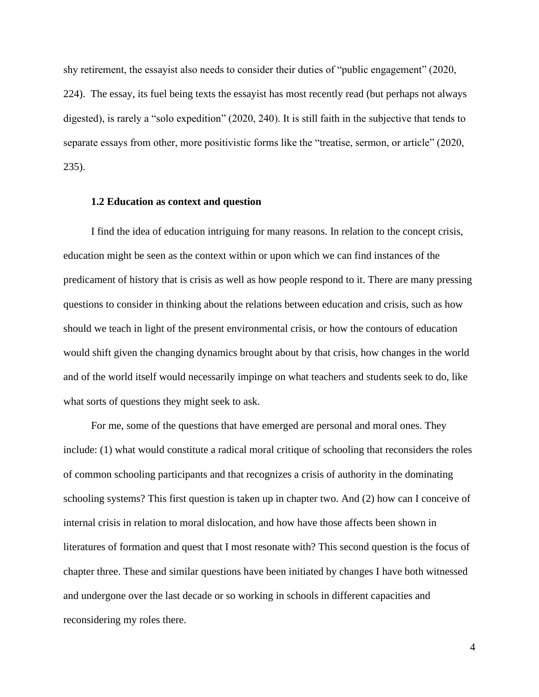shy retirement, the essayist also needs to consider their duties of "public engagement" (2020, 224). The essay, its fuel being texts the essayist has most recently read (but perhaps not always digested), is rarely a "solo expedition" (2020, 240). It is still faith in the subjective that tends to separate essays from other, more positivistic forms like the "treatise, sermon, or article" (2020, 235).

#### <span id="page-12-0"></span>**1.2 Education as context and question**

I find the idea of education intriguing for many reasons. In relation to the concept crisis, education might be seen as the context within or upon which we can find instances of the predicament of history that is crisis as well as how people respond to it. There are many pressing questions to consider in thinking about the relations between education and crisis, such as how should we teach in light of the present environmental crisis, or how the contours of education would shift given the changing dynamics brought about by that crisis, how changes in the world and of the world itself would necessarily impinge on what teachers and students seek to do, like what sorts of questions they might seek to ask.

For me, some of the questions that have emerged are personal and moral ones. They include: (1) what would constitute a radical moral critique of schooling that reconsiders the roles of common schooling participants and that recognizes a crisis of authority in the dominating schooling systems? This first question is taken up in chapter two. And (2) how can I conceive of internal crisis in relation to moral dislocation, and how have those affects been shown in literatures of formation and quest that I most resonate with? This second question is the focus of chapter three. These and similar questions have been initiated by changes I have both witnessed and undergone over the last decade or so working in schools in different capacities and reconsidering my roles there.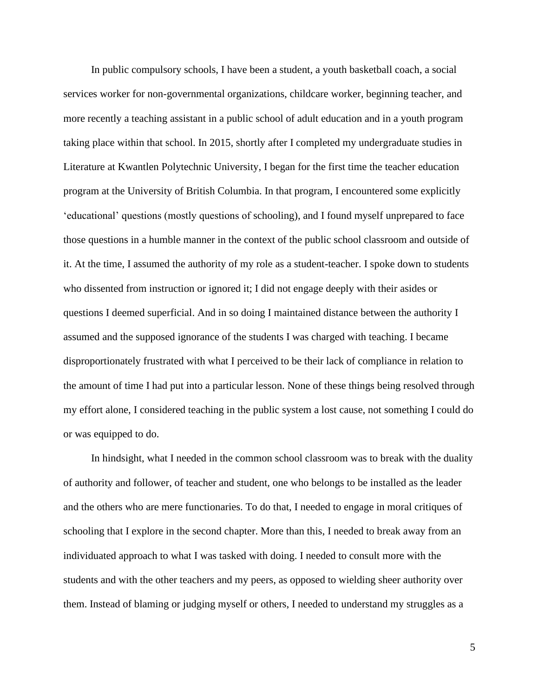In public compulsory schools, I have been a student, a youth basketball coach, a social services worker for non-governmental organizations, childcare worker, beginning teacher, and more recently a teaching assistant in a public school of adult education and in a youth program taking place within that school. In 2015, shortly after I completed my undergraduate studies in Literature at Kwantlen Polytechnic University, I began for the first time the teacher education program at the University of British Columbia. In that program, I encountered some explicitly 'educational' questions (mostly questions of schooling), and I found myself unprepared to face those questions in a humble manner in the context of the public school classroom and outside of it. At the time, I assumed the authority of my role as a student-teacher. I spoke down to students who dissented from instruction or ignored it; I did not engage deeply with their asides or questions I deemed superficial. And in so doing I maintained distance between the authority I assumed and the supposed ignorance of the students I was charged with teaching. I became disproportionately frustrated with what I perceived to be their lack of compliance in relation to the amount of time I had put into a particular lesson. None of these things being resolved through my effort alone, I considered teaching in the public system a lost cause, not something I could do or was equipped to do.

In hindsight, what I needed in the common school classroom was to break with the duality of authority and follower, of teacher and student, one who belongs to be installed as the leader and the others who are mere functionaries. To do that, I needed to engage in moral critiques of schooling that I explore in the second chapter. More than this, I needed to break away from an individuated approach to what I was tasked with doing. I needed to consult more with the students and with the other teachers and my peers, as opposed to wielding sheer authority over them. Instead of blaming or judging myself or others, I needed to understand my struggles as a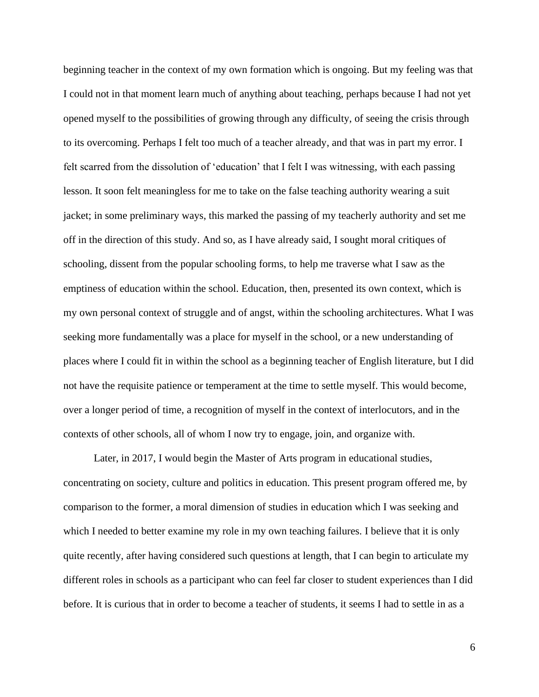beginning teacher in the context of my own formation which is ongoing. But my feeling was that I could not in that moment learn much of anything about teaching, perhaps because I had not yet opened myself to the possibilities of growing through any difficulty, of seeing the crisis through to its overcoming. Perhaps I felt too much of a teacher already, and that was in part my error. I felt scarred from the dissolution of 'education' that I felt I was witnessing, with each passing lesson. It soon felt meaningless for me to take on the false teaching authority wearing a suit jacket; in some preliminary ways, this marked the passing of my teacherly authority and set me off in the direction of this study. And so, as I have already said, I sought moral critiques of schooling, dissent from the popular schooling forms, to help me traverse what I saw as the emptiness of education within the school. Education, then, presented its own context, which is my own personal context of struggle and of angst, within the schooling architectures. What I was seeking more fundamentally was a place for myself in the school, or a new understanding of places where I could fit in within the school as a beginning teacher of English literature, but I did not have the requisite patience or temperament at the time to settle myself. This would become, over a longer period of time, a recognition of myself in the context of interlocutors, and in the contexts of other schools, all of whom I now try to engage, join, and organize with.

Later, in 2017, I would begin the Master of Arts program in educational studies, concentrating on society, culture and politics in education. This present program offered me, by comparison to the former, a moral dimension of studies in education which I was seeking and which I needed to better examine my role in my own teaching failures. I believe that it is only quite recently, after having considered such questions at length, that I can begin to articulate my different roles in schools as a participant who can feel far closer to student experiences than I did before. It is curious that in order to become a teacher of students, it seems I had to settle in as a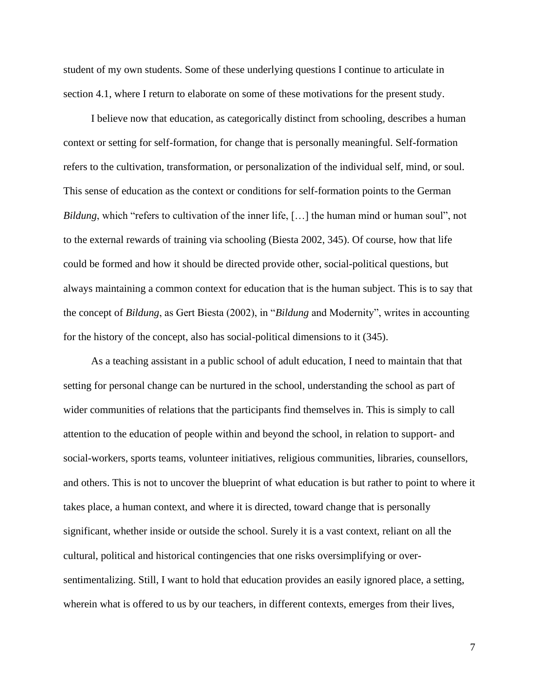student of my own students. Some of these underlying questions I continue to articulate in section 4.1, where I return to elaborate on some of these motivations for the present study.

I believe now that education, as categorically distinct from schooling, describes a human context or setting for self-formation, for change that is personally meaningful. Self-formation refers to the cultivation, transformation, or personalization of the individual self, mind, or soul. This sense of education as the context or conditions for self-formation points to the German *Bildung*, which "refers to cultivation of the inner life, [...] the human mind or human soul", not to the external rewards of training via schooling (Biesta 2002, 345). Of course, how that life could be formed and how it should be directed provide other, social-political questions, but always maintaining a common context for education that is the human subject. This is to say that the concept of *Bildung*, as Gert Biesta (2002), in "*Bildung* and Modernity", writes in accounting for the history of the concept, also has social-political dimensions to it (345).

As a teaching assistant in a public school of adult education, I need to maintain that that setting for personal change can be nurtured in the school, understanding the school as part of wider communities of relations that the participants find themselves in. This is simply to call attention to the education of people within and beyond the school, in relation to support- and social-workers, sports teams, volunteer initiatives, religious communities, libraries, counsellors, and others. This is not to uncover the blueprint of what education is but rather to point to where it takes place, a human context, and where it is directed, toward change that is personally significant, whether inside or outside the school. Surely it is a vast context, reliant on all the cultural, political and historical contingencies that one risks oversimplifying or oversentimentalizing. Still, I want to hold that education provides an easily ignored place, a setting, wherein what is offered to us by our teachers, in different contexts, emerges from their lives,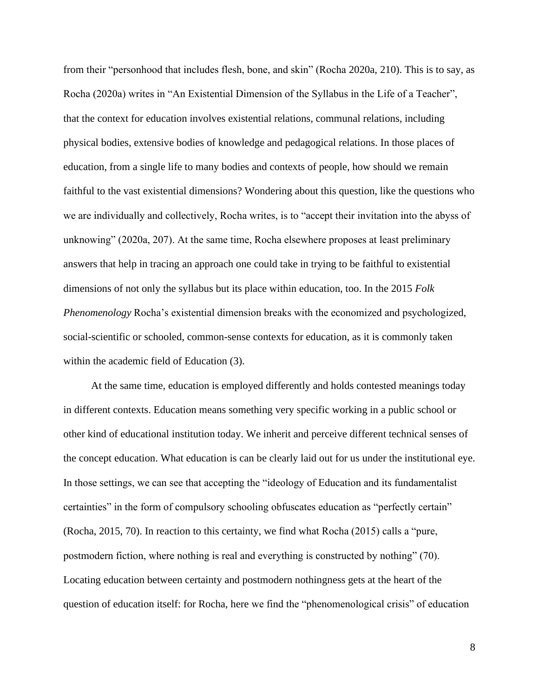from their "personhood that includes flesh, bone, and skin" (Rocha 2020a, 210). This is to say, as Rocha (2020a) writes in "An Existential Dimension of the Syllabus in the Life of a Teacher", that the context for education involves existential relations, communal relations, including physical bodies, extensive bodies of knowledge and pedagogical relations. In those places of education, from a single life to many bodies and contexts of people, how should we remain faithful to the vast existential dimensions? Wondering about this question, like the questions who we are individually and collectively, Rocha writes, is to "accept their invitation into the abyss of unknowing" (2020a, 207). At the same time, Rocha elsewhere proposes at least preliminary answers that help in tracing an approach one could take in trying to be faithful to existential dimensions of not only the syllabus but its place within education, too. In the 2015 *Folk Phenomenology* Rocha's existential dimension breaks with the economized and psychologized, social-scientific or schooled, common-sense contexts for education, as it is commonly taken within the academic field of Education (3).

At the same time, education is employed differently and holds contested meanings today in different contexts. Education means something very specific working in a public school or other kind of educational institution today. We inherit and perceive different technical senses of the concept education. What education is can be clearly laid out for us under the institutional eye. In those settings, we can see that accepting the "ideology of Education and its fundamentalist certainties" in the form of compulsory schooling obfuscates education as "perfectly certain" (Rocha, 2015, 70). In reaction to this certainty, we find what Rocha (2015) calls a "pure, postmodern fiction, where nothing is real and everything is constructed by nothing" (70). Locating education between certainty and postmodern nothingness gets at the heart of the question of education itself: for Rocha, here we find the "phenomenological crisis" of education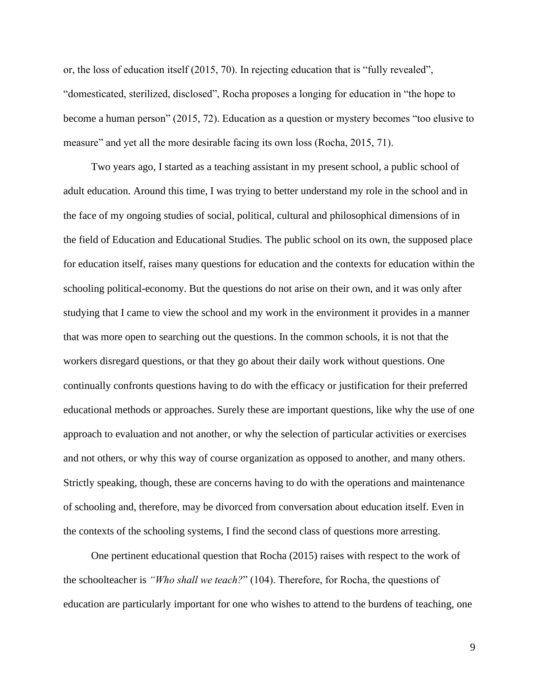or, the loss of education itself (2015, 70). In rejecting education that is "fully revealed", "domesticated, sterilized, disclosed", Rocha proposes a longing for education in "the hope to become a human person" (2015, 72). Education as a question or mystery becomes "too elusive to measure" and yet all the more desirable facing its own loss (Rocha, 2015, 71).

Two years ago, I started as a teaching assistant in my present school, a public school of adult education. Around this time, I was trying to better understand my role in the school and in the face of my ongoing studies of social, political, cultural and philosophical dimensions of in the field of Education and Educational Studies. The public school on its own, the supposed place for education itself, raises many questions for education and the contexts for education within the schooling political-economy. But the questions do not arise on their own, and it was only after studying that I came to view the school and my work in the environment it provides in a manner that was more open to searching out the questions. In the common schools, it is not that the workers disregard questions, or that they go about their daily work without questions. One continually confronts questions having to do with the efficacy or justification for their preferred educational methods or approaches. Surely these are important questions, like why the use of one approach to evaluation and not another, or why the selection of particular activities or exercises and not others, or why this way of course organization as opposed to another, and many others. Strictly speaking, though, these are concerns having to do with the operations and maintenance of schooling and, therefore, may be divorced from conversation about education itself. Even in the contexts of the schooling systems, I find the second class of questions more arresting.

One pertinent educational question that Rocha (2015) raises with respect to the work of the schoolteacher is *"Who shall we teach?*" (104). Therefore, for Rocha, the questions of education are particularly important for one who wishes to attend to the burdens of teaching, one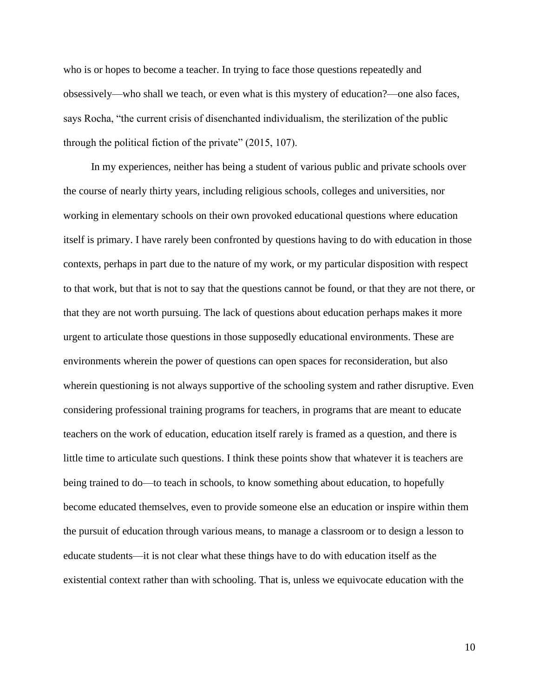who is or hopes to become a teacher. In trying to face those questions repeatedly and obsessively—who shall we teach, or even what is this mystery of education?—one also faces, says Rocha, "the current crisis of disenchanted individualism, the sterilization of the public through the political fiction of the private" (2015, 107).

In my experiences, neither has being a student of various public and private schools over the course of nearly thirty years, including religious schools, colleges and universities, nor working in elementary schools on their own provoked educational questions where education itself is primary. I have rarely been confronted by questions having to do with education in those contexts, perhaps in part due to the nature of my work, or my particular disposition with respect to that work, but that is not to say that the questions cannot be found, or that they are not there, or that they are not worth pursuing. The lack of questions about education perhaps makes it more urgent to articulate those questions in those supposedly educational environments. These are environments wherein the power of questions can open spaces for reconsideration, but also wherein questioning is not always supportive of the schooling system and rather disruptive. Even considering professional training programs for teachers, in programs that are meant to educate teachers on the work of education, education itself rarely is framed as a question, and there is little time to articulate such questions. I think these points show that whatever it is teachers are being trained to do—to teach in schools, to know something about education, to hopefully become educated themselves, even to provide someone else an education or inspire within them the pursuit of education through various means, to manage a classroom or to design a lesson to educate students—it is not clear what these things have to do with education itself as the existential context rather than with schooling. That is, unless we equivocate education with the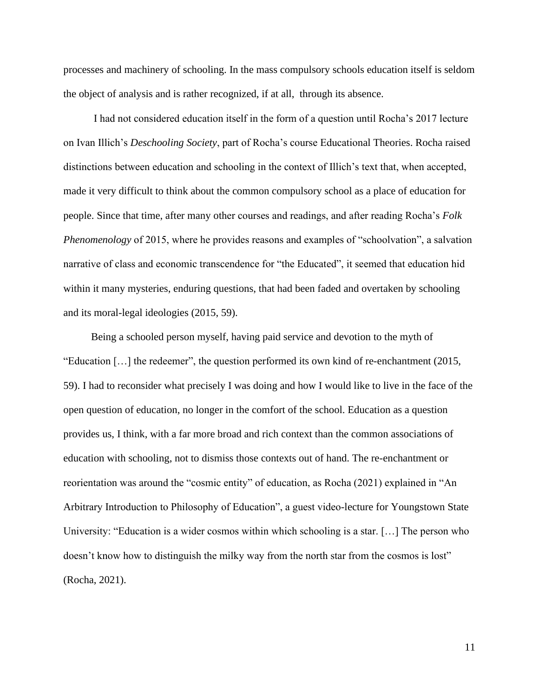processes and machinery of schooling. In the mass compulsory schools education itself is seldom the object of analysis and is rather recognized, if at all, through its absence.

I had not considered education itself in the form of a question until Rocha's 2017 lecture on Ivan Illich's *Deschooling Society*, part of Rocha's course Educational Theories. Rocha raised distinctions between education and schooling in the context of Illich's text that, when accepted, made it very difficult to think about the common compulsory school as a place of education for people. Since that time, after many other courses and readings, and after reading Rocha's *Folk Phenomenology* of 2015, where he provides reasons and examples of "schoolvation", a salvation narrative of class and economic transcendence for "the Educated", it seemed that education hid within it many mysteries, enduring questions, that had been faded and overtaken by schooling and its moral-legal ideologies (2015, 59).

Being a schooled person myself, having paid service and devotion to the myth of "Education […] the redeemer", the question performed its own kind of re-enchantment (2015, 59). I had to reconsider what precisely I was doing and how I would like to live in the face of the open question of education, no longer in the comfort of the school. Education as a question provides us, I think, with a far more broad and rich context than the common associations of education with schooling, not to dismiss those contexts out of hand. The re-enchantment or reorientation was around the "cosmic entity" of education, as Rocha (2021) explained in "An Arbitrary Introduction to Philosophy of Education", a guest video-lecture for Youngstown State University: "Education is a wider cosmos within which schooling is a star. […] The person who doesn't know how to distinguish the milky way from the north star from the cosmos is lost" (Rocha, 2021).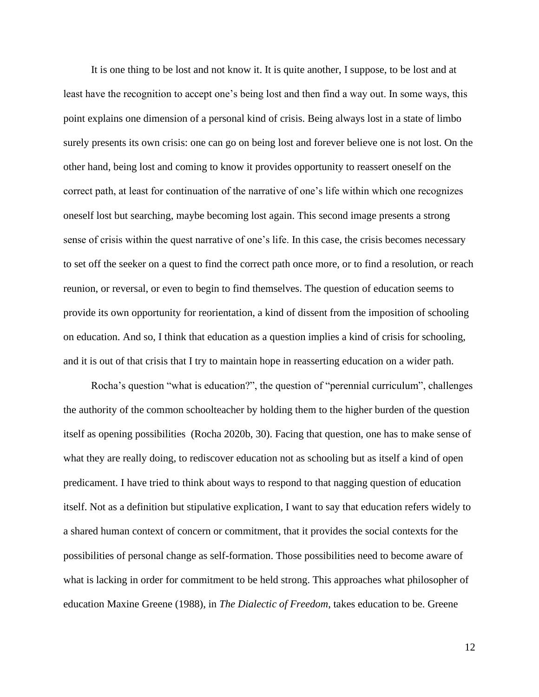It is one thing to be lost and not know it. It is quite another, I suppose, to be lost and at least have the recognition to accept one's being lost and then find a way out. In some ways, this point explains one dimension of a personal kind of crisis. Being always lost in a state of limbo surely presents its own crisis: one can go on being lost and forever believe one is not lost. On the other hand, being lost and coming to know it provides opportunity to reassert oneself on the correct path, at least for continuation of the narrative of one's life within which one recognizes oneself lost but searching, maybe becoming lost again. This second image presents a strong sense of crisis within the quest narrative of one's life. In this case, the crisis becomes necessary to set off the seeker on a quest to find the correct path once more, or to find a resolution, or reach reunion, or reversal, or even to begin to find themselves. The question of education seems to provide its own opportunity for reorientation, a kind of dissent from the imposition of schooling on education. And so, I think that education as a question implies a kind of crisis for schooling, and it is out of that crisis that I try to maintain hope in reasserting education on a wider path.

Rocha's question "what is education?", the question of "perennial curriculum", challenges the authority of the common schoolteacher by holding them to the higher burden of the question itself as opening possibilities (Rocha 2020b, 30). Facing that question, one has to make sense of what they are really doing, to rediscover education not as schooling but as itself a kind of open predicament. I have tried to think about ways to respond to that nagging question of education itself. Not as a definition but stipulative explication, I want to say that education refers widely to a shared human context of concern or commitment, that it provides the social contexts for the possibilities of personal change as self-formation. Those possibilities need to become aware of what is lacking in order for commitment to be held strong. This approaches what philosopher of education Maxine Greene (1988), in *The Dialectic of Freedom*, takes education to be. Greene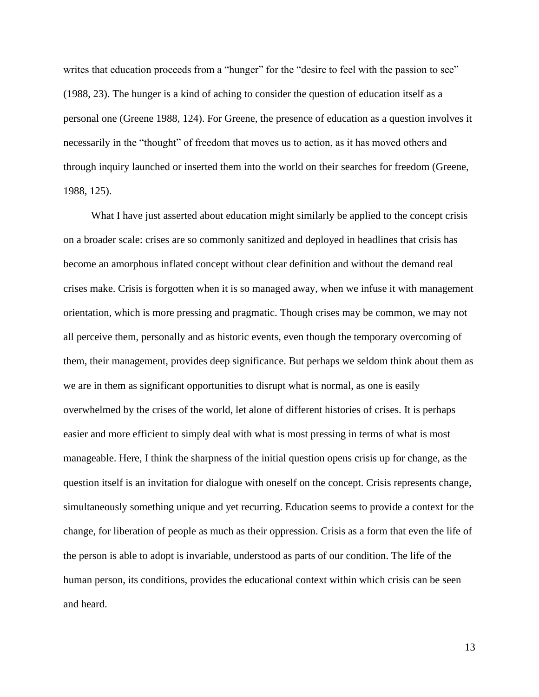writes that education proceeds from a "hunger" for the "desire to feel with the passion to see" (1988, 23). The hunger is a kind of aching to consider the question of education itself as a personal one (Greene 1988, 124). For Greene, the presence of education as a question involves it necessarily in the "thought" of freedom that moves us to action, as it has moved others and through inquiry launched or inserted them into the world on their searches for freedom (Greene, 1988, 125).

What I have just asserted about education might similarly be applied to the concept crisis on a broader scale: crises are so commonly sanitized and deployed in headlines that crisis has become an amorphous inflated concept without clear definition and without the demand real crises make. Crisis is forgotten when it is so managed away, when we infuse it with management orientation, which is more pressing and pragmatic. Though crises may be common, we may not all perceive them, personally and as historic events, even though the temporary overcoming of them, their management, provides deep significance. But perhaps we seldom think about them as we are in them as significant opportunities to disrupt what is normal, as one is easily overwhelmed by the crises of the world, let alone of different histories of crises. It is perhaps easier and more efficient to simply deal with what is most pressing in terms of what is most manageable. Here, I think the sharpness of the initial question opens crisis up for change, as the question itself is an invitation for dialogue with oneself on the concept. Crisis represents change, simultaneously something unique and yet recurring. Education seems to provide a context for the change, for liberation of people as much as their oppression. Crisis as a form that even the life of the person is able to adopt is invariable, understood as parts of our condition. The life of the human person, its conditions, provides the educational context within which crisis can be seen and heard.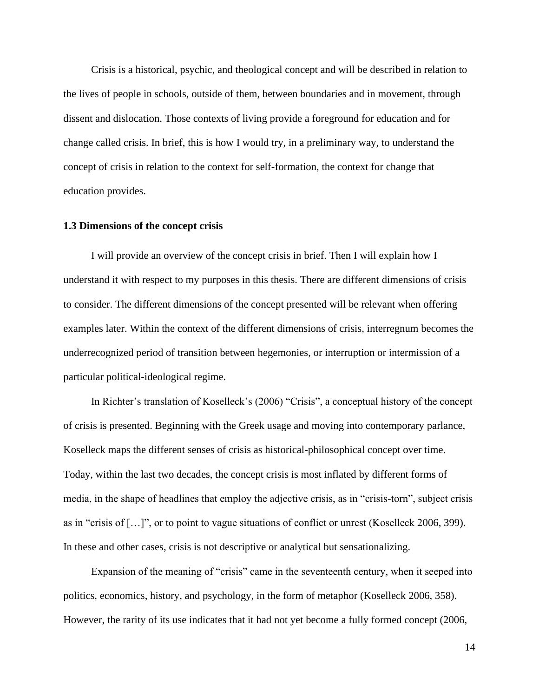Crisis is a historical, psychic, and theological concept and will be described in relation to the lives of people in schools, outside of them, between boundaries and in movement, through dissent and dislocation. Those contexts of living provide a foreground for education and for change called crisis. In brief, this is how I would try, in a preliminary way, to understand the concept of crisis in relation to the context for self-formation, the context for change that education provides.

#### <span id="page-22-0"></span>**1.3 Dimensions of the concept crisis**

I will provide an overview of the concept crisis in brief. Then I will explain how I understand it with respect to my purposes in this thesis. There are different dimensions of crisis to consider. The different dimensions of the concept presented will be relevant when offering examples later. Within the context of the different dimensions of crisis, interregnum becomes the underrecognized period of transition between hegemonies, or interruption or intermission of a particular political-ideological regime.

In Richter's translation of Koselleck's (2006) "Crisis", a conceptual history of the concept of crisis is presented. Beginning with the Greek usage and moving into contemporary parlance, Koselleck maps the different senses of crisis as historical-philosophical concept over time. Today, within the last two decades, the concept crisis is most inflated by different forms of media, in the shape of headlines that employ the adjective crisis, as in "crisis-torn", subject crisis as in "crisis of […]", or to point to vague situations of conflict or unrest (Koselleck 2006, 399). In these and other cases, crisis is not descriptive or analytical but sensationalizing.

Expansion of the meaning of "crisis" came in the seventeenth century, when it seeped into politics, economics, history, and psychology, in the form of metaphor (Koselleck 2006, 358). However, the rarity of its use indicates that it had not yet become a fully formed concept (2006,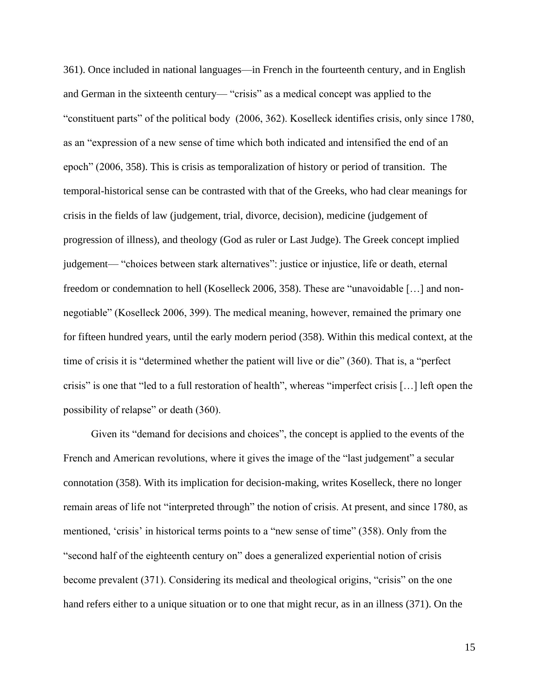361). Once included in national languages—in French in the fourteenth century, and in English and German in the sixteenth century— "crisis" as a medical concept was applied to the "constituent parts" of the political body (2006, 362). Koselleck identifies crisis, only since 1780, as an "expression of a new sense of time which both indicated and intensified the end of an epoch" (2006, 358). This is crisis as temporalization of history or period of transition. The temporal-historical sense can be contrasted with that of the Greeks, who had clear meanings for crisis in the fields of law (judgement, trial, divorce, decision), medicine (judgement of progression of illness), and theology (God as ruler or Last Judge). The Greek concept implied judgement— "choices between stark alternatives": justice or injustice, life or death, eternal freedom or condemnation to hell (Koselleck 2006, 358). These are "unavoidable […] and nonnegotiable" (Koselleck 2006, 399). The medical meaning, however, remained the primary one for fifteen hundred years, until the early modern period (358). Within this medical context, at the time of crisis it is "determined whether the patient will live or die" (360). That is, a "perfect crisis" is one that "led to a full restoration of health", whereas "imperfect crisis […] left open the possibility of relapse" or death (360).

Given its "demand for decisions and choices", the concept is applied to the events of the French and American revolutions, where it gives the image of the "last judgement" a secular connotation (358). With its implication for decision-making, writes Koselleck, there no longer remain areas of life not "interpreted through" the notion of crisis. At present, and since 1780, as mentioned, 'crisis' in historical terms points to a "new sense of time" (358). Only from the "second half of the eighteenth century on" does a generalized experiential notion of crisis become prevalent (371). Considering its medical and theological origins, "crisis" on the one hand refers either to a unique situation or to one that might recur, as in an illness (371). On the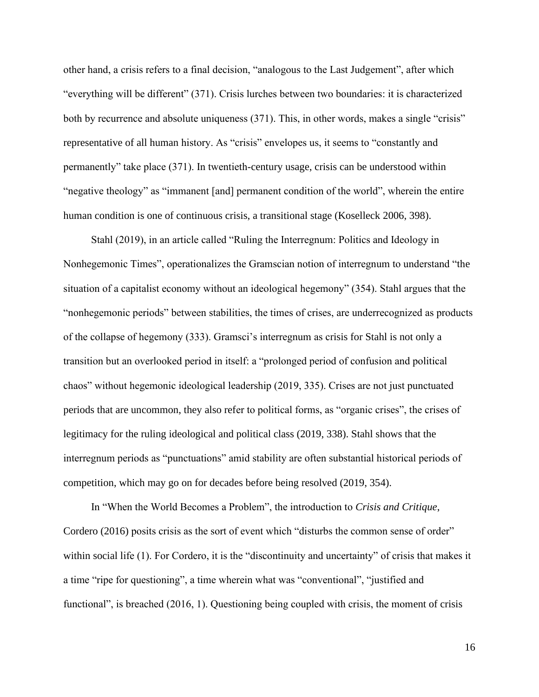other hand, a crisis refers to a final decision, "analogous to the Last Judgement", after which "everything will be different" (371). Crisis lurches between two boundaries: it is characterized both by recurrence and absolute uniqueness (371). This, in other words, makes a single "crisis" representative of all human history. As "crisis" envelopes us, it seems to "constantly and permanently" take place (371). In twentieth-century usage, crisis can be understood within "negative theology" as "immanent [and] permanent condition of the world", wherein the entire human condition is one of continuous crisis, a transitional stage (Koselleck 2006, 398).

Stahl (2019), in an article called "Ruling the Interregnum: Politics and Ideology in Nonhegemonic Times", operationalizes the Gramscian notion of interregnum to understand "the situation of a capitalist economy without an ideological hegemony" (354). Stahl argues that the "nonhegemonic periods" between stabilities, the times of crises, are underrecognized as products of the collapse of hegemony (333). Gramsci's interregnum as crisis for Stahl is not only a transition but an overlooked period in itself: a "prolonged period of confusion and political chaos" without hegemonic ideological leadership (2019, 335). Crises are not just punctuated periods that are uncommon, they also refer to political forms, as "organic crises", the crises of legitimacy for the ruling ideological and political class (2019, 338). Stahl shows that the interregnum periods as "punctuations" amid stability are often substantial historical periods of competition, which may go on for decades before being resolved (2019, 354).

In "When the World Becomes a Problem", the introduction to *Crisis and Critique*, Cordero (2016) posits crisis as the sort of event which "disturbs the common sense of order" within social life (1). For Cordero, it is the "discontinuity and uncertainty" of crisis that makes it a time "ripe for questioning", a time wherein what was "conventional", "justified and functional", is breached (2016, 1). Questioning being coupled with crisis, the moment of crisis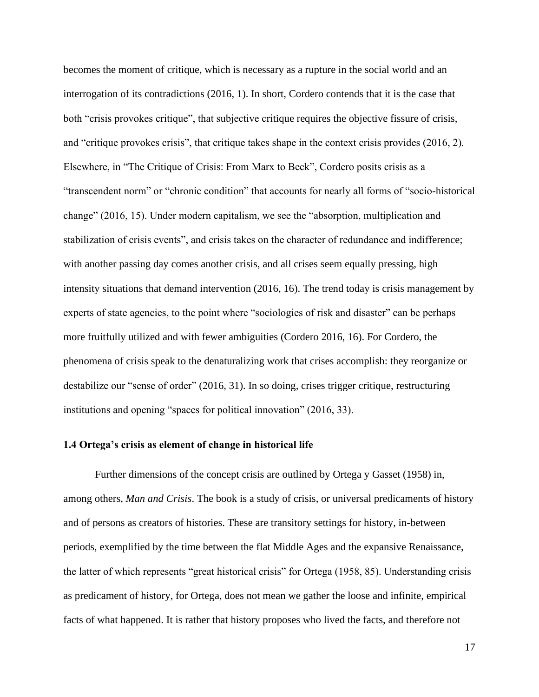becomes the moment of critique, which is necessary as a rupture in the social world and an interrogation of its contradictions (2016, 1). In short, Cordero contends that it is the case that both "crisis provokes critique", that subjective critique requires the objective fissure of crisis, and "critique provokes crisis", that critique takes shape in the context crisis provides (2016, 2). Elsewhere, in "The Critique of Crisis: From Marx to Beck", Cordero posits crisis as a "transcendent norm" or "chronic condition" that accounts for nearly all forms of "socio-historical change" (2016, 15). Under modern capitalism, we see the "absorption, multiplication and stabilization of crisis events", and crisis takes on the character of redundance and indifference; with another passing day comes another crisis, and all crises seem equally pressing, high intensity situations that demand intervention (2016, 16). The trend today is crisis management by experts of state agencies, to the point where "sociologies of risk and disaster" can be perhaps more fruitfully utilized and with fewer ambiguities (Cordero 2016, 16). For Cordero, the phenomena of crisis speak to the denaturalizing work that crises accomplish: they reorganize or destabilize our "sense of order" (2016, 31). In so doing, crises trigger critique, restructuring institutions and opening "spaces for political innovation" (2016, 33).

### <span id="page-25-0"></span>**1.4 Ortega's crisis as element of change in historical life**

Further dimensions of the concept crisis are outlined by Ortega y Gasset (1958) in, among others, *Man and Crisis*. The book is a study of crisis, or universal predicaments of history and of persons as creators of histories. These are transitory settings for history, in-between periods, exemplified by the time between the flat Middle Ages and the expansive Renaissance, the latter of which represents "great historical crisis" for Ortega (1958, 85). Understanding crisis as predicament of history, for Ortega, does not mean we gather the loose and infinite, empirical facts of what happened. It is rather that history proposes who lived the facts, and therefore not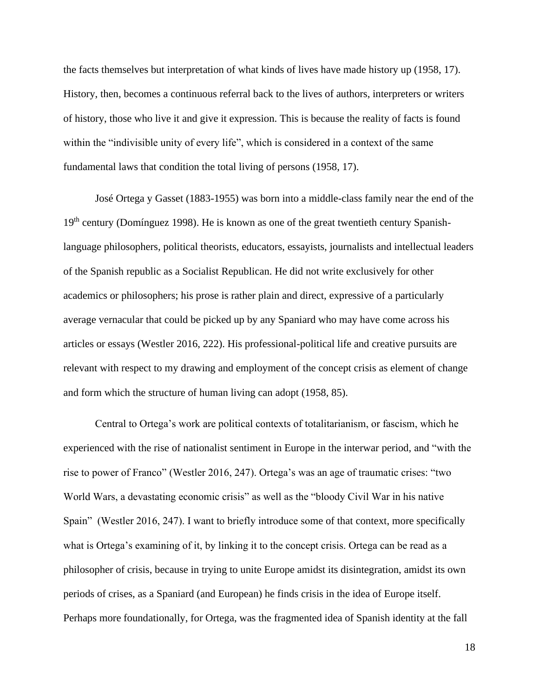the facts themselves but interpretation of what kinds of lives have made history up (1958, 17). History, then, becomes a continuous referral back to the lives of authors, interpreters or writers of history, those who live it and give it expression. This is because the reality of facts is found within the "indivisible unity of every life", which is considered in a context of the same fundamental laws that condition the total living of persons (1958, 17).

José Ortega y Gasset (1883-1955) was born into a middle-class family near the end of the 19<sup>th</sup> century (Domínguez 1998). He is known as one of the great twentieth century Spanishlanguage philosophers, political theorists, educators, essayists, journalists and intellectual leaders of the Spanish republic as a Socialist Republican. He did not write exclusively for other academics or philosophers; his prose is rather plain and direct, expressive of a particularly average vernacular that could be picked up by any Spaniard who may have come across his articles or essays (Westler 2016, 222). His professional-political life and creative pursuits are relevant with respect to my drawing and employment of the concept crisis as element of change and form which the structure of human living can adopt (1958, 85).

Central to Ortega's work are political contexts of totalitarianism, or fascism, which he experienced with the rise of nationalist sentiment in Europe in the interwar period, and "with the rise to power of Franco" (Westler 2016, 247). Ortega's was an age of traumatic crises: "two World Wars, a devastating economic crisis" as well as the "bloody Civil War in his native Spain" (Westler 2016, 247). I want to briefly introduce some of that context, more specifically what is Ortega's examining of it, by linking it to the concept crisis. Ortega can be read as a philosopher of crisis, because in trying to unite Europe amidst its disintegration, amidst its own periods of crises, as a Spaniard (and European) he finds crisis in the idea of Europe itself. Perhaps more foundationally, for Ortega, was the fragmented idea of Spanish identity at the fall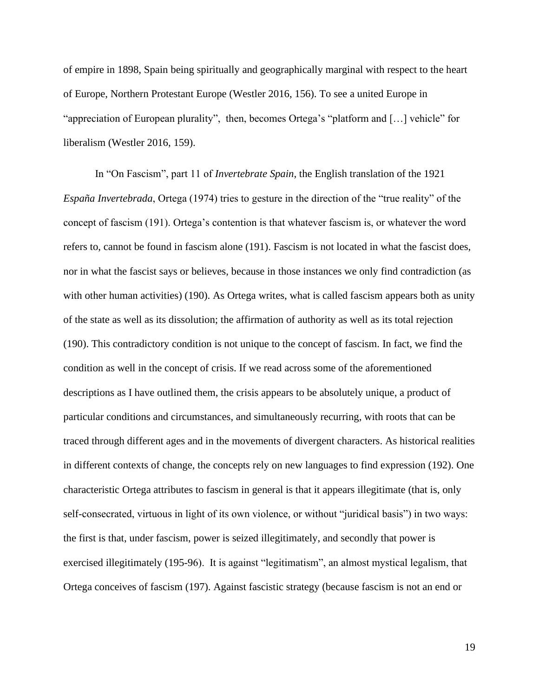of empire in 1898, Spain being spiritually and geographically marginal with respect to the heart of Europe, Northern Protestant Europe (Westler 2016, 156). To see a united Europe in "appreciation of European plurality", then, becomes Ortega's "platform and […] vehicle" for liberalism (Westler 2016, 159).

In "On Fascism", part 11 of *Invertebrate Spain*, the English translation of the 1921 *España Invertebrada*, Ortega (1974) tries to gesture in the direction of the "true reality" of the concept of fascism (191). Ortega's contention is that whatever fascism is, or whatever the word refers to, cannot be found in fascism alone (191). Fascism is not located in what the fascist does, nor in what the fascist says or believes, because in those instances we only find contradiction (as with other human activities) (190). As Ortega writes, what is called fascism appears both as unity of the state as well as its dissolution; the affirmation of authority as well as its total rejection (190). This contradictory condition is not unique to the concept of fascism. In fact, we find the condition as well in the concept of crisis. If we read across some of the aforementioned descriptions as I have outlined them, the crisis appears to be absolutely unique, a product of particular conditions and circumstances, and simultaneously recurring, with roots that can be traced through different ages and in the movements of divergent characters. As historical realities in different contexts of change, the concepts rely on new languages to find expression (192). One characteristic Ortega attributes to fascism in general is that it appears illegitimate (that is, only self-consecrated, virtuous in light of its own violence, or without "juridical basis") in two ways: the first is that, under fascism, power is seized illegitimately, and secondly that power is exercised illegitimately (195-96). It is against "legitimatism", an almost mystical legalism, that Ortega conceives of fascism (197). Against fascistic strategy (because fascism is not an end or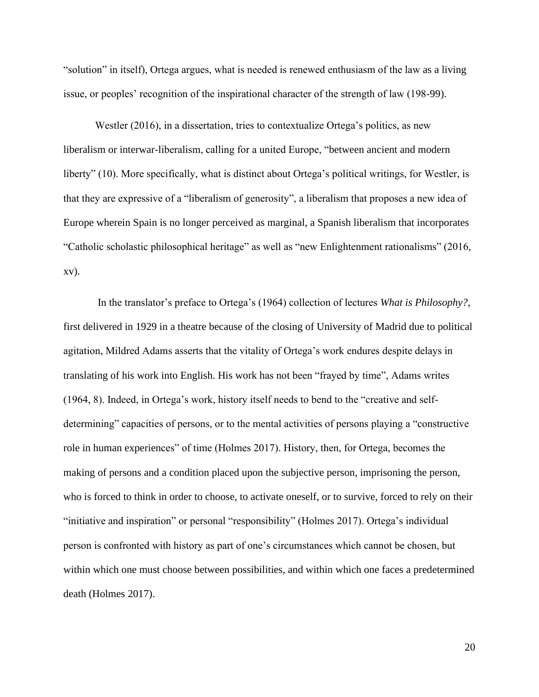"solution" in itself), Ortega argues, what is needed is renewed enthusiasm of the law as a living issue, or peoples' recognition of the inspirational character of the strength of law (198-99).

Westler (2016), in a dissertation, tries to contextualize Ortega's politics, as new liberalism or interwar-liberalism, calling for a united Europe, "between ancient and modern liberty" (10). More specifically, what is distinct about Ortega's political writings, for Westler, is that they are expressive of a "liberalism of generosity", a liberalism that proposes a new idea of Europe wherein Spain is no longer perceived as marginal, a Spanish liberalism that incorporates "Catholic scholastic philosophical heritage" as well as "new Enlightenment rationalisms" (2016, xv).

In the translator's preface to Ortega's (1964) collection of lectures *What is Philosophy?*, first delivered in 1929 in a theatre because of the closing of University of Madrid due to political agitation, Mildred Adams asserts that the vitality of Ortega's work endures despite delays in translating of his work into English. His work has not been "frayed by time", Adams writes (1964, 8). Indeed, in Ortega's work, history itself needs to bend to the "creative and selfdetermining" capacities of persons, or to the mental activities of persons playing a "constructive" role in human experiences" of time (Holmes 2017). History, then, for Ortega, becomes the making of persons and a condition placed upon the subjective person, imprisoning the person, who is forced to think in order to choose, to activate oneself, or to survive, forced to rely on their "initiative and inspiration" or personal "responsibility" (Holmes 2017). Ortega's individual person is confronted with history as part of one's circumstances which cannot be chosen, but within which one must choose between possibilities, and within which one faces a predetermined death (Holmes 2017).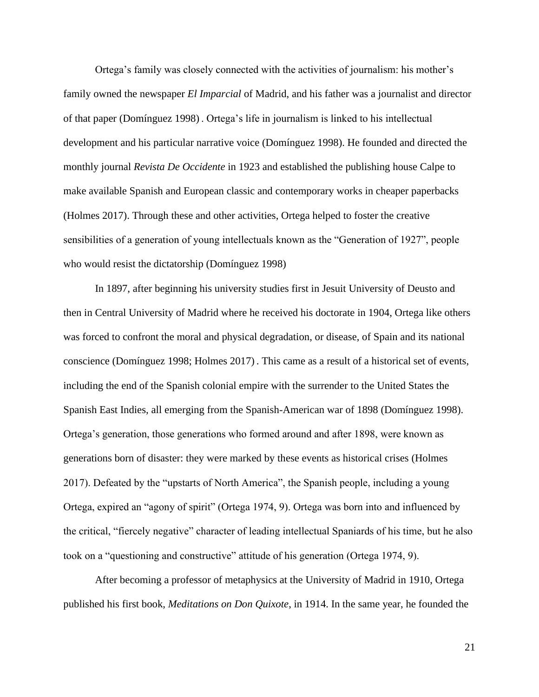Ortega's family was closely connected with the activities of journalism: his mother's family owned the newspaper *El Imparcial* of Madrid, and his father was a journalist and director of that paper (Domínguez 1998) . Ortega's life in journalism is linked to his intellectual development and his particular narrative voice (Domínguez 1998). He founded and directed the monthly journal *Revista De Occidente* in 1923 and established the publishing house Calpe to make available Spanish and European classic and contemporary works in cheaper paperbacks (Holmes 2017). Through these and other activities, Ortega helped to foster the creative sensibilities of a generation of young intellectuals known as the "Generation of 1927", people who would resist the dictatorship (Domínguez 1998)

In 1897, after beginning his university studies first in Jesuit University of Deusto and then in Central University of Madrid where he received his doctorate in 1904, Ortega like others was forced to confront the moral and physical degradation, or disease, of Spain and its national conscience (Domínguez 1998; Holmes 2017) . This came as a result of a historical set of events, including the end of the Spanish colonial empire with the surrender to the United States the Spanish East Indies, all emerging from the Spanish-American war of 1898 (Domínguez 1998). Ortega's generation, those generations who formed around and after 1898, were known as generations born of disaster: they were marked by these events as historical crises (Holmes 2017). Defeated by the "upstarts of North America", the Spanish people, including a young Ortega, expired an "agony of spirit" (Ortega 1974, 9). Ortega was born into and influenced by the critical, "fiercely negative" character of leading intellectual Spaniards of his time, but he also took on a "questioning and constructive" attitude of his generation (Ortega 1974, 9).

After becoming a professor of metaphysics at the University of Madrid in 1910, Ortega published his first book, *Meditations on Don Quixote*, in 1914. In the same year, he founded the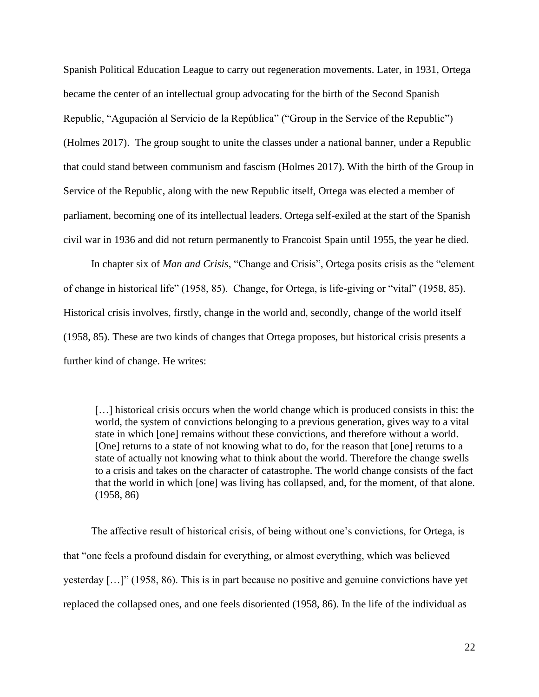Spanish Political Education League to carry out regeneration movements. Later, in 1931, Ortega became the center of an intellectual group advocating for the birth of the Second Spanish Republic, "Agupación al Servicio de la República" ("Group in the Service of the Republic") (Holmes 2017). The group sought to unite the classes under a national banner, under a Republic that could stand between communism and fascism (Holmes 2017). With the birth of the Group in Service of the Republic, along with the new Republic itself, Ortega was elected a member of parliament, becoming one of its intellectual leaders. Ortega self-exiled at the start of the Spanish civil war in 1936 and did not return permanently to Francoist Spain until 1955, the year he died.

In chapter six of *Man and Crisis*, "Change and Crisis", Ortega posits crisis as the "element of change in historical life" (1958, 85). Change, for Ortega, is life-giving or "vital" (1958, 85). Historical crisis involves, firstly, change in the world and, secondly, change of the world itself (1958, 85). These are two kinds of changes that Ortega proposes, but historical crisis presents a further kind of change. He writes:

[...] historical crisis occurs when the world change which is produced consists in this: the world, the system of convictions belonging to a previous generation, gives way to a vital state in which [one] remains without these convictions, and therefore without a world. [One] returns to a state of not knowing what to do, for the reason that [one] returns to a state of actually not knowing what to think about the world. Therefore the change swells to a crisis and takes on the character of catastrophe. The world change consists of the fact that the world in which [one] was living has collapsed, and, for the moment, of that alone. (1958, 86)

The affective result of historical crisis, of being without one's convictions, for Ortega, is that "one feels a profound disdain for everything, or almost everything, which was believed yesterday […]" (1958, 86). This is in part because no positive and genuine convictions have yet replaced the collapsed ones, and one feels disoriented (1958, 86). In the life of the individual as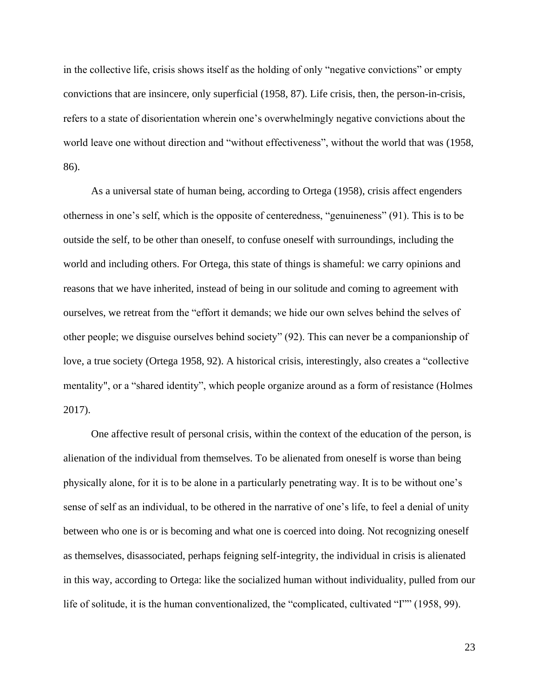in the collective life, crisis shows itself as the holding of only "negative convictions" or empty convictions that are insincere, only superficial (1958, 87). Life crisis, then, the person-in-crisis, refers to a state of disorientation wherein one's overwhelmingly negative convictions about the world leave one without direction and "without effectiveness", without the world that was (1958, 86).

As a universal state of human being, according to Ortega (1958), crisis affect engenders otherness in one's self, which is the opposite of centeredness, "genuineness" (91). This is to be outside the self, to be other than oneself, to confuse oneself with surroundings, including the world and including others. For Ortega, this state of things is shameful: we carry opinions and reasons that we have inherited, instead of being in our solitude and coming to agreement with ourselves, we retreat from the "effort it demands; we hide our own selves behind the selves of other people; we disguise ourselves behind society" (92). This can never be a companionship of love, a true society (Ortega 1958, 92). A historical crisis, interestingly, also creates a "collective mentality", or a "shared identity", which people organize around as a form of resistance (Holmes 2017).

One affective result of personal crisis, within the context of the education of the person, is alienation of the individual from themselves. To be alienated from oneself is worse than being physically alone, for it is to be alone in a particularly penetrating way. It is to be without one's sense of self as an individual, to be othered in the narrative of one's life, to feel a denial of unity between who one is or is becoming and what one is coerced into doing. Not recognizing oneself as themselves, disassociated, perhaps feigning self-integrity, the individual in crisis is alienated in this way, according to Ortega: like the socialized human without individuality, pulled from our life of solitude, it is the human conventionalized, the "complicated, cultivated "I"" (1958, 99).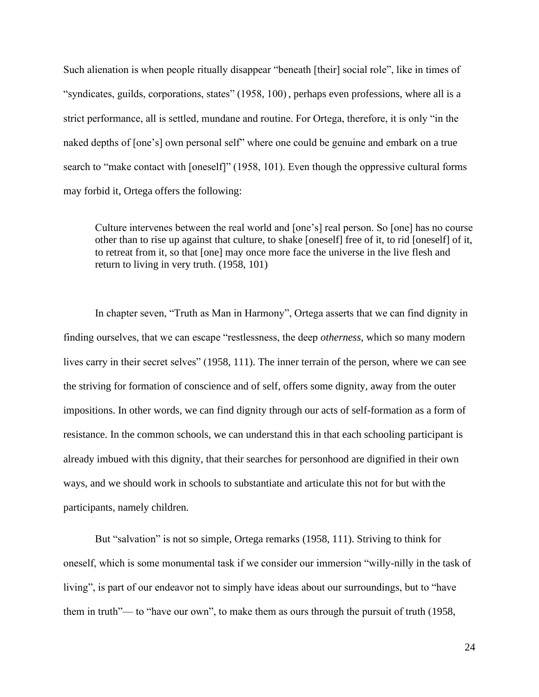Such alienation is when people ritually disappear "beneath [their] social role", like in times of "syndicates, guilds, corporations, states" (1958, 100) , perhaps even professions, where all is a strict performance, all is settled, mundane and routine. For Ortega, therefore, it is only "in the naked depths of [one's] own personal self" where one could be genuine and embark on a true search to "make contact with [oneself]" (1958, 101). Even though the oppressive cultural forms may forbid it, Ortega offers the following:

Culture intervenes between the real world and [one's] real person. So [one] has no course other than to rise up against that culture, to shake [oneself] free of it, to rid [oneself] of it, to retreat from it, so that [one] may once more face the universe in the live flesh and return to living in very truth. (1958, 101)

In chapter seven, "Truth as Man in Harmony", Ortega asserts that we can find dignity in finding ourselves, that we can escape "restlessness, the deep *otherness*, which so many modern lives carry in their secret selves" (1958, 111). The inner terrain of the person, where we can see the striving for formation of conscience and of self, offers some dignity, away from the outer impositions. In other words, we can find dignity through our acts of self-formation as a form of resistance. In the common schools, we can understand this in that each schooling participant is already imbued with this dignity, that their searches for personhood are dignified in their own ways, and we should work in schools to substantiate and articulate this not for but with the participants, namely children.

But "salvation" is not so simple, Ortega remarks (1958, 111). Striving to think for oneself, which is some monumental task if we consider our immersion "willy-nilly in the task of living", is part of our endeavor not to simply have ideas about our surroundings, but to "have them in truth"— to "have our own", to make them as ours through the pursuit of truth (1958,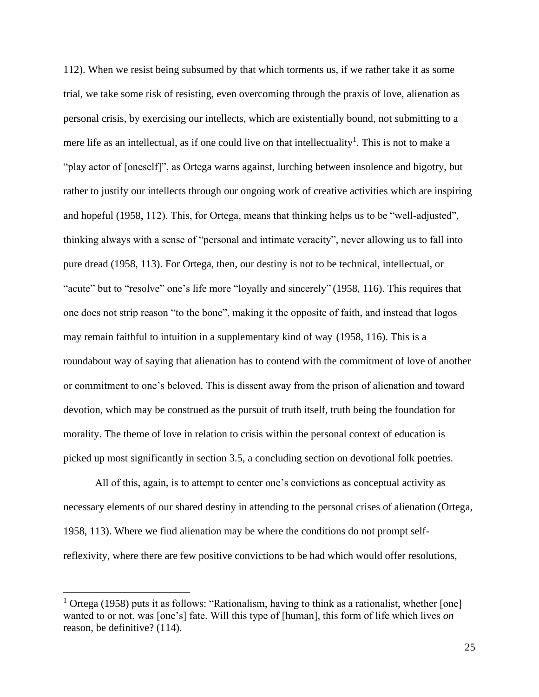112). When we resist being subsumed by that which torments us, if we rather take it as some trial, we take some risk of resisting, even overcoming through the praxis of love, alienation as personal crisis, by exercising our intellects, which are existentially bound, not submitting to a mere life as an intellectual, as if one could live on that intellectuality<sup>1</sup>. This is not to make a "play actor of [oneself]", as Ortega warns against, lurching between insolence and bigotry, but rather to justify our intellects through our ongoing work of creative activities which are inspiring and hopeful (1958, 112). This, for Ortega, means that thinking helps us to be "well-adjusted", thinking always with a sense of "personal and intimate veracity", never allowing us to fall into pure dread (1958, 113). For Ortega, then, our destiny is not to be technical, intellectual, or "acute" but to "resolve" one's life more "loyally and sincerely" (1958, 116). This requires that one does not strip reason "to the bone", making it the opposite of faith, and instead that logos may remain faithful to intuition in a supplementary kind of way (1958, 116). This is a roundabout way of saying that alienation has to contend with the commitment of love of another or commitment to one's beloved. This is dissent away from the prison of alienation and toward devotion, which may be construed as the pursuit of truth itself, truth being the foundation for morality. The theme of love in relation to crisis within the personal context of education is picked up most significantly in section 3.5, a concluding section on devotional folk poetries.

All of this, again, is to attempt to center one's convictions as conceptual activity as necessary elements of our shared destiny in attending to the personal crises of alienation (Ortega, 1958, 113). Where we find alienation may be where the conditions do not prompt selfreflexivity, where there are few positive convictions to be had which would offer resolutions,

<sup>&</sup>lt;sup>1</sup> Ortega (1958) puts it as follows: "Rationalism, having to think as a rationalist, whether [one] wanted to or not, was [one's] fate. Will this type of [human], this form of life which lives *on* reason, be definitive? (114).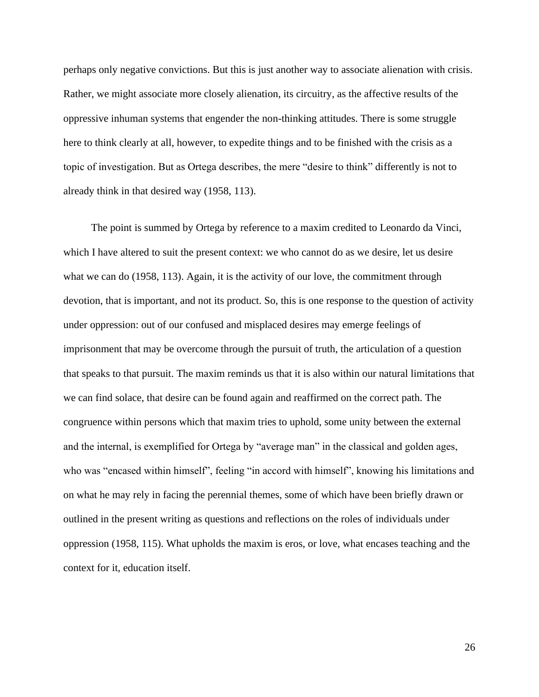perhaps only negative convictions. But this is just another way to associate alienation with crisis. Rather, we might associate more closely alienation, its circuitry, as the affective results of the oppressive inhuman systems that engender the non-thinking attitudes. There is some struggle here to think clearly at all, however, to expedite things and to be finished with the crisis as a topic of investigation. But as Ortega describes, the mere "desire to think" differently is not to already think in that desired way (1958, 113).

The point is summed by Ortega by reference to a maxim credited to Leonardo da Vinci, which I have altered to suit the present context: we who cannot do as we desire, let us desire what we can do (1958, 113). Again, it is the activity of our love, the commitment through devotion, that is important, and not its product. So, this is one response to the question of activity under oppression: out of our confused and misplaced desires may emerge feelings of imprisonment that may be overcome through the pursuit of truth, the articulation of a question that speaks to that pursuit. The maxim reminds us that it is also within our natural limitations that we can find solace, that desire can be found again and reaffirmed on the correct path. The congruence within persons which that maxim tries to uphold, some unity between the external and the internal, is exemplified for Ortega by "average man" in the classical and golden ages, who was "encased within himself", feeling "in accord with himself", knowing his limitations and on what he may rely in facing the perennial themes, some of which have been briefly drawn or outlined in the present writing as questions and reflections on the roles of individuals under oppression (1958, 115). What upholds the maxim is eros, or love, what encases teaching and the context for it, education itself.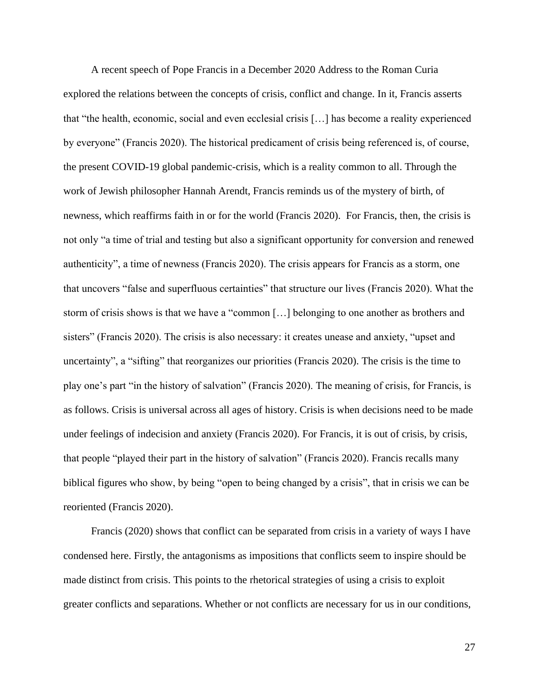A recent speech of Pope Francis in a December 2020 Address to the Roman Curia explored the relations between the concepts of crisis, conflict and change. In it, Francis asserts that "the health, economic, social and even ecclesial crisis […] has become a reality experienced by everyone" (Francis 2020). The historical predicament of crisis being referenced is, of course, the present COVID-19 global pandemic-crisis, which is a reality common to all. Through the work of Jewish philosopher Hannah Arendt, Francis reminds us of the mystery of birth, of newness, which reaffirms faith in or for the world (Francis 2020). For Francis, then, the crisis is not only "a time of trial and testing but also a significant opportunity for conversion and renewed authenticity", a time of newness (Francis 2020). The crisis appears for Francis as a storm, one that uncovers "false and superfluous certainties" that structure our lives (Francis 2020). What the storm of crisis shows is that we have a "common […] belonging to one another as brothers and sisters" (Francis 2020). The crisis is also necessary: it creates unease and anxiety, "upset and uncertainty", a "sifting" that reorganizes our priorities (Francis 2020). The crisis is the time to play one's part "in the history of salvation" (Francis 2020). The meaning of crisis, for Francis, is as follows. Crisis is universal across all ages of history. Crisis is when decisions need to be made under feelings of indecision and anxiety (Francis 2020). For Francis, it is out of crisis, by crisis, that people "played their part in the history of salvation" (Francis 2020). Francis recalls many biblical figures who show, by being "open to being changed by a crisis", that in crisis we can be reoriented (Francis 2020).

Francis (2020) shows that conflict can be separated from crisis in a variety of ways I have condensed here. Firstly, the antagonisms as impositions that conflicts seem to inspire should be made distinct from crisis. This points to the rhetorical strategies of using a crisis to exploit greater conflicts and separations. Whether or not conflicts are necessary for us in our conditions,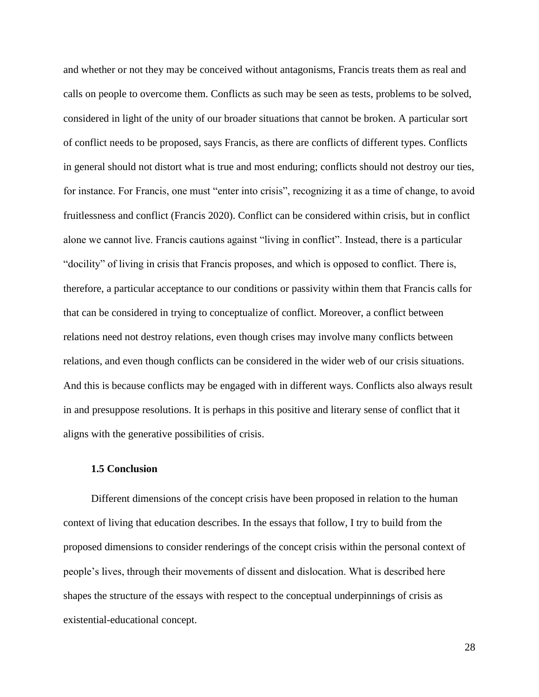and whether or not they may be conceived without antagonisms, Francis treats them as real and calls on people to overcome them. Conflicts as such may be seen as tests, problems to be solved, considered in light of the unity of our broader situations that cannot be broken. A particular sort of conflict needs to be proposed, says Francis, as there are conflicts of different types. Conflicts in general should not distort what is true and most enduring; conflicts should not destroy our ties, for instance. For Francis, one must "enter into crisis", recognizing it as a time of change, to avoid fruitlessness and conflict (Francis 2020). Conflict can be considered within crisis, but in conflict alone we cannot live. Francis cautions against "living in conflict". Instead, there is a particular "docility" of living in crisis that Francis proposes, and which is opposed to conflict. There is, therefore, a particular acceptance to our conditions or passivity within them that Francis calls for that can be considered in trying to conceptualize of conflict. Moreover, a conflict between relations need not destroy relations, even though crises may involve many conflicts between relations, and even though conflicts can be considered in the wider web of our crisis situations. And this is because conflicts may be engaged with in different ways. Conflicts also always result in and presuppose resolutions. It is perhaps in this positive and literary sense of conflict that it aligns with the generative possibilities of crisis.

# **1.5 Conclusion**

Different dimensions of the concept crisis have been proposed in relation to the human context of living that education describes. In the essays that follow, I try to build from the proposed dimensions to consider renderings of the concept crisis within the personal context of people's lives, through their movements of dissent and dislocation. What is described here shapes the structure of the essays with respect to the conceptual underpinnings of crisis as existential-educational concept.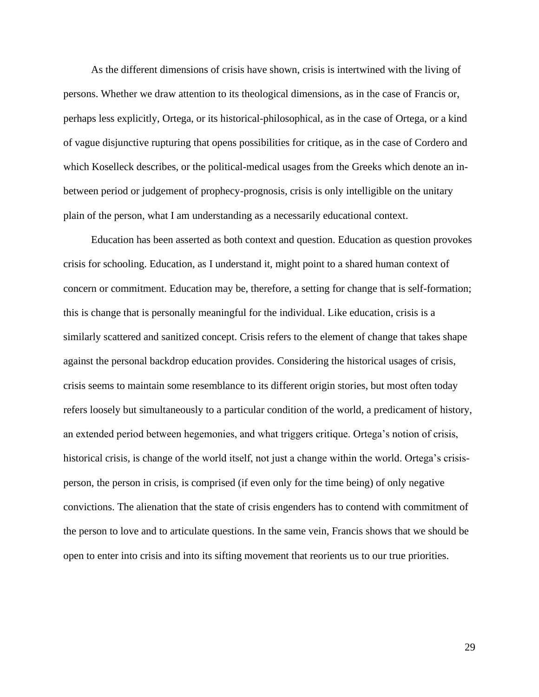As the different dimensions of crisis have shown, crisis is intertwined with the living of persons. Whether we draw attention to its theological dimensions, as in the case of Francis or, perhaps less explicitly, Ortega, or its historical-philosophical, as in the case of Ortega, or a kind of vague disjunctive rupturing that opens possibilities for critique, as in the case of Cordero and which Koselleck describes, or the political-medical usages from the Greeks which denote an inbetween period or judgement of prophecy-prognosis, crisis is only intelligible on the unitary plain of the person, what I am understanding as a necessarily educational context.

Education has been asserted as both context and question. Education as question provokes crisis for schooling. Education, as I understand it, might point to a shared human context of concern or commitment. Education may be, therefore, a setting for change that is self-formation; this is change that is personally meaningful for the individual. Like education, crisis is a similarly scattered and sanitized concept. Crisis refers to the element of change that takes shape against the personal backdrop education provides. Considering the historical usages of crisis, crisis seems to maintain some resemblance to its different origin stories, but most often today refers loosely but simultaneously to a particular condition of the world, a predicament of history, an extended period between hegemonies, and what triggers critique. Ortega's notion of crisis, historical crisis, is change of the world itself, not just a change within the world. Ortega's crisisperson, the person in crisis, is comprised (if even only for the time being) of only negative convictions. The alienation that the state of crisis engenders has to contend with commitment of the person to love and to articulate questions. In the same vein, Francis shows that we should be open to enter into crisis and into its sifting movement that reorients us to our true priorities.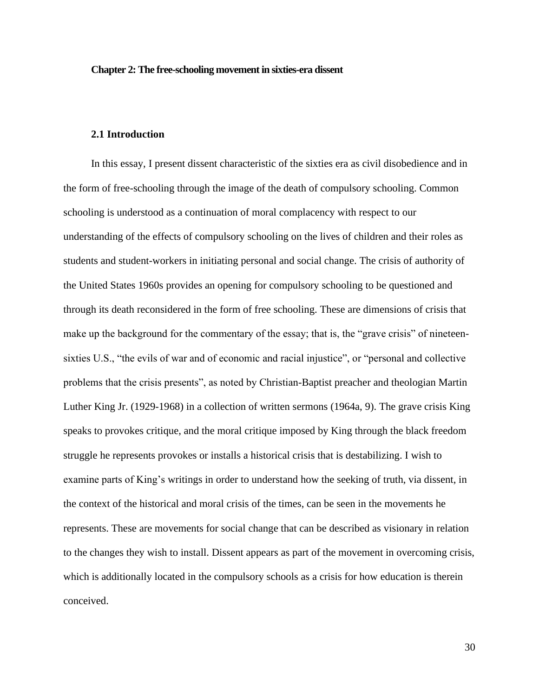#### **Chapter 2: The free-schooling movement in sixties-era dissent**

## **2.1 Introduction**

In this essay, I present dissent characteristic of the sixties era as civil disobedience and in the form of free-schooling through the image of the death of compulsory schooling. Common schooling is understood as a continuation of moral complacency with respect to our understanding of the effects of compulsory schooling on the lives of children and their roles as students and student-workers in initiating personal and social change. The crisis of authority of the United States 1960s provides an opening for compulsory schooling to be questioned and through its death reconsidered in the form of free schooling. These are dimensions of crisis that make up the background for the commentary of the essay; that is, the "grave crisis" of nineteensixties U.S., "the evils of war and of economic and racial injustice", or "personal and collective problems that the crisis presents", as noted by Christian-Baptist preacher and theologian Martin Luther King Jr. (1929-1968) in a collection of written sermons (1964a, 9). The grave crisis King speaks to provokes critique, and the moral critique imposed by King through the black freedom struggle he represents provokes or installs a historical crisis that is destabilizing. I wish to examine parts of King's writings in order to understand how the seeking of truth, via dissent, in the context of the historical and moral crisis of the times, can be seen in the movements he represents. These are movements for social change that can be described as visionary in relation to the changes they wish to install. Dissent appears as part of the movement in overcoming crisis, which is additionally located in the compulsory schools as a crisis for how education is therein conceived.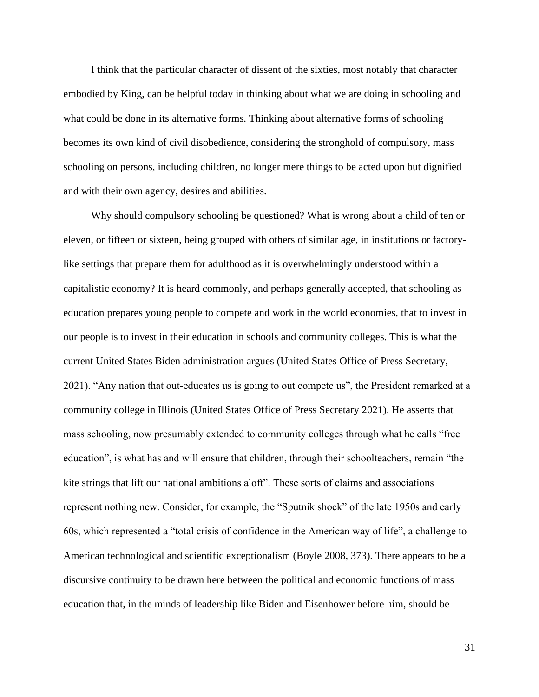I think that the particular character of dissent of the sixties, most notably that character embodied by King, can be helpful today in thinking about what we are doing in schooling and what could be done in its alternative forms. Thinking about alternative forms of schooling becomes its own kind of civil disobedience, considering the stronghold of compulsory, mass schooling on persons, including children, no longer mere things to be acted upon but dignified and with their own agency, desires and abilities.

Why should compulsory schooling be questioned? What is wrong about a child of ten or eleven, or fifteen or sixteen, being grouped with others of similar age, in institutions or factorylike settings that prepare them for adulthood as it is overwhelmingly understood within a capitalistic economy? It is heard commonly, and perhaps generally accepted, that schooling as education prepares young people to compete and work in the world economies, that to invest in our people is to invest in their education in schools and community colleges. This is what the current United States Biden administration argues (United States Office of Press Secretary, 2021). "Any nation that out-educates us is going to out compete us", the President remarked at a community college in Illinois (United States Office of Press Secretary 2021). He asserts that mass schooling, now presumably extended to community colleges through what he calls "free education", is what has and will ensure that children, through their schoolteachers, remain "the kite strings that lift our national ambitions aloft". These sorts of claims and associations represent nothing new. Consider, for example, the "Sputnik shock" of the late 1950s and early 60s, which represented a "total crisis of confidence in the American way of life", a challenge to American technological and scientific exceptionalism (Boyle 2008, 373). There appears to be a discursive continuity to be drawn here between the political and economic functions of mass education that, in the minds of leadership like Biden and Eisenhower before him, should be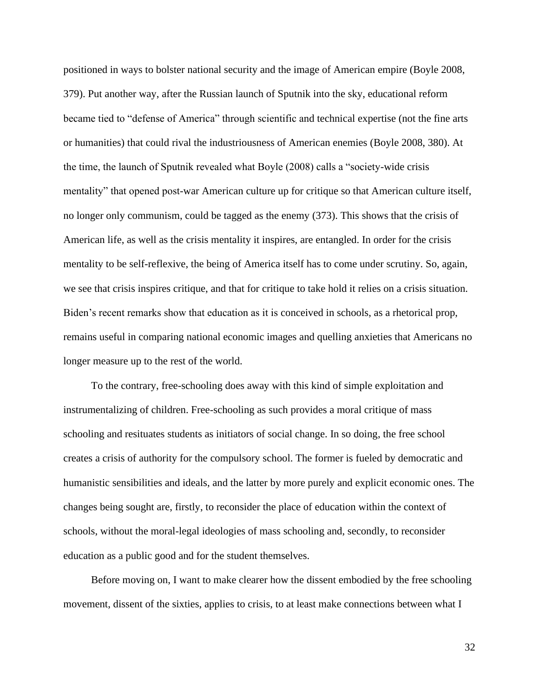positioned in ways to bolster national security and the image of American empire (Boyle 2008, 379). Put another way, after the Russian launch of Sputnik into the sky, educational reform became tied to "defense of America" through scientific and technical expertise (not the fine arts or humanities) that could rival the industriousness of American enemies (Boyle 2008, 380). At the time, the launch of Sputnik revealed what Boyle (2008) calls a "society-wide crisis mentality" that opened post-war American culture up for critique so that American culture itself, no longer only communism, could be tagged as the enemy (373). This shows that the crisis of American life, as well as the crisis mentality it inspires, are entangled. In order for the crisis mentality to be self-reflexive, the being of America itself has to come under scrutiny. So, again, we see that crisis inspires critique, and that for critique to take hold it relies on a crisis situation. Biden's recent remarks show that education as it is conceived in schools, as a rhetorical prop, remains useful in comparing national economic images and quelling anxieties that Americans no longer measure up to the rest of the world.

To the contrary, free-schooling does away with this kind of simple exploitation and instrumentalizing of children. Free-schooling as such provides a moral critique of mass schooling and resituates students as initiators of social change. In so doing, the free school creates a crisis of authority for the compulsory school. The former is fueled by democratic and humanistic sensibilities and ideals, and the latter by more purely and explicit economic ones. The changes being sought are, firstly, to reconsider the place of education within the context of schools, without the moral-legal ideologies of mass schooling and, secondly, to reconsider education as a public good and for the student themselves.

Before moving on, I want to make clearer how the dissent embodied by the free schooling movement, dissent of the sixties, applies to crisis, to at least make connections between what I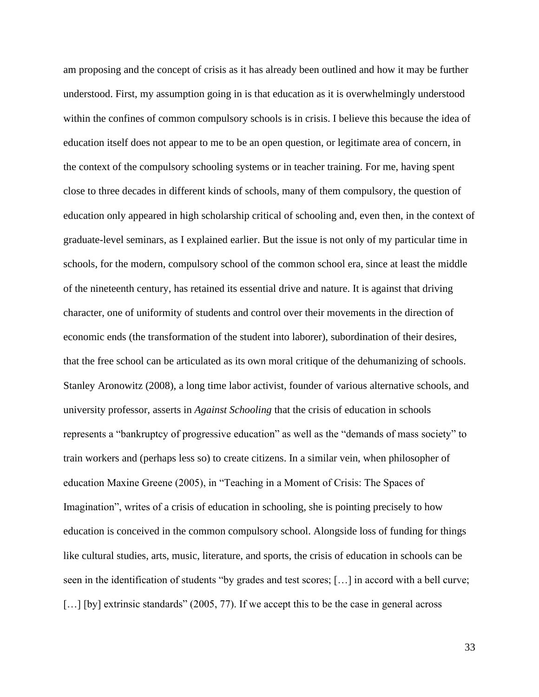am proposing and the concept of crisis as it has already been outlined and how it may be further understood. First, my assumption going in is that education as it is overwhelmingly understood within the confines of common compulsory schools is in crisis. I believe this because the idea of education itself does not appear to me to be an open question, or legitimate area of concern, in the context of the compulsory schooling systems or in teacher training. For me, having spent close to three decades in different kinds of schools, many of them compulsory, the question of education only appeared in high scholarship critical of schooling and, even then, in the context of graduate-level seminars, as I explained earlier. But the issue is not only of my particular time in schools, for the modern, compulsory school of the common school era, since at least the middle of the nineteenth century, has retained its essential drive and nature. It is against that driving character, one of uniformity of students and control over their movements in the direction of economic ends (the transformation of the student into laborer), subordination of their desires, that the free school can be articulated as its own moral critique of the dehumanizing of schools. Stanley Aronowitz (2008), a long time labor activist, founder of various alternative schools, and university professor, asserts in *Against Schooling* that the crisis of education in schools represents a "bankruptcy of progressive education" as well as the "demands of mass society" to train workers and (perhaps less so) to create citizens. In a similar vein, when philosopher of education Maxine Greene (2005), in "Teaching in a Moment of Crisis: The Spaces of Imagination", writes of a crisis of education in schooling, she is pointing precisely to how education is conceived in the common compulsory school. Alongside loss of funding for things like cultural studies, arts, music, literature, and sports, the crisis of education in schools can be seen in the identification of students "by grades and test scores; […] in accord with a bell curve; [...] [by] extrinsic standards" (2005, 77). If we accept this to be the case in general across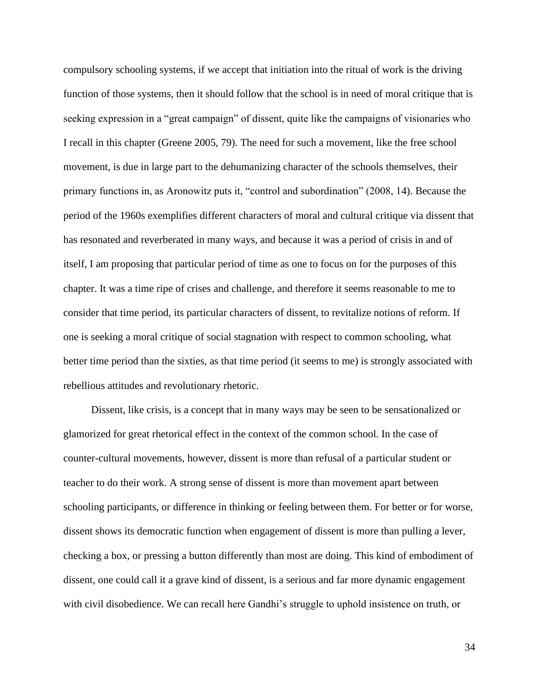compulsory schooling systems, if we accept that initiation into the ritual of work is the driving function of those systems, then it should follow that the school is in need of moral critique that is seeking expression in a "great campaign" of dissent, quite like the campaigns of visionaries who I recall in this chapter (Greene 2005, 79). The need for such a movement, like the free school movement, is due in large part to the dehumanizing character of the schools themselves, their primary functions in, as Aronowitz puts it, "control and subordination" (2008, 14). Because the period of the 1960s exemplifies different characters of moral and cultural critique via dissent that has resonated and reverberated in many ways, and because it was a period of crisis in and of itself, I am proposing that particular period of time as one to focus on for the purposes of this chapter. It was a time ripe of crises and challenge, and therefore it seems reasonable to me to consider that time period, its particular characters of dissent, to revitalize notions of reform. If one is seeking a moral critique of social stagnation with respect to common schooling, what better time period than the sixties, as that time period (it seems to me) is strongly associated with rebellious attitudes and revolutionary rhetoric.

Dissent, like crisis, is a concept that in many ways may be seen to be sensationalized or glamorized for great rhetorical effect in the context of the common school. In the case of counter-cultural movements, however, dissent is more than refusal of a particular student or teacher to do their work. A strong sense of dissent is more than movement apart between schooling participants, or difference in thinking or feeling between them. For better or for worse, dissent shows its democratic function when engagement of dissent is more than pulling a lever, checking a box, or pressing a button differently than most are doing. This kind of embodiment of dissent, one could call it a grave kind of dissent, is a serious and far more dynamic engagement with civil disobedience. We can recall here Gandhi's struggle to uphold insistence on truth, or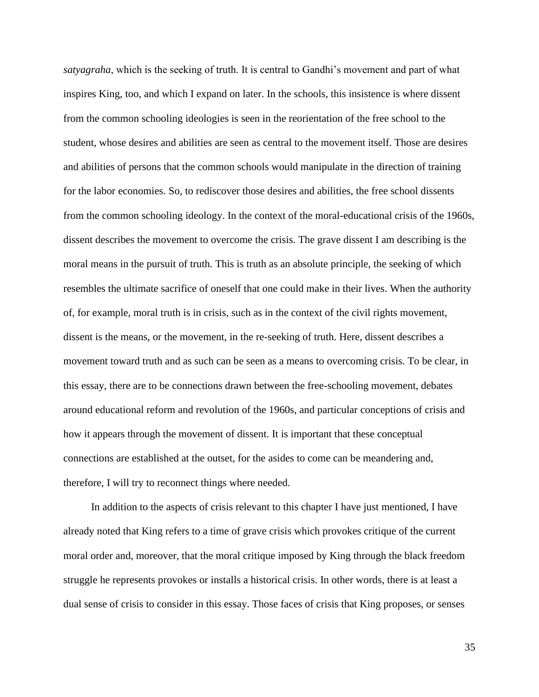*satyagraha*, which is the seeking of truth. It is central to Gandhi's movement and part of what inspires King, too, and which I expand on later. In the schools, this insistence is where dissent from the common schooling ideologies is seen in the reorientation of the free school to the student, whose desires and abilities are seen as central to the movement itself. Those are desires and abilities of persons that the common schools would manipulate in the direction of training for the labor economies. So, to rediscover those desires and abilities, the free school dissents from the common schooling ideology. In the context of the moral-educational crisis of the 1960s, dissent describes the movement to overcome the crisis. The grave dissent I am describing is the moral means in the pursuit of truth. This is truth as an absolute principle, the seeking of which resembles the ultimate sacrifice of oneself that one could make in their lives. When the authority of, for example, moral truth is in crisis, such as in the context of the civil rights movement, dissent is the means, or the movement, in the re-seeking of truth. Here, dissent describes a movement toward truth and as such can be seen as a means to overcoming crisis. To be clear, in this essay, there are to be connections drawn between the free-schooling movement, debates around educational reform and revolution of the 1960s, and particular conceptions of crisis and how it appears through the movement of dissent. It is important that these conceptual connections are established at the outset, for the asides to come can be meandering and, therefore, I will try to reconnect things where needed.

In addition to the aspects of crisis relevant to this chapter I have just mentioned, I have already noted that King refers to a time of grave crisis which provokes critique of the current moral order and, moreover, that the moral critique imposed by King through the black freedom struggle he represents provokes or installs a historical crisis. In other words, there is at least a dual sense of crisis to consider in this essay. Those faces of crisis that King proposes, or senses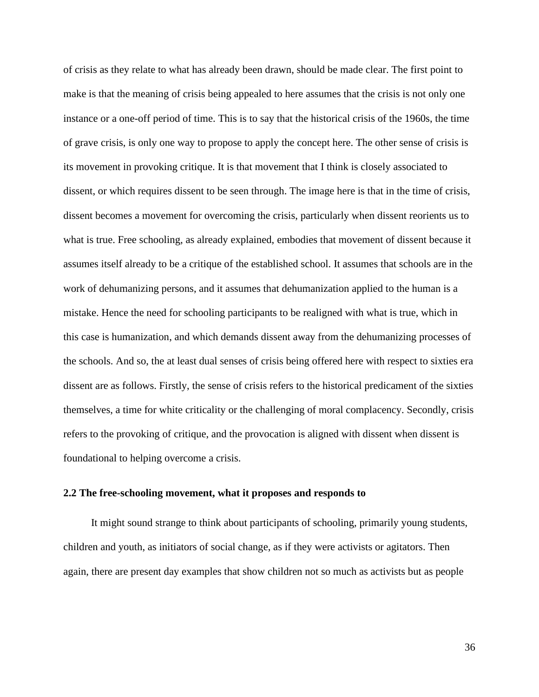of crisis as they relate to what has already been drawn, should be made clear. The first point to make is that the meaning of crisis being appealed to here assumes that the crisis is not only one instance or a one-off period of time. This is to say that the historical crisis of the 1960s, the time of grave crisis, is only one way to propose to apply the concept here. The other sense of crisis is its movement in provoking critique. It is that movement that I think is closely associated to dissent, or which requires dissent to be seen through. The image here is that in the time of crisis, dissent becomes a movement for overcoming the crisis, particularly when dissent reorients us to what is true. Free schooling, as already explained, embodies that movement of dissent because it assumes itself already to be a critique of the established school. It assumes that schools are in the work of dehumanizing persons, and it assumes that dehumanization applied to the human is a mistake. Hence the need for schooling participants to be realigned with what is true, which in this case is humanization, and which demands dissent away from the dehumanizing processes of the schools. And so, the at least dual senses of crisis being offered here with respect to sixties era dissent are as follows. Firstly, the sense of crisis refers to the historical predicament of the sixties themselves, a time for white criticality or the challenging of moral complacency. Secondly, crisis refers to the provoking of critique, and the provocation is aligned with dissent when dissent is foundational to helping overcome a crisis.

## **2.2 The free-schooling movement, what it proposes and responds to**

It might sound strange to think about participants of schooling, primarily young students, children and youth, as initiators of social change, as if they were activists or agitators. Then again, there are present day examples that show children not so much as activists but as people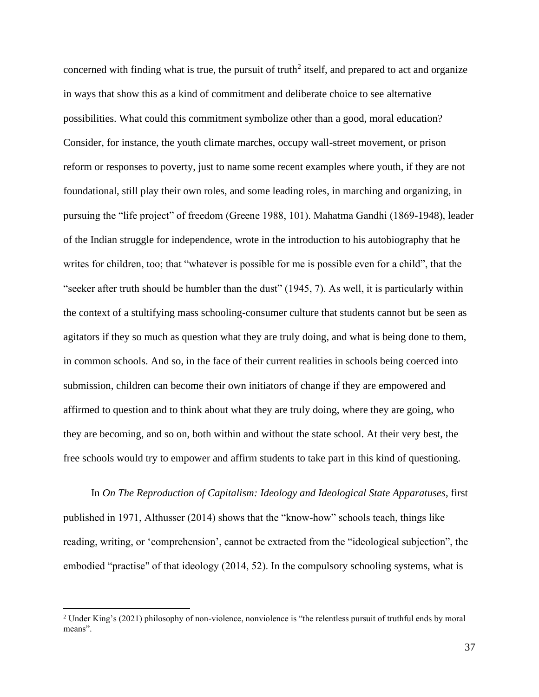concerned with finding what is true, the pursuit of truth<sup>2</sup> itself, and prepared to act and organize in ways that show this as a kind of commitment and deliberate choice to see alternative possibilities. What could this commitment symbolize other than a good, moral education? Consider, for instance, the youth climate marches, occupy wall-street movement, or prison reform or responses to poverty, just to name some recent examples where youth, if they are not foundational, still play their own roles, and some leading roles, in marching and organizing, in pursuing the "life project" of freedom (Greene 1988, 101). Mahatma Gandhi (1869-1948), leader of the Indian struggle for independence, wrote in the introduction to his autobiography that he writes for children, too; that "whatever is possible for me is possible even for a child", that the "seeker after truth should be humbler than the dust" (1945, 7). As well, it is particularly within the context of a stultifying mass schooling-consumer culture that students cannot but be seen as agitators if they so much as question what they are truly doing, and what is being done to them, in common schools. And so, in the face of their current realities in schools being coerced into submission, children can become their own initiators of change if they are empowered and affirmed to question and to think about what they are truly doing, where they are going, who they are becoming, and so on, both within and without the state school. At their very best, the free schools would try to empower and affirm students to take part in this kind of questioning.

In *On The Reproduction of Capitalism: Ideology and Ideological State Apparatuses*, first published in 1971, Althusser (2014) shows that the "know-how" schools teach, things like reading, writing, or 'comprehension', cannot be extracted from the "ideological subjection", the embodied "practise" of that ideology (2014, 52). In the compulsory schooling systems, what is

<sup>&</sup>lt;sup>2</sup> Under King's (2021) philosophy of non-violence, nonviolence is "the relentless pursuit of truthful ends by moral means".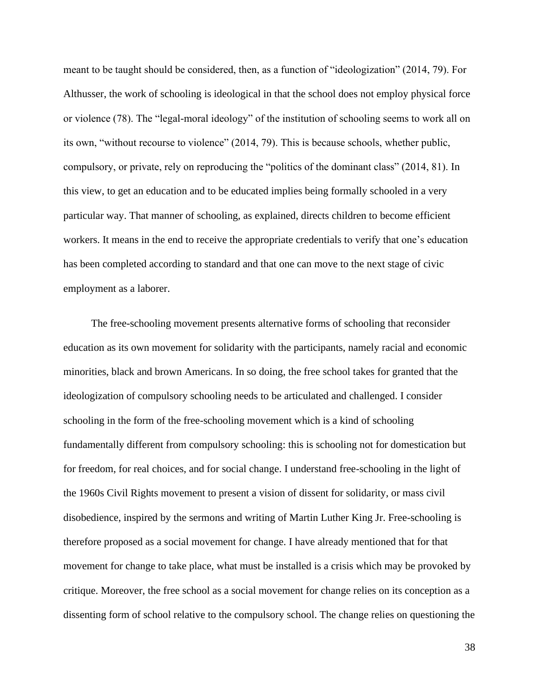meant to be taught should be considered, then, as a function of "ideologization" (2014, 79). For Althusser, the work of schooling is ideological in that the school does not employ physical force or violence (78). The "legal-moral ideology" of the institution of schooling seems to work all on its own, "without recourse to violence" (2014, 79). This is because schools, whether public, compulsory, or private, rely on reproducing the "politics of the dominant class" (2014, 81). In this view, to get an education and to be educated implies being formally schooled in a very particular way. That manner of schooling, as explained, directs children to become efficient workers. It means in the end to receive the appropriate credentials to verify that one's education has been completed according to standard and that one can move to the next stage of civic employment as a laborer.

The free-schooling movement presents alternative forms of schooling that reconsider education as its own movement for solidarity with the participants, namely racial and economic minorities, black and brown Americans. In so doing, the free school takes for granted that the ideologization of compulsory schooling needs to be articulated and challenged. I consider schooling in the form of the free-schooling movement which is a kind of schooling fundamentally different from compulsory schooling: this is schooling not for domestication but for freedom, for real choices, and for social change. I understand free-schooling in the light of the 1960s Civil Rights movement to present a vision of dissent for solidarity, or mass civil disobedience, inspired by the sermons and writing of Martin Luther King Jr. Free-schooling is therefore proposed as a social movement for change. I have already mentioned that for that movement for change to take place, what must be installed is a crisis which may be provoked by critique. Moreover, the free school as a social movement for change relies on its conception as a dissenting form of school relative to the compulsory school. The change relies on questioning the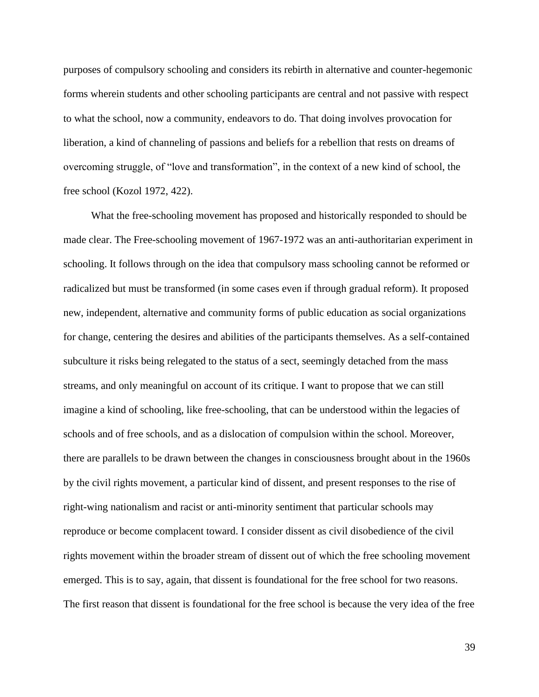purposes of compulsory schooling and considers its rebirth in alternative and counter-hegemonic forms wherein students and other schooling participants are central and not passive with respect to what the school, now a community, endeavors to do. That doing involves provocation for liberation, a kind of channeling of passions and beliefs for a rebellion that rests on dreams of overcoming struggle, of "love and transformation", in the context of a new kind of school, the free school (Kozol 1972, 422).

What the free-schooling movement has proposed and historically responded to should be made clear. The Free-schooling movement of 1967-1972 was an anti-authoritarian experiment in schooling. It follows through on the idea that compulsory mass schooling cannot be reformed or radicalized but must be transformed (in some cases even if through gradual reform). It proposed new, independent, alternative and community forms of public education as social organizations for change, centering the desires and abilities of the participants themselves. As a self-contained subculture it risks being relegated to the status of a sect, seemingly detached from the mass streams, and only meaningful on account of its critique. I want to propose that we can still imagine a kind of schooling, like free-schooling, that can be understood within the legacies of schools and of free schools, and as a dislocation of compulsion within the school. Moreover, there are parallels to be drawn between the changes in consciousness brought about in the 1960s by the civil rights movement, a particular kind of dissent, and present responses to the rise of right-wing nationalism and racist or anti-minority sentiment that particular schools may reproduce or become complacent toward. I consider dissent as civil disobedience of the civil rights movement within the broader stream of dissent out of which the free schooling movement emerged. This is to say, again, that dissent is foundational for the free school for two reasons. The first reason that dissent is foundational for the free school is because the very idea of the free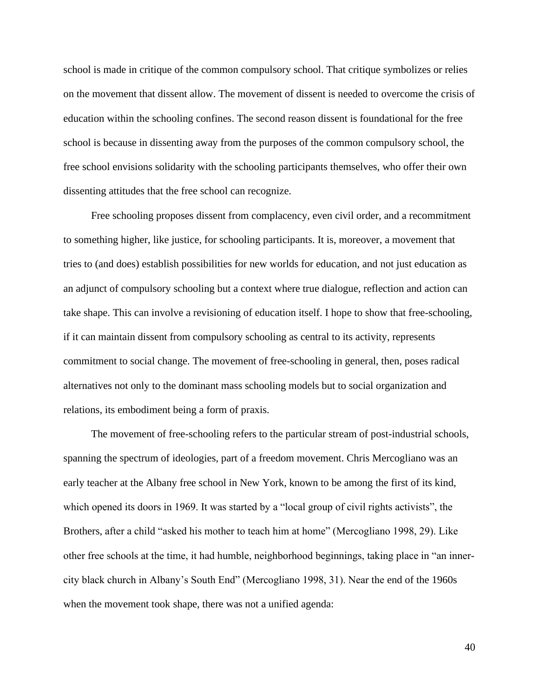school is made in critique of the common compulsory school. That critique symbolizes or relies on the movement that dissent allow. The movement of dissent is needed to overcome the crisis of education within the schooling confines. The second reason dissent is foundational for the free school is because in dissenting away from the purposes of the common compulsory school, the free school envisions solidarity with the schooling participants themselves, who offer their own dissenting attitudes that the free school can recognize.

Free schooling proposes dissent from complacency, even civil order, and a recommitment to something higher, like justice, for schooling participants. It is, moreover, a movement that tries to (and does) establish possibilities for new worlds for education, and not just education as an adjunct of compulsory schooling but a context where true dialogue, reflection and action can take shape. This can involve a revisioning of education itself. I hope to show that free-schooling, if it can maintain dissent from compulsory schooling as central to its activity, represents commitment to social change. The movement of free-schooling in general, then, poses radical alternatives not only to the dominant mass schooling models but to social organization and relations, its embodiment being a form of praxis.

The movement of free-schooling refers to the particular stream of post-industrial schools, spanning the spectrum of ideologies, part of a freedom movement. Chris Mercogliano was an early teacher at the Albany free school in New York, known to be among the first of its kind, which opened its doors in 1969. It was started by a "local group of civil rights activists", the Brothers, after a child "asked his mother to teach him at home" (Mercogliano 1998, 29). Like other free schools at the time, it had humble, neighborhood beginnings, taking place in "an innercity black church in Albany's South End" (Mercogliano 1998, 31). Near the end of the 1960s when the movement took shape, there was not a unified agenda: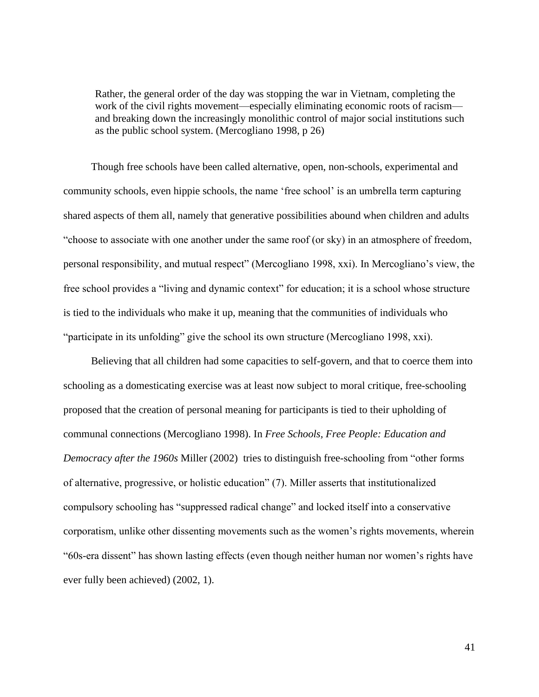Rather, the general order of the day was stopping the war in Vietnam, completing the work of the civil rights movement—especially eliminating economic roots of racism and breaking down the increasingly monolithic control of major social institutions such as the public school system. (Mercogliano 1998, p 26)

Though free schools have been called alternative, open, non-schools, experimental and community schools, even hippie schools, the name 'free school' is an umbrella term capturing shared aspects of them all, namely that generative possibilities abound when children and adults "choose to associate with one another under the same roof (or sky) in an atmosphere of freedom, personal responsibility, and mutual respect" (Mercogliano 1998, xxi). In Mercogliano's view, the free school provides a "living and dynamic context" for education; it is a school whose structure is tied to the individuals who make it up, meaning that the communities of individuals who "participate in its unfolding" give the school its own structure (Mercogliano 1998, xxi).

Believing that all children had some capacities to self-govern, and that to coerce them into schooling as a domesticating exercise was at least now subject to moral critique, free-schooling proposed that the creation of personal meaning for participants is tied to their upholding of communal connections (Mercogliano 1998). In *Free Schools, Free People: Education and Democracy after the 1960s* Miller (2002) tries to distinguish free-schooling from "other forms of alternative, progressive, or holistic education" (7). Miller asserts that institutionalized compulsory schooling has "suppressed radical change" and locked itself into a conservative corporatism, unlike other dissenting movements such as the women's rights movements, wherein "60s-era dissent" has shown lasting effects (even though neither human nor women's rights have ever fully been achieved) (2002, 1).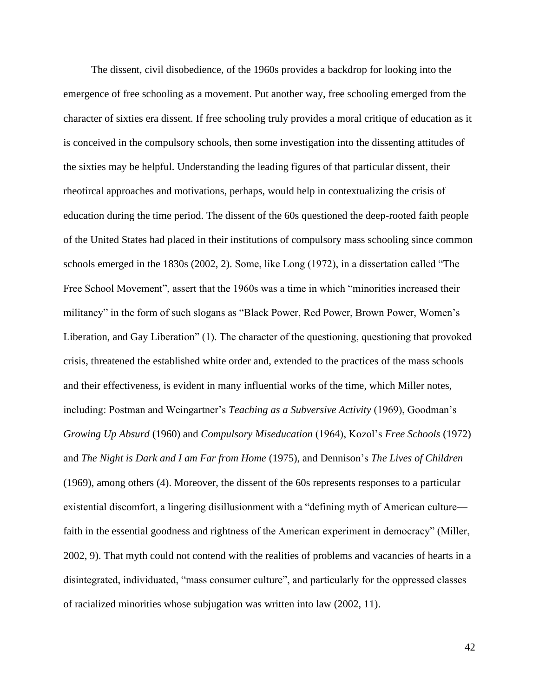The dissent, civil disobedience, of the 1960s provides a backdrop for looking into the emergence of free schooling as a movement. Put another way, free schooling emerged from the character of sixties era dissent. If free schooling truly provides a moral critique of education as it is conceived in the compulsory schools, then some investigation into the dissenting attitudes of the sixties may be helpful. Understanding the leading figures of that particular dissent, their rheotircal approaches and motivations, perhaps, would help in contextualizing the crisis of education during the time period. The dissent of the 60s questioned the deep-rooted faith people of the United States had placed in their institutions of compulsory mass schooling since common schools emerged in the 1830s (2002, 2). Some, like Long (1972), in a dissertation called "The Free School Movement", assert that the 1960s was a time in which "minorities increased their militancy" in the form of such slogans as "Black Power, Red Power, Brown Power, Women's Liberation, and Gay Liberation" (1). The character of the questioning, questioning that provoked crisis, threatened the established white order and, extended to the practices of the mass schools and their effectiveness, is evident in many influential works of the time, which Miller notes, including: Postman and Weingartner's *Teaching as a Subversive Activity* (1969), Goodman's *Growing Up Absurd* (1960) and *Compulsory Miseducation* (1964), Kozol's *Free Schools* (1972) and *The Night is Dark and I am Far from Home* (1975), and Dennison's *The Lives of Children*  (1969), among others (4). Moreover, the dissent of the 60s represents responses to a particular existential discomfort, a lingering disillusionment with a "defining myth of American culture faith in the essential goodness and rightness of the American experiment in democracy" (Miller, 2002, 9). That myth could not contend with the realities of problems and vacancies of hearts in a disintegrated, individuated, "mass consumer culture", and particularly for the oppressed classes of racialized minorities whose subjugation was written into law (2002, 11).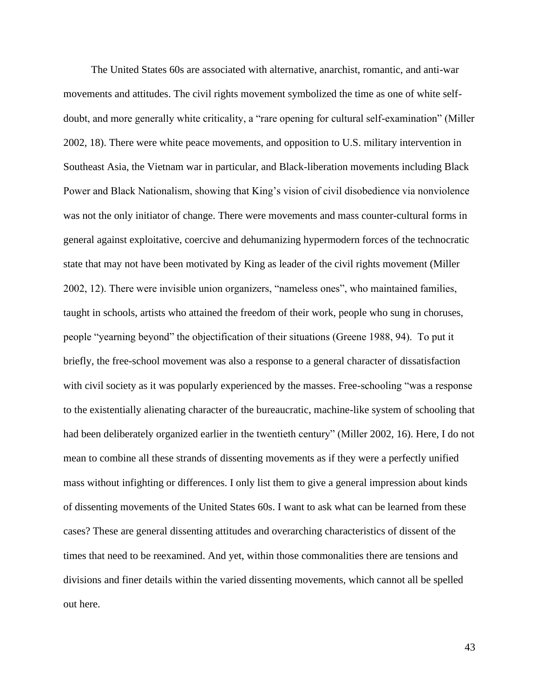The United States 60s are associated with alternative, anarchist, romantic, and anti-war movements and attitudes. The civil rights movement symbolized the time as one of white selfdoubt, and more generally white criticality, a "rare opening for cultural self-examination" (Miller 2002, 18). There were white peace movements, and opposition to U.S. military intervention in Southeast Asia, the Vietnam war in particular, and Black-liberation movements including Black Power and Black Nationalism, showing that King's vision of civil disobedience via nonviolence was not the only initiator of change. There were movements and mass counter-cultural forms in general against exploitative, coercive and dehumanizing hypermodern forces of the technocratic state that may not have been motivated by King as leader of the civil rights movement (Miller 2002, 12). There were invisible union organizers, "nameless ones", who maintained families, taught in schools, artists who attained the freedom of their work, people who sung in choruses, people "yearning beyond" the objectification of their situations (Greene 1988, 94). To put it briefly, the free-school movement was also a response to a general character of dissatisfaction with civil society as it was popularly experienced by the masses. Free-schooling "was a response" to the existentially alienating character of the bureaucratic, machine-like system of schooling that had been deliberately organized earlier in the twentieth century" (Miller 2002, 16). Here, I do not mean to combine all these strands of dissenting movements as if they were a perfectly unified mass without infighting or differences. I only list them to give a general impression about kinds of dissenting movements of the United States 60s. I want to ask what can be learned from these cases? These are general dissenting attitudes and overarching characteristics of dissent of the times that need to be reexamined. And yet, within those commonalities there are tensions and divisions and finer details within the varied dissenting movements, which cannot all be spelled out here.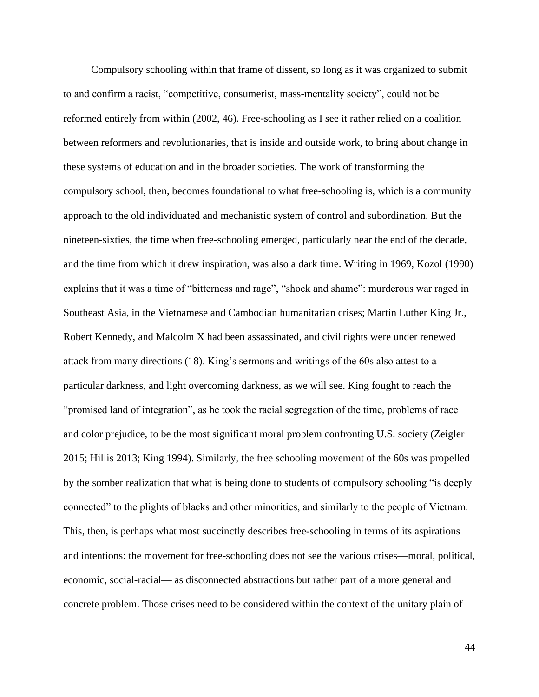Compulsory schooling within that frame of dissent, so long as it was organized to submit to and confirm a racist, "competitive, consumerist, mass-mentality society", could not be reformed entirely from within (2002, 46). Free-schooling as I see it rather relied on a coalition between reformers and revolutionaries, that is inside and outside work, to bring about change in these systems of education and in the broader societies. The work of transforming the compulsory school, then, becomes foundational to what free-schooling is, which is a community approach to the old individuated and mechanistic system of control and subordination. But the nineteen-sixties, the time when free-schooling emerged, particularly near the end of the decade, and the time from which it drew inspiration, was also a dark time. Writing in 1969, Kozol (1990) explains that it was a time of "bitterness and rage", "shock and shame": murderous war raged in Southeast Asia, in the Vietnamese and Cambodian humanitarian crises; Martin Luther King Jr., Robert Kennedy, and Malcolm X had been assassinated, and civil rights were under renewed attack from many directions (18). King's sermons and writings of the 60s also attest to a particular darkness, and light overcoming darkness, as we will see. King fought to reach the "promised land of integration", as he took the racial segregation of the time, problems of race and color prejudice, to be the most significant moral problem confronting U.S. society (Zeigler 2015; Hillis 2013; King 1994). Similarly, the free schooling movement of the 60s was propelled by the somber realization that what is being done to students of compulsory schooling "is deeply connected" to the plights of blacks and other minorities, and similarly to the people of Vietnam. This, then, is perhaps what most succinctly describes free-schooling in terms of its aspirations and intentions: the movement for free-schooling does not see the various crises—moral, political, economic, social-racial— as disconnected abstractions but rather part of a more general and concrete problem. Those crises need to be considered within the context of the unitary plain of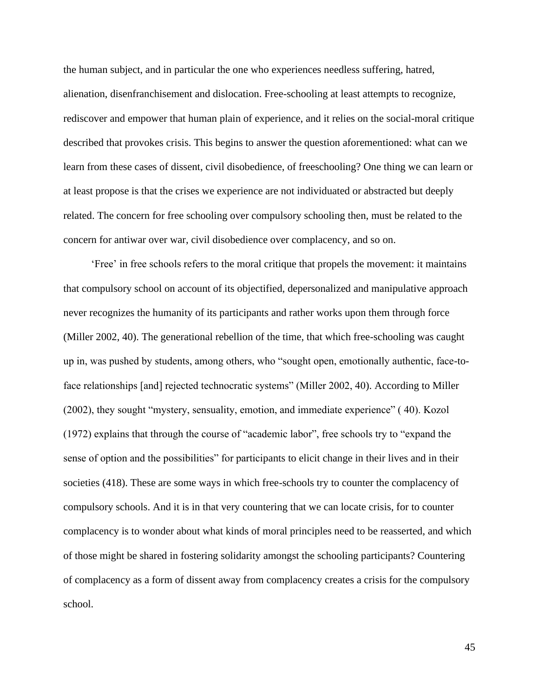the human subject, and in particular the one who experiences needless suffering, hatred, alienation, disenfranchisement and dislocation. Free-schooling at least attempts to recognize, rediscover and empower that human plain of experience, and it relies on the social-moral critique described that provokes crisis. This begins to answer the question aforementioned: what can we learn from these cases of dissent, civil disobedience, of freeschooling? One thing we can learn or at least propose is that the crises we experience are not individuated or abstracted but deeply related. The concern for free schooling over compulsory schooling then, must be related to the concern for antiwar over war, civil disobedience over complacency, and so on.

'Free' in free schools refers to the moral critique that propels the movement: it maintains that compulsory school on account of its objectified, depersonalized and manipulative approach never recognizes the humanity of its participants and rather works upon them through force (Miller 2002, 40). The generational rebellion of the time, that which free-schooling was caught up in, was pushed by students, among others, who "sought open, emotionally authentic, face-toface relationships [and] rejected technocratic systems" (Miller 2002, 40). According to Miller (2002), they sought "mystery, sensuality, emotion, and immediate experience" ( 40). Kozol (1972) explains that through the course of "academic labor", free schools try to "expand the sense of option and the possibilities" for participants to elicit change in their lives and in their societies (418). These are some ways in which free-schools try to counter the complacency of compulsory schools. And it is in that very countering that we can locate crisis, for to counter complacency is to wonder about what kinds of moral principles need to be reasserted, and which of those might be shared in fostering solidarity amongst the schooling participants? Countering of complacency as a form of dissent away from complacency creates a crisis for the compulsory school.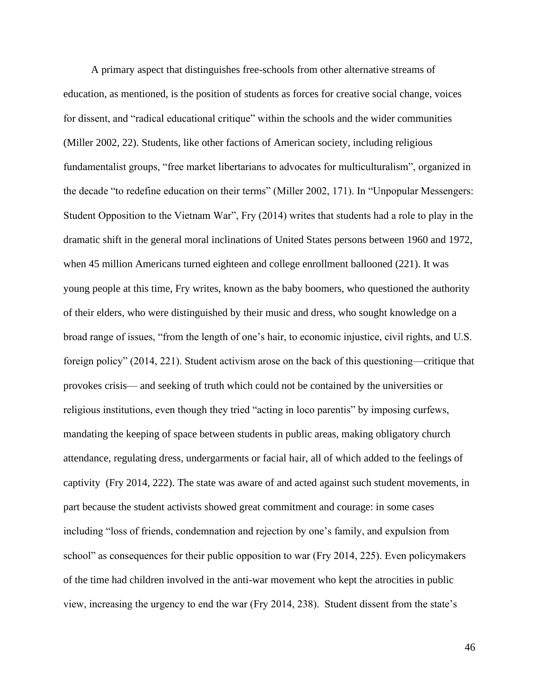A primary aspect that distinguishes free-schools from other alternative streams of education, as mentioned, is the position of students as forces for creative social change, voices for dissent, and "radical educational critique" within the schools and the wider communities (Miller 2002, 22). Students, like other factions of American society, including religious fundamentalist groups, "free market libertarians to advocates for multiculturalism", organized in the decade "to redefine education on their terms" (Miller 2002, 171). In "Unpopular Messengers: Student Opposition to the Vietnam War", Fry (2014) writes that students had a role to play in the dramatic shift in the general moral inclinations of United States persons between 1960 and 1972, when 45 million Americans turned eighteen and college enrollment ballooned (221). It was young people at this time, Fry writes, known as the baby boomers, who questioned the authority of their elders, who were distinguished by their music and dress, who sought knowledge on a broad range of issues, "from the length of one's hair, to economic injustice, civil rights, and U.S. foreign policy" (2014, 221). Student activism arose on the back of this questioning—critique that provokes crisis— and seeking of truth which could not be contained by the universities or religious institutions, even though they tried "acting in loco parentis" by imposing curfews, mandating the keeping of space between students in public areas, making obligatory church attendance, regulating dress, undergarments or facial hair, all of which added to the feelings of captivity (Fry 2014, 222). The state was aware of and acted against such student movements, in part because the student activists showed great commitment and courage: in some cases including "loss of friends, condemnation and rejection by one's family, and expulsion from school" as consequences for their public opposition to war (Fry 2014, 225). Even policymakers of the time had children involved in the anti-war movement who kept the atrocities in public view, increasing the urgency to end the war (Fry 2014, 238). Student dissent from the state's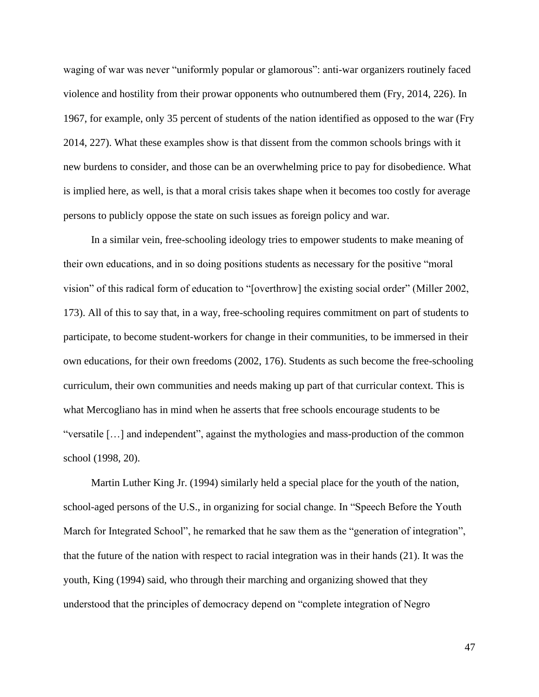waging of war was never "uniformly popular or glamorous": anti-war organizers routinely faced violence and hostility from their prowar opponents who outnumbered them (Fry, 2014, 226). In 1967, for example, only 35 percent of students of the nation identified as opposed to the war (Fry 2014, 227). What these examples show is that dissent from the common schools brings with it new burdens to consider, and those can be an overwhelming price to pay for disobedience. What is implied here, as well, is that a moral crisis takes shape when it becomes too costly for average persons to publicly oppose the state on such issues as foreign policy and war.

In a similar vein, free-schooling ideology tries to empower students to make meaning of their own educations, and in so doing positions students as necessary for the positive "moral vision" of this radical form of education to "[overthrow] the existing social order" (Miller 2002, 173). All of this to say that, in a way, free-schooling requires commitment on part of students to participate, to become student-workers for change in their communities, to be immersed in their own educations, for their own freedoms (2002, 176). Students as such become the free-schooling curriculum, their own communities and needs making up part of that curricular context. This is what Mercogliano has in mind when he asserts that free schools encourage students to be "versatile […] and independent", against the mythologies and mass-production of the common school (1998, 20).

Martin Luther King Jr. (1994) similarly held a special place for the youth of the nation, school-aged persons of the U.S., in organizing for social change. In "Speech Before the Youth March for Integrated School", he remarked that he saw them as the "generation of integration", that the future of the nation with respect to racial integration was in their hands (21). It was the youth, King (1994) said, who through their marching and organizing showed that they understood that the principles of democracy depend on "complete integration of Negro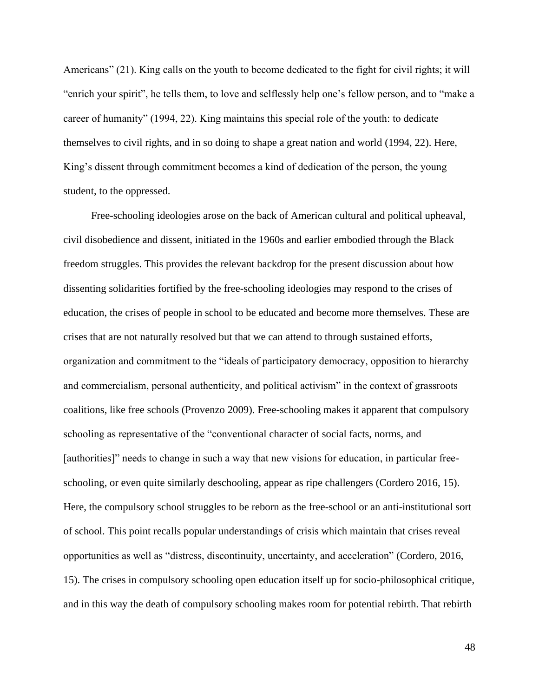Americans" (21). King calls on the youth to become dedicated to the fight for civil rights; it will "enrich your spirit", he tells them, to love and selflessly help one's fellow person, and to "make a career of humanity" (1994, 22). King maintains this special role of the youth: to dedicate themselves to civil rights, and in so doing to shape a great nation and world (1994, 22). Here, King's dissent through commitment becomes a kind of dedication of the person, the young student, to the oppressed.

Free-schooling ideologies arose on the back of American cultural and political upheaval, civil disobedience and dissent, initiated in the 1960s and earlier embodied through the Black freedom struggles. This provides the relevant backdrop for the present discussion about how dissenting solidarities fortified by the free-schooling ideologies may respond to the crises of education, the crises of people in school to be educated and become more themselves. These are crises that are not naturally resolved but that we can attend to through sustained efforts, organization and commitment to the "ideals of participatory democracy, opposition to hierarchy and commercialism, personal authenticity, and political activism" in the context of grassroots coalitions, like free schools (Provenzo 2009). Free-schooling makes it apparent that compulsory schooling as representative of the "conventional character of social facts, norms, and [authorities]" needs to change in such a way that new visions for education, in particular freeschooling, or even quite similarly deschooling, appear as ripe challengers (Cordero 2016, 15). Here, the compulsory school struggles to be reborn as the free-school or an anti-institutional sort of school. This point recalls popular understandings of crisis which maintain that crises reveal opportunities as well as "distress, discontinuity, uncertainty, and acceleration" (Cordero, 2016, 15). The crises in compulsory schooling open education itself up for socio-philosophical critique, and in this way the death of compulsory schooling makes room for potential rebirth. That rebirth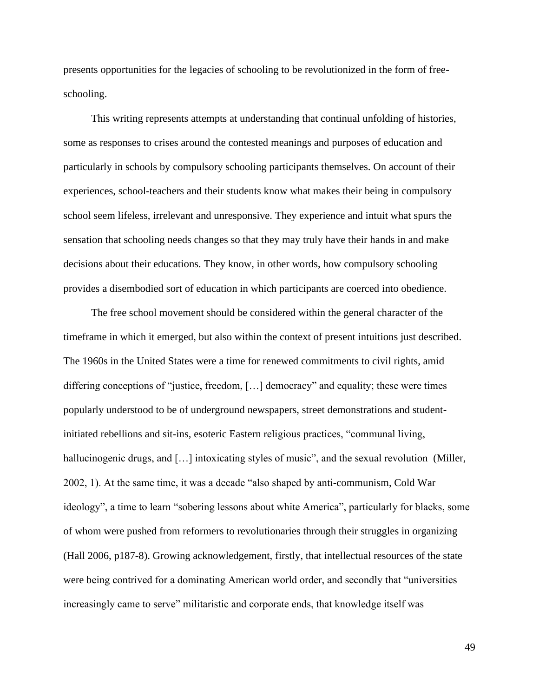presents opportunities for the legacies of schooling to be revolutionized in the form of freeschooling.

This writing represents attempts at understanding that continual unfolding of histories, some as responses to crises around the contested meanings and purposes of education and particularly in schools by compulsory schooling participants themselves. On account of their experiences, school-teachers and their students know what makes their being in compulsory school seem lifeless, irrelevant and unresponsive. They experience and intuit what spurs the sensation that schooling needs changes so that they may truly have their hands in and make decisions about their educations. They know, in other words, how compulsory schooling provides a disembodied sort of education in which participants are coerced into obedience.

The free school movement should be considered within the general character of the timeframe in which it emerged, but also within the context of present intuitions just described. The 1960s in the United States were a time for renewed commitments to civil rights, amid differing conceptions of "justice, freedom, […] democracy" and equality; these were times popularly understood to be of underground newspapers, street demonstrations and studentinitiated rebellions and sit-ins, esoteric Eastern religious practices, "communal living, hallucinogenic drugs, and [...] intoxicating styles of music", and the sexual revolution (Miller, 2002, 1). At the same time, it was a decade "also shaped by anti-communism, Cold War ideology", a time to learn "sobering lessons about white America", particularly for blacks, some of whom were pushed from reformers to revolutionaries through their struggles in organizing (Hall 2006, p187-8). Growing acknowledgement, firstly, that intellectual resources of the state were being contrived for a dominating American world order, and secondly that "universities increasingly came to serve" militaristic and corporate ends, that knowledge itself was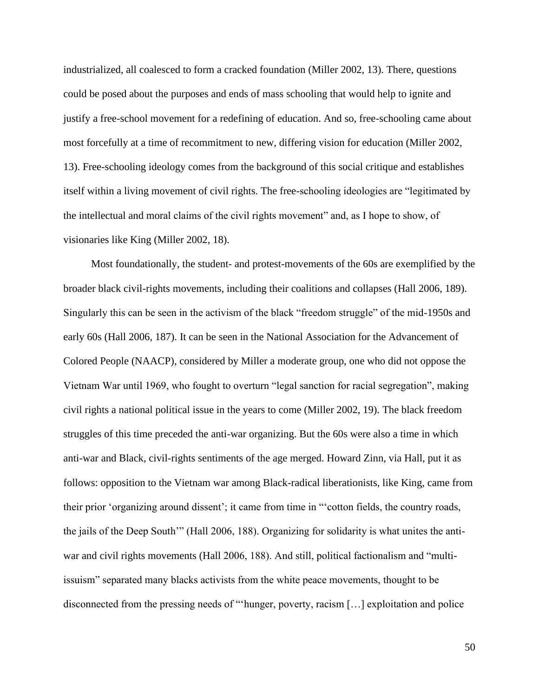industrialized, all coalesced to form a cracked foundation (Miller 2002, 13). There, questions could be posed about the purposes and ends of mass schooling that would help to ignite and justify a free-school movement for a redefining of education. And so, free-schooling came about most forcefully at a time of recommitment to new, differing vision for education (Miller 2002, 13). Free-schooling ideology comes from the background of this social critique and establishes itself within a living movement of civil rights. The free-schooling ideologies are "legitimated by the intellectual and moral claims of the civil rights movement" and, as I hope to show, of visionaries like King (Miller 2002, 18).

Most foundationally, the student- and protest-movements of the 60s are exemplified by the broader black civil-rights movements, including their coalitions and collapses (Hall 2006, 189). Singularly this can be seen in the activism of the black "freedom struggle" of the mid-1950s and early 60s (Hall 2006, 187). It can be seen in the National Association for the Advancement of Colored People (NAACP), considered by Miller a moderate group, one who did not oppose the Vietnam War until 1969, who fought to overturn "legal sanction for racial segregation", making civil rights a national political issue in the years to come (Miller 2002, 19). The black freedom struggles of this time preceded the anti-war organizing. But the 60s were also a time in which anti-war and Black, civil-rights sentiments of the age merged. Howard Zinn, via Hall, put it as follows: opposition to the Vietnam war among Black-radical liberationists, like King, came from their prior 'organizing around dissent'; it came from time in "'cotton fields, the country roads, the jails of the Deep South'" (Hall 2006, 188). Organizing for solidarity is what unites the antiwar and civil rights movements (Hall 2006, 188). And still, political factionalism and "multiissuism" separated many blacks activists from the white peace movements, thought to be disconnected from the pressing needs of "'hunger, poverty, racism […] exploitation and police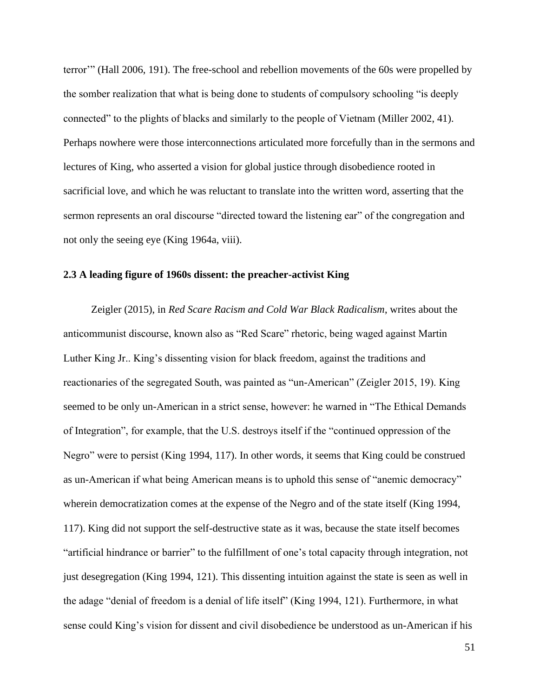terror'" (Hall 2006, 191). The free-school and rebellion movements of the 60s were propelled by the somber realization that what is being done to students of compulsory schooling "is deeply connected" to the plights of blacks and similarly to the people of Vietnam (Miller 2002, 41). Perhaps nowhere were those interconnections articulated more forcefully than in the sermons and lectures of King, who asserted a vision for global justice through disobedience rooted in sacrificial love, and which he was reluctant to translate into the written word, asserting that the sermon represents an oral discourse "directed toward the listening ear" of the congregation and not only the seeing eye (King 1964a, viii).

### **2.3 A leading figure of 1960s dissent: the preacher-activist King**

Zeigler (2015), in *Red Scare Racism and Cold War Black Radicalism*, writes about the anticommunist discourse, known also as "Red Scare" rhetoric, being waged against Martin Luther King Jr.. King's dissenting vision for black freedom, against the traditions and reactionaries of the segregated South, was painted as "un-American" (Zeigler 2015, 19). King seemed to be only un-American in a strict sense, however: he warned in "The Ethical Demands of Integration", for example, that the U.S. destroys itself if the "continued oppression of the Negro" were to persist (King 1994, 117). In other words, it seems that King could be construed as un-American if what being American means is to uphold this sense of "anemic democracy" wherein democratization comes at the expense of the Negro and of the state itself (King 1994, 117). King did not support the self-destructive state as it was, because the state itself becomes "artificial hindrance or barrier" to the fulfillment of one's total capacity through integration, not just desegregation (King 1994, 121). This dissenting intuition against the state is seen as well in the adage "denial of freedom is a denial of life itself" (King 1994, 121). Furthermore, in what sense could King's vision for dissent and civil disobedience be understood as un-American if his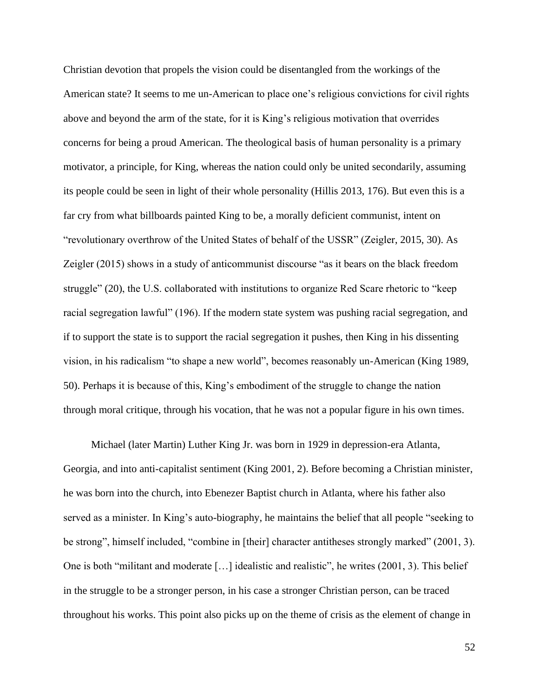Christian devotion that propels the vision could be disentangled from the workings of the American state? It seems to me un-American to place one's religious convictions for civil rights above and beyond the arm of the state, for it is King's religious motivation that overrides concerns for being a proud American. The theological basis of human personality is a primary motivator, a principle, for King, whereas the nation could only be united secondarily, assuming its people could be seen in light of their whole personality (Hillis 2013, 176). But even this is a far cry from what billboards painted King to be, a morally deficient communist, intent on "revolutionary overthrow of the United States of behalf of the USSR" (Zeigler, 2015, 30). As Zeigler (2015) shows in a study of anticommunist discourse "as it bears on the black freedom struggle" (20), the U.S. collaborated with institutions to organize Red Scare rhetoric to "keep racial segregation lawful" (196). If the modern state system was pushing racial segregation, and if to support the state is to support the racial segregation it pushes, then King in his dissenting vision, in his radicalism "to shape a new world", becomes reasonably un-American (King 1989, 50). Perhaps it is because of this, King's embodiment of the struggle to change the nation through moral critique, through his vocation, that he was not a popular figure in his own times.

Michael (later Martin) Luther King Jr. was born in 1929 in depression-era Atlanta, Georgia, and into anti-capitalist sentiment (King 2001, 2). Before becoming a Christian minister, he was born into the church, into Ebenezer Baptist church in Atlanta, where his father also served as a minister. In King's auto-biography, he maintains the belief that all people "seeking to be strong", himself included, "combine in [their] character antitheses strongly marked" (2001, 3). One is both "militant and moderate […] idealistic and realistic", he writes (2001, 3). This belief in the struggle to be a stronger person, in his case a stronger Christian person, can be traced throughout his works. This point also picks up on the theme of crisis as the element of change in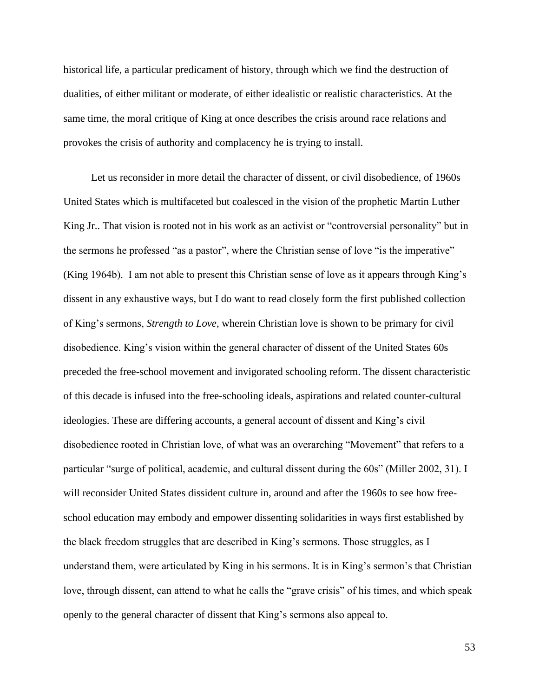historical life, a particular predicament of history, through which we find the destruction of dualities, of either militant or moderate, of either idealistic or realistic characteristics. At the same time, the moral critique of King at once describes the crisis around race relations and provokes the crisis of authority and complacency he is trying to install.

Let us reconsider in more detail the character of dissent, or civil disobedience, of 1960s United States which is multifaceted but coalesced in the vision of the prophetic Martin Luther King Jr.. That vision is rooted not in his work as an activist or "controversial personality" but in the sermons he professed "as a pastor", where the Christian sense of love "is the imperative" (King 1964b). I am not able to present this Christian sense of love as it appears through King's dissent in any exhaustive ways, but I do want to read closely form the first published collection of King's sermons, *Strength to Love*, wherein Christian love is shown to be primary for civil disobedience. King's vision within the general character of dissent of the United States 60s preceded the free-school movement and invigorated schooling reform. The dissent characteristic of this decade is infused into the free-schooling ideals, aspirations and related counter-cultural ideologies. These are differing accounts, a general account of dissent and King's civil disobedience rooted in Christian love, of what was an overarching "Movement" that refers to a particular "surge of political, academic, and cultural dissent during the 60s" (Miller 2002, 31). I will reconsider United States dissident culture in, around and after the 1960s to see how freeschool education may embody and empower dissenting solidarities in ways first established by the black freedom struggles that are described in King's sermons. Those struggles, as I understand them, were articulated by King in his sermons. It is in King's sermon's that Christian love, through dissent, can attend to what he calls the "grave crisis" of his times, and which speak openly to the general character of dissent that King's sermons also appeal to.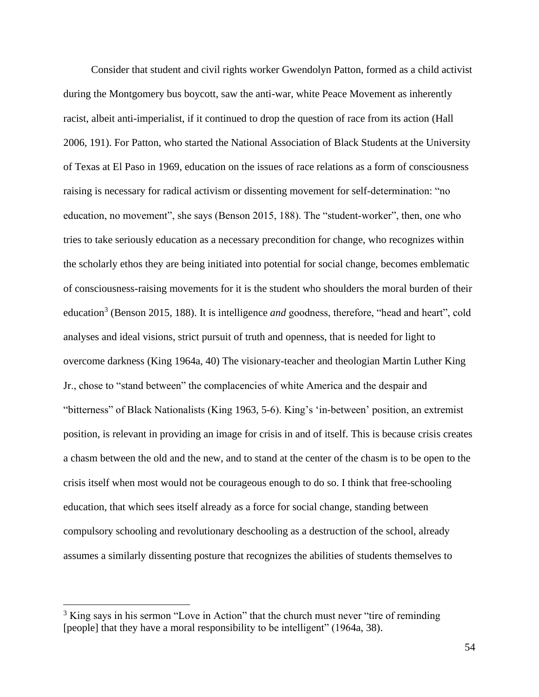Consider that student and civil rights worker Gwendolyn Patton, formed as a child activist during the Montgomery bus boycott, saw the anti-war, white Peace Movement as inherently racist, albeit anti-imperialist, if it continued to drop the question of race from its action (Hall 2006, 191). For Patton, who started the National Association of Black Students at the University of Texas at El Paso in 1969, education on the issues of race relations as a form of consciousness raising is necessary for radical activism or dissenting movement for self-determination: "no education, no movement", she says (Benson 2015, 188). The "student-worker", then, one who tries to take seriously education as a necessary precondition for change, who recognizes within the scholarly ethos they are being initiated into potential for social change, becomes emblematic of consciousness-raising movements for it is the student who shoulders the moral burden of their education<sup>3</sup> (Benson 2015, 188). It is intelligence *and* goodness, therefore, "head and heart", cold analyses and ideal visions, strict pursuit of truth and openness, that is needed for light to overcome darkness (King 1964a, 40) The visionary-teacher and theologian Martin Luther King Jr., chose to "stand between" the complacencies of white America and the despair and "bitterness" of Black Nationalists (King 1963, 5-6). King's 'in-between' position, an extremist position, is relevant in providing an image for crisis in and of itself. This is because crisis creates a chasm between the old and the new, and to stand at the center of the chasm is to be open to the crisis itself when most would not be courageous enough to do so. I think that free-schooling education, that which sees itself already as a force for social change, standing between compulsory schooling and revolutionary deschooling as a destruction of the school, already assumes a similarly dissenting posture that recognizes the abilities of students themselves to

 $3$  King says in his sermon "Love in Action" that the church must never "tire of reminding" [people] that they have a moral responsibility to be intelligent" (1964a, 38).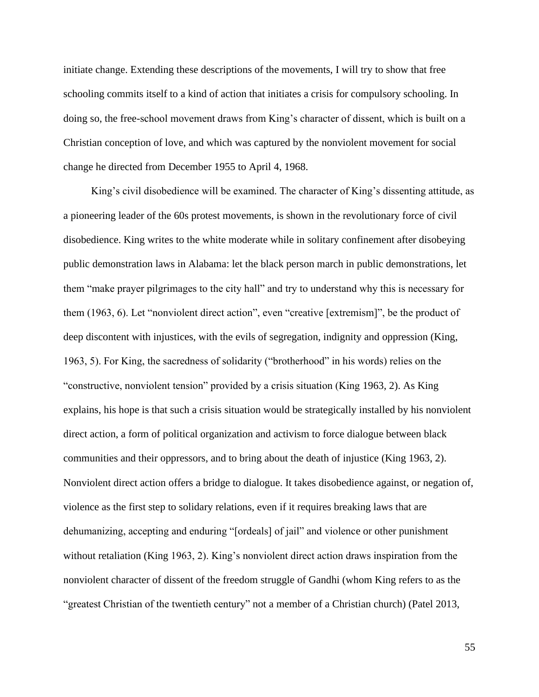initiate change. Extending these descriptions of the movements, I will try to show that free schooling commits itself to a kind of action that initiates a crisis for compulsory schooling. In doing so, the free-school movement draws from King's character of dissent, which is built on a Christian conception of love, and which was captured by the nonviolent movement for social change he directed from December 1955 to April 4, 1968.

King's civil disobedience will be examined. The character of King's dissenting attitude, as a pioneering leader of the 60s protest movements, is shown in the revolutionary force of civil disobedience. King writes to the white moderate while in solitary confinement after disobeying public demonstration laws in Alabama: let the black person march in public demonstrations, let them "make prayer pilgrimages to the city hall" and try to understand why this is necessary for them (1963, 6). Let "nonviolent direct action", even "creative [extremism]", be the product of deep discontent with injustices, with the evils of segregation, indignity and oppression (King, 1963, 5). For King, the sacredness of solidarity ("brotherhood" in his words) relies on the "constructive, nonviolent tension" provided by a crisis situation (King 1963, 2). As King explains, his hope is that such a crisis situation would be strategically installed by his nonviolent direct action, a form of political organization and activism to force dialogue between black communities and their oppressors, and to bring about the death of injustice (King 1963, 2). Nonviolent direct action offers a bridge to dialogue. It takes disobedience against, or negation of, violence as the first step to solidary relations, even if it requires breaking laws that are dehumanizing, accepting and enduring "[ordeals] of jail" and violence or other punishment without retaliation (King 1963, 2). King's nonviolent direct action draws inspiration from the nonviolent character of dissent of the freedom struggle of Gandhi (whom King refers to as the "greatest Christian of the twentieth century" not a member of a Christian church) (Patel 2013,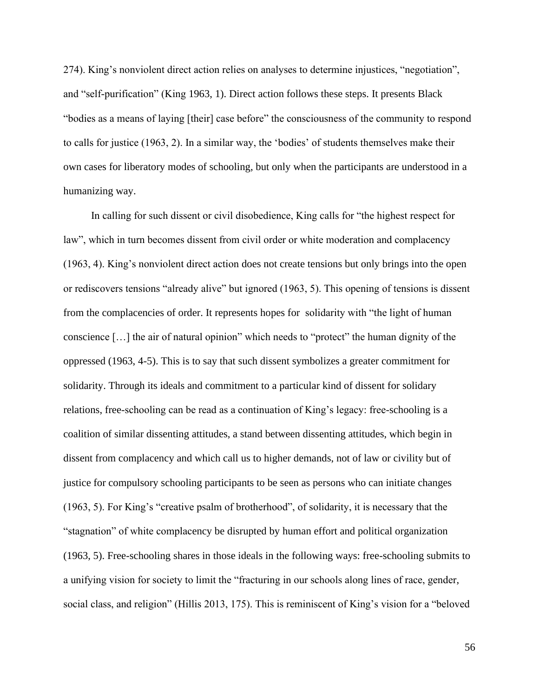274). King's nonviolent direct action relies on analyses to determine injustices, "negotiation", and "self-purification" (King 1963, 1). Direct action follows these steps. It presents Black "bodies as a means of laying [their] case before" the consciousness of the community to respond to calls for justice (1963, 2). In a similar way, the 'bodies' of students themselves make their own cases for liberatory modes of schooling, but only when the participants are understood in a humanizing way.

In calling for such dissent or civil disobedience, King calls for "the highest respect for law", which in turn becomes dissent from civil order or white moderation and complacency (1963, 4). King's nonviolent direct action does not create tensions but only brings into the open or rediscovers tensions "already alive" but ignored (1963, 5). This opening of tensions is dissent from the complacencies of order. It represents hopes for solidarity with "the light of human conscience […] the air of natural opinion" which needs to "protect" the human dignity of the oppressed (1963, 4-5). This is to say that such dissent symbolizes a greater commitment for solidarity. Through its ideals and commitment to a particular kind of dissent for solidary relations, free-schooling can be read as a continuation of King's legacy: free-schooling is a coalition of similar dissenting attitudes, a stand between dissenting attitudes, which begin in dissent from complacency and which call us to higher demands, not of law or civility but of justice for compulsory schooling participants to be seen as persons who can initiate changes (1963, 5). For King's "creative psalm of brotherhood", of solidarity, it is necessary that the "stagnation" of white complacency be disrupted by human effort and political organization (1963, 5). Free-schooling shares in those ideals in the following ways: free-schooling submits to a unifying vision for society to limit the "fracturing in our schools along lines of race, gender, social class, and religion" (Hillis 2013, 175). This is reminiscent of King's vision for a "beloved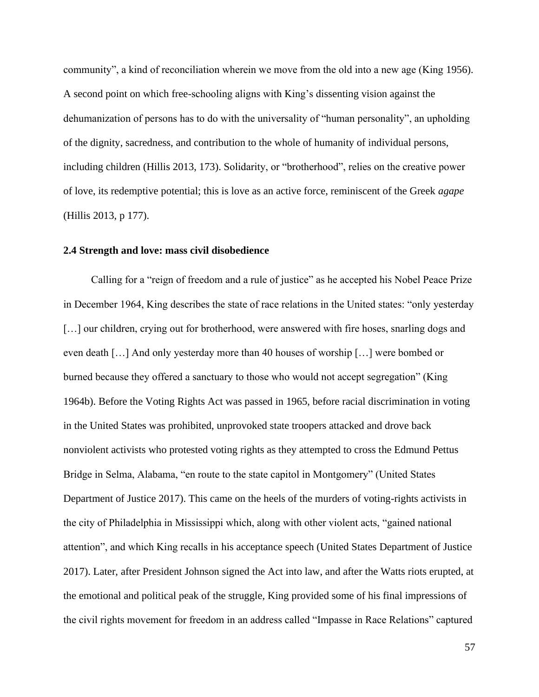community", a kind of reconciliation wherein we move from the old into a new age (King 1956). A second point on which free-schooling aligns with King's dissenting vision against the dehumanization of persons has to do with the universality of "human personality", an upholding of the dignity, sacredness, and contribution to the whole of humanity of individual persons, including children (Hillis 2013, 173). Solidarity, or "brotherhood", relies on the creative power of love, its redemptive potential; this is love as an active force, reminiscent of the Greek *agape* (Hillis 2013, p 177).

#### **2.4 Strength and love: mass civil disobedience**

Calling for a "reign of freedom and a rule of justice" as he accepted his Nobel Peace Prize in December 1964, King describes the state of race relations in the United states: "only yesterday [...] our children, crying out for brotherhood, were answered with fire hoses, snarling dogs and even death […] And only yesterday more than 40 houses of worship […] were bombed or burned because they offered a sanctuary to those who would not accept segregation" (King 1964b). Before the Voting Rights Act was passed in 1965, before racial discrimination in voting in the United States was prohibited, unprovoked state troopers attacked and drove back nonviolent activists who protested voting rights as they attempted to cross the Edmund Pettus Bridge in Selma, Alabama, "en route to the state capitol in Montgomery" (United States Department of Justice 2017). This came on the heels of the murders of voting-rights activists in the city of Philadelphia in Mississippi which, along with other violent acts, "gained national attention", and which King recalls in his acceptance speech (United States Department of Justice 2017). Later, after President Johnson signed the Act into law, and after the Watts riots erupted, at the emotional and political peak of the struggle, King provided some of his final impressions of the civil rights movement for freedom in an address called "Impasse in Race Relations" captured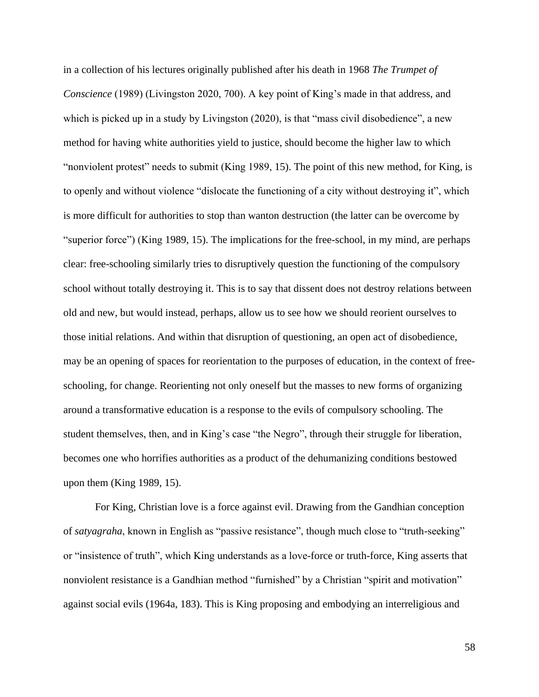in a collection of his lectures originally published after his death in 1968 *The Trumpet of Conscience* (1989) (Livingston 2020, 700). A key point of King's made in that address, and which is picked up in a study by Livingston (2020), is that "mass civil disobedience", a new method for having white authorities yield to justice, should become the higher law to which "nonviolent protest" needs to submit (King 1989, 15). The point of this new method, for King, is to openly and without violence "dislocate the functioning of a city without destroying it", which is more difficult for authorities to stop than wanton destruction (the latter can be overcome by "superior force") (King 1989, 15). The implications for the free-school, in my mind, are perhaps clear: free-schooling similarly tries to disruptively question the functioning of the compulsory school without totally destroying it. This is to say that dissent does not destroy relations between old and new, but would instead, perhaps, allow us to see how we should reorient ourselves to those initial relations. And within that disruption of questioning, an open act of disobedience, may be an opening of spaces for reorientation to the purposes of education, in the context of freeschooling, for change. Reorienting not only oneself but the masses to new forms of organizing around a transformative education is a response to the evils of compulsory schooling. The student themselves, then, and in King's case "the Negro", through their struggle for liberation, becomes one who horrifies authorities as a product of the dehumanizing conditions bestowed upon them (King 1989, 15).

For King, Christian love is a force against evil. Drawing from the Gandhian conception of *satyagraha*, known in English as "passive resistance", though much close to "truth-seeking" or "insistence of truth", which King understands as a love-force or truth-force, King asserts that nonviolent resistance is a Gandhian method "furnished" by a Christian "spirit and motivation" against social evils (1964a, 183). This is King proposing and embodying an interreligious and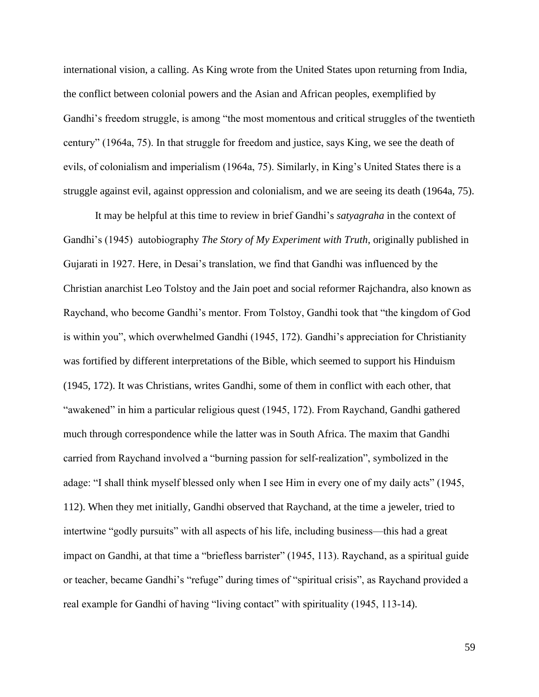international vision, a calling. As King wrote from the United States upon returning from India, the conflict between colonial powers and the Asian and African peoples, exemplified by Gandhi's freedom struggle, is among "the most momentous and critical struggles of the twentieth century" (1964a, 75). In that struggle for freedom and justice, says King, we see the death of evils, of colonialism and imperialism (1964a, 75). Similarly, in King's United States there is a struggle against evil, against oppression and colonialism, and we are seeing its death (1964a, 75).

It may be helpful at this time to review in brief Gandhi's *satyagraha* in the context of Gandhi's (1945) autobiography *The Story of My Experiment with Truth*, originally published in Gujarati in 1927. Here, in Desai's translation, we find that Gandhi was influenced by the Christian anarchist Leo Tolstoy and the Jain poet and social reformer Rajchandra, also known as Raychand, who become Gandhi's mentor. From Tolstoy, Gandhi took that "the kingdom of God is within you", which overwhelmed Gandhi (1945, 172). Gandhi's appreciation for Christianity was fortified by different interpretations of the Bible, which seemed to support his Hinduism (1945, 172). It was Christians, writes Gandhi, some of them in conflict with each other, that "awakened" in him a particular religious quest (1945, 172). From Raychand, Gandhi gathered much through correspondence while the latter was in South Africa. The maxim that Gandhi carried from Raychand involved a "burning passion for self-realization", symbolized in the adage: "I shall think myself blessed only when I see Him in every one of my daily acts" (1945, 112). When they met initially, Gandhi observed that Raychand, at the time a jeweler, tried to intertwine "godly pursuits" with all aspects of his life, including business—this had a great impact on Gandhi, at that time a "briefless barrister" (1945, 113). Raychand, as a spiritual guide or teacher, became Gandhi's "refuge" during times of "spiritual crisis", as Raychand provided a real example for Gandhi of having "living contact" with spirituality (1945, 113-14).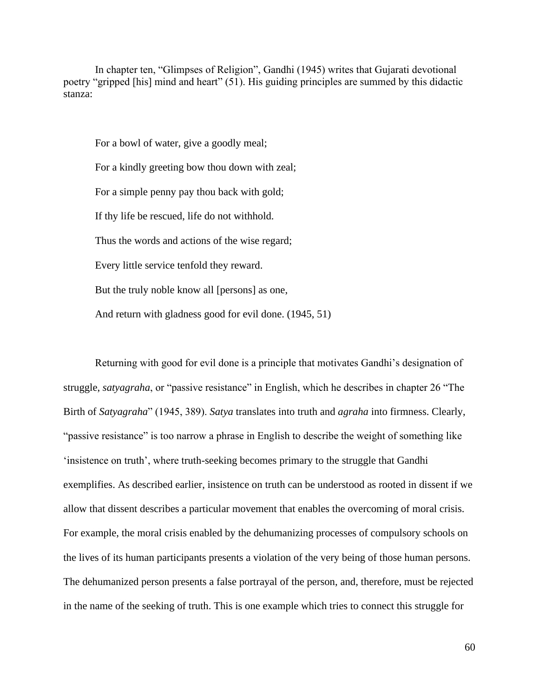In chapter ten, "Glimpses of Religion", Gandhi (1945) writes that Gujarati devotional poetry "gripped [his] mind and heart" (51). His guiding principles are summed by this didactic stanza:

For a bowl of water, give a goodly meal; For a kindly greeting bow thou down with zeal; For a simple penny pay thou back with gold; If thy life be rescued, life do not withhold. Thus the words and actions of the wise regard; Every little service tenfold they reward. But the truly noble know all [persons] as one, And return with gladness good for evil done. (1945, 51)

Returning with good for evil done is a principle that motivates Gandhi's designation of struggle, *satyagraha*, or "passive resistance" in English, which he describes in chapter 26 "The Birth of *Satyagraha*" (1945, 389). *Satya* translates into truth and *agraha* into firmness. Clearly, "passive resistance" is too narrow a phrase in English to describe the weight of something like 'insistence on truth', where truth-seeking becomes primary to the struggle that Gandhi exemplifies. As described earlier, insistence on truth can be understood as rooted in dissent if we allow that dissent describes a particular movement that enables the overcoming of moral crisis. For example, the moral crisis enabled by the dehumanizing processes of compulsory schools on the lives of its human participants presents a violation of the very being of those human persons. The dehumanized person presents a false portrayal of the person, and, therefore, must be rejected in the name of the seeking of truth. This is one example which tries to connect this struggle for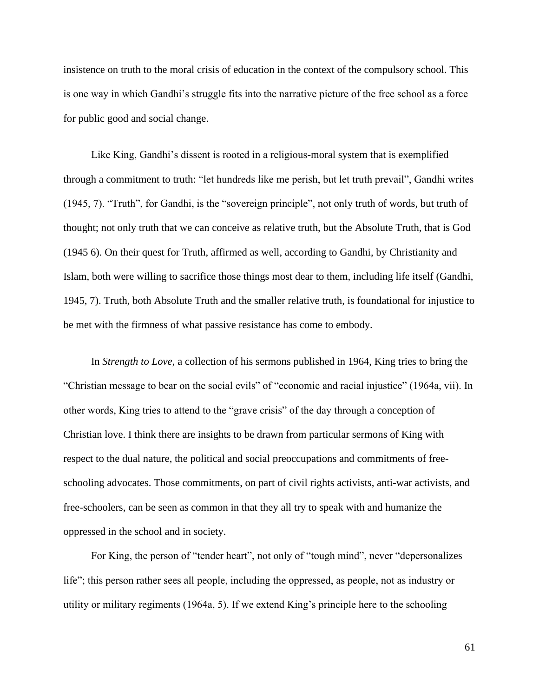insistence on truth to the moral crisis of education in the context of the compulsory school. This is one way in which Gandhi's struggle fits into the narrative picture of the free school as a force for public good and social change.

Like King, Gandhi's dissent is rooted in a religious-moral system that is exemplified through a commitment to truth: "let hundreds like me perish, but let truth prevail", Gandhi writes (1945, 7). "Truth", for Gandhi, is the "sovereign principle", not only truth of words, but truth of thought; not only truth that we can conceive as relative truth, but the Absolute Truth, that is God (1945 6). On their quest for Truth, affirmed as well, according to Gandhi, by Christianity and Islam, both were willing to sacrifice those things most dear to them, including life itself (Gandhi, 1945, 7). Truth, both Absolute Truth and the smaller relative truth, is foundational for injustice to be met with the firmness of what passive resistance has come to embody.

In *Strength to Love*, a collection of his sermons published in 1964, King tries to bring the "Christian message to bear on the social evils" of "economic and racial injustice" (1964a, vii). In other words, King tries to attend to the "grave crisis" of the day through a conception of Christian love. I think there are insights to be drawn from particular sermons of King with respect to the dual nature, the political and social preoccupations and commitments of freeschooling advocates. Those commitments, on part of civil rights activists, anti-war activists, and free-schoolers, can be seen as common in that they all try to speak with and humanize the oppressed in the school and in society.

For King, the person of "tender heart", not only of "tough mind", never "depersonalizes life"; this person rather sees all people, including the oppressed, as people, not as industry or utility or military regiments (1964a, 5). If we extend King's principle here to the schooling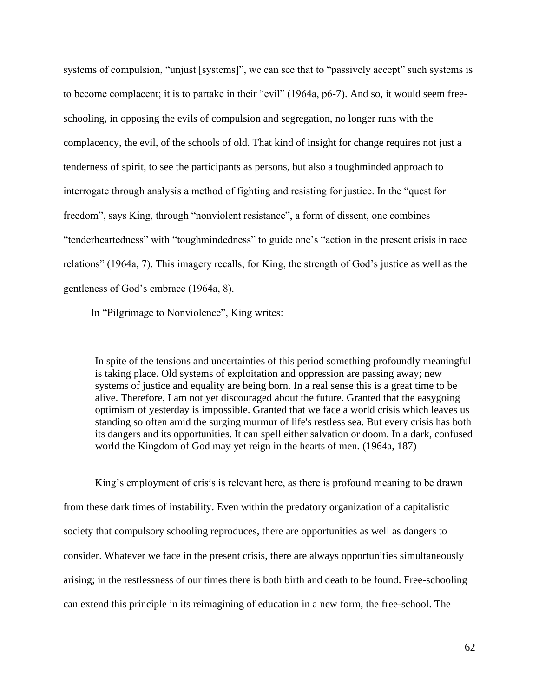systems of compulsion, "unjust [systems]", we can see that to "passively accept" such systems is to become complacent; it is to partake in their "evil" (1964a, p6-7). And so, it would seem freeschooling, in opposing the evils of compulsion and segregation, no longer runs with the complacency, the evil, of the schools of old. That kind of insight for change requires not just a tenderness of spirit, to see the participants as persons, but also a toughminded approach to interrogate through analysis a method of fighting and resisting for justice. In the "quest for freedom", says King, through "nonviolent resistance", a form of dissent, one combines "tenderheartedness" with "toughmindedness" to guide one's "action in the present crisis in race relations" (1964a, 7). This imagery recalls, for King, the strength of God's justice as well as the gentleness of God's embrace (1964a, 8).

In "Pilgrimage to Nonviolence", King writes:

In spite of the tensions and uncertainties of this period something profoundly meaningful is taking place. Old systems of exploitation and oppression are passing away; new systems of justice and equality are being born. In a real sense this is a great time to be alive. Therefore, I am not yet discouraged about the future. Granted that the easygoing optimism of yesterday is impossible. Granted that we face a world crisis which leaves us standing so often amid the surging murmur of life's restless sea. But every crisis has both its dangers and its opportunities. It can spell either salvation or doom. In a dark, confused world the Kingdom of God may yet reign in the hearts of men*.* (1964a, 187)

King's employment of crisis is relevant here, as there is profound meaning to be drawn from these dark times of instability. Even within the predatory organization of a capitalistic society that compulsory schooling reproduces, there are opportunities as well as dangers to consider. Whatever we face in the present crisis, there are always opportunities simultaneously arising; in the restlessness of our times there is both birth and death to be found. Free-schooling can extend this principle in its reimagining of education in a new form, the free-school. The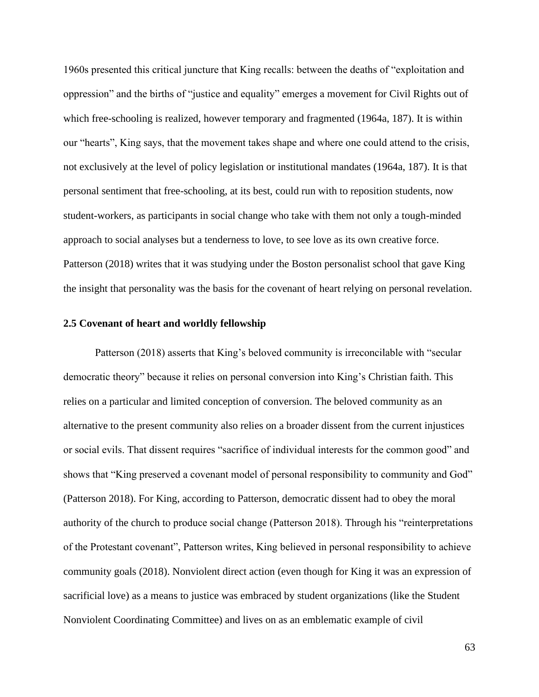1960s presented this critical juncture that King recalls: between the deaths of "exploitation and oppression" and the births of "justice and equality" emerges a movement for Civil Rights out of which free-schooling is realized, however temporary and fragmented (1964a, 187). It is within our "hearts", King says, that the movement takes shape and where one could attend to the crisis, not exclusively at the level of policy legislation or institutional mandates (1964a, 187). It is that personal sentiment that free-schooling, at its best, could run with to reposition students, now student-workers, as participants in social change who take with them not only a tough-minded approach to social analyses but a tenderness to love, to see love as its own creative force. Patterson (2018) writes that it was studying under the Boston personalist school that gave King the insight that personality was the basis for the covenant of heart relying on personal revelation.

#### **2.5 Covenant of heart and worldly fellowship**

Patterson (2018) asserts that King's beloved community is irreconcilable with "secular democratic theory" because it relies on personal conversion into King's Christian faith. This relies on a particular and limited conception of conversion. The beloved community as an alternative to the present community also relies on a broader dissent from the current injustices or social evils. That dissent requires "sacrifice of individual interests for the common good" and shows that "King preserved a covenant model of personal responsibility to community and God" (Patterson 2018). For King, according to Patterson, democratic dissent had to obey the moral authority of the church to produce social change (Patterson 2018). Through his "reinterpretations of the Protestant covenant", Patterson writes, King believed in personal responsibility to achieve community goals (2018). Nonviolent direct action (even though for King it was an expression of sacrificial love) as a means to justice was embraced by student organizations (like the Student Nonviolent Coordinating Committee) and lives on as an emblematic example of civil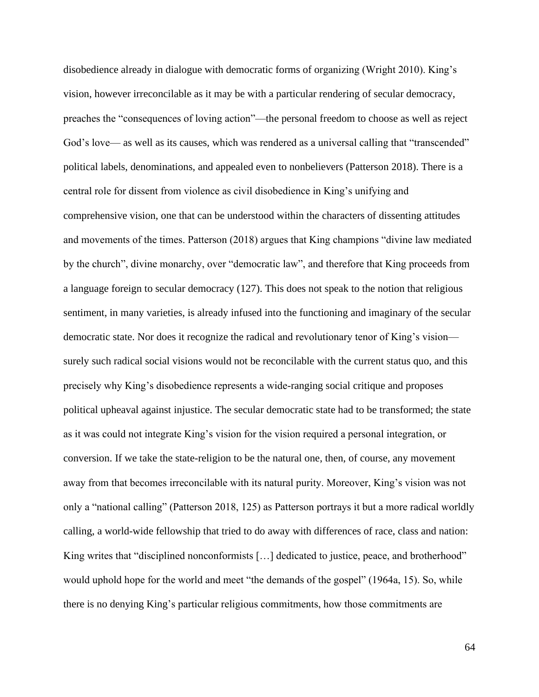disobedience already in dialogue with democratic forms of organizing (Wright 2010). King's vision, however irreconcilable as it may be with a particular rendering of secular democracy, preaches the "consequences of loving action"—the personal freedom to choose as well as reject God's love— as well as its causes, which was rendered as a universal calling that "transcended" political labels, denominations, and appealed even to nonbelievers (Patterson 2018). There is a central role for dissent from violence as civil disobedience in King's unifying and comprehensive vision, one that can be understood within the characters of dissenting attitudes and movements of the times. Patterson (2018) argues that King champions "divine law mediated by the church", divine monarchy, over "democratic law", and therefore that King proceeds from a language foreign to secular democracy (127). This does not speak to the notion that religious sentiment, in many varieties, is already infused into the functioning and imaginary of the secular democratic state. Nor does it recognize the radical and revolutionary tenor of King's vision surely such radical social visions would not be reconcilable with the current status quo, and this precisely why King's disobedience represents a wide-ranging social critique and proposes political upheaval against injustice. The secular democratic state had to be transformed; the state as it was could not integrate King's vision for the vision required a personal integration, or conversion. If we take the state-religion to be the natural one, then, of course, any movement away from that becomes irreconcilable with its natural purity. Moreover, King's vision was not only a "national calling" (Patterson 2018, 125) as Patterson portrays it but a more radical worldly calling, a world-wide fellowship that tried to do away with differences of race, class and nation: King writes that "disciplined nonconformists [...] dedicated to justice, peace, and brotherhood" would uphold hope for the world and meet "the demands of the gospel" (1964a, 15). So, while there is no denying King's particular religious commitments, how those commitments are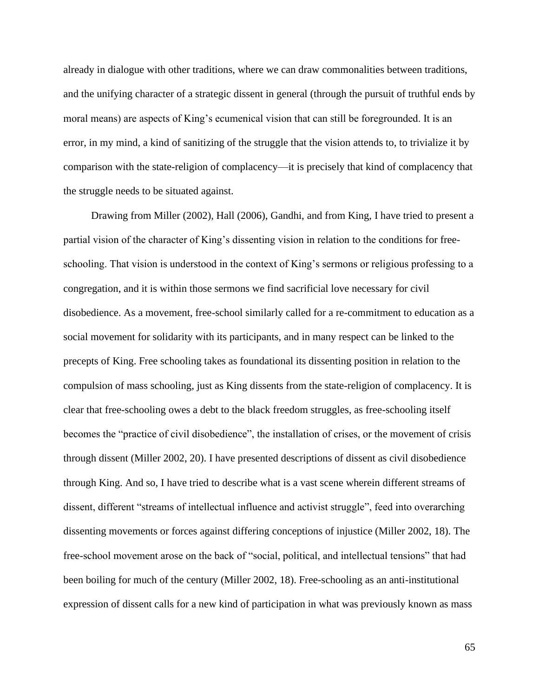already in dialogue with other traditions, where we can draw commonalities between traditions, and the unifying character of a strategic dissent in general (through the pursuit of truthful ends by moral means) are aspects of King's ecumenical vision that can still be foregrounded. It is an error, in my mind, a kind of sanitizing of the struggle that the vision attends to, to trivialize it by comparison with the state-religion of complacency—it is precisely that kind of complacency that the struggle needs to be situated against.

Drawing from Miller (2002), Hall (2006), Gandhi, and from King, I have tried to present a partial vision of the character of King's dissenting vision in relation to the conditions for freeschooling. That vision is understood in the context of King's sermons or religious professing to a congregation, and it is within those sermons we find sacrificial love necessary for civil disobedience. As a movement, free-school similarly called for a re-commitment to education as a social movement for solidarity with its participants, and in many respect can be linked to the precepts of King. Free schooling takes as foundational its dissenting position in relation to the compulsion of mass schooling, just as King dissents from the state-religion of complacency. It is clear that free-schooling owes a debt to the black freedom struggles, as free-schooling itself becomes the "practice of civil disobedience", the installation of crises, or the movement of crisis through dissent (Miller 2002, 20). I have presented descriptions of dissent as civil disobedience through King. And so, I have tried to describe what is a vast scene wherein different streams of dissent, different "streams of intellectual influence and activist struggle", feed into overarching dissenting movements or forces against differing conceptions of injustice (Miller 2002, 18). The free-school movement arose on the back of "social, political, and intellectual tensions" that had been boiling for much of the century (Miller 2002, 18). Free-schooling as an anti-institutional expression of dissent calls for a new kind of participation in what was previously known as mass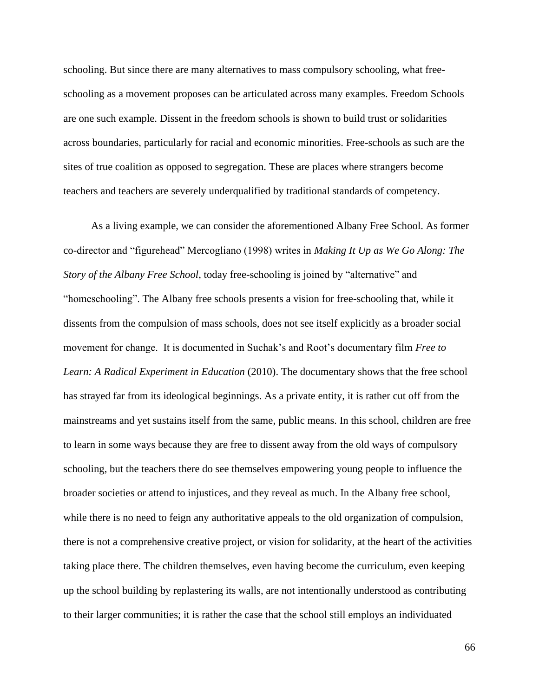schooling. But since there are many alternatives to mass compulsory schooling, what freeschooling as a movement proposes can be articulated across many examples. Freedom Schools are one such example. Dissent in the freedom schools is shown to build trust or solidarities across boundaries, particularly for racial and economic minorities. Free-schools as such are the sites of true coalition as opposed to segregation. These are places where strangers become teachers and teachers are severely underqualified by traditional standards of competency.

As a living example, we can consider the aforementioned Albany Free School. As former co-director and "figurehead" Mercogliano (1998) writes in *Making It Up as We Go Along: The Story of the Albany Free School*, today free-schooling is joined by "alternative" and "homeschooling". The Albany free schools presents a vision for free-schooling that, while it dissents from the compulsion of mass schools, does not see itself explicitly as a broader social movement for change. It is documented in Suchak's and Root's documentary film *Free to Learn: A Radical Experiment in Education* (2010). The documentary shows that the free school has strayed far from its ideological beginnings. As a private entity, it is rather cut off from the mainstreams and yet sustains itself from the same, public means. In this school, children are free to learn in some ways because they are free to dissent away from the old ways of compulsory schooling, but the teachers there do see themselves empowering young people to influence the broader societies or attend to injustices, and they reveal as much. In the Albany free school, while there is no need to feign any authoritative appeals to the old organization of compulsion, there is not a comprehensive creative project, or vision for solidarity, at the heart of the activities taking place there. The children themselves, even having become the curriculum, even keeping up the school building by replastering its walls, are not intentionally understood as contributing to their larger communities; it is rather the case that the school still employs an individuated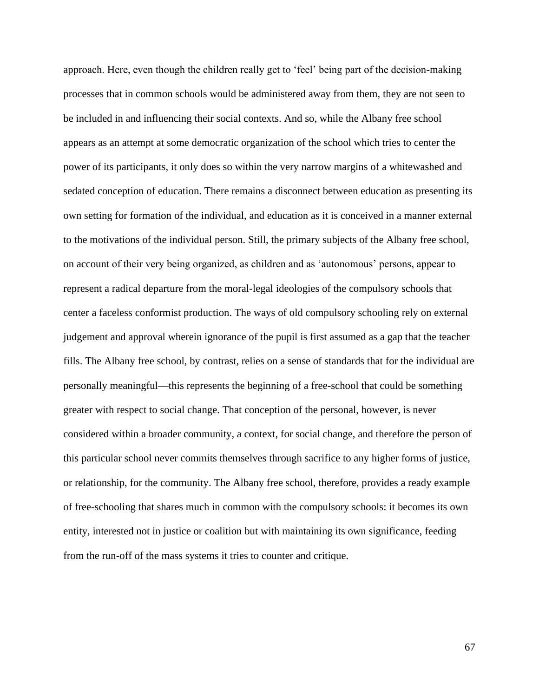approach. Here, even though the children really get to 'feel' being part of the decision-making processes that in common schools would be administered away from them, they are not seen to be included in and influencing their social contexts. And so, while the Albany free school appears as an attempt at some democratic organization of the school which tries to center the power of its participants, it only does so within the very narrow margins of a whitewashed and sedated conception of education. There remains a disconnect between education as presenting its own setting for formation of the individual, and education as it is conceived in a manner external to the motivations of the individual person. Still, the primary subjects of the Albany free school, on account of their very being organized, as children and as 'autonomous' persons, appear to represent a radical departure from the moral-legal ideologies of the compulsory schools that center a faceless conformist production. The ways of old compulsory schooling rely on external judgement and approval wherein ignorance of the pupil is first assumed as a gap that the teacher fills. The Albany free school, by contrast, relies on a sense of standards that for the individual are personally meaningful—this represents the beginning of a free-school that could be something greater with respect to social change. That conception of the personal, however, is never considered within a broader community, a context, for social change, and therefore the person of this particular school never commits themselves through sacrifice to any higher forms of justice, or relationship, for the community. The Albany free school, therefore, provides a ready example of free-schooling that shares much in common with the compulsory schools: it becomes its own entity, interested not in justice or coalition but with maintaining its own significance, feeding from the run-off of the mass systems it tries to counter and critique.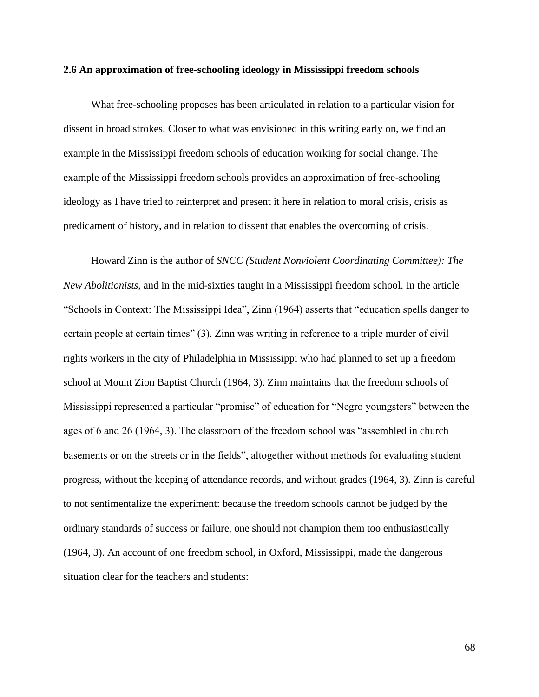#### **2.6 An approximation of free-schooling ideology in Mississippi freedom schools**

What free-schooling proposes has been articulated in relation to a particular vision for dissent in broad strokes. Closer to what was envisioned in this writing early on, we find an example in the Mississippi freedom schools of education working for social change. The example of the Mississippi freedom schools provides an approximation of free-schooling ideology as I have tried to reinterpret and present it here in relation to moral crisis, crisis as predicament of history, and in relation to dissent that enables the overcoming of crisis.

Howard Zinn is the author of *SNCC (Student Nonviolent Coordinating Committee): The New Abolitionists*, and in the mid-sixties taught in a Mississippi freedom school. In the article "Schools in Context: The Mississippi Idea", Zinn (1964) asserts that "education spells danger to certain people at certain times" (3). Zinn was writing in reference to a triple murder of civil rights workers in the city of Philadelphia in Mississippi who had planned to set up a freedom school at Mount Zion Baptist Church (1964, 3). Zinn maintains that the freedom schools of Mississippi represented a particular "promise" of education for "Negro youngsters" between the ages of 6 and 26 (1964, 3). The classroom of the freedom school was "assembled in church basements or on the streets or in the fields", altogether without methods for evaluating student progress, without the keeping of attendance records, and without grades (1964, 3). Zinn is careful to not sentimentalize the experiment: because the freedom schools cannot be judged by the ordinary standards of success or failure, one should not champion them too enthusiastically (1964, 3). An account of one freedom school, in Oxford, Mississippi, made the dangerous situation clear for the teachers and students: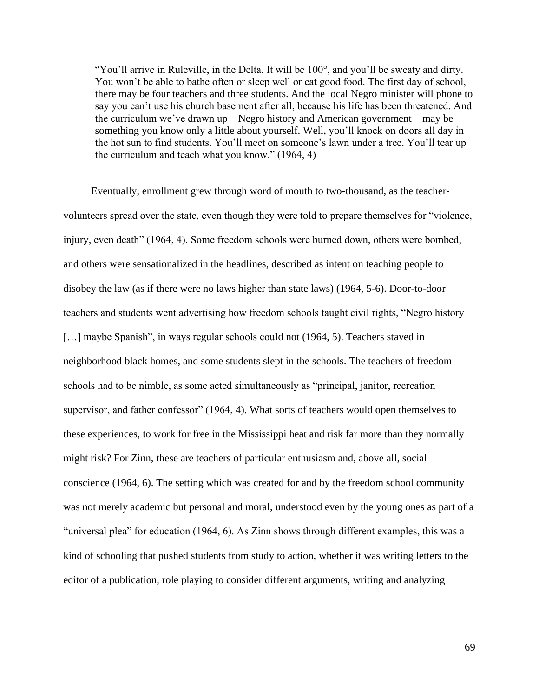"You'll arrive in Ruleville, in the Delta. It will be 100°, and you'll be sweaty and dirty. You won't be able to bathe often or sleep well or eat good food. The first day of school, there may be four teachers and three students. And the local Negro minister will phone to say you can't use his church basement after all, because his life has been threatened. And the curriculum we've drawn up—Negro history and American government—may be something you know only a little about yourself. Well, you'll knock on doors all day in the hot sun to find students. You'll meet on someone's lawn under a tree. You'll tear up the curriculum and teach what you know." (1964, 4)

Eventually, enrollment grew through word of mouth to two-thousand, as the teachervolunteers spread over the state, even though they were told to prepare themselves for "violence, injury, even death" (1964, 4). Some freedom schools were burned down, others were bombed, and others were sensationalized in the headlines, described as intent on teaching people to disobey the law (as if there were no laws higher than state laws) (1964, 5-6). Door-to-door teachers and students went advertising how freedom schools taught civil rights, "Negro history [...] maybe Spanish", in ways regular schools could not (1964, 5). Teachers stayed in neighborhood black homes, and some students slept in the schools. The teachers of freedom schools had to be nimble, as some acted simultaneously as "principal, janitor, recreation supervisor, and father confessor" (1964, 4). What sorts of teachers would open themselves to these experiences, to work for free in the Mississippi heat and risk far more than they normally might risk? For Zinn, these are teachers of particular enthusiasm and, above all, social conscience (1964, 6). The setting which was created for and by the freedom school community was not merely academic but personal and moral, understood even by the young ones as part of a "universal plea" for education (1964, 6). As Zinn shows through different examples, this was a kind of schooling that pushed students from study to action, whether it was writing letters to the editor of a publication, role playing to consider different arguments, writing and analyzing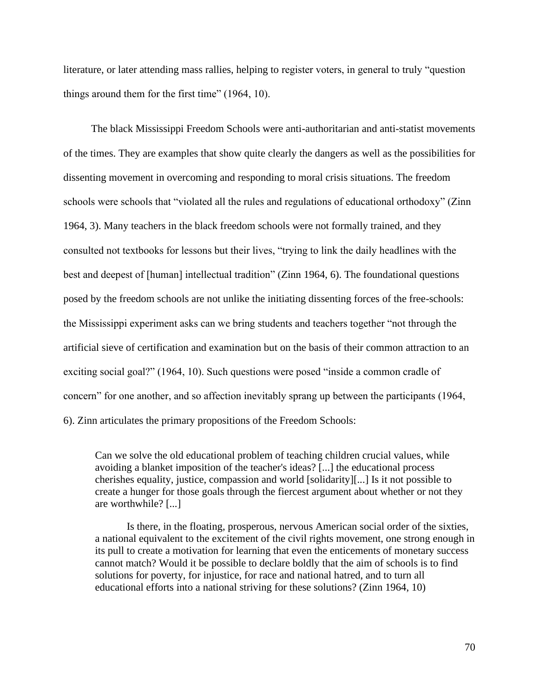literature, or later attending mass rallies, helping to register voters, in general to truly "question things around them for the first time" (1964, 10).

The black Mississippi Freedom Schools were anti-authoritarian and anti-statist movements of the times. They are examples that show quite clearly the dangers as well as the possibilities for dissenting movement in overcoming and responding to moral crisis situations. The freedom schools were schools that "violated all the rules and regulations of educational orthodoxy" (Zinn 1964, 3). Many teachers in the black freedom schools were not formally trained, and they consulted not textbooks for lessons but their lives, "trying to link the daily headlines with the best and deepest of [human] intellectual tradition" (Zinn 1964, 6). The foundational questions posed by the freedom schools are not unlike the initiating dissenting forces of the free-schools: the Mississippi experiment asks can we bring students and teachers together "not through the artificial sieve of certification and examination but on the basis of their common attraction to an exciting social goal?" (1964, 10). Such questions were posed "inside a common cradle of concern" for one another, and so affection inevitably sprang up between the participants (1964, 6). Zinn articulates the primary propositions of the Freedom Schools:

Can we solve the old educational problem of teaching children crucial values, while avoiding a blanket imposition of the teacher's ideas? [...] the educational process cherishes equality, justice, compassion and world [solidarity][...] Is it not possible to create a hunger for those goals through the fiercest argument about whether or not they are worthwhile? [...]

Is there, in the floating, prosperous, nervous American social order of the sixties, a national equivalent to the excitement of the civil rights movement, one strong enough in its pull to create a motivation for learning that even the enticements of monetary success cannot match? Would it be possible to declare boldly that the aim of schools is to find solutions for poverty, for injustice, for race and national hatred, and to turn all educational efforts into a national striving for these solutions? (Zinn 1964, 10)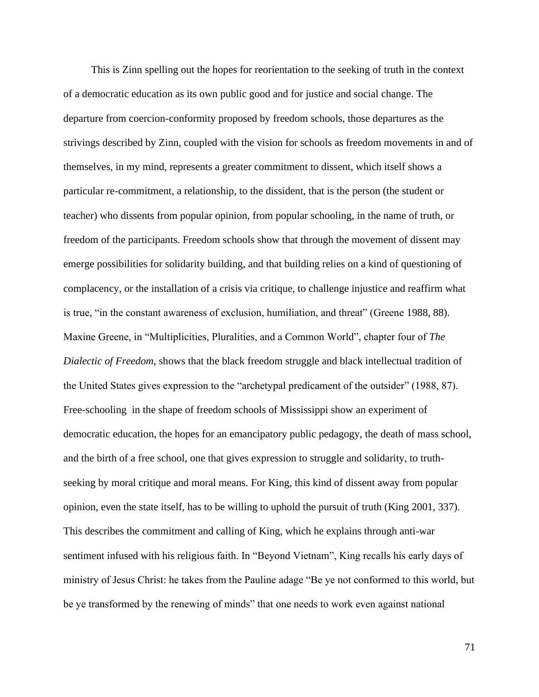This is Zinn spelling out the hopes for reorientation to the seeking of truth in the context of a democratic education as its own public good and for justice and social change. The departure from coercion-conformity proposed by freedom schools, those departures as the strivings described by Zinn, coupled with the vision for schools as freedom movements in and of themselves, in my mind, represents a greater commitment to dissent, which itself shows a particular re-commitment, a relationship, to the dissident, that is the person (the student or teacher) who dissents from popular opinion, from popular schooling, in the name of truth, or freedom of the participants. Freedom schools show that through the movement of dissent may emerge possibilities for solidarity building, and that building relies on a kind of questioning of complacency, or the installation of a crisis via critique, to challenge injustice and reaffirm what is true, "in the constant awareness of exclusion, humiliation, and threat" (Greene 1988, 88). Maxine Greene, in "Multiplicities, Pluralities, and a Common World", chapter four of *The Dialectic of Freedom*, shows that the black freedom struggle and black intellectual tradition of the United States gives expression to the "archetypal predicament of the outsider" (1988, 87). Free-schooling in the shape of freedom schools of Mississippi show an experiment of democratic education, the hopes for an emancipatory public pedagogy, the death of mass school, and the birth of a free school, one that gives expression to struggle and solidarity, to truthseeking by moral critique and moral means. For King, this kind of dissent away from popular opinion, even the state itself, has to be willing to uphold the pursuit of truth (King 2001, 337). This describes the commitment and calling of King, which he explains through anti-war sentiment infused with his religious faith. In "Beyond Vietnam", King recalls his early days of ministry of Jesus Christ: he takes from the Pauline adage "Be ye not conformed to this world, but be ye transformed by the renewing of minds" that one needs to work even against national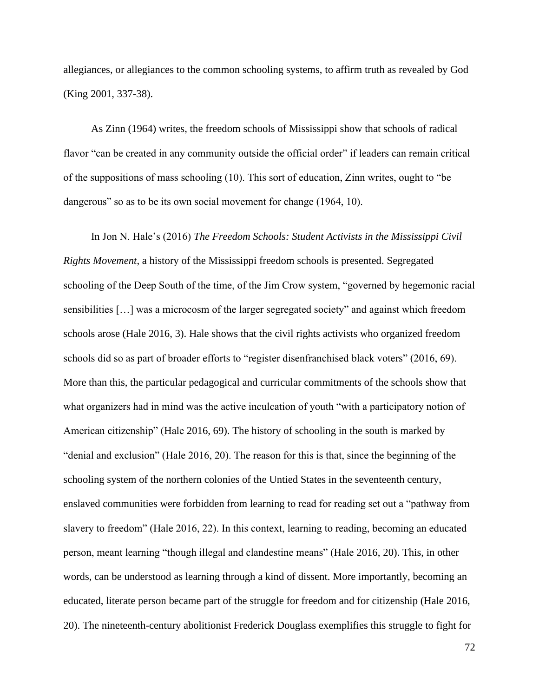allegiances, or allegiances to the common schooling systems, to affirm truth as revealed by God (King 2001, 337-38).

As Zinn (1964) writes, the freedom schools of Mississippi show that schools of radical flavor "can be created in any community outside the official order" if leaders can remain critical of the suppositions of mass schooling (10). This sort of education, Zinn writes, ought to "be dangerous" so as to be its own social movement for change (1964, 10).

In Jon N. Hale's (2016) *The Freedom Schools: Student Activists in the Mississippi Civil Rights Movement*, a history of the Mississippi freedom schools is presented. Segregated schooling of the Deep South of the time, of the Jim Crow system, "governed by hegemonic racial sensibilities […] was a microcosm of the larger segregated society" and against which freedom schools arose (Hale 2016, 3). Hale shows that the civil rights activists who organized freedom schools did so as part of broader efforts to "register disenfranchised black voters" (2016, 69). More than this, the particular pedagogical and curricular commitments of the schools show that what organizers had in mind was the active inculcation of youth "with a participatory notion of American citizenship" (Hale 2016, 69). The history of schooling in the south is marked by "denial and exclusion" (Hale 2016, 20). The reason for this is that, since the beginning of the schooling system of the northern colonies of the Untied States in the seventeenth century, enslaved communities were forbidden from learning to read for reading set out a "pathway from slavery to freedom" (Hale 2016, 22). In this context, learning to reading, becoming an educated person, meant learning "though illegal and clandestine means" (Hale 2016, 20). This, in other words, can be understood as learning through a kind of dissent. More importantly, becoming an educated, literate person became part of the struggle for freedom and for citizenship (Hale 2016, 20). The nineteenth-century abolitionist Frederick Douglass exemplifies this struggle to fight for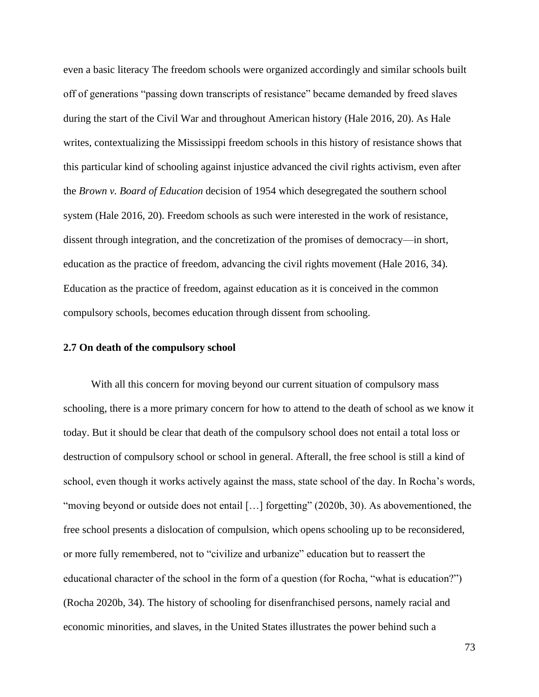even a basic literacy The freedom schools were organized accordingly and similar schools built off of generations "passing down transcripts of resistance" became demanded by freed slaves during the start of the Civil War and throughout American history (Hale 2016, 20). As Hale writes, contextualizing the Mississippi freedom schools in this history of resistance shows that this particular kind of schooling against injustice advanced the civil rights activism, even after the *Brown v. Board of Education* decision of 1954 which desegregated the southern school system (Hale 2016, 20). Freedom schools as such were interested in the work of resistance, dissent through integration, and the concretization of the promises of democracy—in short, education as the practice of freedom, advancing the civil rights movement (Hale 2016, 34). Education as the practice of freedom, against education as it is conceived in the common compulsory schools, becomes education through dissent from schooling.

# **2.7 On death of the compulsory school**

With all this concern for moving beyond our current situation of compulsory mass schooling, there is a more primary concern for how to attend to the death of school as we know it today. But it should be clear that death of the compulsory school does not entail a total loss or destruction of compulsory school or school in general. Afterall, the free school is still a kind of school, even though it works actively against the mass, state school of the day. In Rocha's words, "moving beyond or outside does not entail [...] forgetting" (2020b, 30). As abovementioned, the free school presents a dislocation of compulsion, which opens schooling up to be reconsidered, or more fully remembered, not to "civilize and urbanize" education but to reassert the educational character of the school in the form of a question (for Rocha, "what is education?") (Rocha 2020b, 34). The history of schooling for disenfranchised persons, namely racial and economic minorities, and slaves, in the United States illustrates the power behind such a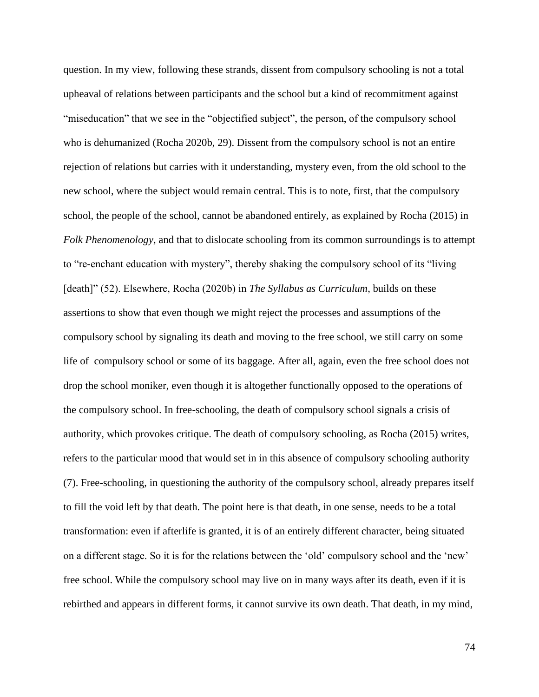question. In my view, following these strands, dissent from compulsory schooling is not a total upheaval of relations between participants and the school but a kind of recommitment against "miseducation" that we see in the "objectified subject", the person, of the compulsory school who is dehumanized (Rocha 2020b, 29). Dissent from the compulsory school is not an entire rejection of relations but carries with it understanding, mystery even, from the old school to the new school, where the subject would remain central. This is to note, first, that the compulsory school, the people of the school, cannot be abandoned entirely, as explained by Rocha (2015) in *Folk Phenomenology*, and that to dislocate schooling from its common surroundings is to attempt to "re-enchant education with mystery", thereby shaking the compulsory school of its "living [death]" (52). Elsewhere, Rocha (2020b) in *The Syllabus as Curriculum*, builds on these assertions to show that even though we might reject the processes and assumptions of the compulsory school by signaling its death and moving to the free school, we still carry on some life of compulsory school or some of its baggage. After all, again, even the free school does not drop the school moniker, even though it is altogether functionally opposed to the operations of the compulsory school. In free-schooling, the death of compulsory school signals a crisis of authority, which provokes critique. The death of compulsory schooling, as Rocha (2015) writes, refers to the particular mood that would set in in this absence of compulsory schooling authority (7). Free-schooling, in questioning the authority of the compulsory school, already prepares itself to fill the void left by that death. The point here is that death, in one sense, needs to be a total transformation: even if afterlife is granted, it is of an entirely different character, being situated on a different stage. So it is for the relations between the 'old' compulsory school and the 'new' free school. While the compulsory school may live on in many ways after its death, even if it is rebirthed and appears in different forms, it cannot survive its own death. That death, in my mind,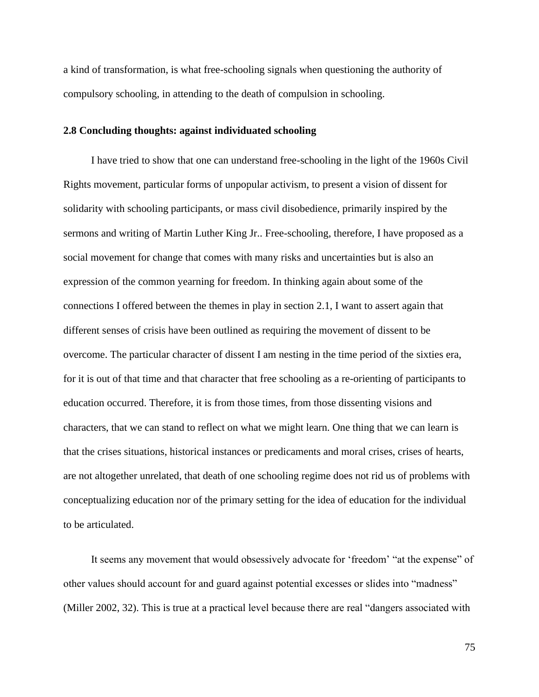a kind of transformation, is what free-schooling signals when questioning the authority of compulsory schooling, in attending to the death of compulsion in schooling.

## **2.8 Concluding thoughts: against individuated schooling**

I have tried to show that one can understand free-schooling in the light of the 1960s Civil Rights movement, particular forms of unpopular activism, to present a vision of dissent for solidarity with schooling participants, or mass civil disobedience, primarily inspired by the sermons and writing of Martin Luther King Jr.. Free-schooling, therefore, I have proposed as a social movement for change that comes with many risks and uncertainties but is also an expression of the common yearning for freedom. In thinking again about some of the connections I offered between the themes in play in section 2.1, I want to assert again that different senses of crisis have been outlined as requiring the movement of dissent to be overcome. The particular character of dissent I am nesting in the time period of the sixties era, for it is out of that time and that character that free schooling as a re-orienting of participants to education occurred. Therefore, it is from those times, from those dissenting visions and characters, that we can stand to reflect on what we might learn. One thing that we can learn is that the crises situations, historical instances or predicaments and moral crises, crises of hearts, are not altogether unrelated, that death of one schooling regime does not rid us of problems with conceptualizing education nor of the primary setting for the idea of education for the individual to be articulated.

It seems any movement that would obsessively advocate for 'freedom' "at the expense" of other values should account for and guard against potential excesses or slides into "madness" (Miller 2002, 32). This is true at a practical level because there are real "dangers associated with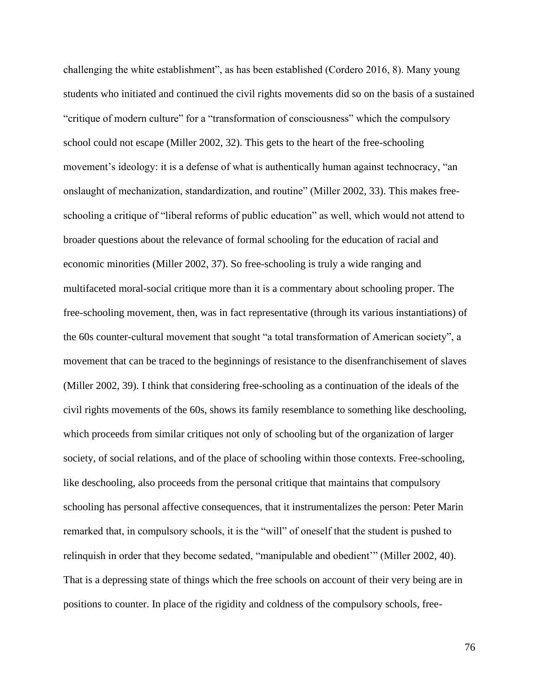challenging the white establishment", as has been established (Cordero 2016, 8). Many young students who initiated and continued the civil rights movements did so on the basis of a sustained "critique of modern culture" for a "transformation of consciousness" which the compulsory school could not escape (Miller 2002, 32). This gets to the heart of the free-schooling movement's ideology: it is a defense of what is authentically human against technocracy, "an onslaught of mechanization, standardization, and routine" (Miller 2002, 33). This makes freeschooling a critique of "liberal reforms of public education" as well, which would not attend to broader questions about the relevance of formal schooling for the education of racial and economic minorities (Miller 2002, 37). So free-schooling is truly a wide ranging and multifaceted moral-social critique more than it is a commentary about schooling proper. The free-schooling movement, then, was in fact representative (through its various instantiations) of the 60s counter-cultural movement that sought "a total transformation of American society", a movement that can be traced to the beginnings of resistance to the disenfranchisement of slaves (Miller 2002, 39). I think that considering free-schooling as a continuation of the ideals of the civil rights movements of the 60s, shows its family resemblance to something like deschooling, which proceeds from similar critiques not only of schooling but of the organization of larger society, of social relations, and of the place of schooling within those contexts. Free-schooling, like deschooling, also proceeds from the personal critique that maintains that compulsory schooling has personal affective consequences, that it instrumentalizes the person: Peter Marin remarked that, in compulsory schools, it is the "will" of oneself that the student is pushed to relinquish in order that they become sedated, "manipulable and obedient'" (Miller 2002, 40). That is a depressing state of things which the free schools on account of their very being are in positions to counter. In place of the rigidity and coldness of the compulsory schools, free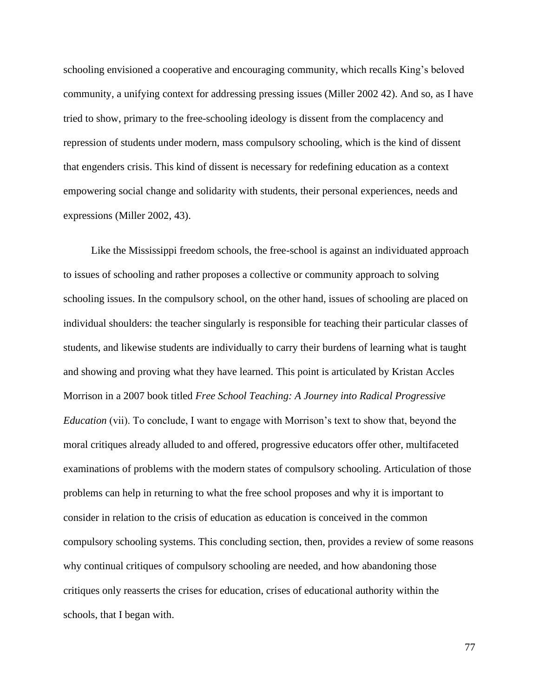schooling envisioned a cooperative and encouraging community, which recalls King's beloved community, a unifying context for addressing pressing issues (Miller 2002 42). And so, as I have tried to show, primary to the free-schooling ideology is dissent from the complacency and repression of students under modern, mass compulsory schooling, which is the kind of dissent that engenders crisis. This kind of dissent is necessary for redefining education as a context empowering social change and solidarity with students, their personal experiences, needs and expressions (Miller 2002, 43).

Like the Mississippi freedom schools, the free-school is against an individuated approach to issues of schooling and rather proposes a collective or community approach to solving schooling issues. In the compulsory school, on the other hand, issues of schooling are placed on individual shoulders: the teacher singularly is responsible for teaching their particular classes of students, and likewise students are individually to carry their burdens of learning what is taught and showing and proving what they have learned. This point is articulated by Kristan Accles Morrison in a 2007 book titled *Free School Teaching: A Journey into Radical Progressive Education* (vii). To conclude, I want to engage with Morrison's text to show that, beyond the moral critiques already alluded to and offered, progressive educators offer other, multifaceted examinations of problems with the modern states of compulsory schooling. Articulation of those problems can help in returning to what the free school proposes and why it is important to consider in relation to the crisis of education as education is conceived in the common compulsory schooling systems. This concluding section, then, provides a review of some reasons why continual critiques of compulsory schooling are needed, and how abandoning those critiques only reasserts the crises for education, crises of educational authority within the schools, that I began with.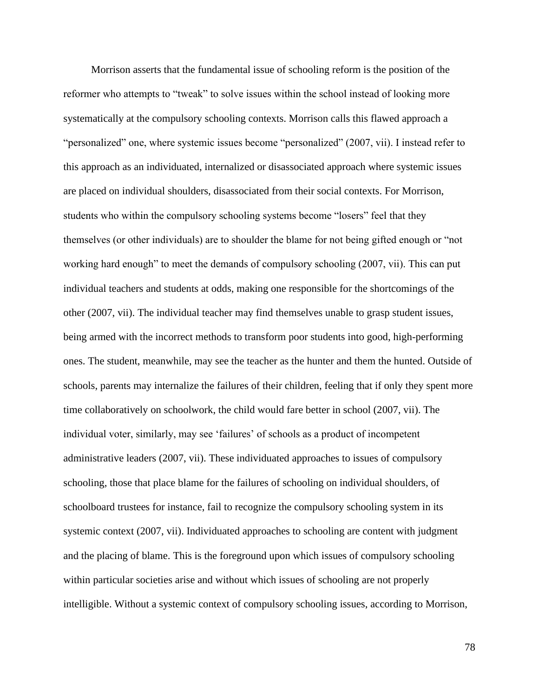Morrison asserts that the fundamental issue of schooling reform is the position of the reformer who attempts to "tweak" to solve issues within the school instead of looking more systematically at the compulsory schooling contexts. Morrison calls this flawed approach a "personalized" one, where systemic issues become "personalized" (2007, vii). I instead refer to this approach as an individuated, internalized or disassociated approach where systemic issues are placed on individual shoulders, disassociated from their social contexts. For Morrison, students who within the compulsory schooling systems become "losers" feel that they themselves (or other individuals) are to shoulder the blame for not being gifted enough or "not working hard enough" to meet the demands of compulsory schooling (2007, vii). This can put individual teachers and students at odds, making one responsible for the shortcomings of the other (2007, vii). The individual teacher may find themselves unable to grasp student issues, being armed with the incorrect methods to transform poor students into good, high-performing ones. The student, meanwhile, may see the teacher as the hunter and them the hunted. Outside of schools, parents may internalize the failures of their children, feeling that if only they spent more time collaboratively on schoolwork, the child would fare better in school (2007, vii). The individual voter, similarly, may see 'failures' of schools as a product of incompetent administrative leaders (2007, vii). These individuated approaches to issues of compulsory schooling, those that place blame for the failures of schooling on individual shoulders, of schoolboard trustees for instance, fail to recognize the compulsory schooling system in its systemic context (2007, vii). Individuated approaches to schooling are content with judgment and the placing of blame. This is the foreground upon which issues of compulsory schooling within particular societies arise and without which issues of schooling are not properly intelligible. Without a systemic context of compulsory schooling issues, according to Morrison,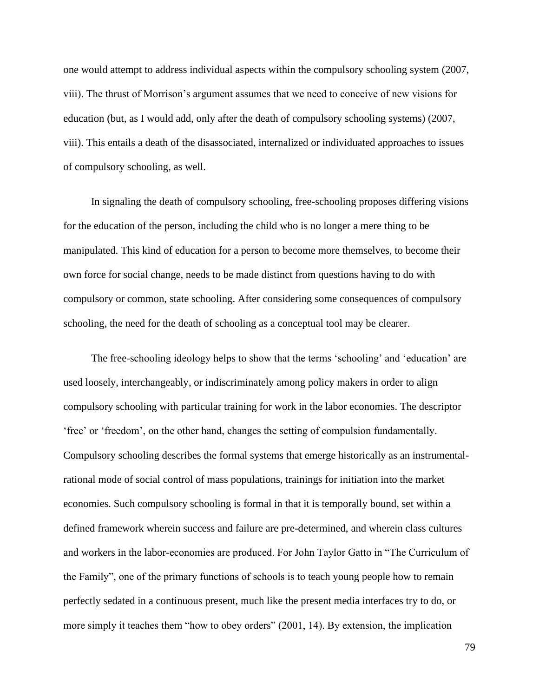one would attempt to address individual aspects within the compulsory schooling system (2007, viii). The thrust of Morrison's argument assumes that we need to conceive of new visions for education (but, as I would add, only after the death of compulsory schooling systems) (2007, viii). This entails a death of the disassociated, internalized or individuated approaches to issues of compulsory schooling, as well.

In signaling the death of compulsory schooling, free-schooling proposes differing visions for the education of the person, including the child who is no longer a mere thing to be manipulated. This kind of education for a person to become more themselves, to become their own force for social change, needs to be made distinct from questions having to do with compulsory or common, state schooling. After considering some consequences of compulsory schooling, the need for the death of schooling as a conceptual tool may be clearer.

The free-schooling ideology helps to show that the terms 'schooling' and 'education' are used loosely, interchangeably, or indiscriminately among policy makers in order to align compulsory schooling with particular training for work in the labor economies. The descriptor 'free' or 'freedom', on the other hand, changes the setting of compulsion fundamentally. Compulsory schooling describes the formal systems that emerge historically as an instrumentalrational mode of social control of mass populations, trainings for initiation into the market economies. Such compulsory schooling is formal in that it is temporally bound, set within a defined framework wherein success and failure are pre-determined, and wherein class cultures and workers in the labor-economies are produced. For John Taylor Gatto in "The Curriculum of the Family", one of the primary functions of schools is to teach young people how to remain perfectly sedated in a continuous present, much like the present media interfaces try to do, or more simply it teaches them "how to obey orders" (2001, 14). By extension, the implication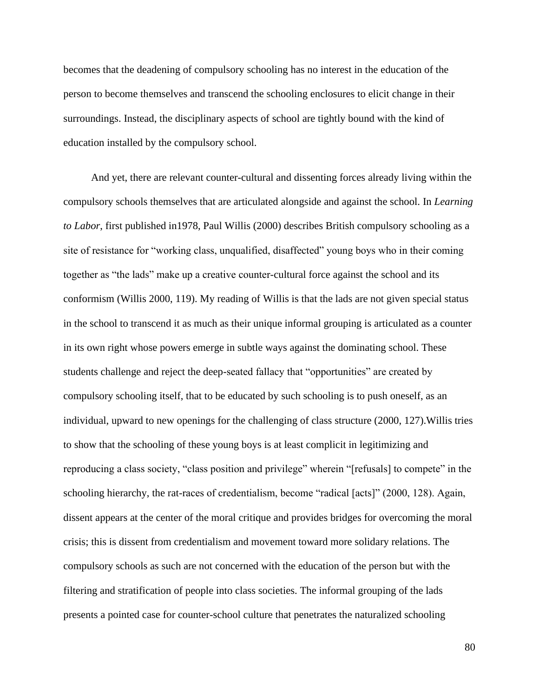becomes that the deadening of compulsory schooling has no interest in the education of the person to become themselves and transcend the schooling enclosures to elicit change in their surroundings. Instead, the disciplinary aspects of school are tightly bound with the kind of education installed by the compulsory school.

And yet, there are relevant counter-cultural and dissenting forces already living within the compulsory schools themselves that are articulated alongside and against the school. In *Learning to Labor*, first published in1978, Paul Willis (2000) describes British compulsory schooling as a site of resistance for "working class, unqualified, disaffected" young boys who in their coming together as "the lads" make up a creative counter-cultural force against the school and its conformism (Willis 2000, 119). My reading of Willis is that the lads are not given special status in the school to transcend it as much as their unique informal grouping is articulated as a counter in its own right whose powers emerge in subtle ways against the dominating school. These students challenge and reject the deep-seated fallacy that "opportunities" are created by compulsory schooling itself, that to be educated by such schooling is to push oneself, as an individual, upward to new openings for the challenging of class structure (2000, 127).Willis tries to show that the schooling of these young boys is at least complicit in legitimizing and reproducing a class society, "class position and privilege" wherein "[refusals] to compete" in the schooling hierarchy, the rat-races of credentialism, become "radical [acts]" (2000, 128). Again, dissent appears at the center of the moral critique and provides bridges for overcoming the moral crisis; this is dissent from credentialism and movement toward more solidary relations. The compulsory schools as such are not concerned with the education of the person but with the filtering and stratification of people into class societies. The informal grouping of the lads presents a pointed case for counter-school culture that penetrates the naturalized schooling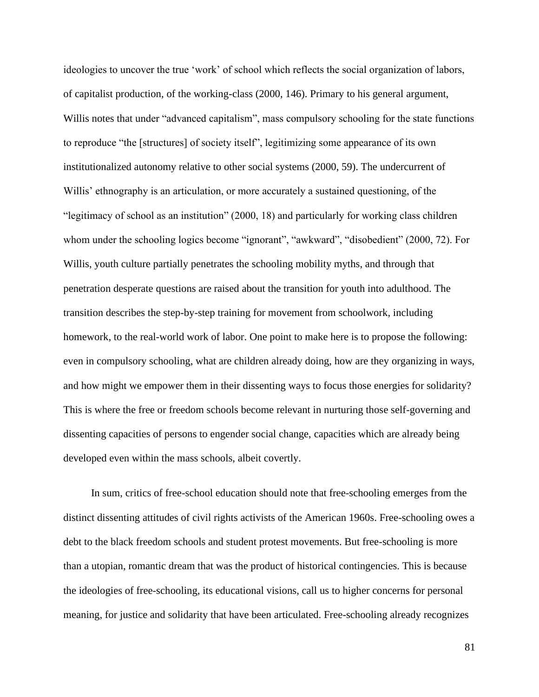ideologies to uncover the true 'work' of school which reflects the social organization of labors, of capitalist production, of the working-class (2000, 146). Primary to his general argument, Willis notes that under "advanced capitalism", mass compulsory schooling for the state functions to reproduce "the [structures] of society itself", legitimizing some appearance of its own institutionalized autonomy relative to other social systems (2000, 59). The undercurrent of Willis' ethnography is an articulation, or more accurately a sustained questioning, of the "legitimacy of school as an institution" (2000, 18) and particularly for working class children whom under the schooling logics become "ignorant", "awkward", "disobedient" (2000, 72). For Willis, youth culture partially penetrates the schooling mobility myths, and through that penetration desperate questions are raised about the transition for youth into adulthood. The transition describes the step-by-step training for movement from schoolwork, including homework, to the real-world work of labor. One point to make here is to propose the following: even in compulsory schooling, what are children already doing, how are they organizing in ways, and how might we empower them in their dissenting ways to focus those energies for solidarity? This is where the free or freedom schools become relevant in nurturing those self-governing and dissenting capacities of persons to engender social change, capacities which are already being developed even within the mass schools, albeit covertly.

In sum, critics of free-school education should note that free-schooling emerges from the distinct dissenting attitudes of civil rights activists of the American 1960s. Free-schooling owes a debt to the black freedom schools and student protest movements. But free-schooling is more than a utopian, romantic dream that was the product of historical contingencies. This is because the ideologies of free-schooling, its educational visions, call us to higher concerns for personal meaning, for justice and solidarity that have been articulated. Free-schooling already recognizes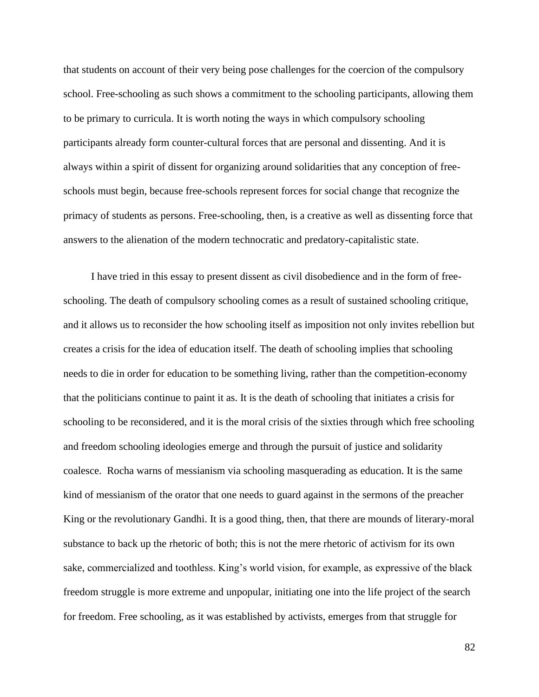that students on account of their very being pose challenges for the coercion of the compulsory school. Free-schooling as such shows a commitment to the schooling participants, allowing them to be primary to curricula. It is worth noting the ways in which compulsory schooling participants already form counter-cultural forces that are personal and dissenting. And it is always within a spirit of dissent for organizing around solidarities that any conception of freeschools must begin, because free-schools represent forces for social change that recognize the primacy of students as persons. Free-schooling, then, is a creative as well as dissenting force that answers to the alienation of the modern technocratic and predatory-capitalistic state.

I have tried in this essay to present dissent as civil disobedience and in the form of freeschooling. The death of compulsory schooling comes as a result of sustained schooling critique, and it allows us to reconsider the how schooling itself as imposition not only invites rebellion but creates a crisis for the idea of education itself. The death of schooling implies that schooling needs to die in order for education to be something living, rather than the competition-economy that the politicians continue to paint it as. It is the death of schooling that initiates a crisis for schooling to be reconsidered, and it is the moral crisis of the sixties through which free schooling and freedom schooling ideologies emerge and through the pursuit of justice and solidarity coalesce. Rocha warns of messianism via schooling masquerading as education. It is the same kind of messianism of the orator that one needs to guard against in the sermons of the preacher King or the revolutionary Gandhi. It is a good thing, then, that there are mounds of literary-moral substance to back up the rhetoric of both; this is not the mere rhetoric of activism for its own sake, commercialized and toothless. King's world vision, for example, as expressive of the black freedom struggle is more extreme and unpopular, initiating one into the life project of the search for freedom. Free schooling, as it was established by activists, emerges from that struggle for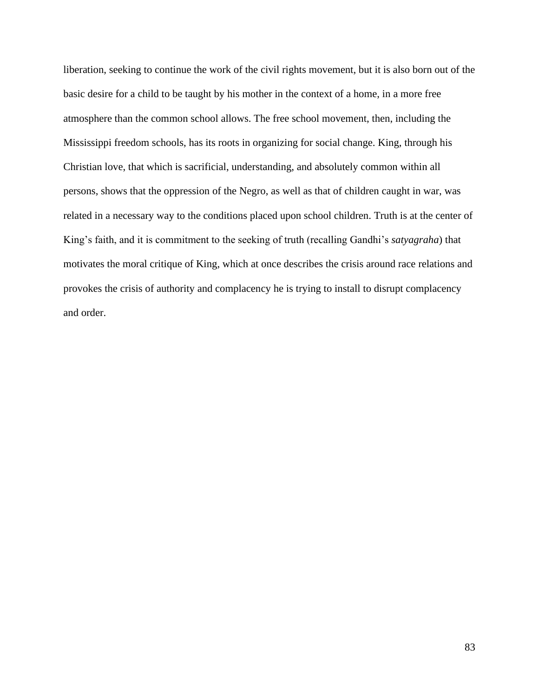liberation, seeking to continue the work of the civil rights movement, but it is also born out of the basic desire for a child to be taught by his mother in the context of a home, in a more free atmosphere than the common school allows. The free school movement, then, including the Mississippi freedom schools, has its roots in organizing for social change. King, through his Christian love, that which is sacrificial, understanding, and absolutely common within all persons, shows that the oppression of the Negro, as well as that of children caught in war, was related in a necessary way to the conditions placed upon school children. Truth is at the center of King's faith, and it is commitment to the seeking of truth (recalling Gandhi's *satyagraha*) that motivates the moral critique of King, which at once describes the crisis around race relations and provokes the crisis of authority and complacency he is trying to install to disrupt complacency and order.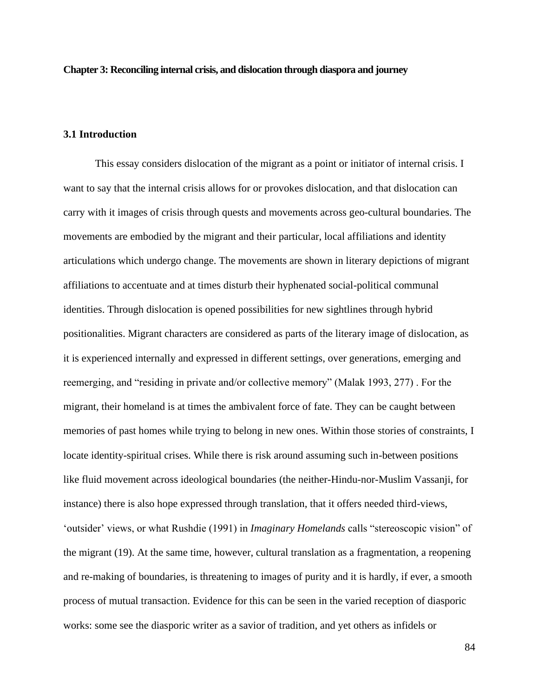**Chapter 3: Reconciling internal crisis, and dislocation through diaspora and journey**

### **3.1 Introduction**

This essay considers dislocation of the migrant as a point or initiator of internal crisis. I want to say that the internal crisis allows for or provokes dislocation, and that dislocation can carry with it images of crisis through quests and movements across geo-cultural boundaries. The movements are embodied by the migrant and their particular, local affiliations and identity articulations which undergo change. The movements are shown in literary depictions of migrant affiliations to accentuate and at times disturb their hyphenated social-political communal identities. Through dislocation is opened possibilities for new sightlines through hybrid positionalities. Migrant characters are considered as parts of the literary image of dislocation, as it is experienced internally and expressed in different settings, over generations, emerging and reemerging, and "residing in private and/or collective memory" (Malak 1993, 277) . For the migrant, their homeland is at times the ambivalent force of fate. They can be caught between memories of past homes while trying to belong in new ones. Within those stories of constraints, I locate identity-spiritual crises. While there is risk around assuming such in-between positions like fluid movement across ideological boundaries (the neither-Hindu-nor-Muslim Vassanji, for instance) there is also hope expressed through translation, that it offers needed third-views, 'outsider' views, or what Rushdie (1991) in *Imaginary Homelands* calls "stereoscopic vision" of the migrant (19). At the same time, however, cultural translation as a fragmentation, a reopening and re-making of boundaries, is threatening to images of purity and it is hardly, if ever, a smooth process of mutual transaction. Evidence for this can be seen in the varied reception of diasporic works: some see the diasporic writer as a savior of tradition, and yet others as infidels or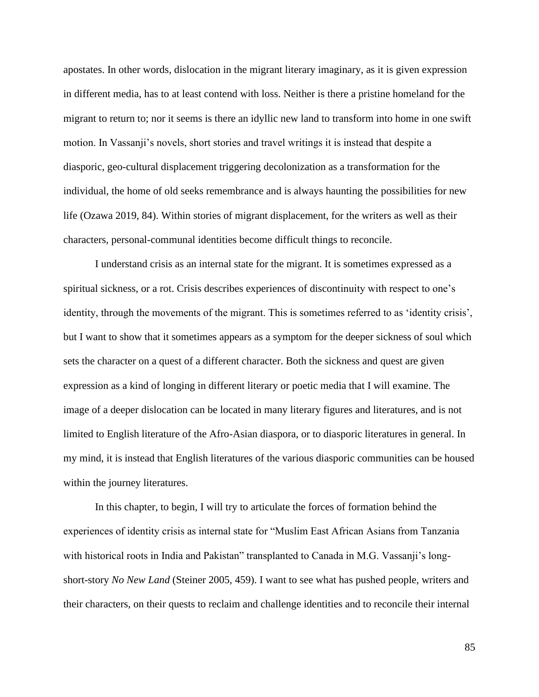apostates. In other words, dislocation in the migrant literary imaginary, as it is given expression in different media, has to at least contend with loss. Neither is there a pristine homeland for the migrant to return to; nor it seems is there an idyllic new land to transform into home in one swift motion. In Vassanji's novels, short stories and travel writings it is instead that despite a diasporic, geo-cultural displacement triggering decolonization as a transformation for the individual, the home of old seeks remembrance and is always haunting the possibilities for new life (Ozawa 2019, 84). Within stories of migrant displacement, for the writers as well as their characters, personal-communal identities become difficult things to reconcile.

I understand crisis as an internal state for the migrant. It is sometimes expressed as a spiritual sickness, or a rot. Crisis describes experiences of discontinuity with respect to one's identity, through the movements of the migrant. This is sometimes referred to as 'identity crisis', but I want to show that it sometimes appears as a symptom for the deeper sickness of soul which sets the character on a quest of a different character. Both the sickness and quest are given expression as a kind of longing in different literary or poetic media that I will examine. The image of a deeper dislocation can be located in many literary figures and literatures, and is not limited to English literature of the Afro-Asian diaspora, or to diasporic literatures in general. In my mind, it is instead that English literatures of the various diasporic communities can be housed within the journey literatures.

In this chapter, to begin, I will try to articulate the forces of formation behind the experiences of identity crisis as internal state for "Muslim East African Asians from Tanzania with historical roots in India and Pakistan" transplanted to Canada in M.G. Vassanji's longshort-story *No New Land* (Steiner 2005, 459). I want to see what has pushed people, writers and their characters, on their quests to reclaim and challenge identities and to reconcile their internal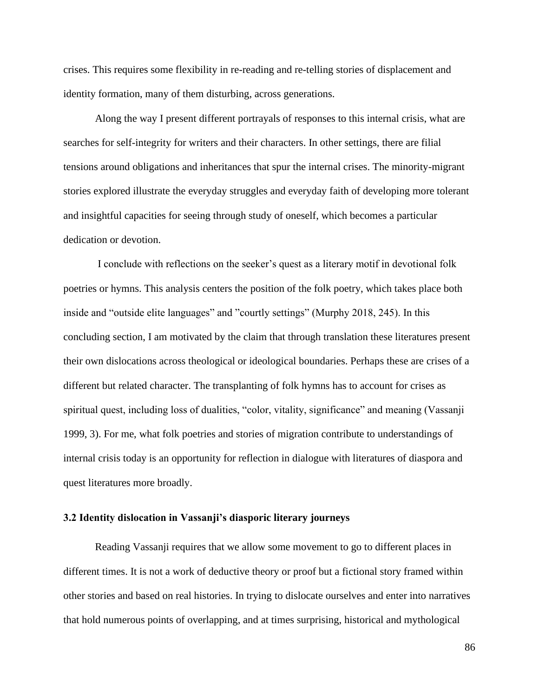crises. This requires some flexibility in re-reading and re-telling stories of displacement and identity formation, many of them disturbing, across generations.

Along the way I present different portrayals of responses to this internal crisis, what are searches for self-integrity for writers and their characters. In other settings, there are filial tensions around obligations and inheritances that spur the internal crises. The minority-migrant stories explored illustrate the everyday struggles and everyday faith of developing more tolerant and insightful capacities for seeing through study of oneself, which becomes a particular dedication or devotion.

I conclude with reflections on the seeker's quest as a literary motif in devotional folk poetries or hymns. This analysis centers the position of the folk poetry, which takes place both inside and "outside elite languages" and "courtly settings" (Murphy 2018, 245). In this concluding section, I am motivated by the claim that through translation these literatures present their own dislocations across theological or ideological boundaries. Perhaps these are crises of a different but related character. The transplanting of folk hymns has to account for crises as spiritual quest, including loss of dualities, "color, vitality, significance" and meaning (Vassanji 1999, 3). For me, what folk poetries and stories of migration contribute to understandings of internal crisis today is an opportunity for reflection in dialogue with literatures of diaspora and quest literatures more broadly.

## **3.2 Identity dislocation in Vassanji's diasporic literary journeys**

Reading Vassanji requires that we allow some movement to go to different places in different times. It is not a work of deductive theory or proof but a fictional story framed within other stories and based on real histories. In trying to dislocate ourselves and enter into narratives that hold numerous points of overlapping, and at times surprising, historical and mythological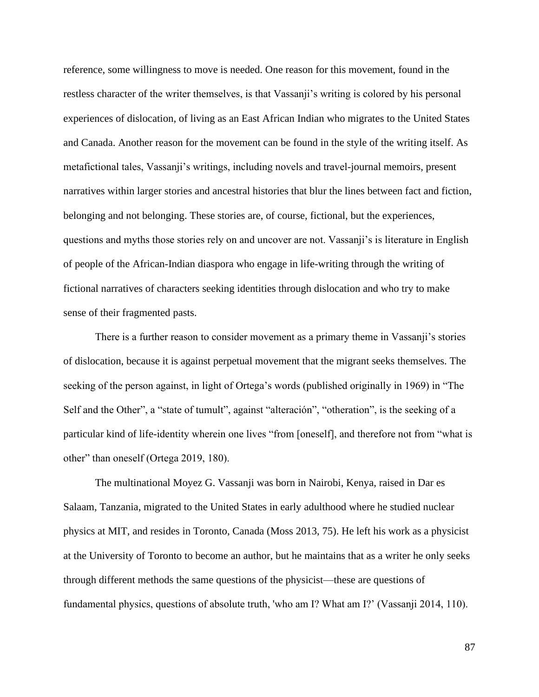reference, some willingness to move is needed. One reason for this movement, found in the restless character of the writer themselves, is that Vassanji's writing is colored by his personal experiences of dislocation, of living as an East African Indian who migrates to the United States and Canada. Another reason for the movement can be found in the style of the writing itself. As metafictional tales, Vassanji's writings, including novels and travel-journal memoirs, present narratives within larger stories and ancestral histories that blur the lines between fact and fiction, belonging and not belonging. These stories are, of course, fictional, but the experiences, questions and myths those stories rely on and uncover are not. Vassanji's is literature in English of people of the African-Indian diaspora who engage in life-writing through the writing of fictional narratives of characters seeking identities through dislocation and who try to make sense of their fragmented pasts.

There is a further reason to consider movement as a primary theme in Vassanji's stories of dislocation, because it is against perpetual movement that the migrant seeks themselves. The seeking of the person against, in light of Ortega's words (published originally in 1969) in "The Self and the Other", a "state of tumult", against "alteración", "otheration", is the seeking of a particular kind of life-identity wherein one lives "from [oneself], and therefore not from "what is other" than oneself (Ortega 2019, 180).

The multinational Moyez G. Vassanji was born in Nairobi, Kenya, raised in Dar es Salaam, Tanzania, migrated to the United States in early adulthood where he studied nuclear physics at MIT, and resides in Toronto, Canada (Moss 2013, 75). He left his work as a physicist at the University of Toronto to become an author, but he maintains that as a writer he only seeks through different methods the same questions of the physicist—these are questions of fundamental physics, questions of absolute truth, 'who am I? What am I?' (Vassanji 2014, 110).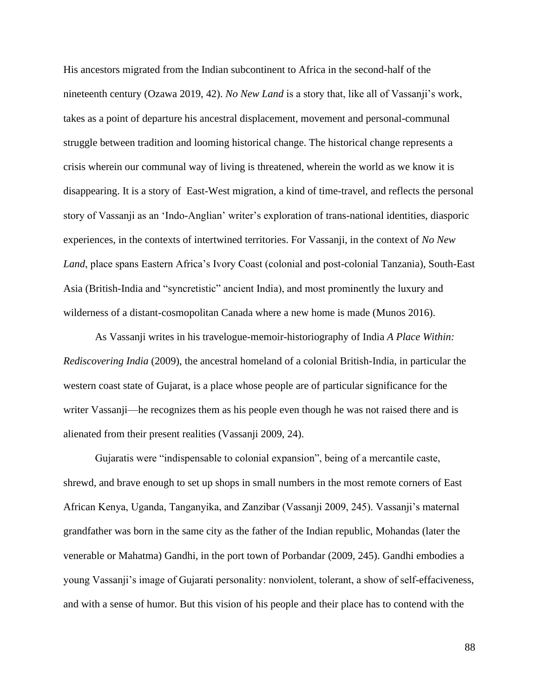His ancestors migrated from the Indian subcontinent to Africa in the second-half of the nineteenth century (Ozawa 2019, 42). *No New Land* is a story that, like all of Vassanji's work, takes as a point of departure his ancestral displacement, movement and personal-communal struggle between tradition and looming historical change. The historical change represents a crisis wherein our communal way of living is threatened, wherein the world as we know it is disappearing. It is a story of East-West migration, a kind of time-travel, and reflects the personal story of Vassanji as an 'Indo-Anglian' writer's exploration of trans-national identities, diasporic experiences, in the contexts of intertwined territories. For Vassanji, in the context of *No New Land*, place spans Eastern Africa's Ivory Coast (colonial and post-colonial Tanzania), South-East Asia (British-India and "syncretistic" ancient India), and most prominently the luxury and wilderness of a distant-cosmopolitan Canada where a new home is made (Munos 2016).

As Vassanji writes in his travelogue-memoir-historiography of India *A Place Within: Rediscovering India* (2009), the ancestral homeland of a colonial British-India, in particular the western coast state of Gujarat, is a place whose people are of particular significance for the writer Vassanji—he recognizes them as his people even though he was not raised there and is alienated from their present realities (Vassanji 2009, 24).

Gujaratis were "indispensable to colonial expansion", being of a mercantile caste, shrewd, and brave enough to set up shops in small numbers in the most remote corners of East African Kenya, Uganda, Tanganyika, and Zanzibar (Vassanji 2009, 245). Vassanji's maternal grandfather was born in the same city as the father of the Indian republic, Mohandas (later the venerable or Mahatma) Gandhi, in the port town of Porbandar (2009, 245). Gandhi embodies a young Vassanji's image of Gujarati personality: nonviolent, tolerant, a show of self-effaciveness, and with a sense of humor. But this vision of his people and their place has to contend with the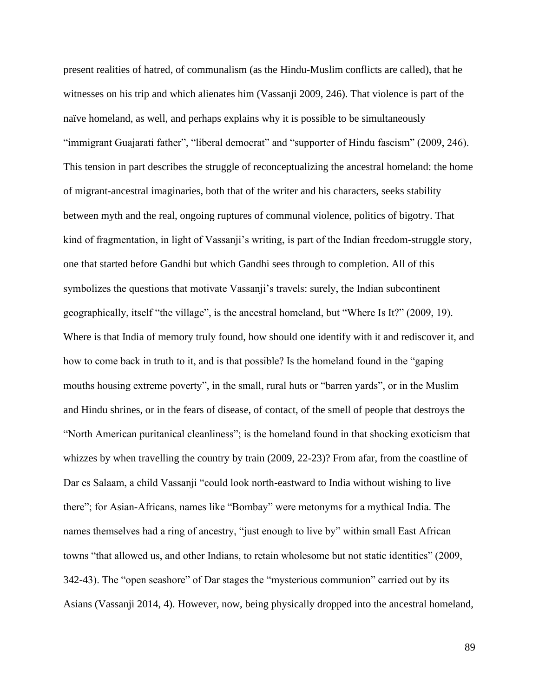present realities of hatred, of communalism (as the Hindu-Muslim conflicts are called), that he witnesses on his trip and which alienates him (Vassanji 2009, 246). That violence is part of the naïve homeland, as well, and perhaps explains why it is possible to be simultaneously "immigrant Guajarati father", "liberal democrat" and "supporter of Hindu fascism" (2009, 246). This tension in part describes the struggle of reconceptualizing the ancestral homeland: the home of migrant-ancestral imaginaries, both that of the writer and his characters, seeks stability between myth and the real, ongoing ruptures of communal violence, politics of bigotry. That kind of fragmentation, in light of Vassanji's writing, is part of the Indian freedom-struggle story, one that started before Gandhi but which Gandhi sees through to completion. All of this symbolizes the questions that motivate Vassanji's travels: surely, the Indian subcontinent geographically, itself "the village", is the ancestral homeland, but "Where Is It?" (2009, 19). Where is that India of memory truly found, how should one identify with it and rediscover it, and how to come back in truth to it, and is that possible? Is the homeland found in the "gaping mouths housing extreme poverty", in the small, rural huts or "barren yards", or in the Muslim and Hindu shrines, or in the fears of disease, of contact, of the smell of people that destroys the "North American puritanical cleanliness"; is the homeland found in that shocking exoticism that whizzes by when travelling the country by train (2009, 22-23)? From afar, from the coastline of Dar es Salaam, a child Vassanji "could look north-eastward to India without wishing to live there"; for Asian-Africans, names like "Bombay" were metonyms for a mythical India. The names themselves had a ring of ancestry, "just enough to live by" within small East African towns "that allowed us, and other Indians, to retain wholesome but not static identities" (2009, 342-43). The "open seashore" of Dar stages the "mysterious communion" carried out by its Asians (Vassanji 2014, 4). However, now, being physically dropped into the ancestral homeland,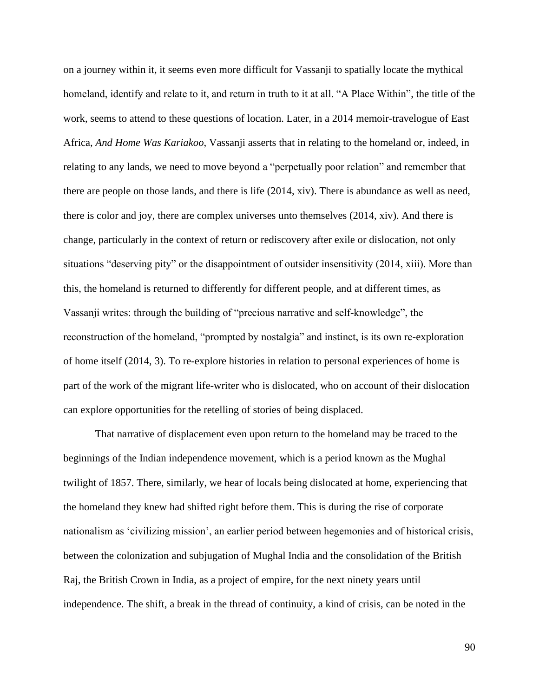on a journey within it, it seems even more difficult for Vassanji to spatially locate the mythical homeland, identify and relate to it, and return in truth to it at all. "A Place Within", the title of the work, seems to attend to these questions of location. Later, in a 2014 memoir-travelogue of East Africa, *And Home Was Kariakoo*, Vassanji asserts that in relating to the homeland or, indeed, in relating to any lands, we need to move beyond a "perpetually poor relation" and remember that there are people on those lands, and there is life (2014, xiv). There is abundance as well as need, there is color and joy, there are complex universes unto themselves (2014, xiv). And there is change, particularly in the context of return or rediscovery after exile or dislocation, not only situations "deserving pity" or the disappointment of outsider insensitivity (2014, xiii). More than this, the homeland is returned to differently for different people, and at different times, as Vassanji writes: through the building of "precious narrative and self-knowledge", the reconstruction of the homeland, "prompted by nostalgia" and instinct, is its own re-exploration of home itself (2014, 3). To re-explore histories in relation to personal experiences of home is part of the work of the migrant life-writer who is dislocated, who on account of their dislocation can explore opportunities for the retelling of stories of being displaced.

That narrative of displacement even upon return to the homeland may be traced to the beginnings of the Indian independence movement, which is a period known as the Mughal twilight of 1857. There, similarly, we hear of locals being dislocated at home, experiencing that the homeland they knew had shifted right before them. This is during the rise of corporate nationalism as 'civilizing mission', an earlier period between hegemonies and of historical crisis, between the colonization and subjugation of Mughal India and the consolidation of the British Raj, the British Crown in India, as a project of empire, for the next ninety years until independence. The shift, a break in the thread of continuity, a kind of crisis, can be noted in the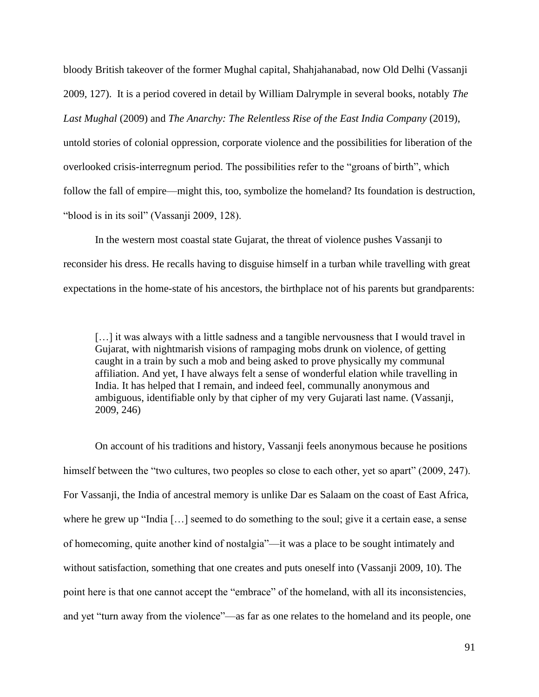bloody British takeover of the former Mughal capital, Shahjahanabad, now Old Delhi (Vassanji 2009, 127). It is a period covered in detail by William Dalrymple in several books, notably *The Last Mughal* (2009) and *The Anarchy: The Relentless Rise of the East India Company* (2019), untold stories of colonial oppression, corporate violence and the possibilities for liberation of the overlooked crisis-interregnum period. The possibilities refer to the "groans of birth", which follow the fall of empire—might this, too, symbolize the homeland? Its foundation is destruction, "blood is in its soil" (Vassanji 2009, 128).

In the western most coastal state Gujarat, the threat of violence pushes Vassanji to reconsider his dress. He recalls having to disguise himself in a turban while travelling with great expectations in the home-state of his ancestors, the birthplace not of his parents but grandparents:

[...] it was always with a little sadness and a tangible nervousness that I would travel in Gujarat, with nightmarish visions of rampaging mobs drunk on violence, of getting caught in a train by such a mob and being asked to prove physically my communal affiliation. And yet, I have always felt a sense of wonderful elation while travelling in India. It has helped that I remain, and indeed feel, communally anonymous and ambiguous, identifiable only by that cipher of my very Gujarati last name. (Vassanji, 2009, 246)

On account of his traditions and history, Vassanji feels anonymous because he positions himself between the "two cultures, two peoples so close to each other, yet so apart" (2009, 247). For Vassanji, the India of ancestral memory is unlike Dar es Salaam on the coast of East Africa, where he grew up "India […] seemed to do something to the soul; give it a certain ease, a sense of homecoming, quite another kind of nostalgia"—it was a place to be sought intimately and without satisfaction, something that one creates and puts oneself into (Vassanji 2009, 10). The point here is that one cannot accept the "embrace" of the homeland, with all its inconsistencies, and yet "turn away from the violence"—as far as one relates to the homeland and its people, one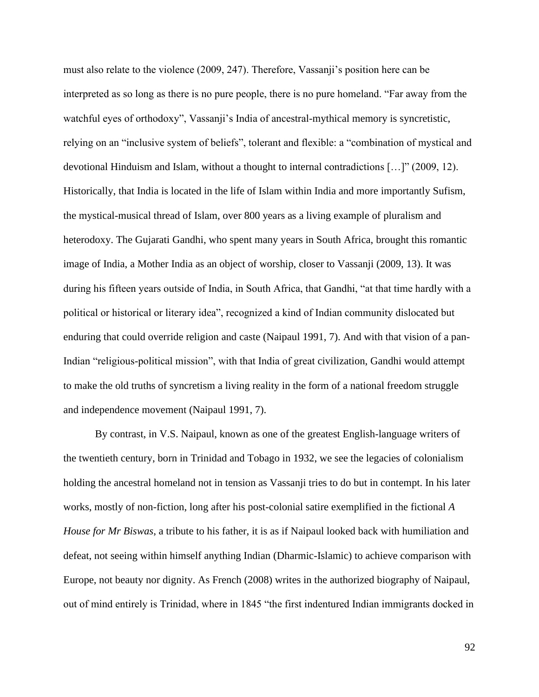must also relate to the violence (2009, 247). Therefore, Vassanji's position here can be interpreted as so long as there is no pure people, there is no pure homeland. "Far away from the watchful eyes of orthodoxy", Vassanji's India of ancestral-mythical memory is syncretistic, relying on an "inclusive system of beliefs", tolerant and flexible: a "combination of mystical and devotional Hinduism and Islam, without a thought to internal contradictions […]" (2009, 12). Historically, that India is located in the life of Islam within India and more importantly Sufism, the mystical-musical thread of Islam, over 800 years as a living example of pluralism and heterodoxy. The Gujarati Gandhi, who spent many years in South Africa, brought this romantic image of India, a Mother India as an object of worship, closer to Vassanji (2009, 13). It was during his fifteen years outside of India, in South Africa, that Gandhi, "at that time hardly with a political or historical or literary idea", recognized a kind of Indian community dislocated but enduring that could override religion and caste (Naipaul 1991, 7). And with that vision of a pan-Indian "religious-political mission", with that India of great civilization, Gandhi would attempt to make the old truths of syncretism a living reality in the form of a national freedom struggle and independence movement (Naipaul 1991, 7).

By contrast, in V.S. Naipaul, known as one of the greatest English-language writers of the twentieth century, born in Trinidad and Tobago in 1932, we see the legacies of colonialism holding the ancestral homeland not in tension as Vassanji tries to do but in contempt. In his later works, mostly of non-fiction, long after his post-colonial satire exemplified in the fictional *A House for Mr Biswas*, a tribute to his father, it is as if Naipaul looked back with humiliation and defeat, not seeing within himself anything Indian (Dharmic-Islamic) to achieve comparison with Europe, not beauty nor dignity. As French (2008) writes in the authorized biography of Naipaul, out of mind entirely is Trinidad, where in 1845 "the first indentured Indian immigrants docked in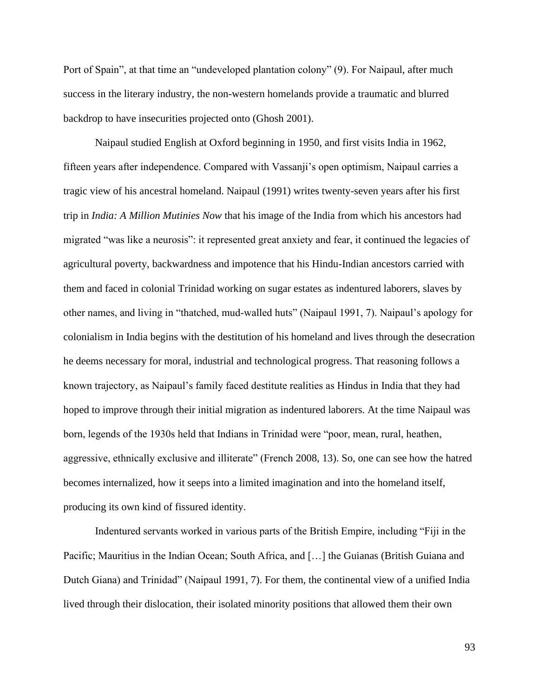Port of Spain", at that time an "undeveloped plantation colony" (9). For Naipaul, after much success in the literary industry, the non-western homelands provide a traumatic and blurred backdrop to have insecurities projected onto (Ghosh 2001).

Naipaul studied English at Oxford beginning in 1950, and first visits India in 1962, fifteen years after independence. Compared with Vassanji's open optimism, Naipaul carries a tragic view of his ancestral homeland. Naipaul (1991) writes twenty-seven years after his first trip in *India: A Million Mutinies Now* that his image of the India from which his ancestors had migrated "was like a neurosis": it represented great anxiety and fear, it continued the legacies of agricultural poverty, backwardness and impotence that his Hindu-Indian ancestors carried with them and faced in colonial Trinidad working on sugar estates as indentured laborers, slaves by other names, and living in "thatched, mud-walled huts" (Naipaul 1991, 7). Naipaul's apology for colonialism in India begins with the destitution of his homeland and lives through the desecration he deems necessary for moral, industrial and technological progress. That reasoning follows a known trajectory, as Naipaul's family faced destitute realities as Hindus in India that they had hoped to improve through their initial migration as indentured laborers. At the time Naipaul was born, legends of the 1930s held that Indians in Trinidad were "poor, mean, rural, heathen, aggressive, ethnically exclusive and illiterate" (French 2008, 13). So, one can see how the hatred becomes internalized, how it seeps into a limited imagination and into the homeland itself, producing its own kind of fissured identity.

Indentured servants worked in various parts of the British Empire, including "Fiji in the Pacific; Mauritius in the Indian Ocean; South Africa, and [...] the Guianas (British Guiana and Dutch Giana) and Trinidad" (Naipaul 1991, 7). For them, the continental view of a unified India lived through their dislocation, their isolated minority positions that allowed them their own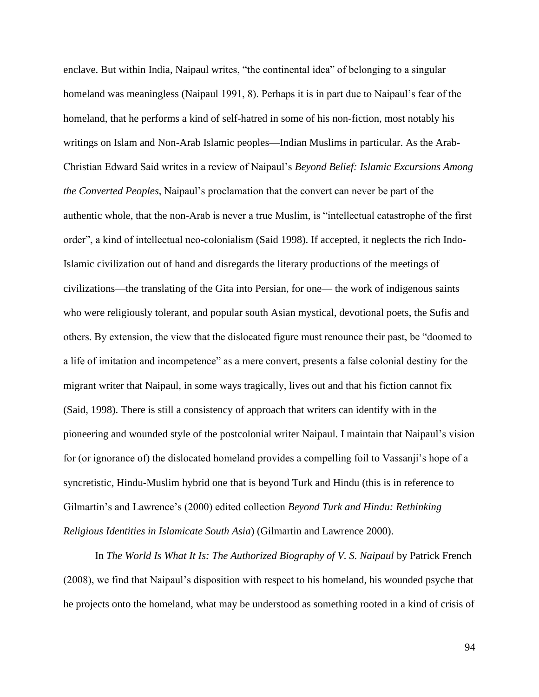enclave. But within India, Naipaul writes, "the continental idea" of belonging to a singular homeland was meaningless (Naipaul 1991, 8). Perhaps it is in part due to Naipaul's fear of the homeland, that he performs a kind of self-hatred in some of his non-fiction, most notably his writings on Islam and Non-Arab Islamic peoples—Indian Muslims in particular. As the Arab-Christian Edward Said writes in a review of Naipaul's *Beyond Belief: Islamic Excursions Among the Converted Peoples*, Naipaul's proclamation that the convert can never be part of the authentic whole, that the non-Arab is never a true Muslim, is "intellectual catastrophe of the first order", a kind of intellectual neo-colonialism (Said 1998). If accepted, it neglects the rich Indo-Islamic civilization out of hand and disregards the literary productions of the meetings of civilizations—the translating of the Gita into Persian, for one— the work of indigenous saints who were religiously tolerant, and popular south Asian mystical, devotional poets, the Sufis and others. By extension, the view that the dislocated figure must renounce their past, be "doomed to a life of imitation and incompetence" as a mere convert, presents a false colonial destiny for the migrant writer that Naipaul, in some ways tragically, lives out and that his fiction cannot fix (Said, 1998). There is still a consistency of approach that writers can identify with in the pioneering and wounded style of the postcolonial writer Naipaul. I maintain that Naipaul's vision for (or ignorance of) the dislocated homeland provides a compelling foil to Vassanji's hope of a syncretistic, Hindu-Muslim hybrid one that is beyond Turk and Hindu (this is in reference to Gilmartin's and Lawrence's (2000) edited collection *Beyond Turk and Hindu: Rethinking Religious Identities in Islamicate South Asia*) (Gilmartin and Lawrence 2000).

In *The World Is What It Is: The Authorized Biography of V. S. Naipaul* by Patrick French (2008), we find that Naipaul's disposition with respect to his homeland, his wounded psyche that he projects onto the homeland, what may be understood as something rooted in a kind of crisis of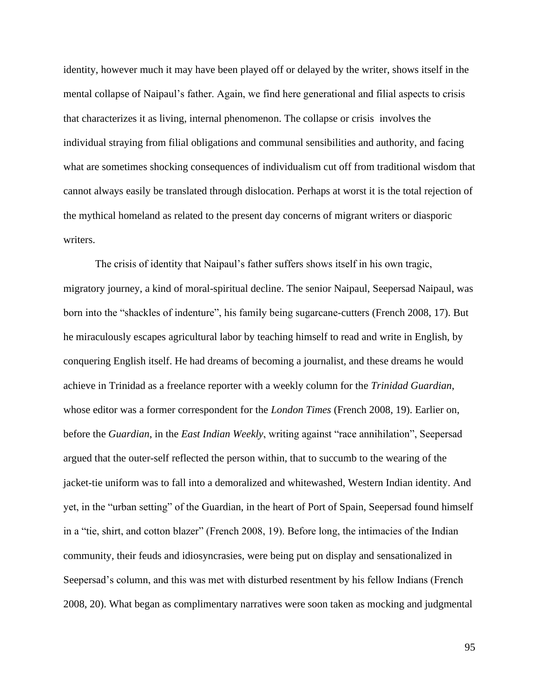identity, however much it may have been played off or delayed by the writer, shows itself in the mental collapse of Naipaul's father. Again, we find here generational and filial aspects to crisis that characterizes it as living, internal phenomenon. The collapse or crisis involves the individual straying from filial obligations and communal sensibilities and authority, and facing what are sometimes shocking consequences of individualism cut off from traditional wisdom that cannot always easily be translated through dislocation. Perhaps at worst it is the total rejection of the mythical homeland as related to the present day concerns of migrant writers or diasporic writers.

The crisis of identity that Naipaul's father suffers shows itself in his own tragic, migratory journey, a kind of moral-spiritual decline. The senior Naipaul, Seepersad Naipaul, was born into the "shackles of indenture", his family being sugarcane-cutters (French 2008, 17). But he miraculously escapes agricultural labor by teaching himself to read and write in English, by conquering English itself. He had dreams of becoming a journalist, and these dreams he would achieve in Trinidad as a freelance reporter with a weekly column for the *Trinidad Guardian*, whose editor was a former correspondent for the *London Times* (French 2008, 19). Earlier on, before the *Guardian*, in the *East Indian Weekly*, writing against "race annihilation", Seepersad argued that the outer-self reflected the person within, that to succumb to the wearing of the jacket-tie uniform was to fall into a demoralized and whitewashed, Western Indian identity. And yet, in the "urban setting" of the Guardian, in the heart of Port of Spain, Seepersad found himself in a "tie, shirt, and cotton blazer" (French 2008, 19). Before long, the intimacies of the Indian community, their feuds and idiosyncrasies, were being put on display and sensationalized in Seepersad's column, and this was met with disturbed resentment by his fellow Indians (French 2008, 20). What began as complimentary narratives were soon taken as mocking and judgmental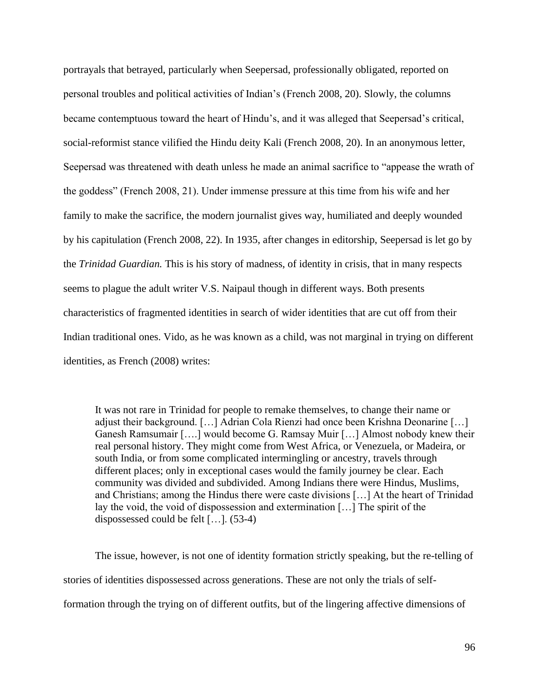portrayals that betrayed, particularly when Seepersad, professionally obligated, reported on personal troubles and political activities of Indian's (French 2008, 20). Slowly, the columns became contemptuous toward the heart of Hindu's, and it was alleged that Seepersad's critical, social-reformist stance vilified the Hindu deity Kali (French 2008, 20). In an anonymous letter, Seepersad was threatened with death unless he made an animal sacrifice to "appease the wrath of the goddess" (French 2008, 21). Under immense pressure at this time from his wife and her family to make the sacrifice, the modern journalist gives way, humiliated and deeply wounded by his capitulation (French 2008, 22). In 1935, after changes in editorship, Seepersad is let go by the *Trinidad Guardian.* This is his story of madness, of identity in crisis, that in many respects seems to plague the adult writer V.S. Naipaul though in different ways. Both presents characteristics of fragmented identities in search of wider identities that are cut off from their Indian traditional ones. Vido, as he was known as a child, was not marginal in trying on different identities, as French (2008) writes:

It was not rare in Trinidad for people to remake themselves, to change their name or adjust their background. […] Adrian Cola Rienzi had once been Krishna Deonarine […] Ganesh Ramsumair [….] would become G. Ramsay Muir […] Almost nobody knew their real personal history. They might come from West Africa, or Venezuela, or Madeira, or south India, or from some complicated intermingling or ancestry, travels through different places; only in exceptional cases would the family journey be clear. Each community was divided and subdivided. Among Indians there were Hindus, Muslims, and Christians; among the Hindus there were caste divisions […] At the heart of Trinidad lay the void, the void of dispossession and extermination […] The spirit of the dispossessed could be felt […]. (53-4)

The issue, however, is not one of identity formation strictly speaking, but the re-telling of stories of identities dispossessed across generations. These are not only the trials of selfformation through the trying on of different outfits, but of the lingering affective dimensions of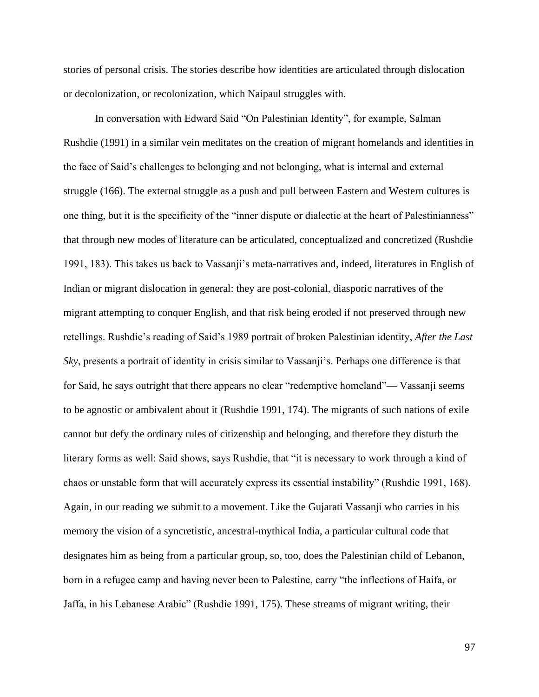stories of personal crisis. The stories describe how identities are articulated through dislocation or decolonization, or recolonization, which Naipaul struggles with.

In conversation with Edward Said "On Palestinian Identity", for example, Salman Rushdie (1991) in a similar vein meditates on the creation of migrant homelands and identities in the face of Said's challenges to belonging and not belonging, what is internal and external struggle (166). The external struggle as a push and pull between Eastern and Western cultures is one thing, but it is the specificity of the "inner dispute or dialectic at the heart of Palestinianness" that through new modes of literature can be articulated, conceptualized and concretized (Rushdie 1991, 183). This takes us back to Vassanji's meta-narratives and, indeed, literatures in English of Indian or migrant dislocation in general: they are post-colonial, diasporic narratives of the migrant attempting to conquer English, and that risk being eroded if not preserved through new retellings. Rushdie's reading of Said's 1989 portrait of broken Palestinian identity, *After the Last Sky*, presents a portrait of identity in crisis similar to Vassanji's. Perhaps one difference is that for Said, he says outright that there appears no clear "redemptive homeland"— Vassanji seems to be agnostic or ambivalent about it (Rushdie 1991, 174). The migrants of such nations of exile cannot but defy the ordinary rules of citizenship and belonging, and therefore they disturb the literary forms as well: Said shows, says Rushdie, that "it is necessary to work through a kind of chaos or unstable form that will accurately express its essential instability" (Rushdie 1991, 168). Again, in our reading we submit to a movement. Like the Gujarati Vassanji who carries in his memory the vision of a syncretistic, ancestral-mythical India, a particular cultural code that designates him as being from a particular group, so, too, does the Palestinian child of Lebanon, born in a refugee camp and having never been to Palestine, carry "the inflections of Haifa, or Jaffa, in his Lebanese Arabic" (Rushdie 1991, 175). These streams of migrant writing, their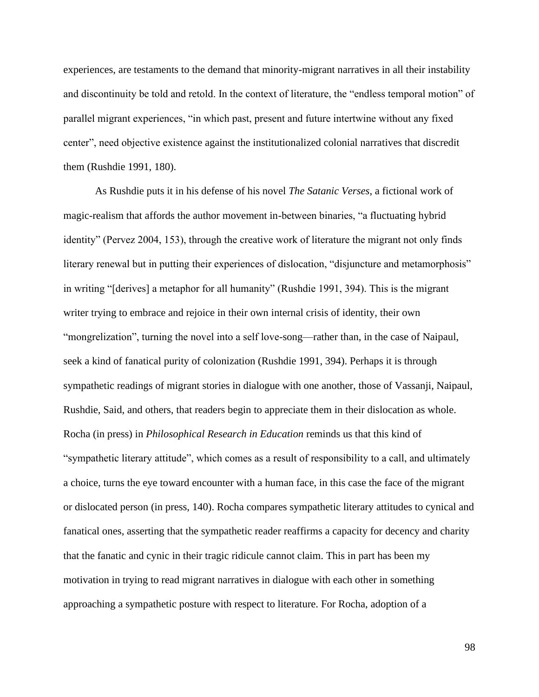experiences, are testaments to the demand that minority-migrant narratives in all their instability and discontinuity be told and retold. In the context of literature, the "endless temporal motion" of parallel migrant experiences, "in which past, present and future intertwine without any fixed center", need objective existence against the institutionalized colonial narratives that discredit them (Rushdie 1991, 180).

As Rushdie puts it in his defense of his novel *The Satanic Verses*, a fictional work of magic-realism that affords the author movement in-between binaries, "a fluctuating hybrid identity" (Pervez 2004, 153), through the creative work of literature the migrant not only finds literary renewal but in putting their experiences of dislocation, "disjuncture and metamorphosis" in writing "[derives] a metaphor for all humanity" (Rushdie 1991, 394). This is the migrant writer trying to embrace and rejoice in their own internal crisis of identity, their own "mongrelization", turning the novel into a self love-song—rather than, in the case of Naipaul, seek a kind of fanatical purity of colonization (Rushdie 1991, 394). Perhaps it is through sympathetic readings of migrant stories in dialogue with one another, those of Vassanji, Naipaul, Rushdie, Said, and others, that readers begin to appreciate them in their dislocation as whole. Rocha (in press) in *Philosophical Research in Education* reminds us that this kind of "sympathetic literary attitude", which comes as a result of responsibility to a call, and ultimately a choice, turns the eye toward encounter with a human face, in this case the face of the migrant or dislocated person (in press, 140). Rocha compares sympathetic literary attitudes to cynical and fanatical ones, asserting that the sympathetic reader reaffirms a capacity for decency and charity that the fanatic and cynic in their tragic ridicule cannot claim. This in part has been my motivation in trying to read migrant narratives in dialogue with each other in something approaching a sympathetic posture with respect to literature. For Rocha, adoption of a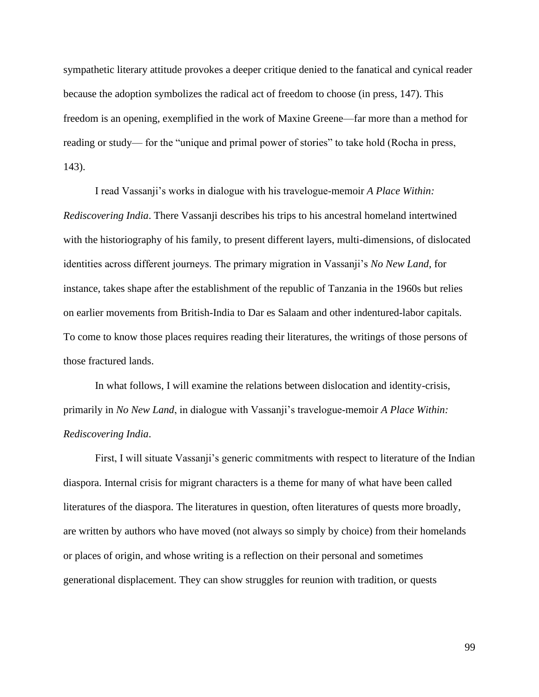sympathetic literary attitude provokes a deeper critique denied to the fanatical and cynical reader because the adoption symbolizes the radical act of freedom to choose (in press, 147). This freedom is an opening, exemplified in the work of Maxine Greene—far more than a method for reading or study— for the "unique and primal power of stories" to take hold (Rocha in press, 143).

I read Vassanji's works in dialogue with his travelogue-memoir *A Place Within: Rediscovering India*. There Vassanji describes his trips to his ancestral homeland intertwined with the historiography of his family, to present different layers, multi-dimensions, of dislocated identities across different journeys. The primary migration in Vassanji's *No New Land*, for instance, takes shape after the establishment of the republic of Tanzania in the 1960s but relies on earlier movements from British-India to Dar es Salaam and other indentured-labor capitals. To come to know those places requires reading their literatures, the writings of those persons of those fractured lands.

In what follows, I will examine the relations between dislocation and identity-crisis, primarily in *No New Land*, in dialogue with Vassanji's travelogue-memoir *A Place Within: Rediscovering India*.

First, I will situate Vassanji's generic commitments with respect to literature of the Indian diaspora. Internal crisis for migrant characters is a theme for many of what have been called literatures of the diaspora. The literatures in question, often literatures of quests more broadly, are written by authors who have moved (not always so simply by choice) from their homelands or places of origin, and whose writing is a reflection on their personal and sometimes generational displacement. They can show struggles for reunion with tradition, or quests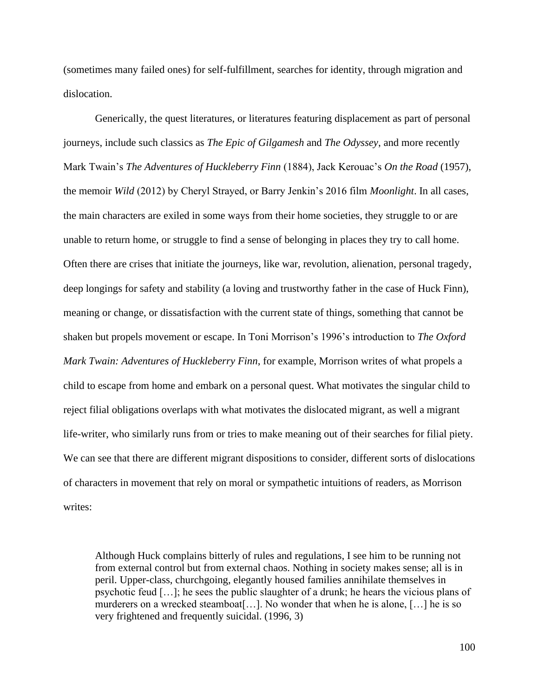(sometimes many failed ones) for self-fulfillment, searches for identity, through migration and dislocation.

Generically, the quest literatures, or literatures featuring displacement as part of personal journeys, include such classics as *The Epic of Gilgamesh* and *The Odyssey*, and more recently Mark Twain's *The Adventures of Huckleberry Finn* (1884), Jack Kerouac's *On the Road* (1957), the memoir *Wild* (2012) by Cheryl Strayed, or Barry Jenkin's 2016 film *Moonlight*. In all cases, the main characters are exiled in some ways from their home societies, they struggle to or are unable to return home, or struggle to find a sense of belonging in places they try to call home. Often there are crises that initiate the journeys, like war, revolution, alienation, personal tragedy, deep longings for safety and stability (a loving and trustworthy father in the case of Huck Finn), meaning or change, or dissatisfaction with the current state of things, something that cannot be shaken but propels movement or escape. In Toni Morrison's 1996's introduction to *The Oxford Mark Twain: Adventures of Huckleberry Finn*, for example, Morrison writes of what propels a child to escape from home and embark on a personal quest. What motivates the singular child to reject filial obligations overlaps with what motivates the dislocated migrant, as well a migrant life-writer, who similarly runs from or tries to make meaning out of their searches for filial piety. We can see that there are different migrant dispositions to consider, different sorts of dislocations of characters in movement that rely on moral or sympathetic intuitions of readers, as Morrison writes:

Although Huck complains bitterly of rules and regulations, I see him to be running not from external control but from external chaos. Nothing in society makes sense; all is in peril. Upper-class, churchgoing, elegantly housed families annihilate themselves in psychotic feud […]; he sees the public slaughter of a drunk; he hears the vicious plans of murderers on a wrecked steamboat[...]. No wonder that when he is alone, [...] he is so very frightened and frequently suicidal. (1996, 3)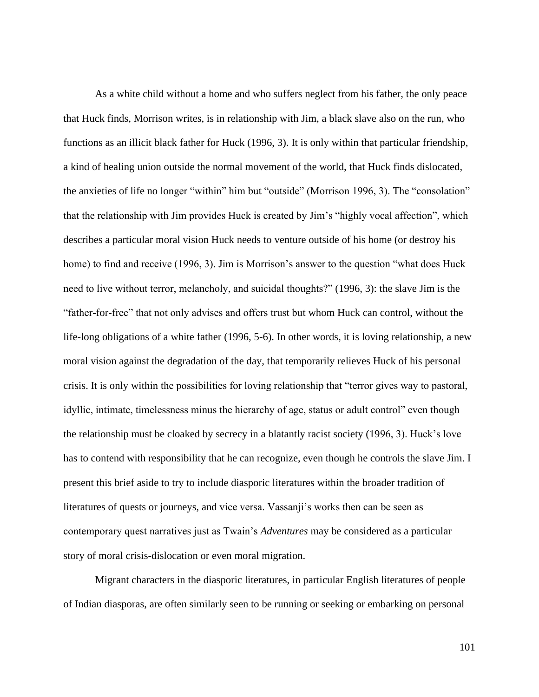As a white child without a home and who suffers neglect from his father, the only peace that Huck finds, Morrison writes, is in relationship with Jim, a black slave also on the run, who functions as an illicit black father for Huck (1996, 3). It is only within that particular friendship, a kind of healing union outside the normal movement of the world, that Huck finds dislocated, the anxieties of life no longer "within" him but "outside" (Morrison 1996, 3). The "consolation" that the relationship with Jim provides Huck is created by Jim's "highly vocal affection", which describes a particular moral vision Huck needs to venture outside of his home (or destroy his home) to find and receive (1996, 3). Jim is Morrison's answer to the question "what does Huck need to live without terror, melancholy, and suicidal thoughts?" (1996, 3): the slave Jim is the "father-for-free" that not only advises and offers trust but whom Huck can control, without the life-long obligations of a white father (1996, 5-6). In other words, it is loving relationship, a new moral vision against the degradation of the day, that temporarily relieves Huck of his personal crisis. It is only within the possibilities for loving relationship that "terror gives way to pastoral, idyllic, intimate, timelessness minus the hierarchy of age, status or adult control" even though the relationship must be cloaked by secrecy in a blatantly racist society (1996, 3). Huck's love has to contend with responsibility that he can recognize, even though he controls the slave Jim. I present this brief aside to try to include diasporic literatures within the broader tradition of literatures of quests or journeys, and vice versa. Vassanji's works then can be seen as contemporary quest narratives just as Twain's *Adventures* may be considered as a particular story of moral crisis-dislocation or even moral migration.

Migrant characters in the diasporic literatures, in particular English literatures of people of Indian diasporas, are often similarly seen to be running or seeking or embarking on personal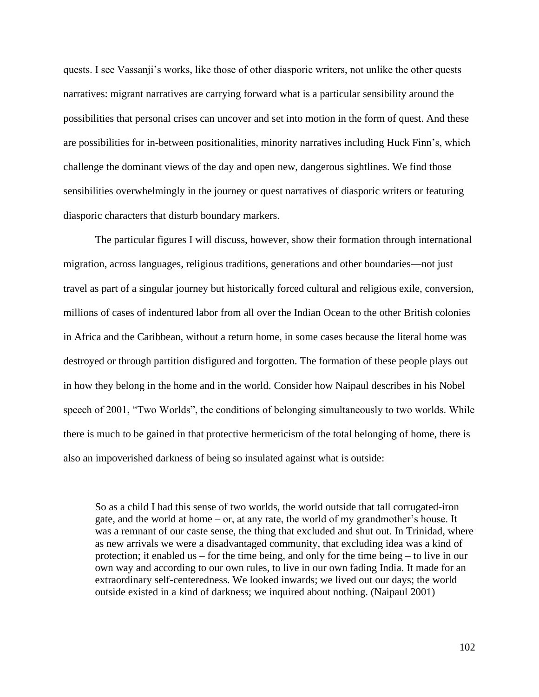quests. I see Vassanji's works, like those of other diasporic writers, not unlike the other quests narratives: migrant narratives are carrying forward what is a particular sensibility around the possibilities that personal crises can uncover and set into motion in the form of quest. And these are possibilities for in-between positionalities, minority narratives including Huck Finn's, which challenge the dominant views of the day and open new, dangerous sightlines. We find those sensibilities overwhelmingly in the journey or quest narratives of diasporic writers or featuring diasporic characters that disturb boundary markers.

The particular figures I will discuss, however, show their formation through international migration, across languages, religious traditions, generations and other boundaries—not just travel as part of a singular journey but historically forced cultural and religious exile, conversion, millions of cases of indentured labor from all over the Indian Ocean to the other British colonies in Africa and the Caribbean, without a return home, in some cases because the literal home was destroyed or through partition disfigured and forgotten. The formation of these people plays out in how they belong in the home and in the world. Consider how Naipaul describes in his Nobel speech of 2001, "Two Worlds", the conditions of belonging simultaneously to two worlds. While there is much to be gained in that protective hermeticism of the total belonging of home, there is also an impoverished darkness of being so insulated against what is outside:

So as a child I had this sense of two worlds, the world outside that tall corrugated-iron gate, and the world at home – or, at any rate, the world of my grandmother's house. It was a remnant of our caste sense, the thing that excluded and shut out. In Trinidad, where as new arrivals we were a disadvantaged community, that excluding idea was a kind of protection; it enabled us – for the time being, and only for the time being – to live in our own way and according to our own rules, to live in our own fading India. It made for an extraordinary self-centeredness. We looked inwards; we lived out our days; the world outside existed in a kind of darkness; we inquired about nothing. (Naipaul 2001)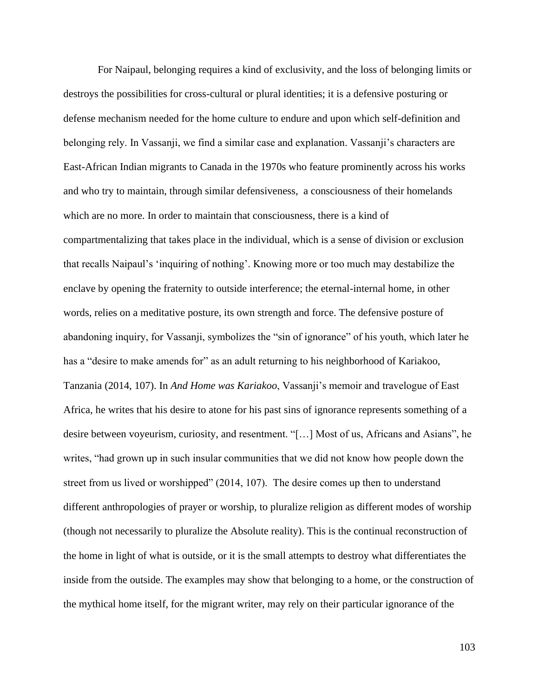For Naipaul, belonging requires a kind of exclusivity, and the loss of belonging limits or destroys the possibilities for cross-cultural or plural identities; it is a defensive posturing or defense mechanism needed for the home culture to endure and upon which self-definition and belonging rely. In Vassanji, we find a similar case and explanation. Vassanji's characters are East-African Indian migrants to Canada in the 1970s who feature prominently across his works and who try to maintain, through similar defensiveness, a consciousness of their homelands which are no more. In order to maintain that consciousness, there is a kind of compartmentalizing that takes place in the individual, which is a sense of division or exclusion that recalls Naipaul's 'inquiring of nothing'. Knowing more or too much may destabilize the enclave by opening the fraternity to outside interference; the eternal-internal home, in other words, relies on a meditative posture, its own strength and force. The defensive posture of abandoning inquiry, for Vassanji, symbolizes the "sin of ignorance" of his youth, which later he has a "desire to make amends for" as an adult returning to his neighborhood of Kariakoo, Tanzania (2014, 107). In *And Home was Kariakoo*, Vassanji's memoir and travelogue of East Africa, he writes that his desire to atone for his past sins of ignorance represents something of a desire between voyeurism, curiosity, and resentment. "[…] Most of us, Africans and Asians", he writes, "had grown up in such insular communities that we did not know how people down the street from us lived or worshipped" (2014, 107). The desire comes up then to understand different anthropologies of prayer or worship, to pluralize religion as different modes of worship (though not necessarily to pluralize the Absolute reality). This is the continual reconstruction of the home in light of what is outside, or it is the small attempts to destroy what differentiates the inside from the outside. The examples may show that belonging to a home, or the construction of the mythical home itself, for the migrant writer, may rely on their particular ignorance of the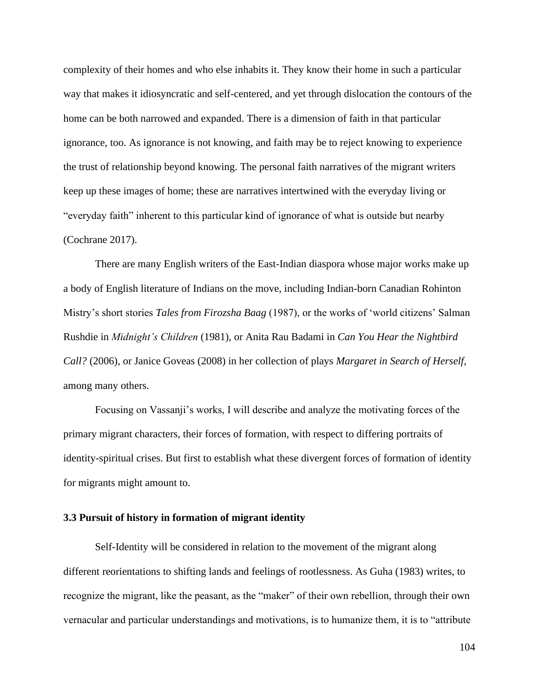complexity of their homes and who else inhabits it. They know their home in such a particular way that makes it idiosyncratic and self-centered, and yet through dislocation the contours of the home can be both narrowed and expanded. There is a dimension of faith in that particular ignorance, too. As ignorance is not knowing, and faith may be to reject knowing to experience the trust of relationship beyond knowing. The personal faith narratives of the migrant writers keep up these images of home; these are narratives intertwined with the everyday living or "everyday faith" inherent to this particular kind of ignorance of what is outside but nearby (Cochrane 2017).

There are many English writers of the East-Indian diaspora whose major works make up a body of English literature of Indians on the move, including Indian-born Canadian Rohinton Mistry's short stories *Tales from Firozsha Baag* (1987), or the works of 'world citizens' Salman Rushdie in *Midnight's Children* (1981), or Anita Rau Badami in *Can You Hear the Nightbird Call?* (2006), or Janice Goveas (2008) in her collection of plays *Margaret in Search of Herself*, among many others.

Focusing on Vassanji's works, I will describe and analyze the motivating forces of the primary migrant characters, their forces of formation, with respect to differing portraits of identity-spiritual crises. But first to establish what these divergent forces of formation of identity for migrants might amount to.

## **3.3 Pursuit of history in formation of migrant identity**

Self-Identity will be considered in relation to the movement of the migrant along different reorientations to shifting lands and feelings of rootlessness. As Guha (1983) writes, to recognize the migrant, like the peasant, as the "maker" of their own rebellion, through their own vernacular and particular understandings and motivations, is to humanize them, it is to "attribute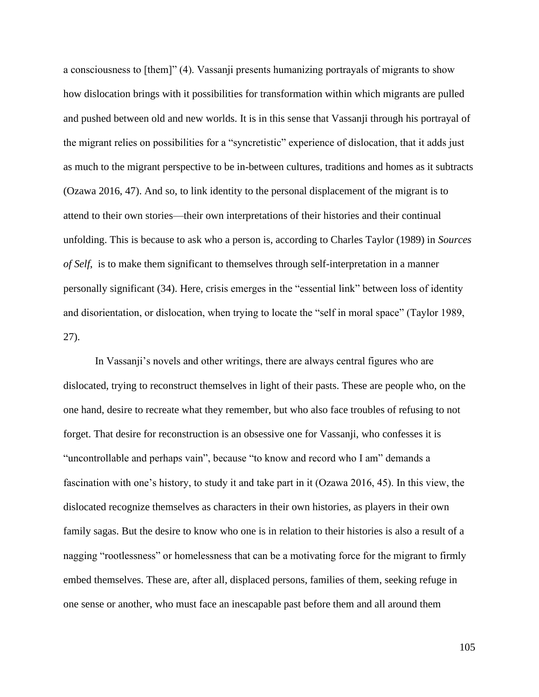a consciousness to [them]" (4). Vassanji presents humanizing portrayals of migrants to show how dislocation brings with it possibilities for transformation within which migrants are pulled and pushed between old and new worlds. It is in this sense that Vassanji through his portrayal of the migrant relies on possibilities for a "syncretistic" experience of dislocation, that it adds just as much to the migrant perspective to be in-between cultures, traditions and homes as it subtracts (Ozawa 2016, 47). And so, to link identity to the personal displacement of the migrant is to attend to their own stories—their own interpretations of their histories and their continual unfolding. This is because to ask who a person is, according to Charles Taylor (1989) in *Sources of Self*, is to make them significant to themselves through self-interpretation in a manner personally significant (34). Here, crisis emerges in the "essential link" between loss of identity and disorientation, or dislocation, when trying to locate the "self in moral space" (Taylor 1989, 27).

In Vassanji's novels and other writings, there are always central figures who are dislocated, trying to reconstruct themselves in light of their pasts. These are people who, on the one hand, desire to recreate what they remember, but who also face troubles of refusing to not forget. That desire for reconstruction is an obsessive one for Vassanji, who confesses it is "uncontrollable and perhaps vain", because "to know and record who I am" demands a fascination with one's history, to study it and take part in it (Ozawa 2016, 45). In this view, the dislocated recognize themselves as characters in their own histories, as players in their own family sagas. But the desire to know who one is in relation to their histories is also a result of a nagging "rootlessness" or homelessness that can be a motivating force for the migrant to firmly embed themselves. These are, after all, displaced persons, families of them, seeking refuge in one sense or another, who must face an inescapable past before them and all around them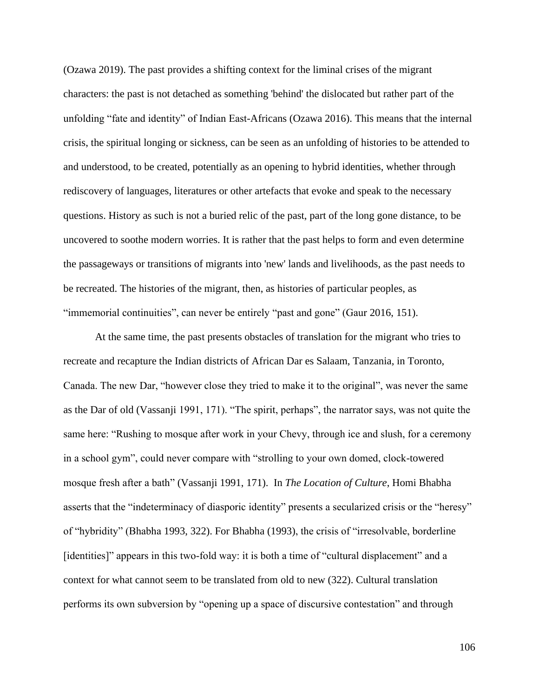(Ozawa 2019). The past provides a shifting context for the liminal crises of the migrant characters: the past is not detached as something 'behind' the dislocated but rather part of the unfolding "fate and identity" of Indian East-Africans (Ozawa 2016). This means that the internal crisis, the spiritual longing or sickness, can be seen as an unfolding of histories to be attended to and understood, to be created, potentially as an opening to hybrid identities, whether through rediscovery of languages, literatures or other artefacts that evoke and speak to the necessary questions. History as such is not a buried relic of the past, part of the long gone distance, to be uncovered to soothe modern worries. It is rather that the past helps to form and even determine the passageways or transitions of migrants into 'new' lands and livelihoods, as the past needs to be recreated. The histories of the migrant, then, as histories of particular peoples, as "immemorial continuities", can never be entirely "past and gone" (Gaur 2016, 151).

At the same time, the past presents obstacles of translation for the migrant who tries to recreate and recapture the Indian districts of African Dar es Salaam, Tanzania, in Toronto, Canada. The new Dar, "however close they tried to make it to the original", was never the same as the Dar of old (Vassanji 1991, 171). "The spirit, perhaps", the narrator says, was not quite the same here: "Rushing to mosque after work in your Chevy, through ice and slush, for a ceremony in a school gym", could never compare with "strolling to your own domed, clock-towered mosque fresh after a bath" (Vassanji 1991, 171). In *The Location of Culture*, Homi Bhabha asserts that the "indeterminacy of diasporic identity" presents a secularized crisis or the "heresy" of "hybridity" (Bhabha 1993, 322). For Bhabha (1993), the crisis of "irresolvable, borderline [identities]" appears in this two-fold way: it is both a time of "cultural displacement" and a context for what cannot seem to be translated from old to new (322). Cultural translation performs its own subversion by "opening up a space of discursive contestation" and through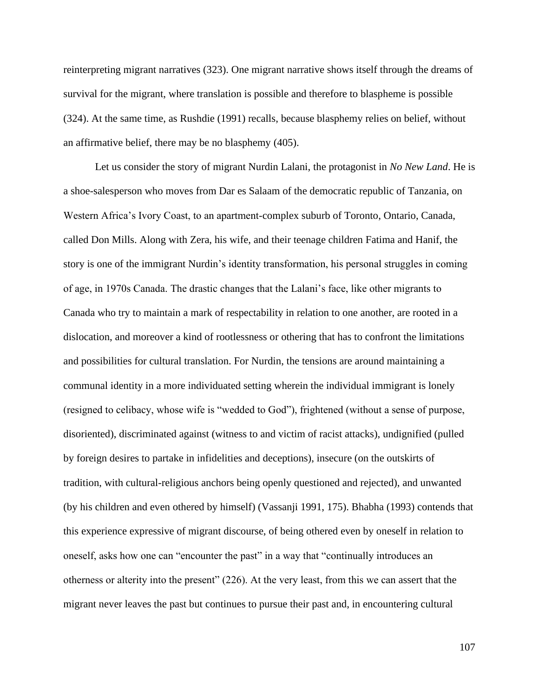reinterpreting migrant narratives (323). One migrant narrative shows itself through the dreams of survival for the migrant, where translation is possible and therefore to blaspheme is possible (324). At the same time, as Rushdie (1991) recalls, because blasphemy relies on belief, without an affirmative belief, there may be no blasphemy (405).

Let us consider the story of migrant Nurdin Lalani, the protagonist in *No New Land*. He is a shoe-salesperson who moves from Dar es Salaam of the democratic republic of Tanzania, on Western Africa's Ivory Coast, to an apartment-complex suburb of Toronto, Ontario, Canada, called Don Mills. Along with Zera, his wife, and their teenage children Fatima and Hanif, the story is one of the immigrant Nurdin's identity transformation, his personal struggles in coming of age, in 1970s Canada. The drastic changes that the Lalani's face, like other migrants to Canada who try to maintain a mark of respectability in relation to one another, are rooted in a dislocation, and moreover a kind of rootlessness or othering that has to confront the limitations and possibilities for cultural translation. For Nurdin, the tensions are around maintaining a communal identity in a more individuated setting wherein the individual immigrant is lonely (resigned to celibacy, whose wife is "wedded to God"), frightened (without a sense of purpose, disoriented), discriminated against (witness to and victim of racist attacks), undignified (pulled by foreign desires to partake in infidelities and deceptions), insecure (on the outskirts of tradition, with cultural-religious anchors being openly questioned and rejected), and unwanted (by his children and even othered by himself) (Vassanji 1991, 175). Bhabha (1993) contends that this experience expressive of migrant discourse, of being othered even by oneself in relation to oneself, asks how one can "encounter the past" in a way that "continually introduces an otherness or alterity into the present" (226). At the very least, from this we can assert that the migrant never leaves the past but continues to pursue their past and, in encountering cultural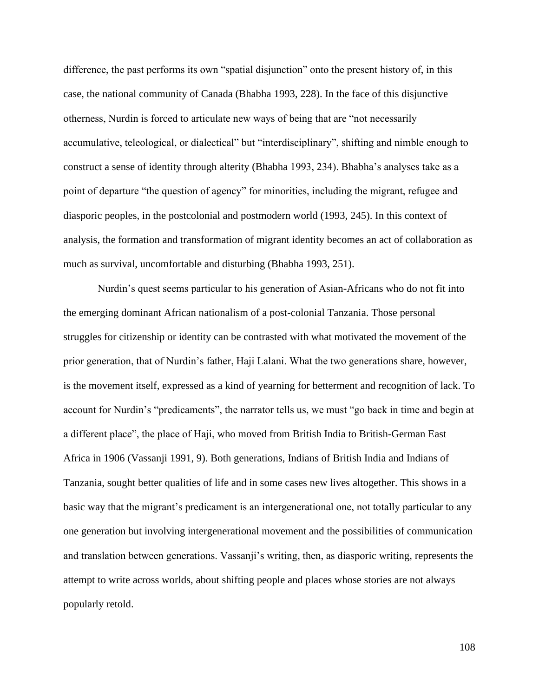difference, the past performs its own "spatial disjunction" onto the present history of, in this case, the national community of Canada (Bhabha 1993, 228). In the face of this disjunctive otherness, Nurdin is forced to articulate new ways of being that are "not necessarily accumulative, teleological, or dialectical" but "interdisciplinary", shifting and nimble enough to construct a sense of identity through alterity (Bhabha 1993, 234). Bhabha's analyses take as a point of departure "the question of agency" for minorities, including the migrant, refugee and diasporic peoples, in the postcolonial and postmodern world (1993, 245). In this context of analysis, the formation and transformation of migrant identity becomes an act of collaboration as much as survival, uncomfortable and disturbing (Bhabha 1993, 251).

Nurdin's quest seems particular to his generation of Asian-Africans who do not fit into the emerging dominant African nationalism of a post-colonial Tanzania. Those personal struggles for citizenship or identity can be contrasted with what motivated the movement of the prior generation, that of Nurdin's father, Haji Lalani. What the two generations share, however, is the movement itself, expressed as a kind of yearning for betterment and recognition of lack. To account for Nurdin's "predicaments", the narrator tells us, we must "go back in time and begin at a different place", the place of Haji, who moved from British India to British-German East Africa in 1906 (Vassanji 1991, 9). Both generations, Indians of British India and Indians of Tanzania, sought better qualities of life and in some cases new lives altogether. This shows in a basic way that the migrant's predicament is an intergenerational one, not totally particular to any one generation but involving intergenerational movement and the possibilities of communication and translation between generations. Vassanji's writing, then, as diasporic writing, represents the attempt to write across worlds, about shifting people and places whose stories are not always popularly retold.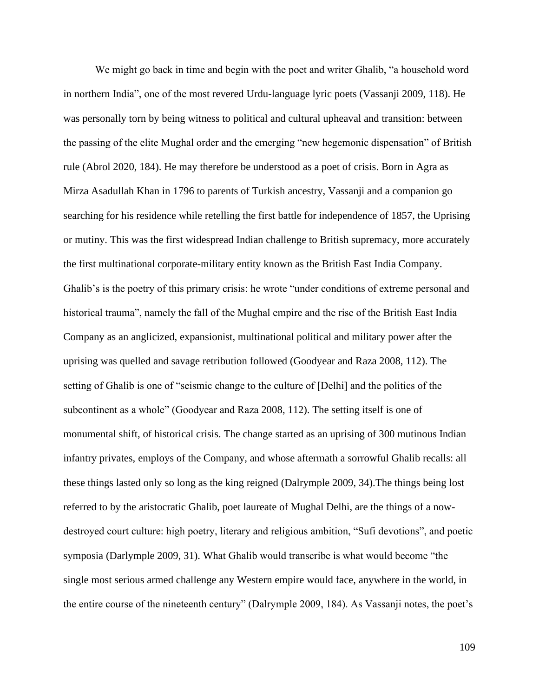We might go back in time and begin with the poet and writer Ghalib, "a household word in northern India", one of the most revered Urdu-language lyric poets (Vassanji 2009, 118). He was personally torn by being witness to political and cultural upheaval and transition: between the passing of the elite Mughal order and the emerging "new hegemonic dispensation" of British rule (Abrol 2020, 184). He may therefore be understood as a poet of crisis. Born in Agra as Mirza Asadullah Khan in 1796 to parents of Turkish ancestry, Vassanji and a companion go searching for his residence while retelling the first battle for independence of 1857, the Uprising or mutiny. This was the first widespread Indian challenge to British supremacy, more accurately the first multinational corporate-military entity known as the British East India Company. Ghalib's is the poetry of this primary crisis: he wrote "under conditions of extreme personal and historical trauma", namely the fall of the Mughal empire and the rise of the British East India Company as an anglicized, expansionist, multinational political and military power after the uprising was quelled and savage retribution followed (Goodyear and Raza 2008, 112). The setting of Ghalib is one of "seismic change to the culture of [Delhi] and the politics of the subcontinent as a whole" (Goodyear and Raza 2008, 112). The setting itself is one of monumental shift, of historical crisis. The change started as an uprising of 300 mutinous Indian infantry privates, employs of the Company, and whose aftermath a sorrowful Ghalib recalls: all these things lasted only so long as the king reigned (Dalrymple 2009, 34).The things being lost referred to by the aristocratic Ghalib, poet laureate of Mughal Delhi, are the things of a nowdestroyed court culture: high poetry, literary and religious ambition, "Sufi devotions", and poetic symposia (Darlymple 2009, 31). What Ghalib would transcribe is what would become "the single most serious armed challenge any Western empire would face, anywhere in the world, in the entire course of the nineteenth century" (Dalrymple 2009, 184). As Vassanji notes, the poet's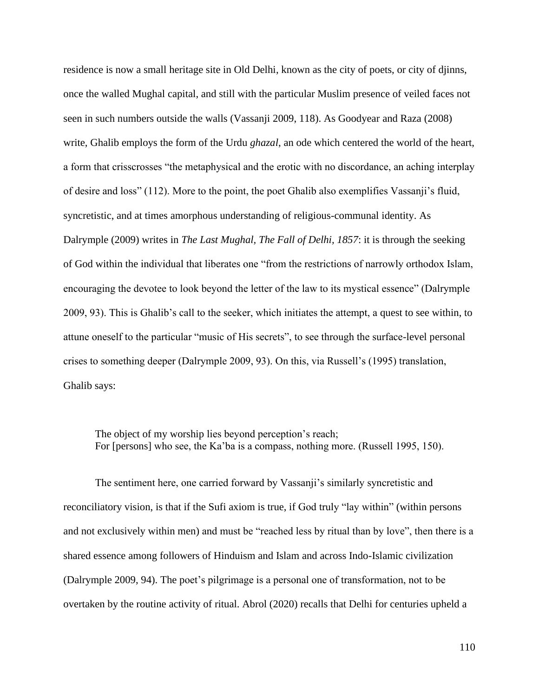residence is now a small heritage site in Old Delhi, known as the city of poets, or city of djinns, once the walled Mughal capital, and still with the particular Muslim presence of veiled faces not seen in such numbers outside the walls (Vassanji 2009, 118). As Goodyear and Raza (2008) write, Ghalib employs the form of the Urdu *ghazal*, an ode which centered the world of the heart, a form that crisscrosses "the metaphysical and the erotic with no discordance, an aching interplay of desire and loss" (112). More to the point, the poet Ghalib also exemplifies Vassanji's fluid, syncretistic, and at times amorphous understanding of religious-communal identity. As Dalrymple (2009) writes in *The Last Mughal, The Fall of Delhi, 1857*: it is through the seeking of God within the individual that liberates one "from the restrictions of narrowly orthodox Islam, encouraging the devotee to look beyond the letter of the law to its mystical essence" (Dalrymple 2009, 93). This is Ghalib's call to the seeker, which initiates the attempt, a quest to see within, to attune oneself to the particular "music of His secrets", to see through the surface-level personal crises to something deeper (Dalrymple 2009, 93). On this, via Russell's (1995) translation, Ghalib says:

The object of my worship lies beyond perception's reach; For [persons] who see, the Ka'ba is a compass, nothing more. (Russell 1995, 150).

The sentiment here, one carried forward by Vassanji's similarly syncretistic and reconciliatory vision, is that if the Sufi axiom is true, if God truly "lay within" (within persons and not exclusively within men) and must be "reached less by ritual than by love", then there is a shared essence among followers of Hinduism and Islam and across Indo-Islamic civilization (Dalrymple 2009, 94). The poet's pilgrimage is a personal one of transformation, not to be overtaken by the routine activity of ritual. Abrol (2020) recalls that Delhi for centuries upheld a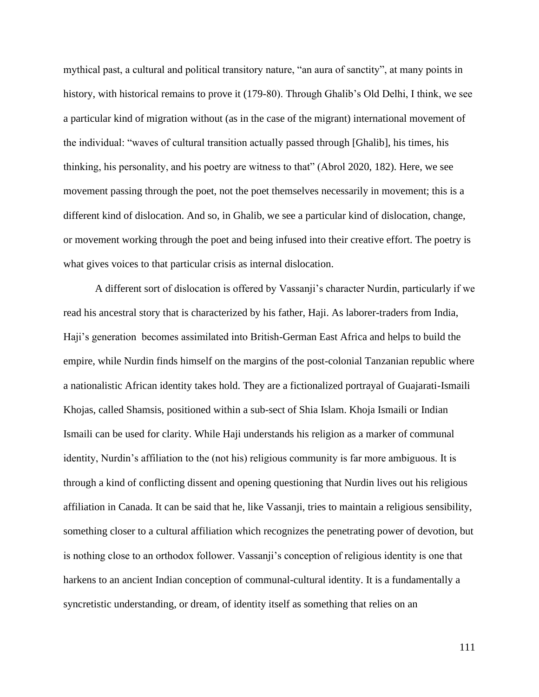mythical past, a cultural and political transitory nature, "an aura of sanctity", at many points in history, with historical remains to prove it (179-80). Through Ghalib's Old Delhi, I think, we see a particular kind of migration without (as in the case of the migrant) international movement of the individual: "waves of cultural transition actually passed through [Ghalib], his times, his thinking, his personality, and his poetry are witness to that" (Abrol 2020, 182). Here, we see movement passing through the poet, not the poet themselves necessarily in movement; this is a different kind of dislocation. And so, in Ghalib, we see a particular kind of dislocation, change, or movement working through the poet and being infused into their creative effort. The poetry is what gives voices to that particular crisis as internal dislocation.

A different sort of dislocation is offered by Vassanji's character Nurdin, particularly if we read his ancestral story that is characterized by his father, Haji. As laborer-traders from India, Haji's generation becomes assimilated into British-German East Africa and helps to build the empire, while Nurdin finds himself on the margins of the post-colonial Tanzanian republic where a nationalistic African identity takes hold. They are a fictionalized portrayal of Guajarati-Ismaili Khojas, called Shamsis, positioned within a sub-sect of Shia Islam. Khoja Ismaili or Indian Ismaili can be used for clarity. While Haji understands his religion as a marker of communal identity, Nurdin's affiliation to the (not his) religious community is far more ambiguous. It is through a kind of conflicting dissent and opening questioning that Nurdin lives out his religious affiliation in Canada. It can be said that he, like Vassanji, tries to maintain a religious sensibility, something closer to a cultural affiliation which recognizes the penetrating power of devotion, but is nothing close to an orthodox follower. Vassanji's conception of religious identity is one that harkens to an ancient Indian conception of communal-cultural identity. It is a fundamentally a syncretistic understanding, or dream, of identity itself as something that relies on an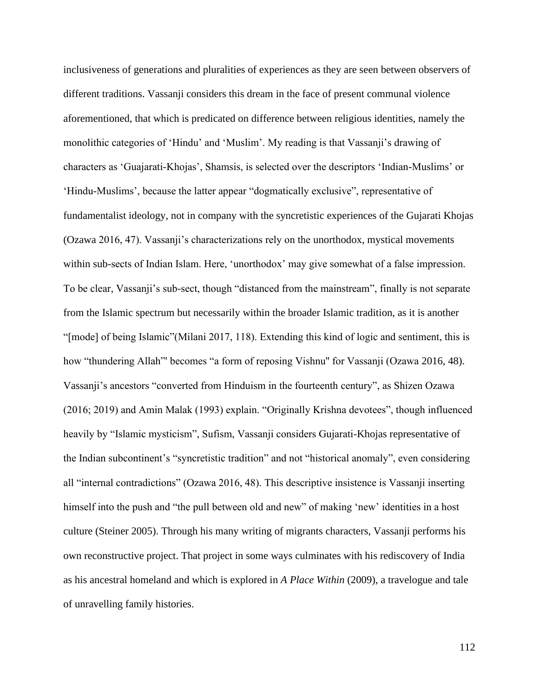inclusiveness of generations and pluralities of experiences as they are seen between observers of different traditions. Vassanji considers this dream in the face of present communal violence aforementioned, that which is predicated on difference between religious identities, namely the monolithic categories of 'Hindu' and 'Muslim'. My reading is that Vassanji's drawing of characters as 'Guajarati-Khojas', Shamsis, is selected over the descriptors 'Indian-Muslims' or 'Hindu-Muslims', because the latter appear "dogmatically exclusive", representative of fundamentalist ideology, not in company with the syncretistic experiences of the Gujarati Khojas (Ozawa 2016, 47). Vassanji's characterizations rely on the unorthodox, mystical movements within sub-sects of Indian Islam. Here, 'unorthodox' may give somewhat of a false impression. To be clear, Vassanji's sub-sect, though "distanced from the mainstream", finally is not separate from the Islamic spectrum but necessarily within the broader Islamic tradition, as it is another "[mode] of being Islamic"(Milani 2017, 118). Extending this kind of logic and sentiment, this is how "thundering Allah"' becomes "a form of reposing Vishnu'' for Vassanji (Ozawa 2016, 48). Vassanji's ancestors "converted from Hinduism in the fourteenth century", as Shizen Ozawa (2016; 2019) and Amin Malak (1993) explain. "Originally Krishna devotees", though influenced heavily by "Islamic mysticism", Sufism, Vassanji considers Gujarati-Khojas representative of the Indian subcontinent's "syncretistic tradition" and not "historical anomaly", even considering all "internal contradictions" (Ozawa 2016, 48). This descriptive insistence is Vassanji inserting himself into the push and "the pull between old and new" of making 'new' identities in a host culture (Steiner 2005). Through his many writing of migrants characters, Vassanji performs his own reconstructive project. That project in some ways culminates with his rediscovery of India as his ancestral homeland and which is explored in *A Place Within* (2009), a travelogue and tale of unravelling family histories.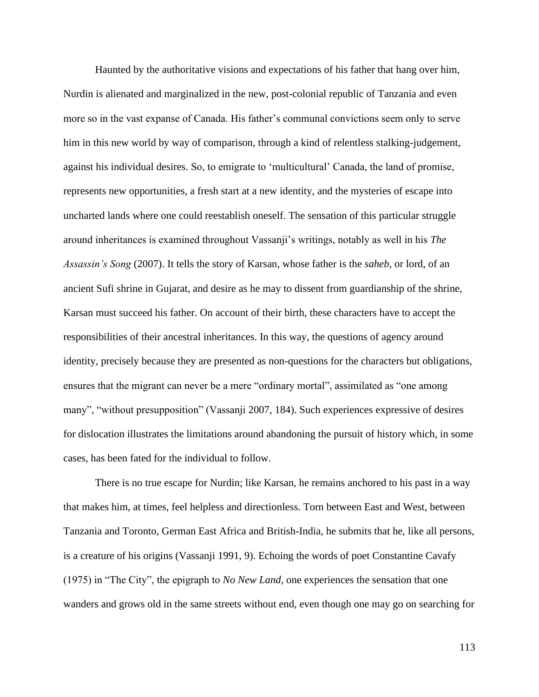Haunted by the authoritative visions and expectations of his father that hang over him, Nurdin is alienated and marginalized in the new, post-colonial republic of Tanzania and even more so in the vast expanse of Canada. His father's communal convictions seem only to serve him in this new world by way of comparison, through a kind of relentless stalking-judgement, against his individual desires. So, to emigrate to 'multicultural' Canada, the land of promise, represents new opportunities, a fresh start at a new identity, and the mysteries of escape into uncharted lands where one could reestablish oneself. The sensation of this particular struggle around inheritances is examined throughout Vassanji's writings, notably as well in his *The Assassin's Song* (2007). It tells the story of Karsan, whose father is the *saheb*, or lord, of an ancient Sufi shrine in Gujarat, and desire as he may to dissent from guardianship of the shrine, Karsan must succeed his father. On account of their birth, these characters have to accept the responsibilities of their ancestral inheritances. In this way, the questions of agency around identity, precisely because they are presented as non-questions for the characters but obligations, ensures that the migrant can never be a mere "ordinary mortal", assimilated as "one among many", "without presupposition" (Vassanji 2007, 184). Such experiences expressive of desires for dislocation illustrates the limitations around abandoning the pursuit of history which, in some cases, has been fated for the individual to follow.

There is no true escape for Nurdin; like Karsan, he remains anchored to his past in a way that makes him, at times, feel helpless and directionless. Torn between East and West, between Tanzania and Toronto, German East Africa and British-India, he submits that he, like all persons, is a creature of his origins (Vassanji 1991, 9). Echoing the words of poet Constantine Cavafy (1975) in "The City", the epigraph to *No New Land*, one experiences the sensation that one wanders and grows old in the same streets without end, even though one may go on searching for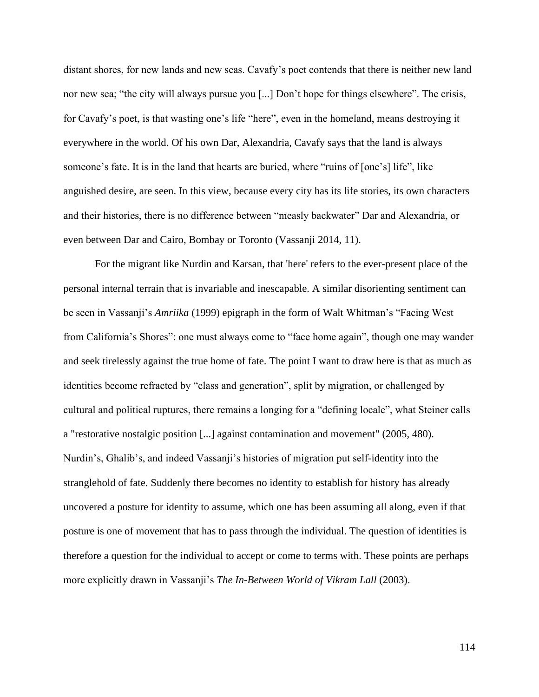distant shores, for new lands and new seas. Cavafy's poet contends that there is neither new land nor new sea; "the city will always pursue you [...] Don't hope for things elsewhere". The crisis, for Cavafy's poet, is that wasting one's life "here", even in the homeland, means destroying it everywhere in the world. Of his own Dar, Alexandria, Cavafy says that the land is always someone's fate. It is in the land that hearts are buried, where "ruins of [one's] life", like anguished desire, are seen. In this view, because every city has its life stories, its own characters and their histories, there is no difference between "measly backwater" Dar and Alexandria, or even between Dar and Cairo, Bombay or Toronto (Vassanji 2014, 11).

For the migrant like Nurdin and Karsan, that 'here' refers to the ever-present place of the personal internal terrain that is invariable and inescapable. A similar disorienting sentiment can be seen in Vassanji's *Amriika* (1999) epigraph in the form of Walt Whitman's "Facing West from California's Shores": one must always come to "face home again", though one may wander and seek tirelessly against the true home of fate. The point I want to draw here is that as much as identities become refracted by "class and generation", split by migration, or challenged by cultural and political ruptures, there remains a longing for a "defining locale", what Steiner calls a "restorative nostalgic position [...] against contamination and movement" (2005, 480). Nurdin's, Ghalib's, and indeed Vassanji's histories of migration put self-identity into the stranglehold of fate. Suddenly there becomes no identity to establish for history has already uncovered a posture for identity to assume, which one has been assuming all along, even if that posture is one of movement that has to pass through the individual. The question of identities is therefore a question for the individual to accept or come to terms with. These points are perhaps more explicitly drawn in Vassanji's *The In-Between World of Vikram Lall* (2003).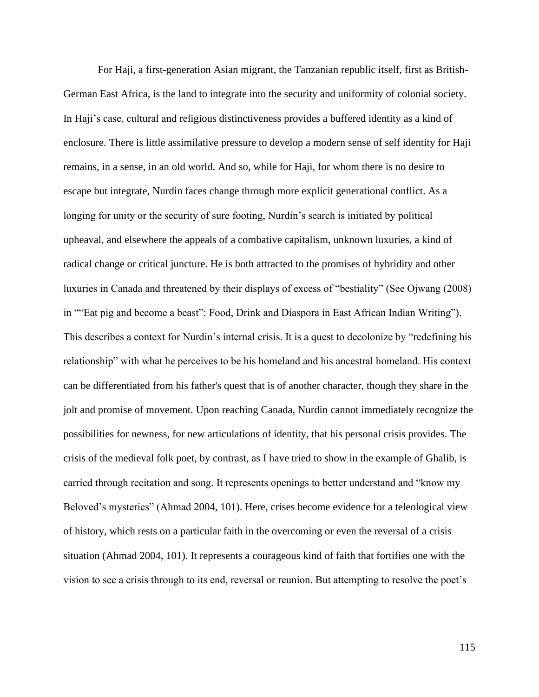For Haji, a first-generation Asian migrant, the Tanzanian republic itself, first as British-German East Africa, is the land to integrate into the security and uniformity of colonial society. In Haji's case, cultural and religious distinctiveness provides a buffered identity as a kind of enclosure. There is little assimilative pressure to develop a modern sense of self identity for Haji remains, in a sense, in an old world. And so, while for Haji, for whom there is no desire to escape but integrate, Nurdin faces change through more explicit generational conflict. As a longing for unity or the security of sure footing, Nurdin's search is initiated by political upheaval, and elsewhere the appeals of a combative capitalism, unknown luxuries, a kind of radical change or critical juncture. He is both attracted to the promises of hybridity and other luxuries in Canada and threatened by their displays of excess of "bestiality" (See Ojwang (2008) in ""Eat pig and become a beast": Food, Drink and Diaspora in East African Indian Writing"). This describes a context for Nurdin's internal crisis. It is a quest to decolonize by "redefining his relationship" with what he perceives to be his homeland and his ancestral homeland. His context can be differentiated from his father's quest that is of another character, though they share in the jolt and promise of movement. Upon reaching Canada, Nurdin cannot immediately recognize the possibilities for newness, for new articulations of identity, that his personal crisis provides. The crisis of the medieval folk poet, by contrast, as I have tried to show in the example of Ghalib, is carried through recitation and song. It represents openings to better understand and "know my Beloved's mysteries" (Ahmad 2004, 101). Here, crises become evidence for a teleological view of history, which rests on a particular faith in the overcoming or even the reversal of a crisis situation (Ahmad 2004, 101). It represents a courageous kind of faith that fortifies one with the vision to see a crisis through to its end, reversal or reunion. But attempting to resolve the poet's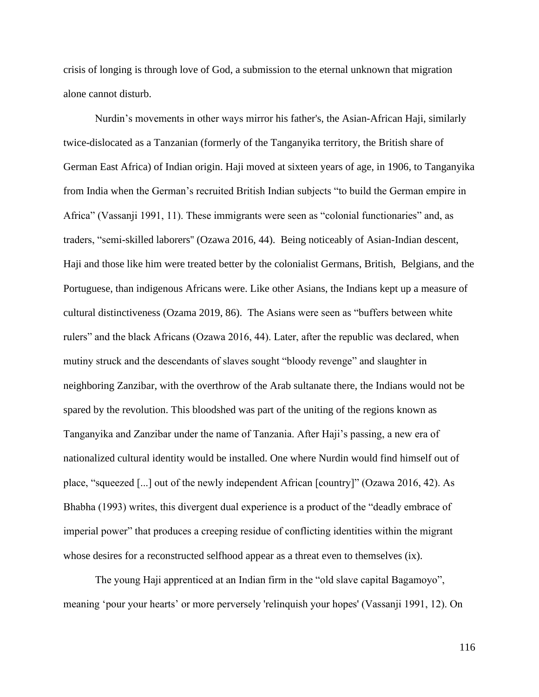crisis of longing is through love of God, a submission to the eternal unknown that migration alone cannot disturb.

Nurdin's movements in other ways mirror his father's, the Asian-African Haji, similarly twice-dislocated as a Tanzanian (formerly of the Tanganyika territory, the British share of German East Africa) of Indian origin. Haji moved at sixteen years of age, in 1906, to Tanganyika from India when the German's recruited British Indian subjects "to build the German empire in Africa" (Vassanji 1991, 11). These immigrants were seen as "colonial functionaries" and, as traders, "semi-skilled laborers'' (Ozawa 2016, 44). Being noticeably of Asian-Indian descent, Haji and those like him were treated better by the colonialist Germans, British, Belgians, and the Portuguese, than indigenous Africans were. Like other Asians, the Indians kept up a measure of cultural distinctiveness (Ozama 2019, 86). The Asians were seen as "buffers between white rulers" and the black Africans (Ozawa 2016, 44). Later, after the republic was declared, when mutiny struck and the descendants of slaves sought "bloody revenge" and slaughter in neighboring Zanzibar, with the overthrow of the Arab sultanate there, the Indians would not be spared by the revolution. This bloodshed was part of the uniting of the regions known as Tanganyika and Zanzibar under the name of Tanzania. After Haji's passing, a new era of nationalized cultural identity would be installed. One where Nurdin would find himself out of place, "squeezed [...] out of the newly independent African [country]" (Ozawa 2016, 42). As Bhabha (1993) writes, this divergent dual experience is a product of the "deadly embrace of imperial power" that produces a creeping residue of conflicting identities within the migrant whose desires for a reconstructed selfhood appear as a threat even to themselves (ix).

The young Haji apprenticed at an Indian firm in the "old slave capital Bagamoyo", meaning 'pour your hearts' or more perversely 'relinquish your hopes' (Vassanji 1991, 12). On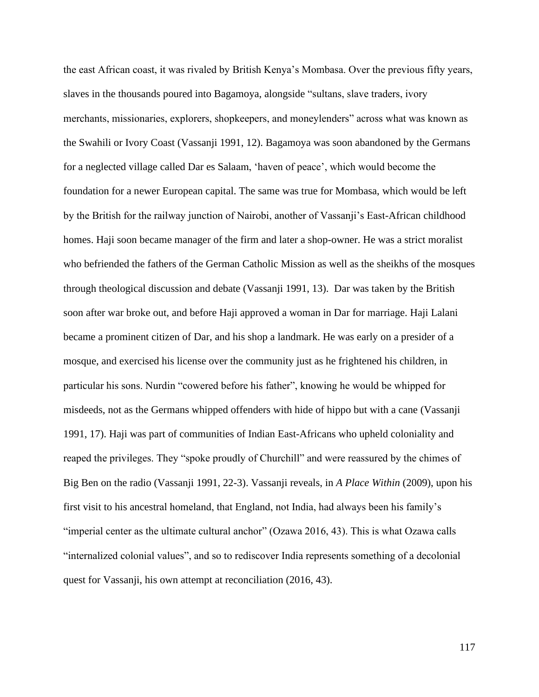the east African coast, it was rivaled by British Kenya's Mombasa. Over the previous fifty years, slaves in the thousands poured into Bagamoya, alongside "sultans, slave traders, ivory merchants, missionaries, explorers, shopkeepers, and moneylenders" across what was known as the Swahili or Ivory Coast (Vassanji 1991, 12). Bagamoya was soon abandoned by the Germans for a neglected village called Dar es Salaam, 'haven of peace', which would become the foundation for a newer European capital. The same was true for Mombasa, which would be left by the British for the railway junction of Nairobi, another of Vassanji's East-African childhood homes. Haji soon became manager of the firm and later a shop-owner. He was a strict moralist who befriended the fathers of the German Catholic Mission as well as the sheikhs of the mosques through theological discussion and debate (Vassanji 1991, 13). Dar was taken by the British soon after war broke out, and before Haji approved a woman in Dar for marriage. Haji Lalani became a prominent citizen of Dar, and his shop a landmark. He was early on a presider of a mosque, and exercised his license over the community just as he frightened his children, in particular his sons. Nurdin "cowered before his father", knowing he would be whipped for misdeeds, not as the Germans whipped offenders with hide of hippo but with a cane (Vassanji 1991, 17). Haji was part of communities of Indian East-Africans who upheld coloniality and reaped the privileges. They "spoke proudly of Churchill" and were reassured by the chimes of Big Ben on the radio (Vassanji 1991, 22-3). Vassanji reveals, in *A Place Within* (2009), upon his first visit to his ancestral homeland, that England, not India, had always been his family's "imperial center as the ultimate cultural anchor" (Ozawa 2016, 43). This is what Ozawa calls "internalized colonial values", and so to rediscover India represents something of a decolonial quest for Vassanji, his own attempt at reconciliation (2016, 43).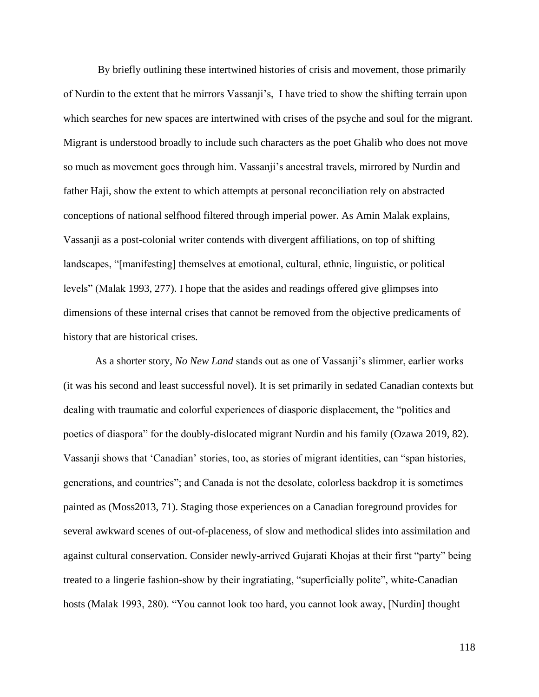By briefly outlining these intertwined histories of crisis and movement, those primarily of Nurdin to the extent that he mirrors Vassanji's, I have tried to show the shifting terrain upon which searches for new spaces are intertwined with crises of the psyche and soul for the migrant. Migrant is understood broadly to include such characters as the poet Ghalib who does not move so much as movement goes through him. Vassanji's ancestral travels, mirrored by Nurdin and father Haji, show the extent to which attempts at personal reconciliation rely on abstracted conceptions of national selfhood filtered through imperial power. As Amin Malak explains, Vassanji as a post-colonial writer contends with divergent affiliations, on top of shifting landscapes, "[manifesting] themselves at emotional, cultural, ethnic, linguistic, or political levels" (Malak 1993, 277). I hope that the asides and readings offered give glimpses into dimensions of these internal crises that cannot be removed from the objective predicaments of history that are historical crises.

As a shorter story, *No New Land* stands out as one of Vassanji's slimmer, earlier works (it was his second and least successful novel). It is set primarily in sedated Canadian contexts but dealing with traumatic and colorful experiences of diasporic displacement, the "politics and poetics of diaspora" for the doubly-dislocated migrant Nurdin and his family (Ozawa 2019, 82). Vassanji shows that 'Canadian' stories, too, as stories of migrant identities, can "span histories, generations, and countries"; and Canada is not the desolate, colorless backdrop it is sometimes painted as (Moss2013, 71). Staging those experiences on a Canadian foreground provides for several awkward scenes of out-of-placeness, of slow and methodical slides into assimilation and against cultural conservation. Consider newly-arrived Gujarati Khojas at their first "party" being treated to a lingerie fashion-show by their ingratiating, "superficially polite", white-Canadian hosts (Malak 1993, 280). "You cannot look too hard, you cannot look away, [Nurdin] thought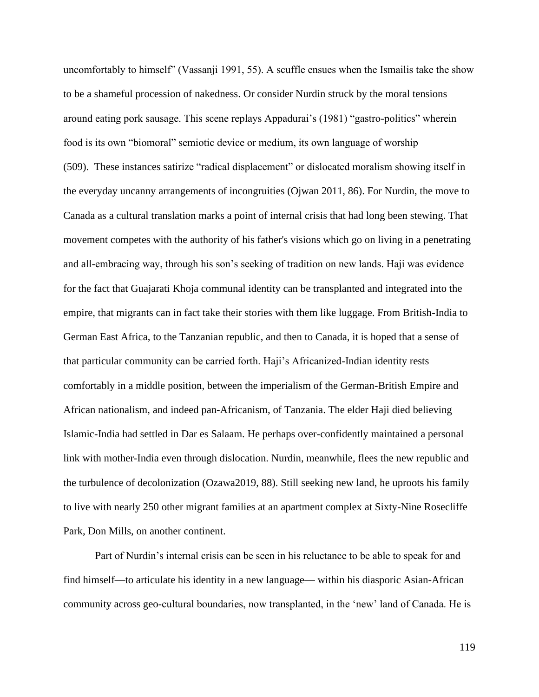uncomfortably to himself" (Vassanji 1991, 55). A scuffle ensues when the Ismailis take the show to be a shameful procession of nakedness. Or consider Nurdin struck by the moral tensions around eating pork sausage. This scene replays Appadurai's (1981) "gastro-politics" wherein food is its own "biomoral" semiotic device or medium, its own language of worship (509). These instances satirize "radical displacement" or dislocated moralism showing itself in the everyday uncanny arrangements of incongruities (Ojwan 2011, 86). For Nurdin, the move to Canada as a cultural translation marks a point of internal crisis that had long been stewing. That movement competes with the authority of his father's visions which go on living in a penetrating and all-embracing way, through his son's seeking of tradition on new lands. Haji was evidence for the fact that Guajarati Khoja communal identity can be transplanted and integrated into the empire, that migrants can in fact take their stories with them like luggage. From British-India to German East Africa, to the Tanzanian republic, and then to Canada, it is hoped that a sense of that particular community can be carried forth. Haji's Africanized-Indian identity rests comfortably in a middle position, between the imperialism of the German-British Empire and African nationalism, and indeed pan-Africanism, of Tanzania. The elder Haji died believing Islamic-India had settled in Dar es Salaam. He perhaps over-confidently maintained a personal link with mother-India even through dislocation. Nurdin, meanwhile, flees the new republic and the turbulence of decolonization (Ozawa2019, 88). Still seeking new land, he uproots his family to live with nearly 250 other migrant families at an apartment complex at Sixty-Nine Rosecliffe Park, Don Mills, on another continent.

Part of Nurdin's internal crisis can be seen in his reluctance to be able to speak for and find himself—to articulate his identity in a new language— within his diasporic Asian-African community across geo-cultural boundaries, now transplanted, in the 'new' land of Canada. He is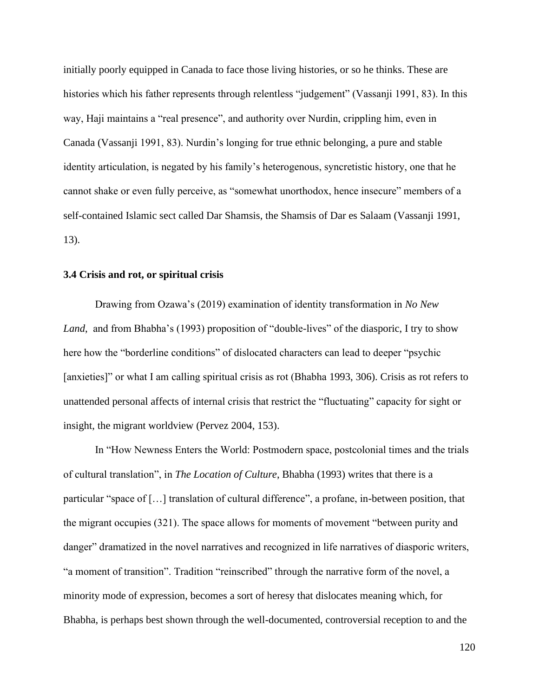initially poorly equipped in Canada to face those living histories, or so he thinks. These are histories which his father represents through relentless "judgement" (Vassanji 1991, 83). In this way, Haji maintains a "real presence", and authority over Nurdin, crippling him, even in Canada (Vassanji 1991, 83). Nurdin's longing for true ethnic belonging, a pure and stable identity articulation, is negated by his family's heterogenous, syncretistic history, one that he cannot shake or even fully perceive, as "somewhat unorthodox, hence insecure" members of a self-contained Islamic sect called Dar Shamsis, the Shamsis of Dar es Salaam (Vassanji 1991, 13).

## **3.4 Crisis and rot, or spiritual crisis**

Drawing from Ozawa's (2019) examination of identity transformation in *No New Land*, and from Bhabha's (1993) proposition of "double-lives" of the diasporic, I try to show here how the "borderline conditions" of dislocated characters can lead to deeper "psychic [anxieties]" or what I am calling spiritual crisis as rot (Bhabha 1993, 306). Crisis as rot refers to unattended personal affects of internal crisis that restrict the "fluctuating" capacity for sight or insight, the migrant worldview (Pervez 2004, 153).

In "How Newness Enters the World: Postmodern space, postcolonial times and the trials of cultural translation", in *The Location of Culture*, Bhabha (1993) writes that there is a particular "space of […] translation of cultural difference", a profane, in-between position, that the migrant occupies (321). The space allows for moments of movement "between purity and danger" dramatized in the novel narratives and recognized in life narratives of diasporic writers, "a moment of transition". Tradition "reinscribed" through the narrative form of the novel, a minority mode of expression, becomes a sort of heresy that dislocates meaning which, for Bhabha, is perhaps best shown through the well-documented, controversial reception to and the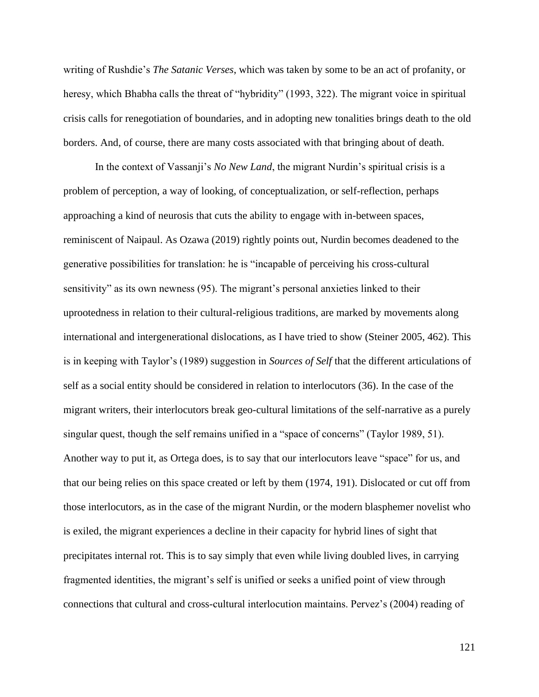writing of Rushdie's *The Satanic Verses*, which was taken by some to be an act of profanity, or heresy, which Bhabha calls the threat of "hybridity" (1993, 322). The migrant voice in spiritual crisis calls for renegotiation of boundaries, and in adopting new tonalities brings death to the old borders. And, of course, there are many costs associated with that bringing about of death.

In the context of Vassanji's *No New Land*, the migrant Nurdin's spiritual crisis is a problem of perception, a way of looking, of conceptualization, or self-reflection, perhaps approaching a kind of neurosis that cuts the ability to engage with in-between spaces, reminiscent of Naipaul. As Ozawa (2019) rightly points out, Nurdin becomes deadened to the generative possibilities for translation: he is "incapable of perceiving his cross-cultural sensitivity" as its own newness (95). The migrant's personal anxieties linked to their uprootedness in relation to their cultural-religious traditions, are marked by movements along international and intergenerational dislocations, as I have tried to show (Steiner 2005, 462). This is in keeping with Taylor's (1989) suggestion in *Sources of Self* that the different articulations of self as a social entity should be considered in relation to interlocutors (36). In the case of the migrant writers, their interlocutors break geo-cultural limitations of the self-narrative as a purely singular quest, though the self remains unified in a "space of concerns" (Taylor 1989, 51). Another way to put it, as Ortega does, is to say that our interlocutors leave "space" for us, and that our being relies on this space created or left by them (1974, 191). Dislocated or cut off from those interlocutors, as in the case of the migrant Nurdin, or the modern blasphemer novelist who is exiled, the migrant experiences a decline in their capacity for hybrid lines of sight that precipitates internal rot. This is to say simply that even while living doubled lives, in carrying fragmented identities, the migrant's self is unified or seeks a unified point of view through connections that cultural and cross-cultural interlocution maintains. Pervez's (2004) reading of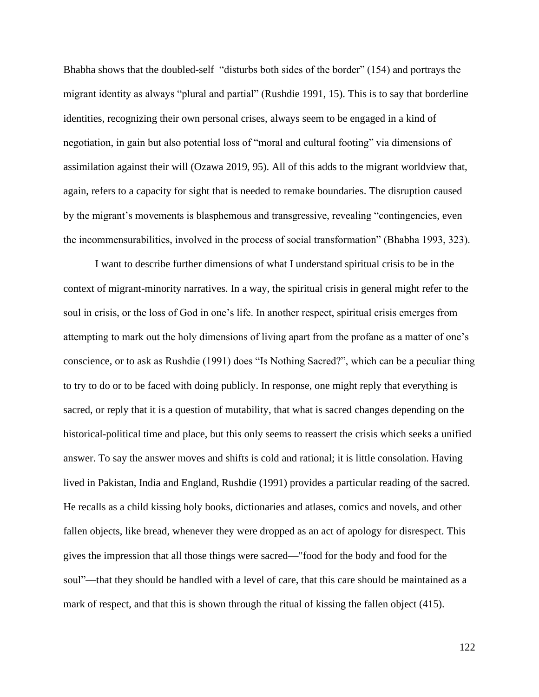Bhabha shows that the doubled-self "disturbs both sides of the border" (154) and portrays the migrant identity as always "plural and partial" (Rushdie 1991, 15). This is to say that borderline identities, recognizing their own personal crises, always seem to be engaged in a kind of negotiation, in gain but also potential loss of "moral and cultural footing" via dimensions of assimilation against their will (Ozawa 2019, 95). All of this adds to the migrant worldview that, again, refers to a capacity for sight that is needed to remake boundaries. The disruption caused by the migrant's movements is blasphemous and transgressive, revealing "contingencies, even the incommensurabilities, involved in the process of social transformation" (Bhabha 1993, 323).

I want to describe further dimensions of what I understand spiritual crisis to be in the context of migrant-minority narratives. In a way, the spiritual crisis in general might refer to the soul in crisis, or the loss of God in one's life. In another respect, spiritual crisis emerges from attempting to mark out the holy dimensions of living apart from the profane as a matter of one's conscience, or to ask as Rushdie (1991) does "Is Nothing Sacred?", which can be a peculiar thing to try to do or to be faced with doing publicly. In response, one might reply that everything is sacred, or reply that it is a question of mutability, that what is sacred changes depending on the historical-political time and place, but this only seems to reassert the crisis which seeks a unified answer. To say the answer moves and shifts is cold and rational; it is little consolation. Having lived in Pakistan, India and England, Rushdie (1991) provides a particular reading of the sacred. He recalls as a child kissing holy books, dictionaries and atlases, comics and novels, and other fallen objects, like bread, whenever they were dropped as an act of apology for disrespect. This gives the impression that all those things were sacred—"food for the body and food for the soul"—that they should be handled with a level of care, that this care should be maintained as a mark of respect, and that this is shown through the ritual of kissing the fallen object (415).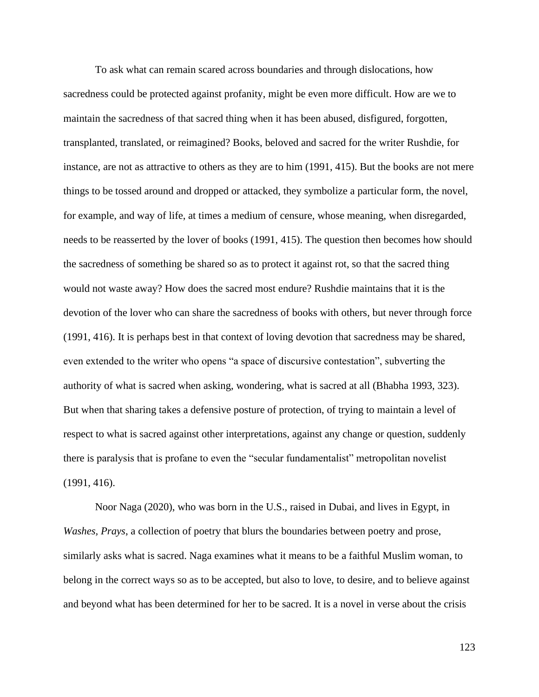To ask what can remain scared across boundaries and through dislocations, how sacredness could be protected against profanity, might be even more difficult. How are we to maintain the sacredness of that sacred thing when it has been abused, disfigured, forgotten, transplanted, translated, or reimagined? Books, beloved and sacred for the writer Rushdie, for instance, are not as attractive to others as they are to him (1991, 415). But the books are not mere things to be tossed around and dropped or attacked, they symbolize a particular form, the novel, for example, and way of life, at times a medium of censure, whose meaning, when disregarded, needs to be reasserted by the lover of books (1991, 415). The question then becomes how should the sacredness of something be shared so as to protect it against rot, so that the sacred thing would not waste away? How does the sacred most endure? Rushdie maintains that it is the devotion of the lover who can share the sacredness of books with others, but never through force (1991, 416). It is perhaps best in that context of loving devotion that sacredness may be shared, even extended to the writer who opens "a space of discursive contestation", subverting the authority of what is sacred when asking, wondering, what is sacred at all (Bhabha 1993, 323). But when that sharing takes a defensive posture of protection, of trying to maintain a level of respect to what is sacred against other interpretations, against any change or question, suddenly there is paralysis that is profane to even the "secular fundamentalist" metropolitan novelist (1991, 416).

Noor Naga (2020), who was born in the U.S., raised in Dubai, and lives in Egypt, in *Washes, Prays*, a collection of poetry that blurs the boundaries between poetry and prose, similarly asks what is sacred. Naga examines what it means to be a faithful Muslim woman, to belong in the correct ways so as to be accepted, but also to love, to desire, and to believe against and beyond what has been determined for her to be sacred. It is a novel in verse about the crisis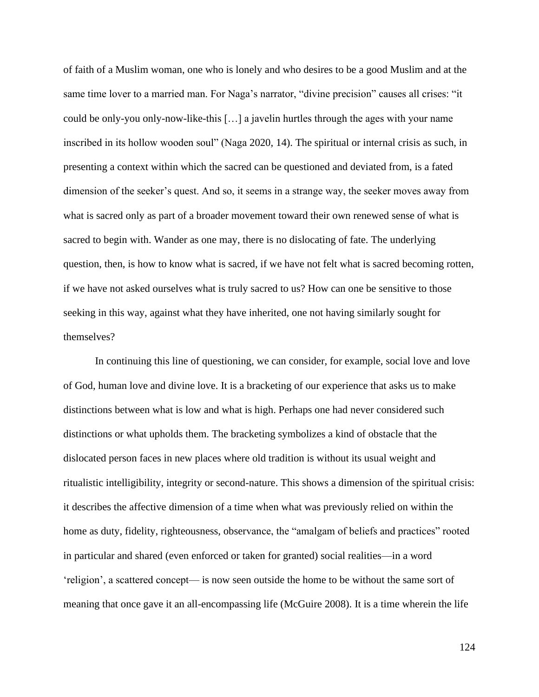of faith of a Muslim woman, one who is lonely and who desires to be a good Muslim and at the same time lover to a married man. For Naga's narrator, "divine precision" causes all crises: "it could be only-you only-now-like-this […] a javelin hurtles through the ages with your name inscribed in its hollow wooden soul" (Naga 2020, 14). The spiritual or internal crisis as such, in presenting a context within which the sacred can be questioned and deviated from, is a fated dimension of the seeker's quest. And so, it seems in a strange way, the seeker moves away from what is sacred only as part of a broader movement toward their own renewed sense of what is sacred to begin with. Wander as one may, there is no dislocating of fate. The underlying question, then, is how to know what is sacred, if we have not felt what is sacred becoming rotten, if we have not asked ourselves what is truly sacred to us? How can one be sensitive to those seeking in this way, against what they have inherited, one not having similarly sought for themselves?

In continuing this line of questioning, we can consider, for example, social love and love of God, human love and divine love. It is a bracketing of our experience that asks us to make distinctions between what is low and what is high. Perhaps one had never considered such distinctions or what upholds them. The bracketing symbolizes a kind of obstacle that the dislocated person faces in new places where old tradition is without its usual weight and ritualistic intelligibility, integrity or second-nature. This shows a dimension of the spiritual crisis: it describes the affective dimension of a time when what was previously relied on within the home as duty, fidelity, righteousness, observance, the "amalgam of beliefs and practices" rooted in particular and shared (even enforced or taken for granted) social realities—in a word 'religion', a scattered concept— is now seen outside the home to be without the same sort of meaning that once gave it an all-encompassing life (McGuire 2008). It is a time wherein the life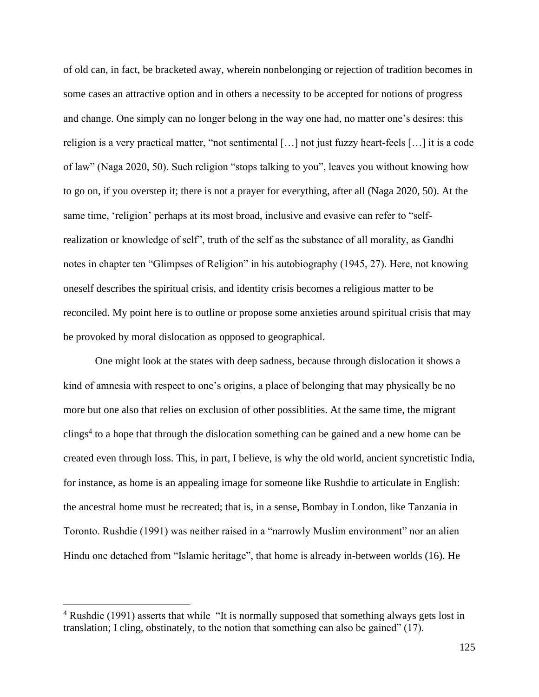of old can, in fact, be bracketed away, wherein nonbelonging or rejection of tradition becomes in some cases an attractive option and in others a necessity to be accepted for notions of progress and change. One simply can no longer belong in the way one had, no matter one's desires: this religion is a very practical matter, "not sentimental […] not just fuzzy heart-feels […] it is a code of law" (Naga 2020, 50). Such religion "stops talking to you", leaves you without knowing how to go on, if you overstep it; there is not a prayer for everything, after all (Naga 2020, 50). At the same time, 'religion' perhaps at its most broad, inclusive and evasive can refer to "selfrealization or knowledge of self", truth of the self as the substance of all morality, as Gandhi notes in chapter ten "Glimpses of Religion" in his autobiography (1945, 27). Here, not knowing oneself describes the spiritual crisis, and identity crisis becomes a religious matter to be reconciled. My point here is to outline or propose some anxieties around spiritual crisis that may be provoked by moral dislocation as opposed to geographical.

One might look at the states with deep sadness, because through dislocation it shows a kind of amnesia with respect to one's origins, a place of belonging that may physically be no more but one also that relies on exclusion of other possiblities. At the same time, the migrant clings<sup>4</sup> to a hope that through the dislocation something can be gained and a new home can be created even through loss. This, in part, I believe, is why the old world, ancient syncretistic India, for instance, as home is an appealing image for someone like Rushdie to articulate in English: the ancestral home must be recreated; that is, in a sense, Bombay in London, like Tanzania in Toronto. Rushdie (1991) was neither raised in a "narrowly Muslim environment" nor an alien Hindu one detached from "Islamic heritage", that home is already in-between worlds (16). He

<sup>&</sup>lt;sup>4</sup> Rushdie (1991) asserts that while "It is normally supposed that something always gets lost in translation; I cling, obstinately, to the notion that something can also be gained" (17).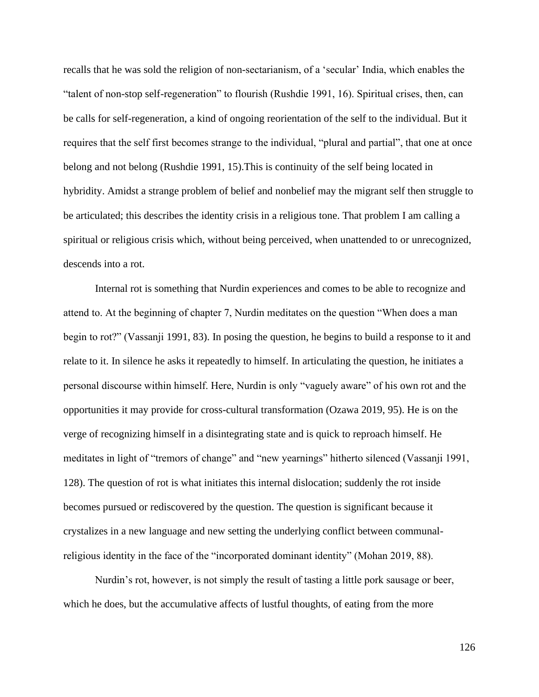recalls that he was sold the religion of non-sectarianism, of a 'secular' India, which enables the "talent of non-stop self-regeneration" to flourish (Rushdie 1991, 16). Spiritual crises, then, can be calls for self-regeneration, a kind of ongoing reorientation of the self to the individual. But it requires that the self first becomes strange to the individual, "plural and partial", that one at once belong and not belong (Rushdie 1991, 15).This is continuity of the self being located in hybridity. Amidst a strange problem of belief and nonbelief may the migrant self then struggle to be articulated; this describes the identity crisis in a religious tone. That problem I am calling a spiritual or religious crisis which, without being perceived, when unattended to or unrecognized, descends into a rot.

Internal rot is something that Nurdin experiences and comes to be able to recognize and attend to. At the beginning of chapter 7, Nurdin meditates on the question "When does a man begin to rot?" (Vassanji 1991, 83). In posing the question, he begins to build a response to it and relate to it. In silence he asks it repeatedly to himself. In articulating the question, he initiates a personal discourse within himself. Here, Nurdin is only "vaguely aware" of his own rot and the opportunities it may provide for cross-cultural transformation (Ozawa 2019, 95). He is on the verge of recognizing himself in a disintegrating state and is quick to reproach himself. He meditates in light of "tremors of change" and "new yearnings" hitherto silenced (Vassanji 1991, 128). The question of rot is what initiates this internal dislocation; suddenly the rot inside becomes pursued or rediscovered by the question. The question is significant because it crystalizes in a new language and new setting the underlying conflict between communalreligious identity in the face of the "incorporated dominant identity" (Mohan 2019, 88).

Nurdin's rot, however, is not simply the result of tasting a little pork sausage or beer, which he does, but the accumulative affects of lustful thoughts, of eating from the more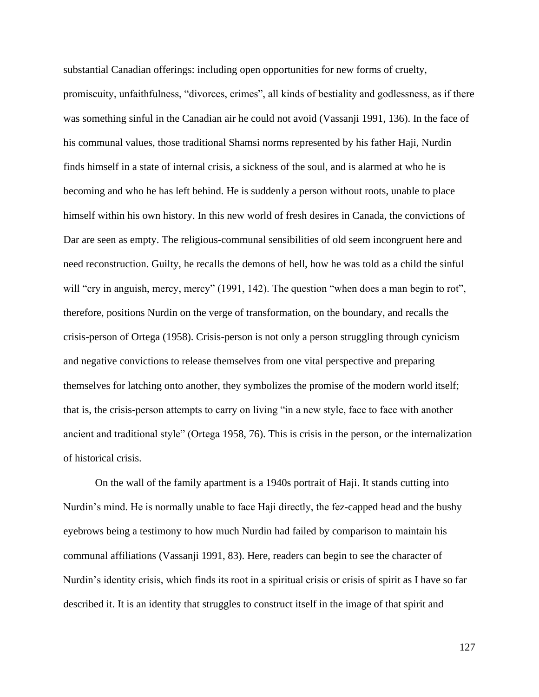substantial Canadian offerings: including open opportunities for new forms of cruelty, promiscuity, unfaithfulness, "divorces, crimes", all kinds of bestiality and godlessness, as if there was something sinful in the Canadian air he could not avoid (Vassanji 1991, 136). In the face of his communal values, those traditional Shamsi norms represented by his father Haji, Nurdin finds himself in a state of internal crisis, a sickness of the soul, and is alarmed at who he is becoming and who he has left behind. He is suddenly a person without roots, unable to place himself within his own history. In this new world of fresh desires in Canada, the convictions of Dar are seen as empty. The religious-communal sensibilities of old seem incongruent here and need reconstruction. Guilty, he recalls the demons of hell, how he was told as a child the sinful will "cry in anguish, mercy, mercy" (1991, 142). The question "when does a man begin to rot", therefore, positions Nurdin on the verge of transformation, on the boundary, and recalls the crisis-person of Ortega (1958). Crisis-person is not only a person struggling through cynicism and negative convictions to release themselves from one vital perspective and preparing themselves for latching onto another, they symbolizes the promise of the modern world itself; that is, the crisis-person attempts to carry on living "in a new style, face to face with another ancient and traditional style" (Ortega 1958, 76). This is crisis in the person, or the internalization of historical crisis.

On the wall of the family apartment is a 1940s portrait of Haji. It stands cutting into Nurdin's mind. He is normally unable to face Haji directly, the fez-capped head and the bushy eyebrows being a testimony to how much Nurdin had failed by comparison to maintain his communal affiliations (Vassanji 1991, 83). Here, readers can begin to see the character of Nurdin's identity crisis, which finds its root in a spiritual crisis or crisis of spirit as I have so far described it. It is an identity that struggles to construct itself in the image of that spirit and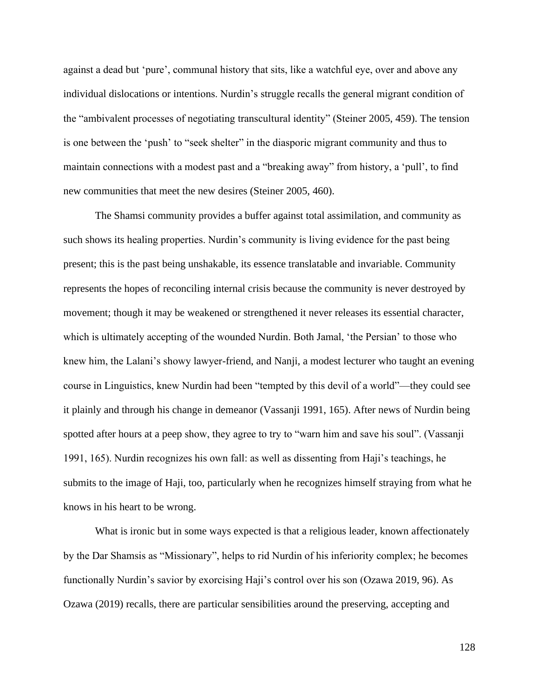against a dead but 'pure', communal history that sits, like a watchful eye, over and above any individual dislocations or intentions. Nurdin's struggle recalls the general migrant condition of the "ambivalent processes of negotiating transcultural identity" (Steiner 2005, 459). The tension is one between the 'push' to "seek shelter" in the diasporic migrant community and thus to maintain connections with a modest past and a "breaking away" from history, a 'pull', to find new communities that meet the new desires (Steiner 2005, 460).

The Shamsi community provides a buffer against total assimilation, and community as such shows its healing properties. Nurdin's community is living evidence for the past being present; this is the past being unshakable, its essence translatable and invariable. Community represents the hopes of reconciling internal crisis because the community is never destroyed by movement; though it may be weakened or strengthened it never releases its essential character, which is ultimately accepting of the wounded Nurdin. Both Jamal, 'the Persian' to those who knew him, the Lalani's showy lawyer-friend, and Nanji, a modest lecturer who taught an evening course in Linguistics, knew Nurdin had been "tempted by this devil of a world"—they could see it plainly and through his change in demeanor (Vassanji 1991, 165). After news of Nurdin being spotted after hours at a peep show, they agree to try to "warn him and save his soul". (Vassanji 1991, 165). Nurdin recognizes his own fall: as well as dissenting from Haji's teachings, he submits to the image of Haji, too, particularly when he recognizes himself straying from what he knows in his heart to be wrong.

What is ironic but in some ways expected is that a religious leader, known affectionately by the Dar Shamsis as "Missionary", helps to rid Nurdin of his inferiority complex; he becomes functionally Nurdin's savior by exorcising Haji's control over his son (Ozawa 2019, 96). As Ozawa (2019) recalls, there are particular sensibilities around the preserving, accepting and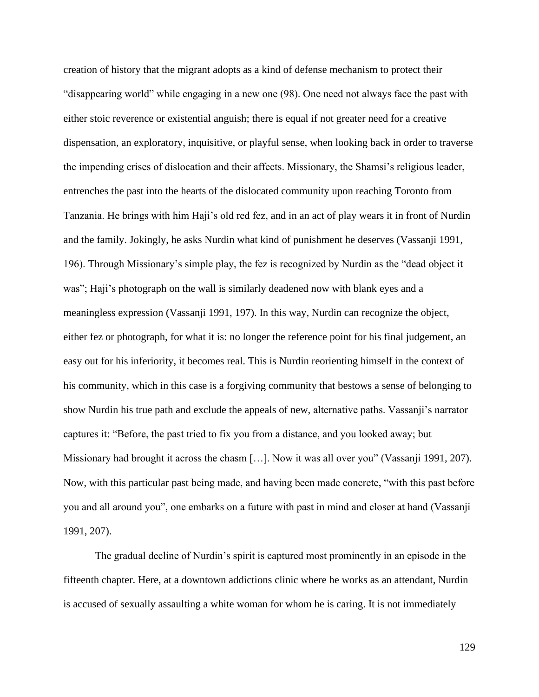creation of history that the migrant adopts as a kind of defense mechanism to protect their "disappearing world" while engaging in a new one (98). One need not always face the past with either stoic reverence or existential anguish; there is equal if not greater need for a creative dispensation, an exploratory, inquisitive, or playful sense, when looking back in order to traverse the impending crises of dislocation and their affects. Missionary, the Shamsi's religious leader, entrenches the past into the hearts of the dislocated community upon reaching Toronto from Tanzania. He brings with him Haji's old red fez, and in an act of play wears it in front of Nurdin and the family. Jokingly, he asks Nurdin what kind of punishment he deserves (Vassanji 1991, 196). Through Missionary's simple play, the fez is recognized by Nurdin as the "dead object it was"; Haji's photograph on the wall is similarly deadened now with blank eyes and a meaningless expression (Vassanji 1991, 197). In this way, Nurdin can recognize the object, either fez or photograph, for what it is: no longer the reference point for his final judgement, an easy out for his inferiority, it becomes real. This is Nurdin reorienting himself in the context of his community, which in this case is a forgiving community that bestows a sense of belonging to show Nurdin his true path and exclude the appeals of new, alternative paths. Vassanji's narrator captures it: "Before, the past tried to fix you from a distance, and you looked away; but Missionary had brought it across the chasm […]. Now it was all over you" (Vassanji 1991, 207). Now, with this particular past being made, and having been made concrete, "with this past before you and all around you", one embarks on a future with past in mind and closer at hand (Vassanji 1991, 207).

The gradual decline of Nurdin's spirit is captured most prominently in an episode in the fifteenth chapter. Here, at a downtown addictions clinic where he works as an attendant, Nurdin is accused of sexually assaulting a white woman for whom he is caring. It is not immediately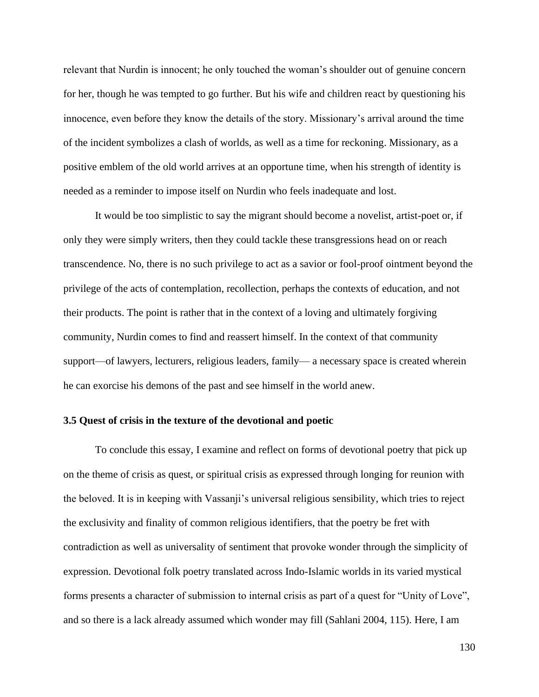relevant that Nurdin is innocent; he only touched the woman's shoulder out of genuine concern for her, though he was tempted to go further. But his wife and children react by questioning his innocence, even before they know the details of the story. Missionary's arrival around the time of the incident symbolizes a clash of worlds, as well as a time for reckoning. Missionary, as a positive emblem of the old world arrives at an opportune time, when his strength of identity is needed as a reminder to impose itself on Nurdin who feels inadequate and lost.

It would be too simplistic to say the migrant should become a novelist, artist-poet or, if only they were simply writers, then they could tackle these transgressions head on or reach transcendence. No, there is no such privilege to act as a savior or fool-proof ointment beyond the privilege of the acts of contemplation, recollection, perhaps the contexts of education, and not their products. The point is rather that in the context of a loving and ultimately forgiving community, Nurdin comes to find and reassert himself. In the context of that community support—of lawyers, lecturers, religious leaders, family— a necessary space is created wherein he can exorcise his demons of the past and see himself in the world anew.

## **3.5 Quest of crisis in the texture of the devotional and poetic**

To conclude this essay, I examine and reflect on forms of devotional poetry that pick up on the theme of crisis as quest, or spiritual crisis as expressed through longing for reunion with the beloved. It is in keeping with Vassanji's universal religious sensibility, which tries to reject the exclusivity and finality of common religious identifiers, that the poetry be fret with contradiction as well as universality of sentiment that provoke wonder through the simplicity of expression. Devotional folk poetry translated across Indo-Islamic worlds in its varied mystical forms presents a character of submission to internal crisis as part of a quest for "Unity of Love", and so there is a lack already assumed which wonder may fill (Sahlani 2004, 115). Here, I am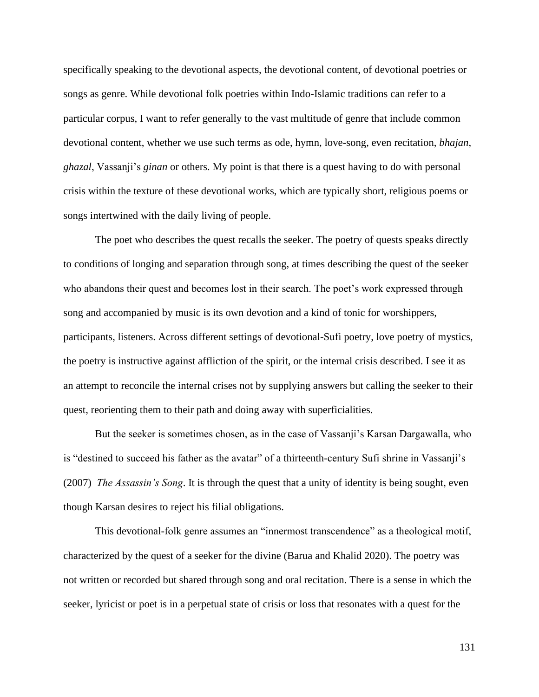specifically speaking to the devotional aspects, the devotional content, of devotional poetries or songs as genre. While devotional folk poetries within Indo-Islamic traditions can refer to a particular corpus, I want to refer generally to the vast multitude of genre that include common devotional content, whether we use such terms as ode, hymn, love-song, even recitation, *bhajan*, *ghazal*, Vassanji's *ginan* or others. My point is that there is a quest having to do with personal crisis within the texture of these devotional works, which are typically short, religious poems or songs intertwined with the daily living of people.

The poet who describes the quest recalls the seeker. The poetry of quests speaks directly to conditions of longing and separation through song, at times describing the quest of the seeker who abandons their quest and becomes lost in their search. The poet's work expressed through song and accompanied by music is its own devotion and a kind of tonic for worshippers, participants, listeners. Across different settings of devotional-Sufi poetry, love poetry of mystics, the poetry is instructive against affliction of the spirit, or the internal crisis described. I see it as an attempt to reconcile the internal crises not by supplying answers but calling the seeker to their quest, reorienting them to their path and doing away with superficialities.

But the seeker is sometimes chosen, as in the case of Vassanji's Karsan Dargawalla, who is "destined to succeed his father as the avatar" of a thirteenth-century Sufi shrine in Vassanji's (2007) *The Assassin's Song*. It is through the quest that a unity of identity is being sought, even though Karsan desires to reject his filial obligations.

This devotional-folk genre assumes an "innermost transcendence" as a theological motif, characterized by the quest of a seeker for the divine (Barua and Khalid 2020). The poetry was not written or recorded but shared through song and oral recitation. There is a sense in which the seeker, lyricist or poet is in a perpetual state of crisis or loss that resonates with a quest for the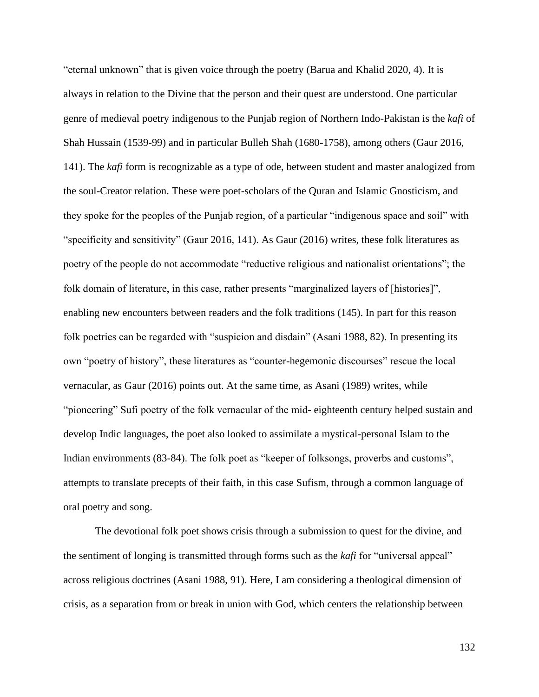"eternal unknown" that is given voice through the poetry (Barua and Khalid 2020, 4). It is always in relation to the Divine that the person and their quest are understood. One particular genre of medieval poetry indigenous to the Punjab region of Northern Indo-Pakistan is the *kafi* of Shah Hussain (1539-99) and in particular Bulleh Shah (1680-1758), among others (Gaur 2016, 141). The *kafi* form is recognizable as a type of ode, between student and master analogized from the soul-Creator relation. These were poet-scholars of the Quran and Islamic Gnosticism, and they spoke for the peoples of the Punjab region, of a particular "indigenous space and soil" with "specificity and sensitivity" (Gaur 2016, 141). As Gaur (2016) writes, these folk literatures as poetry of the people do not accommodate "reductive religious and nationalist orientations"; the folk domain of literature, in this case, rather presents "marginalized layers of [histories]", enabling new encounters between readers and the folk traditions (145). In part for this reason folk poetries can be regarded with "suspicion and disdain" (Asani 1988, 82). In presenting its own "poetry of history", these literatures as "counter-hegemonic discourses" rescue the local vernacular, as Gaur (2016) points out. At the same time, as Asani (1989) writes, while "pioneering" Sufi poetry of the folk vernacular of the mid- eighteenth century helped sustain and develop Indic languages, the poet also looked to assimilate a mystical-personal Islam to the Indian environments (83-84). The folk poet as "keeper of folksongs, proverbs and customs", attempts to translate precepts of their faith, in this case Sufism, through a common language of oral poetry and song.

The devotional folk poet shows crisis through a submission to quest for the divine, and the sentiment of longing is transmitted through forms such as the *kafi* for "universal appeal" across religious doctrines (Asani 1988, 91). Here, I am considering a theological dimension of crisis, as a separation from or break in union with God, which centers the relationship between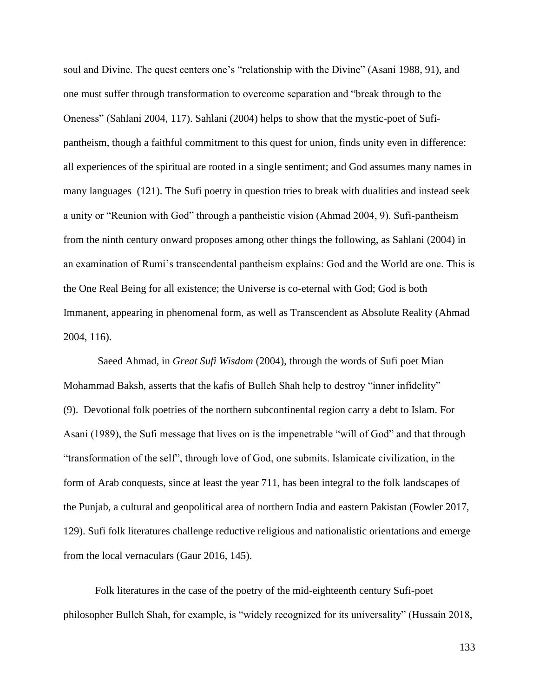soul and Divine. The quest centers one's "relationship with the Divine" (Asani 1988, 91), and one must suffer through transformation to overcome separation and "break through to the Oneness" (Sahlani 2004, 117). Sahlani (2004) helps to show that the mystic-poet of Sufipantheism, though a faithful commitment to this quest for union, finds unity even in difference: all experiences of the spiritual are rooted in a single sentiment; and God assumes many names in many languages (121). The Sufi poetry in question tries to break with dualities and instead seek a unity or "Reunion with God" through a pantheistic vision (Ahmad 2004, 9). Sufi-pantheism from the ninth century onward proposes among other things the following, as Sahlani (2004) in an examination of Rumi's transcendental pantheism explains: God and the World are one. This is the One Real Being for all existence; the Universe is co-eternal with God; God is both Immanent, appearing in phenomenal form, as well as Transcendent as Absolute Reality (Ahmad 2004, 116).

Saeed Ahmad, in *Great Sufi Wisdom* (2004), through the words of Sufi poet Mian Mohammad Baksh, asserts that the kafis of Bulleh Shah help to destroy "inner infidelity" (9). Devotional folk poetries of the northern subcontinental region carry a debt to Islam. For Asani (1989), the Sufi message that lives on is the impenetrable "will of God" and that through "transformation of the self", through love of God, one submits. Islamicate civilization, in the form of Arab conquests, since at least the year 711, has been integral to the folk landscapes of the Punjab, a cultural and geopolitical area of northern India and eastern Pakistan (Fowler 2017, 129). Sufi folk literatures challenge reductive religious and nationalistic orientations and emerge from the local vernaculars (Gaur 2016, 145).

Folk literatures in the case of the poetry of the mid-eighteenth century Sufi-poet philosopher Bulleh Shah, for example, is "widely recognized for its universality" (Hussain 2018,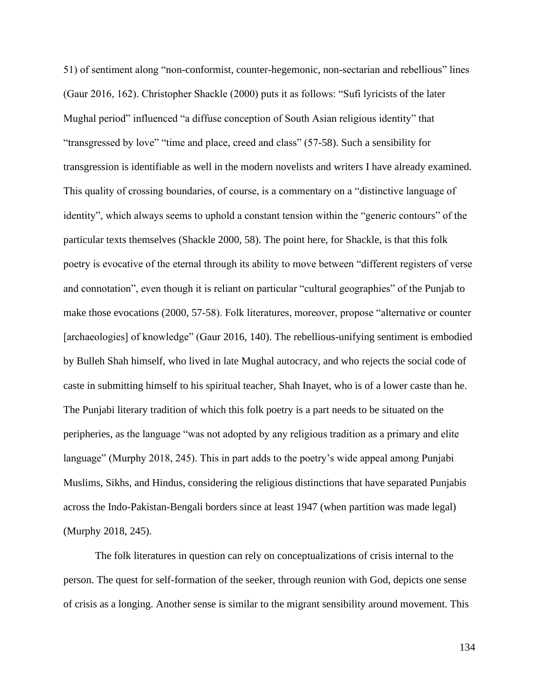51) of sentiment along "non-conformist, counter-hegemonic, non-sectarian and rebellious" lines (Gaur 2016, 162). Christopher Shackle (2000) puts it as follows: "Sufi lyricists of the later Mughal period" influenced "a diffuse conception of South Asian religious identity" that "transgressed by love" "time and place, creed and class" (57-58). Such a sensibility for transgression is identifiable as well in the modern novelists and writers I have already examined. This quality of crossing boundaries, of course, is a commentary on a "distinctive language of identity", which always seems to uphold a constant tension within the "generic contours" of the particular texts themselves (Shackle 2000, 58). The point here, for Shackle, is that this folk poetry is evocative of the eternal through its ability to move between "different registers of verse and connotation", even though it is reliant on particular "cultural geographies" of the Punjab to make those evocations (2000, 57-58). Folk literatures, moreover, propose "alternative or counter [archaeologies] of knowledge" (Gaur 2016, 140). The rebellious-unifying sentiment is embodied by Bulleh Shah himself, who lived in late Mughal autocracy, and who rejects the social code of caste in submitting himself to his spiritual teacher, Shah Inayet, who is of a lower caste than he. The Punjabi literary tradition of which this folk poetry is a part needs to be situated on the peripheries, as the language "was not adopted by any religious tradition as a primary and elite language" (Murphy 2018, 245). This in part adds to the poetry's wide appeal among Punjabi Muslims, Sikhs, and Hindus, considering the religious distinctions that have separated Punjabis across the Indo-Pakistan-Bengali borders since at least 1947 (when partition was made legal) (Murphy 2018, 245).

The folk literatures in question can rely on conceptualizations of crisis internal to the person. The quest for self-formation of the seeker, through reunion with God, depicts one sense of crisis as a longing. Another sense is similar to the migrant sensibility around movement. This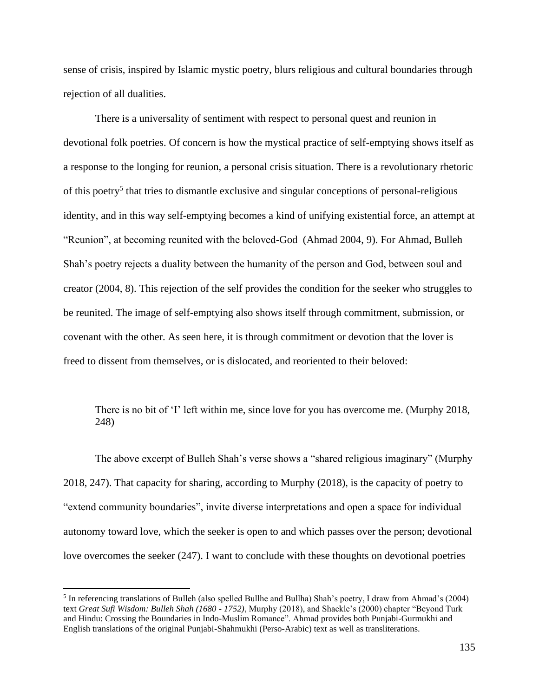sense of crisis, inspired by Islamic mystic poetry, blurs religious and cultural boundaries through rejection of all dualities.

There is a universality of sentiment with respect to personal quest and reunion in devotional folk poetries. Of concern is how the mystical practice of self-emptying shows itself as a response to the longing for reunion, a personal crisis situation. There is a revolutionary rhetoric of this poetry<sup>5</sup> that tries to dismantle exclusive and singular conceptions of personal-religious identity, and in this way self-emptying becomes a kind of unifying existential force, an attempt at "Reunion", at becoming reunited with the beloved-God (Ahmad 2004, 9). For Ahmad, Bulleh Shah's poetry rejects a duality between the humanity of the person and God, between soul and creator (2004, 8). This rejection of the self provides the condition for the seeker who struggles to be reunited. The image of self-emptying also shows itself through commitment, submission, or covenant with the other. As seen here, it is through commitment or devotion that the lover is freed to dissent from themselves, or is dislocated, and reoriented to their beloved:

There is no bit of 'I' left within me, since love for you has overcome me. (Murphy 2018, 248)

The above excerpt of Bulleh Shah's verse shows a "shared religious imaginary" (Murphy 2018, 247). That capacity for sharing, according to Murphy (2018), is the capacity of poetry to "extend community boundaries", invite diverse interpretations and open a space for individual autonomy toward love, which the seeker is open to and which passes over the person; devotional love overcomes the seeker (247). I want to conclude with these thoughts on devotional poetries

<sup>&</sup>lt;sup>5</sup> In referencing translations of Bulleh (also spelled Bullhe and Bullha) Shah's poetry, I draw from Ahmad's (2004) text *Great Sufi Wisdom: Bulleh Shah (1680 - 1752)*, Murphy (2018), and Shackle's (2000) chapter "Beyond Turk and Hindu: Crossing the Boundaries in Indo-Muslim Romance". Ahmad provides both Punjabi-Gurmukhi and English translations of the original Punjabi-Shahmukhi (Perso-Arabic) text as well as transliterations.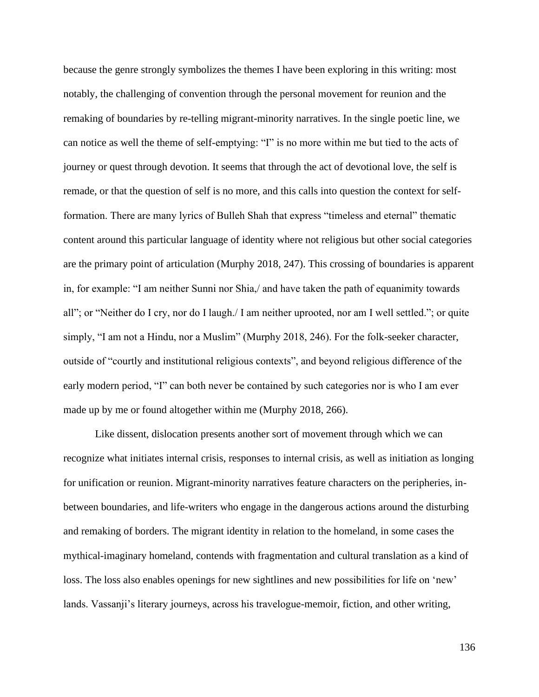because the genre strongly symbolizes the themes I have been exploring in this writing: most notably, the challenging of convention through the personal movement for reunion and the remaking of boundaries by re-telling migrant-minority narratives. In the single poetic line, we can notice as well the theme of self-emptying: "I" is no more within me but tied to the acts of journey or quest through devotion. It seems that through the act of devotional love, the self is remade, or that the question of self is no more, and this calls into question the context for selfformation. There are many lyrics of Bulleh Shah that express "timeless and eternal" thematic content around this particular language of identity where not religious but other social categories are the primary point of articulation (Murphy 2018, 247). This crossing of boundaries is apparent in, for example: "I am neither Sunni nor Shia,/ and have taken the path of equanimity towards all"; or "Neither do I cry, nor do I laugh./ I am neither uprooted, nor am I well settled."; or quite simply, "I am not a Hindu, nor a Muslim" (Murphy 2018, 246). For the folk-seeker character, outside of "courtly and institutional religious contexts", and beyond religious difference of the early modern period, "I" can both never be contained by such categories nor is who I am ever made up by me or found altogether within me (Murphy 2018, 266).

Like dissent, dislocation presents another sort of movement through which we can recognize what initiates internal crisis, responses to internal crisis, as well as initiation as longing for unification or reunion. Migrant-minority narratives feature characters on the peripheries, inbetween boundaries, and life-writers who engage in the dangerous actions around the disturbing and remaking of borders. The migrant identity in relation to the homeland, in some cases the mythical-imaginary homeland, contends with fragmentation and cultural translation as a kind of loss. The loss also enables openings for new sightlines and new possibilities for life on 'new' lands. Vassanji's literary journeys, across his travelogue-memoir, fiction, and other writing,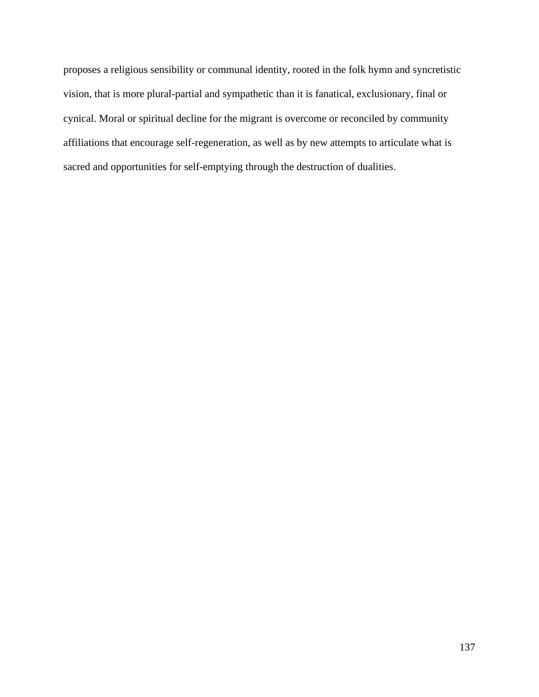proposes a religious sensibility or communal identity, rooted in the folk hymn and syncretistic vision, that is more plural-partial and sympathetic than it is fanatical, exclusionary, final or cynical. Moral or spiritual decline for the migrant is overcome or reconciled by community affiliations that encourage self-regeneration, as well as by new attempts to articulate what is sacred and opportunities for self-emptying through the destruction of dualities.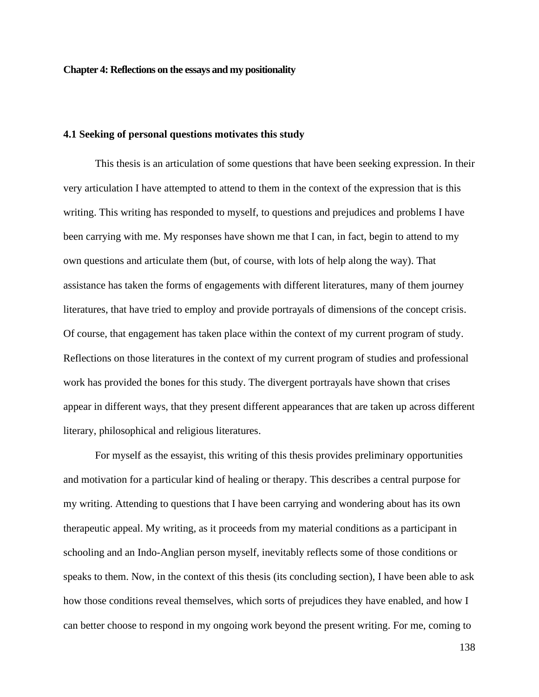**Chapter 4: Reflections on the essays and my positionality**

## **4.1 Seeking of personal questions motivates this study**

This thesis is an articulation of some questions that have been seeking expression. In their very articulation I have attempted to attend to them in the context of the expression that is this writing. This writing has responded to myself, to questions and prejudices and problems I have been carrying with me. My responses have shown me that I can, in fact, begin to attend to my own questions and articulate them (but, of course, with lots of help along the way). That assistance has taken the forms of engagements with different literatures, many of them journey literatures, that have tried to employ and provide portrayals of dimensions of the concept crisis. Of course, that engagement has taken place within the context of my current program of study. Reflections on those literatures in the context of my current program of studies and professional work has provided the bones for this study. The divergent portrayals have shown that crises appear in different ways, that they present different appearances that are taken up across different literary, philosophical and religious literatures.

For myself as the essayist, this writing of this thesis provides preliminary opportunities and motivation for a particular kind of healing or therapy. This describes a central purpose for my writing. Attending to questions that I have been carrying and wondering about has its own therapeutic appeal. My writing, as it proceeds from my material conditions as a participant in schooling and an Indo-Anglian person myself, inevitably reflects some of those conditions or speaks to them. Now, in the context of this thesis (its concluding section), I have been able to ask how those conditions reveal themselves, which sorts of prejudices they have enabled, and how I can better choose to respond in my ongoing work beyond the present writing. For me, coming to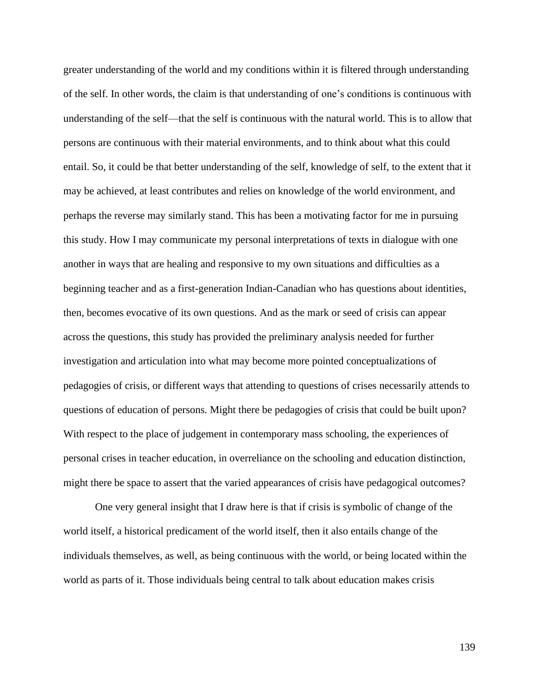greater understanding of the world and my conditions within it is filtered through understanding of the self. In other words, the claim is that understanding of one's conditions is continuous with understanding of the self—that the self is continuous with the natural world. This is to allow that persons are continuous with their material environments, and to think about what this could entail. So, it could be that better understanding of the self, knowledge of self, to the extent that it may be achieved, at least contributes and relies on knowledge of the world environment, and perhaps the reverse may similarly stand. This has been a motivating factor for me in pursuing this study. How I may communicate my personal interpretations of texts in dialogue with one another in ways that are healing and responsive to my own situations and difficulties as a beginning teacher and as a first-generation Indian-Canadian who has questions about identities, then, becomes evocative of its own questions. And as the mark or seed of crisis can appear across the questions, this study has provided the preliminary analysis needed for further investigation and articulation into what may become more pointed conceptualizations of pedagogies of crisis, or different ways that attending to questions of crises necessarily attends to questions of education of persons. Might there be pedagogies of crisis that could be built upon? With respect to the place of judgement in contemporary mass schooling, the experiences of personal crises in teacher education, in overreliance on the schooling and education distinction, might there be space to assert that the varied appearances of crisis have pedagogical outcomes?

One very general insight that I draw here is that if crisis is symbolic of change of the world itself, a historical predicament of the world itself, then it also entails change of the individuals themselves, as well, as being continuous with the world, or being located within the world as parts of it. Those individuals being central to talk about education makes crisis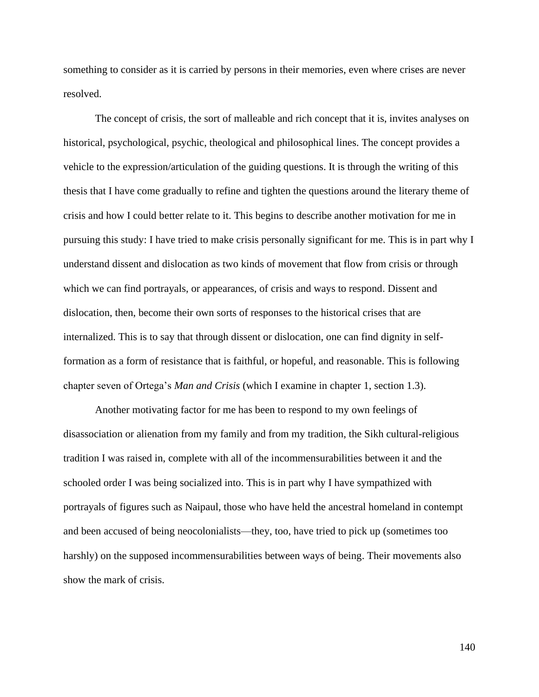something to consider as it is carried by persons in their memories, even where crises are never resolved.

The concept of crisis, the sort of malleable and rich concept that it is, invites analyses on historical, psychological, psychic, theological and philosophical lines. The concept provides a vehicle to the expression/articulation of the guiding questions. It is through the writing of this thesis that I have come gradually to refine and tighten the questions around the literary theme of crisis and how I could better relate to it. This begins to describe another motivation for me in pursuing this study: I have tried to make crisis personally significant for me. This is in part why I understand dissent and dislocation as two kinds of movement that flow from crisis or through which we can find portrayals, or appearances, of crisis and ways to respond. Dissent and dislocation, then, become their own sorts of responses to the historical crises that are internalized. This is to say that through dissent or dislocation, one can find dignity in selfformation as a form of resistance that is faithful, or hopeful, and reasonable. This is following chapter seven of Ortega's *Man and Crisis* (which I examine in chapter 1, section 1.3).

Another motivating factor for me has been to respond to my own feelings of disassociation or alienation from my family and from my tradition, the Sikh cultural-religious tradition I was raised in, complete with all of the incommensurabilities between it and the schooled order I was being socialized into. This is in part why I have sympathized with portrayals of figures such as Naipaul, those who have held the ancestral homeland in contempt and been accused of being neocolonialists—they, too, have tried to pick up (sometimes too harshly) on the supposed incommensurabilities between ways of being. Their movements also show the mark of crisis.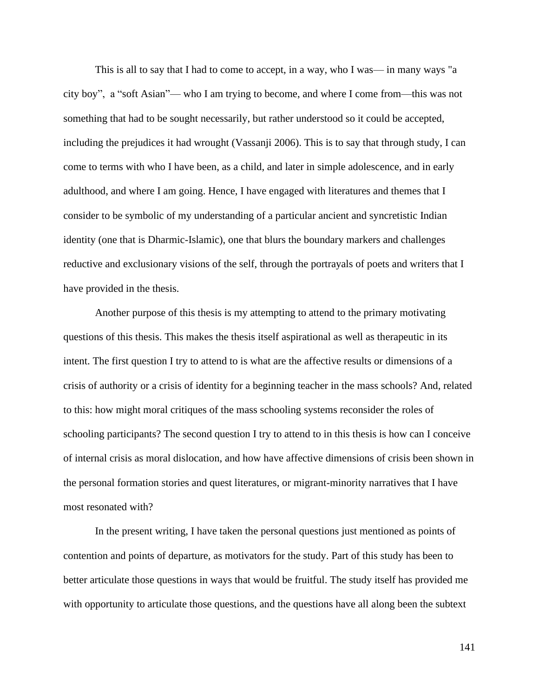This is all to say that I had to come to accept, in a way, who I was— in many ways "a city boy", a "soft Asian"— who I am trying to become, and where I come from—this was not something that had to be sought necessarily, but rather understood so it could be accepted, including the prejudices it had wrought (Vassanji 2006). This is to say that through study, I can come to terms with who I have been, as a child, and later in simple adolescence, and in early adulthood, and where I am going. Hence, I have engaged with literatures and themes that I consider to be symbolic of my understanding of a particular ancient and syncretistic Indian identity (one that is Dharmic-Islamic), one that blurs the boundary markers and challenges reductive and exclusionary visions of the self, through the portrayals of poets and writers that I have provided in the thesis.

Another purpose of this thesis is my attempting to attend to the primary motivating questions of this thesis. This makes the thesis itself aspirational as well as therapeutic in its intent. The first question I try to attend to is what are the affective results or dimensions of a crisis of authority or a crisis of identity for a beginning teacher in the mass schools? And, related to this: how might moral critiques of the mass schooling systems reconsider the roles of schooling participants? The second question I try to attend to in this thesis is how can I conceive of internal crisis as moral dislocation, and how have affective dimensions of crisis been shown in the personal formation stories and quest literatures, or migrant-minority narratives that I have most resonated with?

In the present writing, I have taken the personal questions just mentioned as points of contention and points of departure, as motivators for the study. Part of this study has been to better articulate those questions in ways that would be fruitful. The study itself has provided me with opportunity to articulate those questions, and the questions have all along been the subtext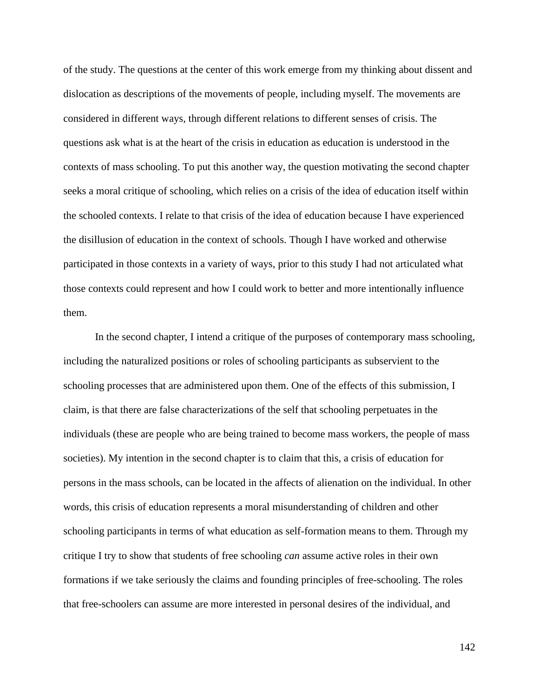of the study. The questions at the center of this work emerge from my thinking about dissent and dislocation as descriptions of the movements of people, including myself. The movements are considered in different ways, through different relations to different senses of crisis. The questions ask what is at the heart of the crisis in education as education is understood in the contexts of mass schooling. To put this another way, the question motivating the second chapter seeks a moral critique of schooling, which relies on a crisis of the idea of education itself within the schooled contexts. I relate to that crisis of the idea of education because I have experienced the disillusion of education in the context of schools. Though I have worked and otherwise participated in those contexts in a variety of ways, prior to this study I had not articulated what those contexts could represent and how I could work to better and more intentionally influence them.

In the second chapter, I intend a critique of the purposes of contemporary mass schooling, including the naturalized positions or roles of schooling participants as subservient to the schooling processes that are administered upon them. One of the effects of this submission, I claim, is that there are false characterizations of the self that schooling perpetuates in the individuals (these are people who are being trained to become mass workers, the people of mass societies). My intention in the second chapter is to claim that this, a crisis of education for persons in the mass schools, can be located in the affects of alienation on the individual. In other words, this crisis of education represents a moral misunderstanding of children and other schooling participants in terms of what education as self-formation means to them. Through my critique I try to show that students of free schooling *can* assume active roles in their own formations if we take seriously the claims and founding principles of free-schooling. The roles that free-schoolers can assume are more interested in personal desires of the individual, and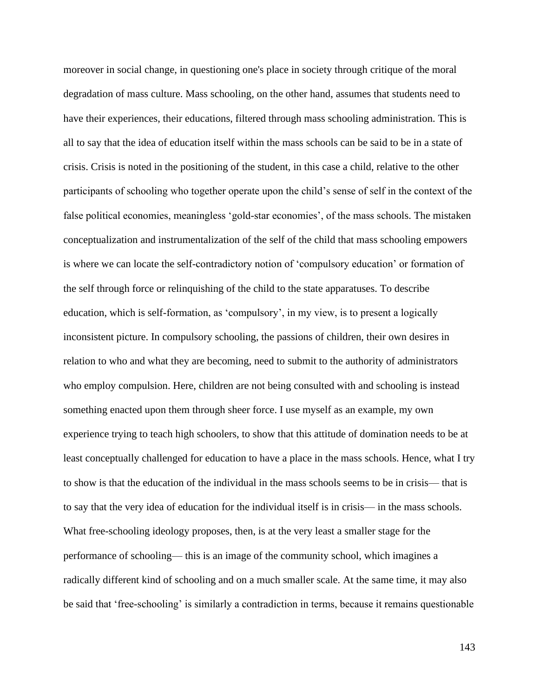moreover in social change, in questioning one's place in society through critique of the moral degradation of mass culture. Mass schooling, on the other hand, assumes that students need to have their experiences, their educations, filtered through mass schooling administration. This is all to say that the idea of education itself within the mass schools can be said to be in a state of crisis. Crisis is noted in the positioning of the student, in this case a child, relative to the other participants of schooling who together operate upon the child's sense of self in the context of the false political economies, meaningless 'gold-star economies', of the mass schools. The mistaken conceptualization and instrumentalization of the self of the child that mass schooling empowers is where we can locate the self-contradictory notion of 'compulsory education' or formation of the self through force or relinquishing of the child to the state apparatuses. To describe education, which is self-formation, as 'compulsory', in my view, is to present a logically inconsistent picture. In compulsory schooling, the passions of children, their own desires in relation to who and what they are becoming, need to submit to the authority of administrators who employ compulsion. Here, children are not being consulted with and schooling is instead something enacted upon them through sheer force. I use myself as an example, my own experience trying to teach high schoolers, to show that this attitude of domination needs to be at least conceptually challenged for education to have a place in the mass schools. Hence, what I try to show is that the education of the individual in the mass schools seems to be in crisis— that is to say that the very idea of education for the individual itself is in crisis— in the mass schools. What free-schooling ideology proposes, then, is at the very least a smaller stage for the performance of schooling— this is an image of the community school, which imagines a radically different kind of schooling and on a much smaller scale. At the same time, it may also be said that 'free-schooling' is similarly a contradiction in terms, because it remains questionable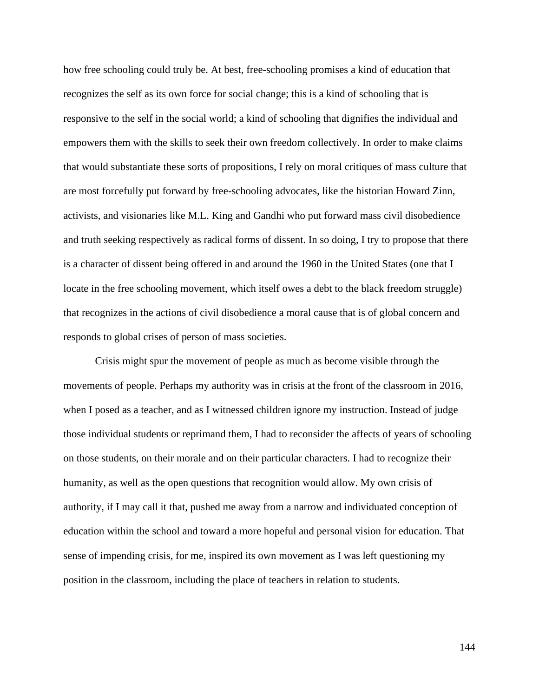how free schooling could truly be. At best, free-schooling promises a kind of education that recognizes the self as its own force for social change; this is a kind of schooling that is responsive to the self in the social world; a kind of schooling that dignifies the individual and empowers them with the skills to seek their own freedom collectively. In order to make claims that would substantiate these sorts of propositions, I rely on moral critiques of mass culture that are most forcefully put forward by free-schooling advocates, like the historian Howard Zinn, activists, and visionaries like M.L. King and Gandhi who put forward mass civil disobedience and truth seeking respectively as radical forms of dissent. In so doing, I try to propose that there is a character of dissent being offered in and around the 1960 in the United States (one that I locate in the free schooling movement, which itself owes a debt to the black freedom struggle) that recognizes in the actions of civil disobedience a moral cause that is of global concern and responds to global crises of person of mass societies.

Crisis might spur the movement of people as much as become visible through the movements of people. Perhaps my authority was in crisis at the front of the classroom in 2016, when I posed as a teacher, and as I witnessed children ignore my instruction. Instead of judge those individual students or reprimand them, I had to reconsider the affects of years of schooling on those students, on their morale and on their particular characters. I had to recognize their humanity, as well as the open questions that recognition would allow. My own crisis of authority, if I may call it that, pushed me away from a narrow and individuated conception of education within the school and toward a more hopeful and personal vision for education. That sense of impending crisis, for me, inspired its own movement as I was left questioning my position in the classroom, including the place of teachers in relation to students.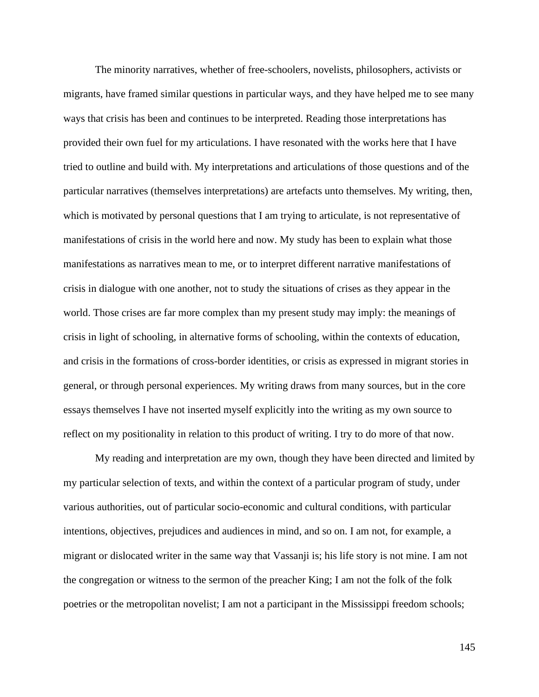The minority narratives, whether of free-schoolers, novelists, philosophers, activists or migrants, have framed similar questions in particular ways, and they have helped me to see many ways that crisis has been and continues to be interpreted. Reading those interpretations has provided their own fuel for my articulations. I have resonated with the works here that I have tried to outline and build with. My interpretations and articulations of those questions and of the particular narratives (themselves interpretations) are artefacts unto themselves. My writing, then, which is motivated by personal questions that I am trying to articulate, is not representative of manifestations of crisis in the world here and now. My study has been to explain what those manifestations as narratives mean to me, or to interpret different narrative manifestations of crisis in dialogue with one another, not to study the situations of crises as they appear in the world. Those crises are far more complex than my present study may imply: the meanings of crisis in light of schooling, in alternative forms of schooling, within the contexts of education, and crisis in the formations of cross-border identities, or crisis as expressed in migrant stories in general, or through personal experiences. My writing draws from many sources, but in the core essays themselves I have not inserted myself explicitly into the writing as my own source to reflect on my positionality in relation to this product of writing. I try to do more of that now.

My reading and interpretation are my own, though they have been directed and limited by my particular selection of texts, and within the context of a particular program of study, under various authorities, out of particular socio-economic and cultural conditions, with particular intentions, objectives, prejudices and audiences in mind, and so on. I am not, for example, a migrant or dislocated writer in the same way that Vassanji is; his life story is not mine. I am not the congregation or witness to the sermon of the preacher King; I am not the folk of the folk poetries or the metropolitan novelist; I am not a participant in the Mississippi freedom schools;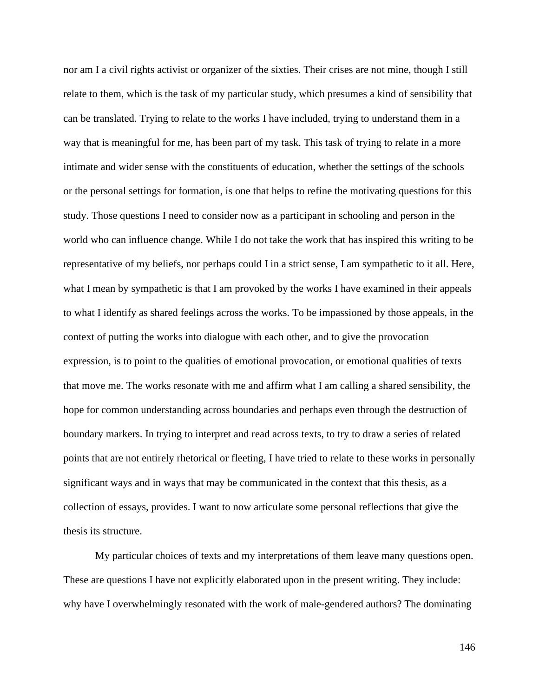nor am I a civil rights activist or organizer of the sixties. Their crises are not mine, though I still relate to them, which is the task of my particular study, which presumes a kind of sensibility that can be translated. Trying to relate to the works I have included, trying to understand them in a way that is meaningful for me, has been part of my task. This task of trying to relate in a more intimate and wider sense with the constituents of education, whether the settings of the schools or the personal settings for formation, is one that helps to refine the motivating questions for this study. Those questions I need to consider now as a participant in schooling and person in the world who can influence change. While I do not take the work that has inspired this writing to be representative of my beliefs, nor perhaps could I in a strict sense, I am sympathetic to it all. Here, what I mean by sympathetic is that I am provoked by the works I have examined in their appeals to what I identify as shared feelings across the works. To be impassioned by those appeals, in the context of putting the works into dialogue with each other, and to give the provocation expression, is to point to the qualities of emotional provocation, or emotional qualities of texts that move me. The works resonate with me and affirm what I am calling a shared sensibility, the hope for common understanding across boundaries and perhaps even through the destruction of boundary markers. In trying to interpret and read across texts, to try to draw a series of related points that are not entirely rhetorical or fleeting, I have tried to relate to these works in personally significant ways and in ways that may be communicated in the context that this thesis, as a collection of essays, provides. I want to now articulate some personal reflections that give the thesis its structure.

My particular choices of texts and my interpretations of them leave many questions open. These are questions I have not explicitly elaborated upon in the present writing. They include: why have I overwhelmingly resonated with the work of male-gendered authors? The dominating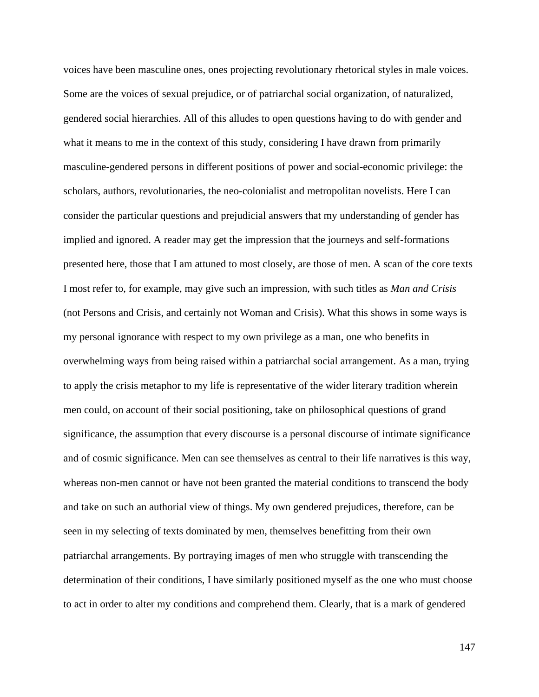voices have been masculine ones, ones projecting revolutionary rhetorical styles in male voices. Some are the voices of sexual prejudice, or of patriarchal social organization, of naturalized, gendered social hierarchies. All of this alludes to open questions having to do with gender and what it means to me in the context of this study, considering I have drawn from primarily masculine-gendered persons in different positions of power and social-economic privilege: the scholars, authors, revolutionaries, the neo-colonialist and metropolitan novelists. Here I can consider the particular questions and prejudicial answers that my understanding of gender has implied and ignored. A reader may get the impression that the journeys and self-formations presented here, those that I am attuned to most closely, are those of men. A scan of the core texts I most refer to, for example, may give such an impression, with such titles as *Man and Crisis* (not Persons and Crisis, and certainly not Woman and Crisis). What this shows in some ways is my personal ignorance with respect to my own privilege as a man, one who benefits in overwhelming ways from being raised within a patriarchal social arrangement. As a man, trying to apply the crisis metaphor to my life is representative of the wider literary tradition wherein men could, on account of their social positioning, take on philosophical questions of grand significance, the assumption that every discourse is a personal discourse of intimate significance and of cosmic significance. Men can see themselves as central to their life narratives is this way, whereas non-men cannot or have not been granted the material conditions to transcend the body and take on such an authorial view of things. My own gendered prejudices, therefore, can be seen in my selecting of texts dominated by men, themselves benefitting from their own patriarchal arrangements. By portraying images of men who struggle with transcending the determination of their conditions, I have similarly positioned myself as the one who must choose to act in order to alter my conditions and comprehend them. Clearly, that is a mark of gendered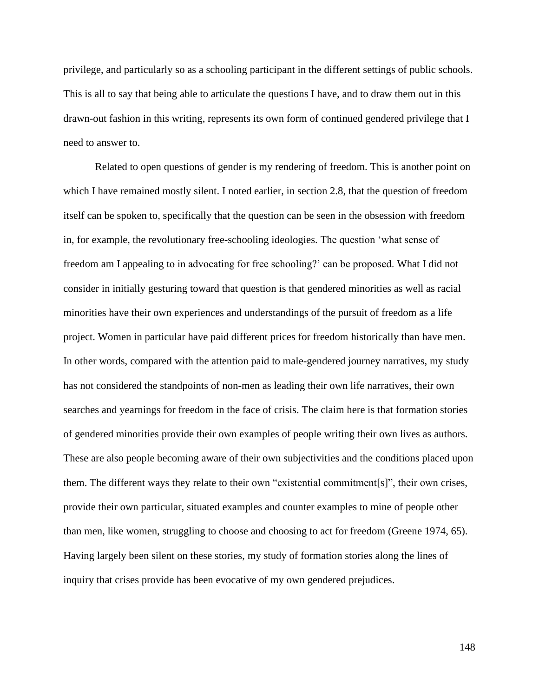privilege, and particularly so as a schooling participant in the different settings of public schools. This is all to say that being able to articulate the questions I have, and to draw them out in this drawn-out fashion in this writing, represents its own form of continued gendered privilege that I need to answer to.

Related to open questions of gender is my rendering of freedom. This is another point on which I have remained mostly silent. I noted earlier, in section 2.8, that the question of freedom itself can be spoken to, specifically that the question can be seen in the obsession with freedom in, for example, the revolutionary free-schooling ideologies. The question 'what sense of freedom am I appealing to in advocating for free schooling?' can be proposed. What I did not consider in initially gesturing toward that question is that gendered minorities as well as racial minorities have their own experiences and understandings of the pursuit of freedom as a life project. Women in particular have paid different prices for freedom historically than have men. In other words, compared with the attention paid to male-gendered journey narratives, my study has not considered the standpoints of non-men as leading their own life narratives, their own searches and yearnings for freedom in the face of crisis. The claim here is that formation stories of gendered minorities provide their own examples of people writing their own lives as authors. These are also people becoming aware of their own subjectivities and the conditions placed upon them. The different ways they relate to their own "existential commitment[s]", their own crises, provide their own particular, situated examples and counter examples to mine of people other than men, like women, struggling to choose and choosing to act for freedom (Greene 1974, 65). Having largely been silent on these stories, my study of formation stories along the lines of inquiry that crises provide has been evocative of my own gendered prejudices.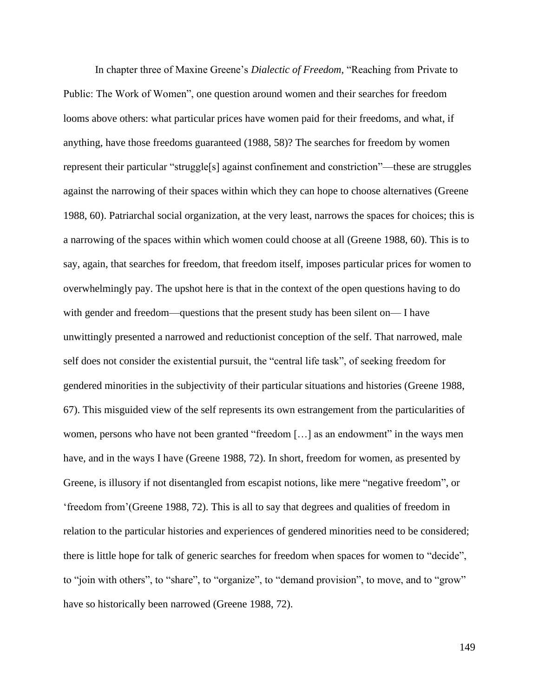In chapter three of Maxine Greene's *Dialectic of Freedom*, "Reaching from Private to Public: The Work of Women", one question around women and their searches for freedom looms above others: what particular prices have women paid for their freedoms, and what, if anything, have those freedoms guaranteed (1988, 58)? The searches for freedom by women represent their particular "struggle[s] against confinement and constriction"—these are struggles against the narrowing of their spaces within which they can hope to choose alternatives (Greene 1988, 60). Patriarchal social organization, at the very least, narrows the spaces for choices; this is a narrowing of the spaces within which women could choose at all (Greene 1988, 60). This is to say, again, that searches for freedom, that freedom itself, imposes particular prices for women to overwhelmingly pay. The upshot here is that in the context of the open questions having to do with gender and freedom—questions that the present study has been silent on— I have unwittingly presented a narrowed and reductionist conception of the self. That narrowed, male self does not consider the existential pursuit, the "central life task", of seeking freedom for gendered minorities in the subjectivity of their particular situations and histories (Greene 1988, 67). This misguided view of the self represents its own estrangement from the particularities of women, persons who have not been granted "freedom […] as an endowment" in the ways men have, and in the ways I have (Greene 1988, 72). In short, freedom for women, as presented by Greene, is illusory if not disentangled from escapist notions, like mere "negative freedom", or 'freedom from'(Greene 1988, 72). This is all to say that degrees and qualities of freedom in relation to the particular histories and experiences of gendered minorities need to be considered; there is little hope for talk of generic searches for freedom when spaces for women to "decide", to "join with others", to "share", to "organize", to "demand provision", to move, and to "grow" have so historically been narrowed (Greene 1988, 72).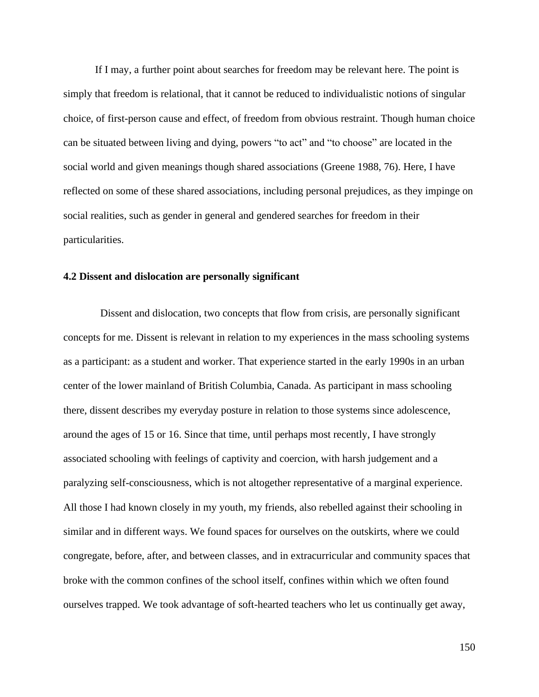If I may, a further point about searches for freedom may be relevant here. The point is simply that freedom is relational, that it cannot be reduced to individualistic notions of singular choice, of first-person cause and effect, of freedom from obvious restraint. Though human choice can be situated between living and dying, powers "to act" and "to choose" are located in the social world and given meanings though shared associations (Greene 1988, 76). Here, I have reflected on some of these shared associations, including personal prejudices, as they impinge on social realities, such as gender in general and gendered searches for freedom in their particularities.

## **4.2 Dissent and dislocation are personally significant**

 Dissent and dislocation, two concepts that flow from crisis, are personally significant concepts for me. Dissent is relevant in relation to my experiences in the mass schooling systems as a participant: as a student and worker. That experience started in the early 1990s in an urban center of the lower mainland of British Columbia, Canada. As participant in mass schooling there, dissent describes my everyday posture in relation to those systems since adolescence, around the ages of 15 or 16. Since that time, until perhaps most recently, I have strongly associated schooling with feelings of captivity and coercion, with harsh judgement and a paralyzing self-consciousness, which is not altogether representative of a marginal experience. All those I had known closely in my youth, my friends, also rebelled against their schooling in similar and in different ways. We found spaces for ourselves on the outskirts, where we could congregate, before, after, and between classes, and in extracurricular and community spaces that broke with the common confines of the school itself, confines within which we often found ourselves trapped. We took advantage of soft-hearted teachers who let us continually get away,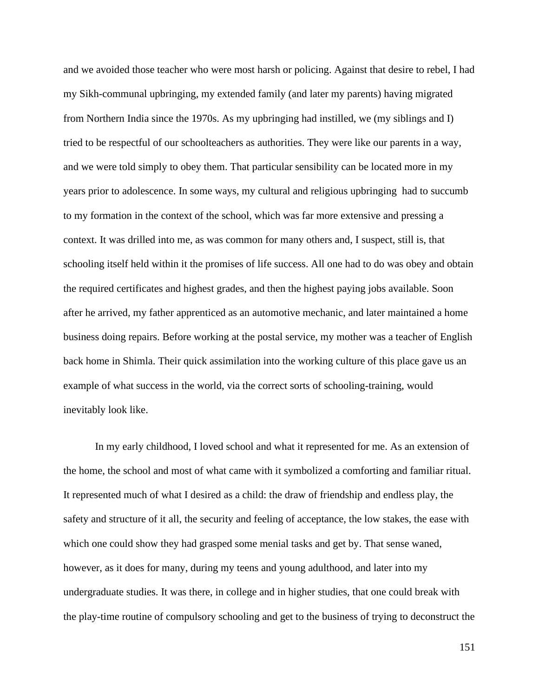and we avoided those teacher who were most harsh or policing. Against that desire to rebel, I had my Sikh-communal upbringing, my extended family (and later my parents) having migrated from Northern India since the 1970s. As my upbringing had instilled, we (my siblings and I) tried to be respectful of our schoolteachers as authorities. They were like our parents in a way, and we were told simply to obey them. That particular sensibility can be located more in my years prior to adolescence. In some ways, my cultural and religious upbringing had to succumb to my formation in the context of the school, which was far more extensive and pressing a context. It was drilled into me, as was common for many others and, I suspect, still is, that schooling itself held within it the promises of life success. All one had to do was obey and obtain the required certificates and highest grades, and then the highest paying jobs available. Soon after he arrived, my father apprenticed as an automotive mechanic, and later maintained a home business doing repairs. Before working at the postal service, my mother was a teacher of English back home in Shimla. Their quick assimilation into the working culture of this place gave us an example of what success in the world, via the correct sorts of schooling-training, would inevitably look like.

In my early childhood, I loved school and what it represented for me. As an extension of the home, the school and most of what came with it symbolized a comforting and familiar ritual. It represented much of what I desired as a child: the draw of friendship and endless play, the safety and structure of it all, the security and feeling of acceptance, the low stakes, the ease with which one could show they had grasped some menial tasks and get by. That sense waned, however, as it does for many, during my teens and young adulthood, and later into my undergraduate studies. It was there, in college and in higher studies, that one could break with the play-time routine of compulsory schooling and get to the business of trying to deconstruct the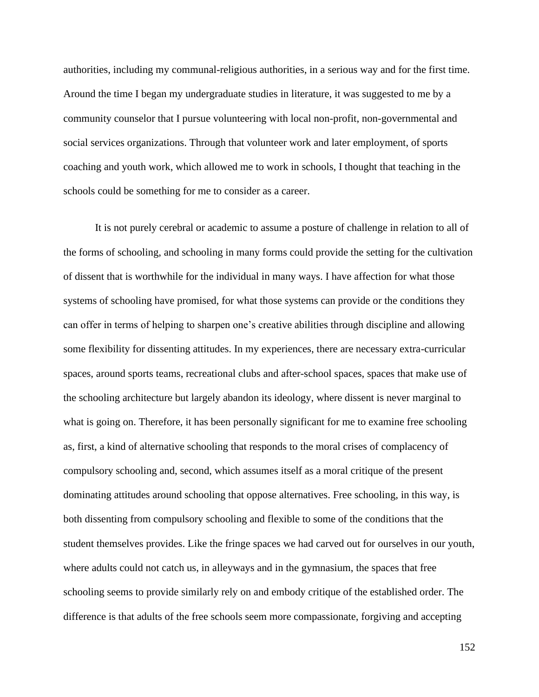authorities, including my communal-religious authorities, in a serious way and for the first time. Around the time I began my undergraduate studies in literature, it was suggested to me by a community counselor that I pursue volunteering with local non-profit, non-governmental and social services organizations. Through that volunteer work and later employment, of sports coaching and youth work, which allowed me to work in schools, I thought that teaching in the schools could be something for me to consider as a career.

It is not purely cerebral or academic to assume a posture of challenge in relation to all of the forms of schooling, and schooling in many forms could provide the setting for the cultivation of dissent that is worthwhile for the individual in many ways. I have affection for what those systems of schooling have promised, for what those systems can provide or the conditions they can offer in terms of helping to sharpen one's creative abilities through discipline and allowing some flexibility for dissenting attitudes. In my experiences, there are necessary extra-curricular spaces, around sports teams, recreational clubs and after-school spaces, spaces that make use of the schooling architecture but largely abandon its ideology, where dissent is never marginal to what is going on. Therefore, it has been personally significant for me to examine free schooling as, first, a kind of alternative schooling that responds to the moral crises of complacency of compulsory schooling and, second, which assumes itself as a moral critique of the present dominating attitudes around schooling that oppose alternatives. Free schooling, in this way, is both dissenting from compulsory schooling and flexible to some of the conditions that the student themselves provides. Like the fringe spaces we had carved out for ourselves in our youth, where adults could not catch us, in alleyways and in the gymnasium, the spaces that free schooling seems to provide similarly rely on and embody critique of the established order. The difference is that adults of the free schools seem more compassionate, forgiving and accepting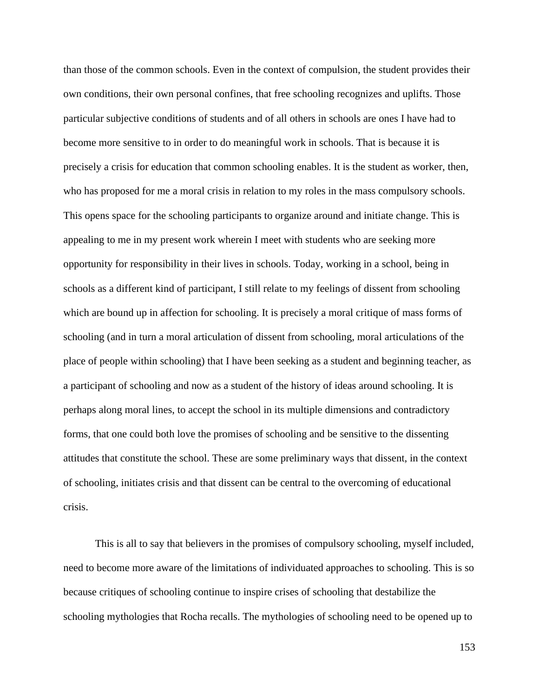than those of the common schools. Even in the context of compulsion, the student provides their own conditions, their own personal confines, that free schooling recognizes and uplifts. Those particular subjective conditions of students and of all others in schools are ones I have had to become more sensitive to in order to do meaningful work in schools. That is because it is precisely a crisis for education that common schooling enables. It is the student as worker, then, who has proposed for me a moral crisis in relation to my roles in the mass compulsory schools. This opens space for the schooling participants to organize around and initiate change. This is appealing to me in my present work wherein I meet with students who are seeking more opportunity for responsibility in their lives in schools. Today, working in a school, being in schools as a different kind of participant, I still relate to my feelings of dissent from schooling which are bound up in affection for schooling. It is precisely a moral critique of mass forms of schooling (and in turn a moral articulation of dissent from schooling, moral articulations of the place of people within schooling) that I have been seeking as a student and beginning teacher, as a participant of schooling and now as a student of the history of ideas around schooling. It is perhaps along moral lines, to accept the school in its multiple dimensions and contradictory forms, that one could both love the promises of schooling and be sensitive to the dissenting attitudes that constitute the school. These are some preliminary ways that dissent, in the context of schooling, initiates crisis and that dissent can be central to the overcoming of educational crisis.

This is all to say that believers in the promises of compulsory schooling, myself included, need to become more aware of the limitations of individuated approaches to schooling. This is so because critiques of schooling continue to inspire crises of schooling that destabilize the schooling mythologies that Rocha recalls. The mythologies of schooling need to be opened up to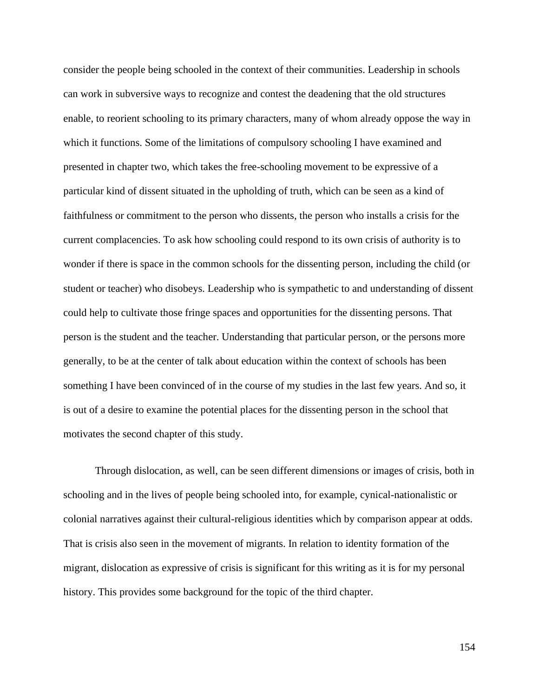consider the people being schooled in the context of their communities. Leadership in schools can work in subversive ways to recognize and contest the deadening that the old structures enable, to reorient schooling to its primary characters, many of whom already oppose the way in which it functions. Some of the limitations of compulsory schooling I have examined and presented in chapter two, which takes the free-schooling movement to be expressive of a particular kind of dissent situated in the upholding of truth, which can be seen as a kind of faithfulness or commitment to the person who dissents, the person who installs a crisis for the current complacencies. To ask how schooling could respond to its own crisis of authority is to wonder if there is space in the common schools for the dissenting person, including the child (or student or teacher) who disobeys. Leadership who is sympathetic to and understanding of dissent could help to cultivate those fringe spaces and opportunities for the dissenting persons. That person is the student and the teacher. Understanding that particular person, or the persons more generally, to be at the center of talk about education within the context of schools has been something I have been convinced of in the course of my studies in the last few years. And so, it is out of a desire to examine the potential places for the dissenting person in the school that motivates the second chapter of this study.

Through dislocation, as well, can be seen different dimensions or images of crisis, both in schooling and in the lives of people being schooled into, for example, cynical-nationalistic or colonial narratives against their cultural-religious identities which by comparison appear at odds. That is crisis also seen in the movement of migrants. In relation to identity formation of the migrant, dislocation as expressive of crisis is significant for this writing as it is for my personal history. This provides some background for the topic of the third chapter.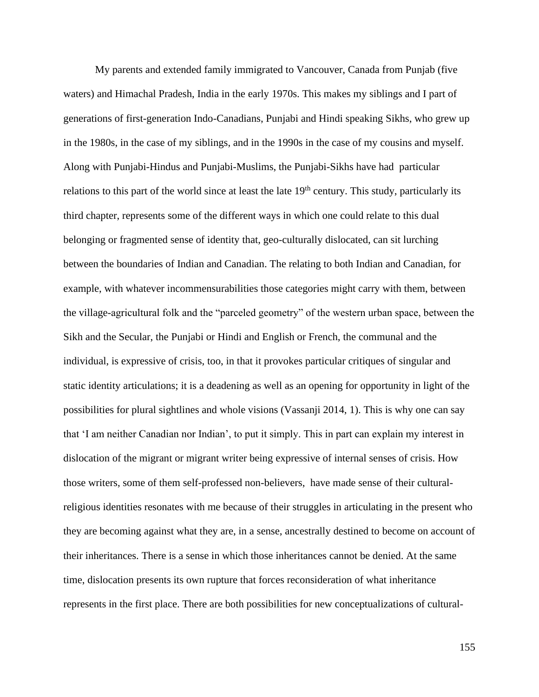My parents and extended family immigrated to Vancouver, Canada from Punjab (five waters) and Himachal Pradesh, India in the early 1970s. This makes my siblings and I part of generations of first-generation Indo-Canadians, Punjabi and Hindi speaking Sikhs, who grew up in the 1980s, in the case of my siblings, and in the 1990s in the case of my cousins and myself. Along with Punjabi-Hindus and Punjabi-Muslims, the Punjabi-Sikhs have had particular relations to this part of the world since at least the late  $19<sup>th</sup>$  century. This study, particularly its third chapter, represents some of the different ways in which one could relate to this dual belonging or fragmented sense of identity that, geo-culturally dislocated, can sit lurching between the boundaries of Indian and Canadian. The relating to both Indian and Canadian, for example, with whatever incommensurabilities those categories might carry with them, between the village-agricultural folk and the "parceled geometry" of the western urban space, between the Sikh and the Secular, the Punjabi or Hindi and English or French, the communal and the individual, is expressive of crisis, too, in that it provokes particular critiques of singular and static identity articulations; it is a deadening as well as an opening for opportunity in light of the possibilities for plural sightlines and whole visions (Vassanji 2014, 1). This is why one can say that 'I am neither Canadian nor Indian', to put it simply. This in part can explain my interest in dislocation of the migrant or migrant writer being expressive of internal senses of crisis. How those writers, some of them self-professed non-believers, have made sense of their culturalreligious identities resonates with me because of their struggles in articulating in the present who they are becoming against what they are, in a sense, ancestrally destined to become on account of their inheritances. There is a sense in which those inheritances cannot be denied. At the same time, dislocation presents its own rupture that forces reconsideration of what inheritance represents in the first place. There are both possibilities for new conceptualizations of cultural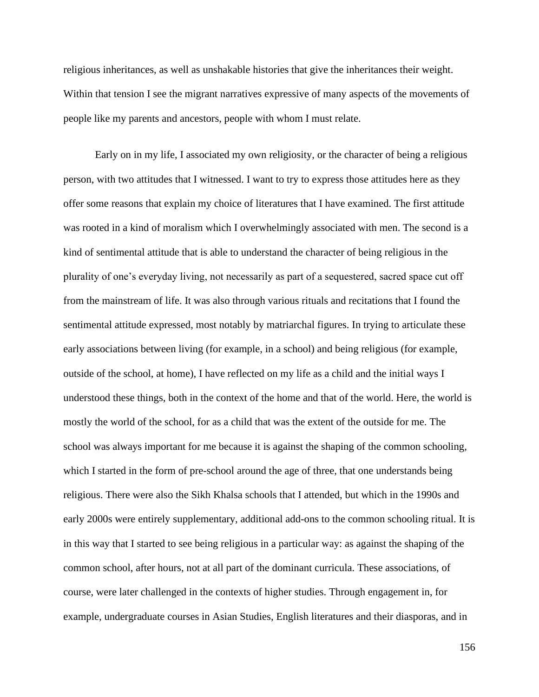religious inheritances, as well as unshakable histories that give the inheritances their weight. Within that tension I see the migrant narratives expressive of many aspects of the movements of people like my parents and ancestors, people with whom I must relate.

Early on in my life, I associated my own religiosity, or the character of being a religious person, with two attitudes that I witnessed. I want to try to express those attitudes here as they offer some reasons that explain my choice of literatures that I have examined. The first attitude was rooted in a kind of moralism which I overwhelmingly associated with men. The second is a kind of sentimental attitude that is able to understand the character of being religious in the plurality of one's everyday living, not necessarily as part of a sequestered, sacred space cut off from the mainstream of life. It was also through various rituals and recitations that I found the sentimental attitude expressed, most notably by matriarchal figures. In trying to articulate these early associations between living (for example, in a school) and being religious (for example, outside of the school, at home), I have reflected on my life as a child and the initial ways I understood these things, both in the context of the home and that of the world. Here, the world is mostly the world of the school, for as a child that was the extent of the outside for me. The school was always important for me because it is against the shaping of the common schooling, which I started in the form of pre-school around the age of three, that one understands being religious. There were also the Sikh Khalsa schools that I attended, but which in the 1990s and early 2000s were entirely supplementary, additional add-ons to the common schooling ritual. It is in this way that I started to see being religious in a particular way: as against the shaping of the common school, after hours, not at all part of the dominant curricula. These associations, of course, were later challenged in the contexts of higher studies. Through engagement in, for example, undergraduate courses in Asian Studies, English literatures and their diasporas, and in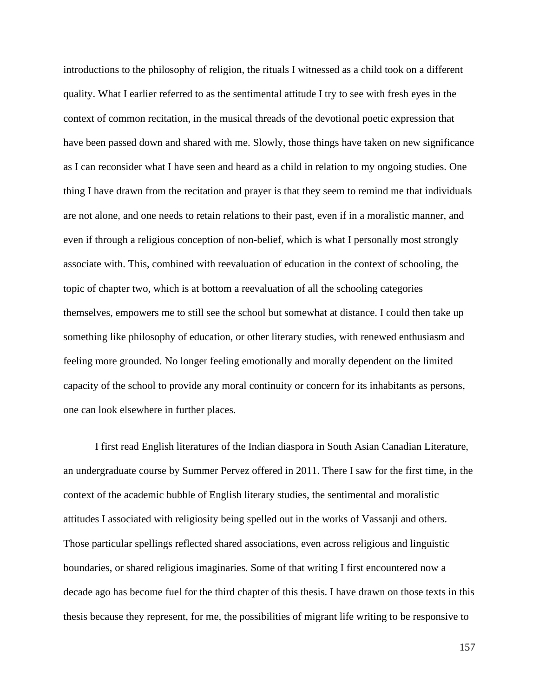introductions to the philosophy of religion, the rituals I witnessed as a child took on a different quality. What I earlier referred to as the sentimental attitude I try to see with fresh eyes in the context of common recitation, in the musical threads of the devotional poetic expression that have been passed down and shared with me. Slowly, those things have taken on new significance as I can reconsider what I have seen and heard as a child in relation to my ongoing studies. One thing I have drawn from the recitation and prayer is that they seem to remind me that individuals are not alone, and one needs to retain relations to their past, even if in a moralistic manner, and even if through a religious conception of non-belief, which is what I personally most strongly associate with. This, combined with reevaluation of education in the context of schooling, the topic of chapter two, which is at bottom a reevaluation of all the schooling categories themselves, empowers me to still see the school but somewhat at distance. I could then take up something like philosophy of education, or other literary studies, with renewed enthusiasm and feeling more grounded. No longer feeling emotionally and morally dependent on the limited capacity of the school to provide any moral continuity or concern for its inhabitants as persons, one can look elsewhere in further places.

I first read English literatures of the Indian diaspora in South Asian Canadian Literature, an undergraduate course by Summer Pervez offered in 2011. There I saw for the first time, in the context of the academic bubble of English literary studies, the sentimental and moralistic attitudes I associated with religiosity being spelled out in the works of Vassanji and others. Those particular spellings reflected shared associations, even across religious and linguistic boundaries, or shared religious imaginaries. Some of that writing I first encountered now a decade ago has become fuel for the third chapter of this thesis. I have drawn on those texts in this thesis because they represent, for me, the possibilities of migrant life writing to be responsive to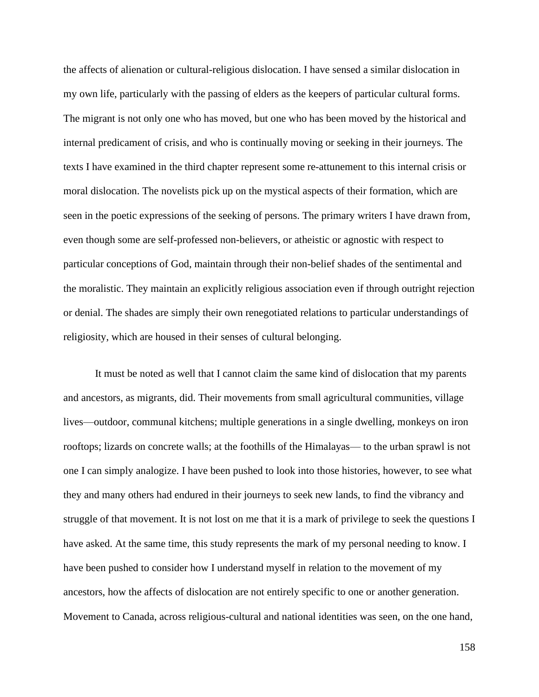the affects of alienation or cultural-religious dislocation. I have sensed a similar dislocation in my own life, particularly with the passing of elders as the keepers of particular cultural forms. The migrant is not only one who has moved, but one who has been moved by the historical and internal predicament of crisis, and who is continually moving or seeking in their journeys. The texts I have examined in the third chapter represent some re-attunement to this internal crisis or moral dislocation. The novelists pick up on the mystical aspects of their formation, which are seen in the poetic expressions of the seeking of persons. The primary writers I have drawn from, even though some are self-professed non-believers, or atheistic or agnostic with respect to particular conceptions of God, maintain through their non-belief shades of the sentimental and the moralistic. They maintain an explicitly religious association even if through outright rejection or denial. The shades are simply their own renegotiated relations to particular understandings of religiosity, which are housed in their senses of cultural belonging.

It must be noted as well that I cannot claim the same kind of dislocation that my parents and ancestors, as migrants, did. Their movements from small agricultural communities, village lives—outdoor, communal kitchens; multiple generations in a single dwelling, monkeys on iron rooftops; lizards on concrete walls; at the foothills of the Himalayas— to the urban sprawl is not one I can simply analogize. I have been pushed to look into those histories, however, to see what they and many others had endured in their journeys to seek new lands, to find the vibrancy and struggle of that movement. It is not lost on me that it is a mark of privilege to seek the questions I have asked. At the same time, this study represents the mark of my personal needing to know. I have been pushed to consider how I understand myself in relation to the movement of my ancestors, how the affects of dislocation are not entirely specific to one or another generation. Movement to Canada, across religious-cultural and national identities was seen, on the one hand,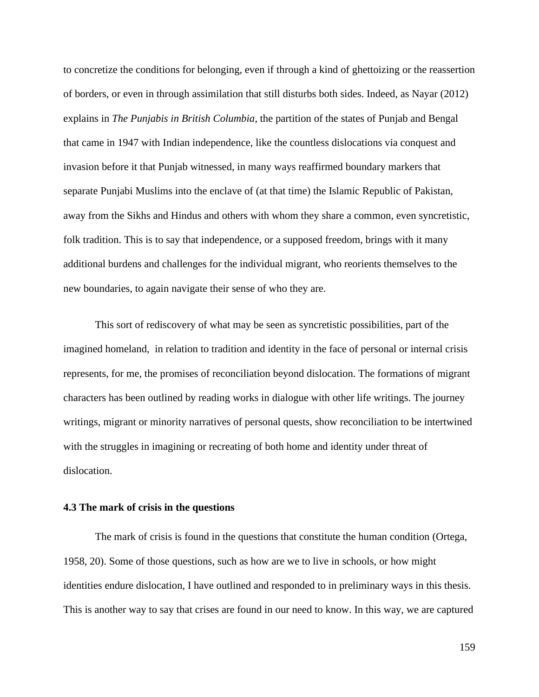to concretize the conditions for belonging, even if through a kind of ghettoizing or the reassertion of borders, or even in through assimilation that still disturbs both sides. Indeed, as Nayar (2012) explains in *The Punjabis in British Columbia*, the partition of the states of Punjab and Bengal that came in 1947 with Indian independence, like the countless dislocations via conquest and invasion before it that Punjab witnessed, in many ways reaffirmed boundary markers that separate Punjabi Muslims into the enclave of (at that time) the Islamic Republic of Pakistan, away from the Sikhs and Hindus and others with whom they share a common, even syncretistic, folk tradition. This is to say that independence, or a supposed freedom, brings with it many additional burdens and challenges for the individual migrant, who reorients themselves to the new boundaries, to again navigate their sense of who they are.

This sort of rediscovery of what may be seen as syncretistic possibilities, part of the imagined homeland, in relation to tradition and identity in the face of personal or internal crisis represents, for me, the promises of reconciliation beyond dislocation. The formations of migrant characters has been outlined by reading works in dialogue with other life writings. The journey writings, migrant or minority narratives of personal quests, show reconciliation to be intertwined with the struggles in imagining or recreating of both home and identity under threat of dislocation.

## **4.3 The mark of crisis in the questions**

The mark of crisis is found in the questions that constitute the human condition (Ortega, 1958, 20). Some of those questions, such as how are we to live in schools, or how might identities endure dislocation, I have outlined and responded to in preliminary ways in this thesis. This is another way to say that crises are found in our need to know. In this way, we are captured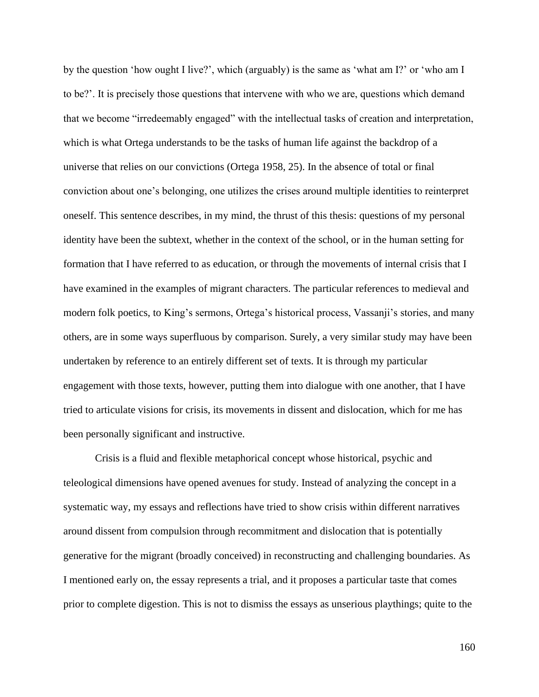by the question 'how ought I live?', which (arguably) is the same as 'what am I?' or 'who am I to be?'. It is precisely those questions that intervene with who we are, questions which demand that we become "irredeemably engaged" with the intellectual tasks of creation and interpretation, which is what Ortega understands to be the tasks of human life against the backdrop of a universe that relies on our convictions (Ortega 1958, 25). In the absence of total or final conviction about one's belonging, one utilizes the crises around multiple identities to reinterpret oneself. This sentence describes, in my mind, the thrust of this thesis: questions of my personal identity have been the subtext, whether in the context of the school, or in the human setting for formation that I have referred to as education, or through the movements of internal crisis that I have examined in the examples of migrant characters. The particular references to medieval and modern folk poetics, to King's sermons, Ortega's historical process, Vassanji's stories, and many others, are in some ways superfluous by comparison. Surely, a very similar study may have been undertaken by reference to an entirely different set of texts. It is through my particular engagement with those texts, however, putting them into dialogue with one another, that I have tried to articulate visions for crisis, its movements in dissent and dislocation, which for me has been personally significant and instructive.

Crisis is a fluid and flexible metaphorical concept whose historical, psychic and teleological dimensions have opened avenues for study. Instead of analyzing the concept in a systematic way, my essays and reflections have tried to show crisis within different narratives around dissent from compulsion through recommitment and dislocation that is potentially generative for the migrant (broadly conceived) in reconstructing and challenging boundaries. As I mentioned early on, the essay represents a trial, and it proposes a particular taste that comes prior to complete digestion. This is not to dismiss the essays as unserious playthings; quite to the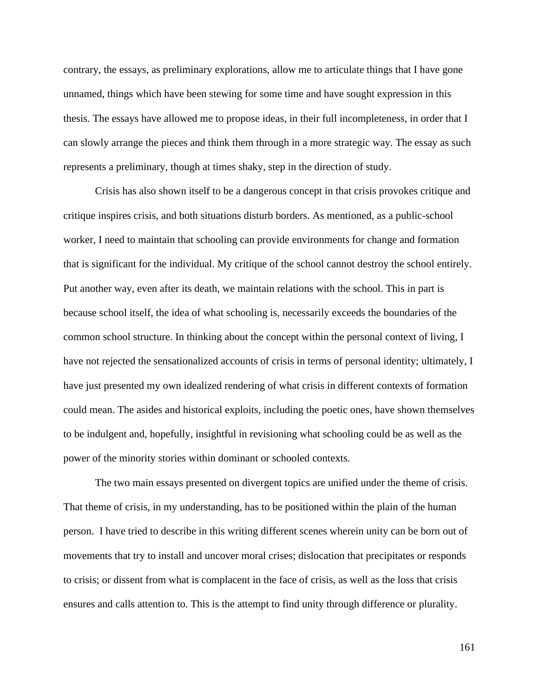contrary, the essays, as preliminary explorations, allow me to articulate things that I have gone unnamed, things which have been stewing for some time and have sought expression in this thesis. The essays have allowed me to propose ideas, in their full incompleteness, in order that I can slowly arrange the pieces and think them through in a more strategic way. The essay as such represents a preliminary, though at times shaky, step in the direction of study.

Crisis has also shown itself to be a dangerous concept in that crisis provokes critique and critique inspires crisis, and both situations disturb borders. As mentioned, as a public-school worker, I need to maintain that schooling can provide environments for change and formation that is significant for the individual. My critique of the school cannot destroy the school entirely. Put another way, even after its death, we maintain relations with the school. This in part is because school itself, the idea of what schooling is, necessarily exceeds the boundaries of the common school structure. In thinking about the concept within the personal context of living, I have not rejected the sensationalized accounts of crisis in terms of personal identity; ultimately, I have just presented my own idealized rendering of what crisis in different contexts of formation could mean. The asides and historical exploits, including the poetic ones, have shown themselves to be indulgent and, hopefully, insightful in revisioning what schooling could be as well as the power of the minority stories within dominant or schooled contexts.

The two main essays presented on divergent topics are unified under the theme of crisis. That theme of crisis, in my understanding, has to be positioned within the plain of the human person. I have tried to describe in this writing different scenes wherein unity can be born out of movements that try to install and uncover moral crises; dislocation that precipitates or responds to crisis; or dissent from what is complacent in the face of crisis, as well as the loss that crisis ensures and calls attention to. This is the attempt to find unity through difference or plurality.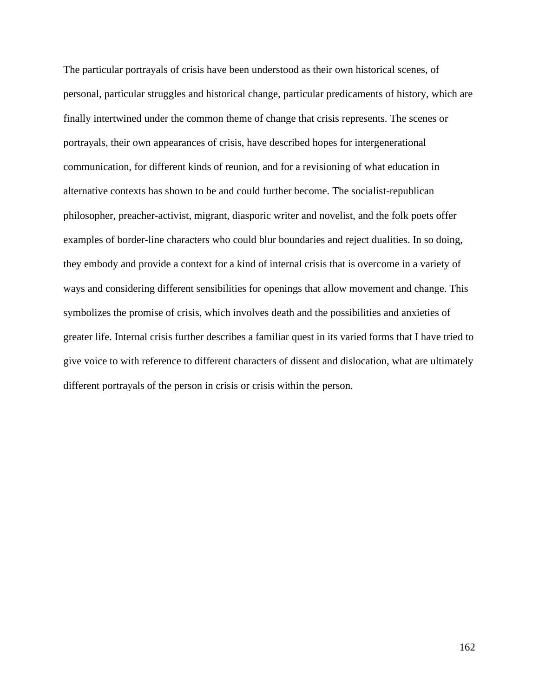The particular portrayals of crisis have been understood as their own historical scenes, of personal, particular struggles and historical change, particular predicaments of history, which are finally intertwined under the common theme of change that crisis represents. The scenes or portrayals, their own appearances of crisis, have described hopes for intergenerational communication, for different kinds of reunion, and for a revisioning of what education in alternative contexts has shown to be and could further become. The socialist-republican philosopher, preacher-activist, migrant, diasporic writer and novelist, and the folk poets offer examples of border-line characters who could blur boundaries and reject dualities. In so doing, they embody and provide a context for a kind of internal crisis that is overcome in a variety of ways and considering different sensibilities for openings that allow movement and change. This symbolizes the promise of crisis, which involves death and the possibilities and anxieties of greater life. Internal crisis further describes a familiar quest in its varied forms that I have tried to give voice to with reference to different characters of dissent and dislocation, what are ultimately different portrayals of the person in crisis or crisis within the person.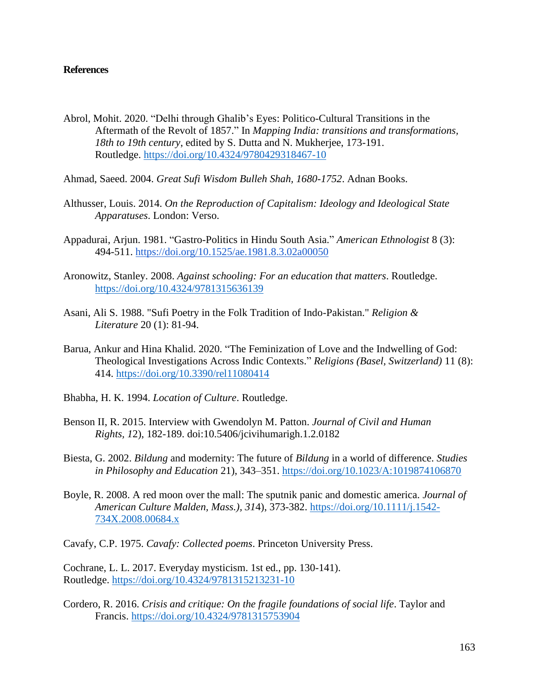## **References**

- Abrol, Mohit. 2020. "Delhi through Ghalib's Eyes: Politico-Cultural Transitions in the Aftermath of the Revolt of 1857." In *Mapping India: transitions and transformations, 18th to 19th century*, edited by S. Dutta and N. Mukherjee, 173-191. Routledge. <https://doi.org/10.4324/9780429318467-10>
- Ahmad, Saeed. 2004. *Great Sufi Wisdom Bulleh Shah, 1680-1752*. Adnan Books.
- Althusser, Louis. 2014. *On the Reproduction of Capitalism: Ideology and Ideological State Apparatuses*. London: Verso.
- Appadurai, Arjun. 1981. "Gastro-Politics in Hindu South Asia." *American Ethnologist* 8 (3): 494-511.<https://doi.org/10.1525/ae.1981.8.3.02a00050>
- Aronowitz, Stanley. 2008. *Against schooling: For an education that matters*. Routledge. <https://doi.org/10.4324/9781315636139>
- Asani, Ali S. 1988. "Sufi Poetry in the Folk Tradition of Indo-Pakistan." *Religion & Literature* 20 (1): 81-94.
- Barua, Ankur and Hina Khalid. 2020. "The Feminization of Love and the Indwelling of God: Theological Investigations Across Indic Contexts." *Religions (Basel, Switzerland)* 11 (8): 414. <https://doi.org/10.3390/rel11080414>
- Bhabha, H. K. 1994. *Location of Culture*. Routledge.
- Benson II, R. 2015. Interview with Gwendolyn M. Patton. *Journal of Civil and Human Rights, 1*2), 182-189. doi:10.5406/jcivihumarigh.1.2.0182
- Biesta, G. 2002. *Bildung* and modernity: The future of *Bildung* in a world of difference. *Studies in Philosophy and Education* 21), 343–351.<https://doi.org/10.1023/A:1019874106870>
- Boyle, R. 2008. A red moon over the mall: The sputnik panic and domestic america. *Journal of American Culture Malden, Mass.), 31*4), 373-382. [https://doi.org/10.1111/j.1542-](https://doi.org/10.1111/j.1542-734X.2008.00684.x) [734X.2008.00684.x](https://doi.org/10.1111/j.1542-734X.2008.00684.x)
- Cavafy, C.P. 1975. *Cavafy: Collected poems*. Princeton University Press.

Cochrane, L. L. 2017. Everyday mysticism. 1st ed., pp. 130-141). Routledge. <https://doi.org/10.4324/9781315213231-10>

Cordero, R. 2016. *Crisis and critique: On the fragile foundations of social life*. Taylor and Francis. <https://doi.org/10.4324/9781315753904>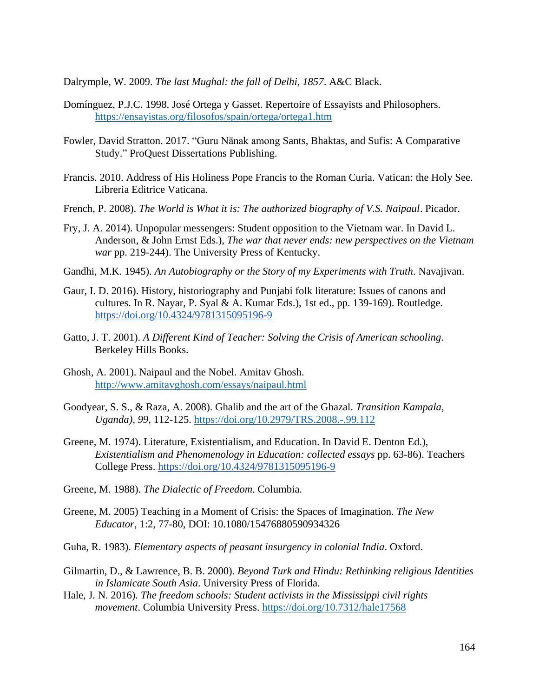Dalrymple, W. 2009. *The last Mughal: the fall of Delhi, 1857*. A&C Black.

- Domínguez, P.J.C. 1998. José Ortega y Gasset. Repertoire of Essayists and Philosophers. <https://ensayistas.org/filosofos/spain/ortega/ortega1.htm>
- Fowler, David Stratton. 2017. "Guru Nānak among Sants, Bhaktas, and Sufis: A Comparative Study." ProQuest Dissertations Publishing.
- Francis. 2010. Address of His Holiness Pope Francis to the Roman Curia. Vatican: the Holy See. Libreria Editrice Vaticana.
- French, P. 2008). *The World is What it is: The authorized biography of V.S. Naipaul*. Picador.
- Fry, J. A. 2014). Unpopular messengers: Student opposition to the Vietnam war. In David L. Anderson, & John Ernst Eds.), *The war that never ends: new perspectives on the Vietnam war* pp. 219-244). The University Press of Kentucky.
- Gandhi, M.K. 1945). *An Autobiography or the Story of my Experiments with Truth*. Navajivan.
- Gaur, I. D. 2016). History, historiography and Punjabi folk literature: Issues of canons and cultures. In R. Nayar, P. Syal & A. Kumar Eds.), 1st ed., pp. 139-169). Routledge. <https://doi.org/10.4324/9781315095196-9>
- Gatto, J. T. 2001). *A Different Kind of Teacher: Solving the Crisis of American schooling*. Berkeley Hills Books.
- Ghosh, A. 2001). Naipaul and the Nobel. Amitav Ghosh. <http://www.amitavghosh.com/essays/naipaul.html>
- Goodyear, S. S., & Raza, A. 2008). Ghalib and the art of the Ghazal. *Transition Kampala, Uganda), 99*, 112-125. <https://doi.org/10.2979/TRS.2008.-.99.112>
- Greene, M. 1974). Literature, Existentialism, and Education. In David E. Denton Ed.), *Existentialism and Phenomenology in Education: collected essays* pp. 63-86). Teachers College Press.<https://doi.org/10.4324/9781315095196-9>
- Greene, M. 1988). *The Dialectic of Freedom*. Columbia.
- Greene, M. 2005) Teaching in a Moment of Crisis: the Spaces of Imagination. *The New Educator*, 1:2, 77-80, DOI: 10.1080/15476880590934326
- Guha, R. 1983). *Elementary aspects of peasant insurgency in colonial India*. Oxford.
- Gilmartin, D., & Lawrence, B. B. 2000). *Beyond Turk and Hindu: Rethinking religious Identities in Islamicate South Asia*. University Press of Florida.
- Hale, J. N. 2016). *The freedom schools: Student activists in the Mississippi civil rights movement*. Columbia University Press. <https://doi.org/10.7312/hale17568>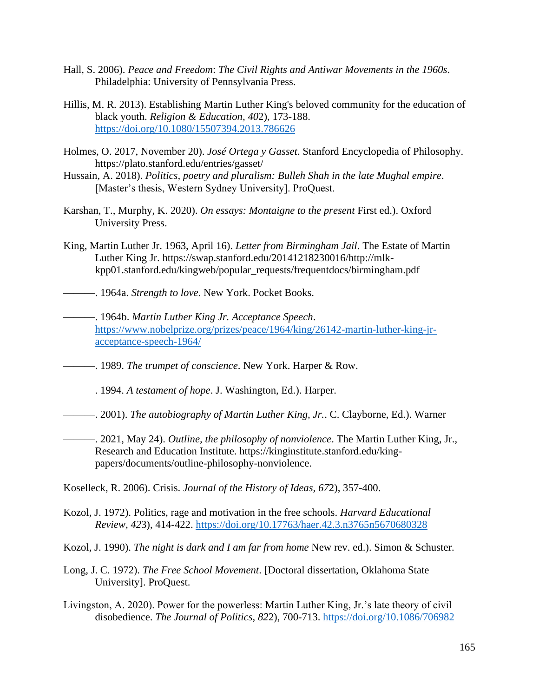- Hall, S. 2006). *Peace and Freedom*: *The Civil Rights and Antiwar Movements in the 1960s*. Philadelphia: University of Pennsylvania Press.
- Hillis, M. R. 2013). Establishing Martin Luther King's beloved community for the education of black youth. *Religion & Education, 40*2), 173-188. <https://doi.org/10.1080/15507394.2013.786626>
- Holmes, O. 2017, November 20). *José Ortega y Gasset*. Stanford Encyclopedia of Philosophy. https://plato.stanford.edu/entries/gasset/
- Hussain, A. 2018). *Politics, poetry and pluralism: Bulleh Shah in the late Mughal empire*. [Master's thesis, Western Sydney University]. ProQuest.
- Karshan, T., Murphy, K. 2020). *On essays: Montaigne to the present* First ed.). Oxford University Press.
- King, Martin Luther Jr. 1963, April 16). *Letter from Birmingham Jail*. The Estate of Martin Luther King Jr. https://swap.stanford.edu/20141218230016/http://mlkkpp01.stanford.edu/kingweb/popular\_requests/frequentdocs/birmingham.pdf
- ———. 1964a. *Strength to love*. New York. Pocket Books.
- ———. 1964b. *Martin Luther King Jr. Acceptance Speech*. [https://www.nobelprize.org/prizes/peace/1964/king/26142-martin-luther-king-jr](https://www.nobelprize.org/prizes/peace/1964/king/26142-martin-luther-king-jr-acceptance-speech-1964/)[acceptance-speech-1964/](https://www.nobelprize.org/prizes/peace/1964/king/26142-martin-luther-king-jr-acceptance-speech-1964/)
- ———. 1989. *The trumpet of conscience*. New York. Harper & Row.
- ———. 1994. *A testament of hope*. J. Washington, Ed.). Harper.
- ———. 2001). *The autobiography of Martin Luther King, Jr.*. C. Clayborne, Ed.). Warner
	- ———. 2021, May 24). *Outline, the philosophy of nonviolence*. The Martin Luther King, Jr., Research and Education Institute. https://kinginstitute.stanford.edu/kingpapers/documents/outline-philosophy-nonviolence.

Koselleck, R. 2006). Crisis. *Journal of the History of Ideas, 67*2), 357-400.

- Kozol, J. 1972). Politics, rage and motivation in the free schools. *Harvard Educational Review, 42*3), 414-422. <https://doi.org/10.17763/haer.42.3.n3765n5670680328>
- Kozol, J. 1990). *The night is dark and I am far from home* New rev. ed.). Simon & Schuster.
- Long, J. C. 1972). *The Free School Movement*. [Doctoral dissertation, Oklahoma State University]. ProQuest.
- Livingston, A. 2020). Power for the powerless: Martin Luther King, Jr.'s late theory of civil disobedience. *The Journal of Politics, 82*2), 700-713. <https://doi.org/10.1086/706982>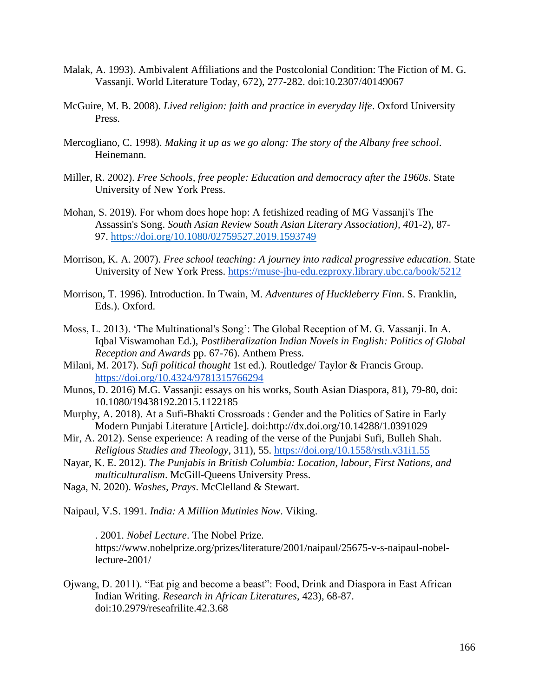- Malak, A. 1993). Ambivalent Affiliations and the Postcolonial Condition: The Fiction of M. G. Vassanji. World Literature Today, 672), 277-282. doi:10.2307/40149067
- McGuire, M. B. 2008). *Lived religion: faith and practice in everyday life*. Oxford University Press.
- Mercogliano, C. 1998). *Making it up as we go along: The story of the Albany free school*. Heinemann.
- Miller, R. 2002). *Free Schools, free people: Education and democracy after the 1960s*. State University of New York Press.
- Mohan, S. 2019). For whom does hope hop: A fetishized reading of MG Vassanji's The Assassin's Song. *South Asian Review South Asian Literary Association), 40*1-2), 87- 97. <https://doi.org/10.1080/02759527.2019.1593749>
- Morrison, K. A. 2007). *Free school teaching: A journey into radical progressive education*. State University of New York Press.<https://muse-jhu-edu.ezproxy.library.ubc.ca/book/5212>
- Morrison, T. 1996). Introduction. In Twain, M. *Adventures of Huckleberry Finn*. S. Franklin, Eds.). Oxford.
- Moss, L. 2013). 'The Multinational's Song': The Global Reception of M. G. Vassanji. In A. Iqbal Viswamohan Ed.), *Postliberalization Indian Novels in English: Politics of Global Reception and Awards* pp. 67-76). Anthem Press.
- Milani, M. 2017). *Sufi political thought* 1st ed.). Routledge/ Taylor & Francis Group. <https://doi.org/10.4324/9781315766294>
- Munos, D. 2016) M.G. Vassanji: essays on his works, South Asian Diaspora, 81), 79-80, doi: 10.1080/19438192.2015.1122185
- Murphy, A. 2018). At a Sufi-Bhakti Crossroads : Gender and the Politics of Satire in Early Modern Punjabi Literature [Article]. doi:http://dx.doi.org/10.14288/1.0391029
- Mir, A. 2012). Sense experience: A reading of the verse of the Punjabi Sufi, Bulleh Shah. *Religious Studies and Theology*, 311), 55.<https://doi.org/10.1558/rsth.v31i1.55>
- Nayar, K. E. 2012). *The Punjabis in British Columbia: Location, labour, First Nations, and multiculturalism*. McGill-Queens University Press.
- Naga, N. 2020). *Washes, Prays*. McClelland & Stewart.

Naipaul, V.S. 1991. *India: A Million Mutinies Now*. Viking.

- ———. 2001. *Nobel Lecture*. The Nobel Prize. https://www.nobelprize.org/prizes/literature/2001/naipaul/25675-v-s-naipaul-nobellecture-2001/
- Ojwang, D. 2011). "Eat pig and become a beast": Food, Drink and Diaspora in East African Indian Writing. *Research in African Literatures*, 423), 68-87. doi:10.2979/reseafrilite.42.3.68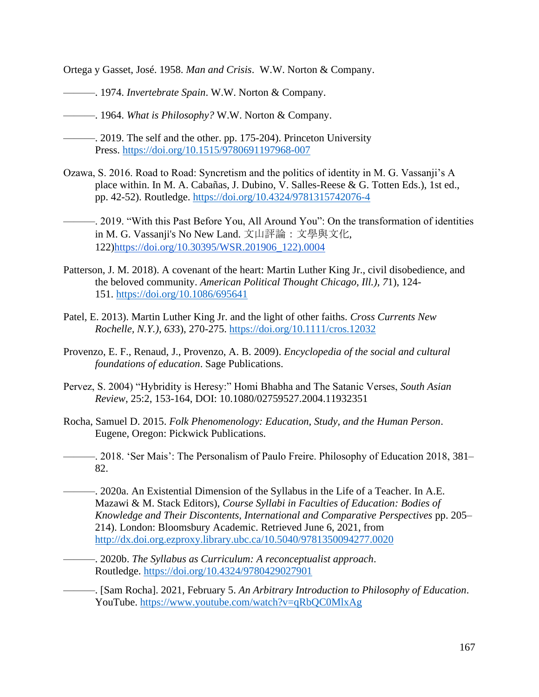Ortega y Gasset, José. 1958. *Man and Crisis*. W.W. Norton & Company.

- ———. 1974. *Invertebrate Spain*. W.W. Norton & Company.
- ———. 1964. *What is Philosophy?* W.W. Norton & Company.
- ———. 2019. The self and the other. pp. 175-204). Princeton University Press. <https://doi.org/10.1515/9780691197968-007>
- Ozawa, S. 2016. Road to Road: Syncretism and the politics of identity in M. G. Vassanji's A place within. In M. A. Cabañas, J. Dubino, V. Salles-Reese & G. Totten Eds.), 1st ed., pp. 42-52). Routledge.<https://doi.org/10.4324/9781315742076-4>
- ———. 2019. "With this Past Before You, All Around You": On the transformation of identities in M. G. Vassanji's No New Land. 文山評論:文學與文化, 122[\)https://doi.org/10.30395/WSR.201906\\_122\).0004](https://doi.org/10.30395/WSR.201906_12(2).0004)
- Patterson, J. M. 2018). A covenant of the heart: Martin Luther King Jr., civil disobedience, and the beloved community. *American Political Thought Chicago, Ill.), 7*1), 124- 151. <https://doi.org/10.1086/695641>
- Patel, E. 2013). Martin Luther King Jr. and the light of other faiths. *Cross Currents New Rochelle, N.Y.), 63*3), 270-275. <https://doi.org/10.1111/cros.12032>
- Provenzo, E. F., Renaud, J., Provenzo, A. B. 2009). *Encyclopedia of the social and cultural foundations of education*. Sage Publications.
- Pervez, S. 2004) "Hybridity is Heresy:" Homi Bhabha and The Satanic Verses, *South Asian Review*, 25:2, 153-164, DOI: 10.1080/02759527.2004.11932351
- Rocha, Samuel D. 2015. *Folk Phenomenology: Education, Study, and the Human Person*. Eugene, Oregon: Pickwick Publications.
- ———. 2018. 'Ser Mais': The Personalism of Paulo Freire. Philosophy of Education 2018, 381– 82.
- ———. 2020a. An Existential Dimension of the Syllabus in the Life of a Teacher. In A.E. Mazawi & M. Stack Editors), *Course Syllabi in Faculties of Education: Bodies of Knowledge and Their Discontents, International and Comparative Perspectives* pp. 205– 214). London: Bloomsbury Academic. Retrieved June 6, 2021, from <http://dx.doi.org.ezproxy.library.ubc.ca/10.5040/9781350094277.0020>
- ———. 2020b. *The Syllabus as Curriculum: A reconceptualist approach*. Routledge. <https://doi.org/10.4324/9780429027901>
- ———. [Sam Rocha]. 2021, February 5. *An Arbitrary Introduction to Philosophy of Education*. YouTube.<https://www.youtube.com/watch?v=qRbQC0MlxAg>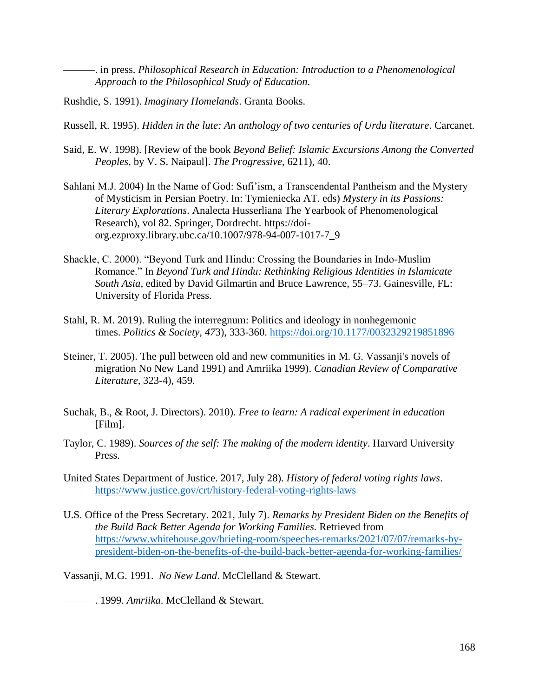———. in press. *Philosophical Research in Education: Introduction to a Phenomenological Approach to the Philosophical Study of Education*.

- Rushdie, S. 1991). *Imaginary Homelands*. Granta Books.
- Russell, R. 1995). *Hidden in the lute: An anthology of two centuries of Urdu literature*. Carcanet.
- Said, E. W. 1998). [Review of the book *Beyond Belief: Islamic Excursions Among the Converted Peoples*, by V. S. Naipaul]. *The Progressive*, 6211), 40.
- Sahlani M.J. 2004) In the Name of God: Sufi'ism, a Transcendental Pantheism and the Mystery of Mysticism in Persian Poetry. In: Tymieniecka AT. eds) *Mystery in its Passions: Literary Explorations*. Analecta Husserliana The Yearbook of Phenomenological Research), vol 82. Springer, Dordrecht. https://doiorg.ezproxy.library.ubc.ca/10.1007/978-94-007-1017-7\_9
- Shackle, C. 2000). "Beyond Turk and Hindu: Crossing the Boundaries in Indo-Muslim Romance." In *Beyond Turk and Hindu: Rethinking Religious Identities in Islamicate South Asia*, edited by David Gilmartin and Bruce Lawrence, 55–73. Gainesville, FL: University of Florida Press.
- Stahl, R. M. 2019). Ruling the interregnum: Politics and ideology in nonhegemonic times. *Politics & Society, 47*3), 333-360. <https://doi.org/10.1177/0032329219851896>
- Steiner, T. 2005). The pull between old and new communities in M. G. Vassanji's novels of migration No New Land 1991) and Amriika 1999). *Canadian Review of Comparative Literature*, 323-4), 459.
- Suchak, B., & Root, J. Directors). 2010). *Free to learn: A radical experiment in education* [Film].
- Taylor, C. 1989). *Sources of the self: The making of the modern identity*. Harvard University Press.
- United States Department of Justice. 2017, July 28). *History of federal voting rights laws*. <https://www.justice.gov/crt/history-federal-voting-rights-laws>
- U.S. Office of the Press Secretary. 2021, July 7). *Remarks by President Biden on the Benefits of the Build Back Better Agenda for Working Families.* Retrieved from [https://www.whitehouse.gov/briefing-room/speeches-remarks/2021/07/07/remarks-by](https://www.whitehouse.gov/briefing-room/speeches-remarks/2021/07/07/remarks-by-president-biden-on-the-benefits-of-the-build-back-better-agenda-for-working-families/)[president-biden-on-the-benefits-of-the-build-back-better-agenda-for-working-families/](https://www.whitehouse.gov/briefing-room/speeches-remarks/2021/07/07/remarks-by-president-biden-on-the-benefits-of-the-build-back-better-agenda-for-working-families/)

Vassanji, M.G. 1991. *No New Land*. McClelland & Stewart.

———. 1999. *Amriika*. McClelland & Stewart.